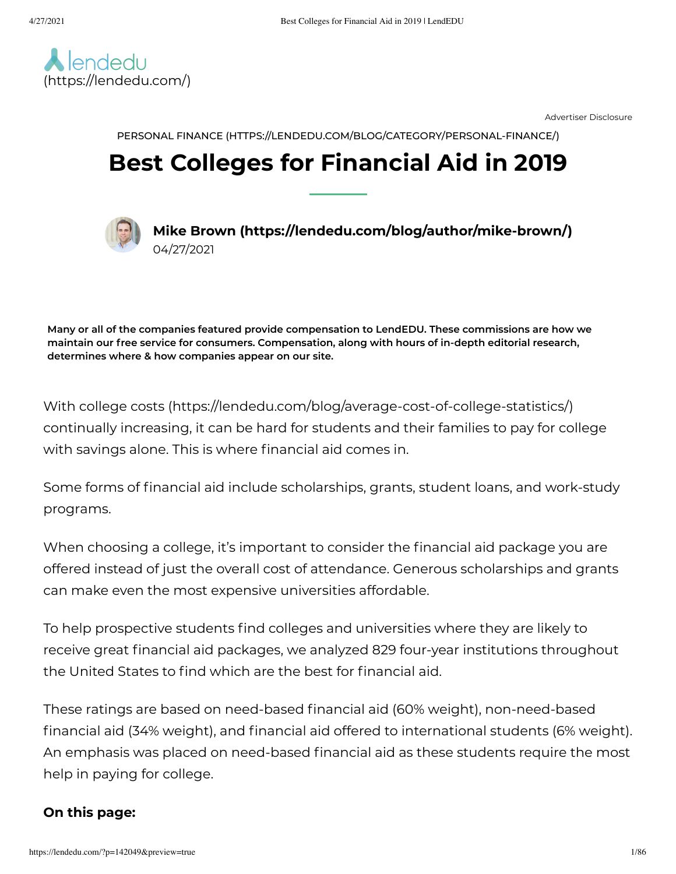

Advertiser Disclosure

PERSONAL FINANCE [\(HTTPS://LENDEDU.COM/BLOG/CATEGORY/PERSONAL-FINANCE/\)](https://lendedu.com/blog/category/personal-finance/)

# **Best Colleges for Financial Aid in 2019**



**Mike Brown [\(https://lendedu.com/blog/author/mike-brown/\)](https://lendedu.com/blog/author/mike-brown/)** 04/27/2021

**Many or all of the companies featured provide compensation to LendEDU. These commissions are how we maintain our free service for consumers. Compensation, along with hours of in-depth editorial research, determines where & how companies appear on our site.**

With college costs [\(https://lendedu.com/blog/average-cost-of-college-statistics/\)](https://lendedu.com/blog/average-cost-of-college-statistics/) continually increasing, it can be hard for students and their families to pay for college with savings alone. This is where financial aid comes in.

Some forms of financial aid include scholarships, grants, student loans, and work-study programs.

When choosing a college, it's important to consider the financial aid package you are offered instead of just the overall cost of attendance. Generous scholarships and grants can make even the most expensive universities affordable.

To help prospective students find colleges and universities where they are likely to receive great financial aid packages, we analyzed 829 four-year institutions throughout the United States to find which are the best for financial aid.

These ratings are based on need-based financial aid (60% weight), non-need-based financial aid (34% weight), and financial aid offered to international students (6% weight). An emphasis was placed on need-based financial aid as these students require the most help in paying for college.

### **On this page:**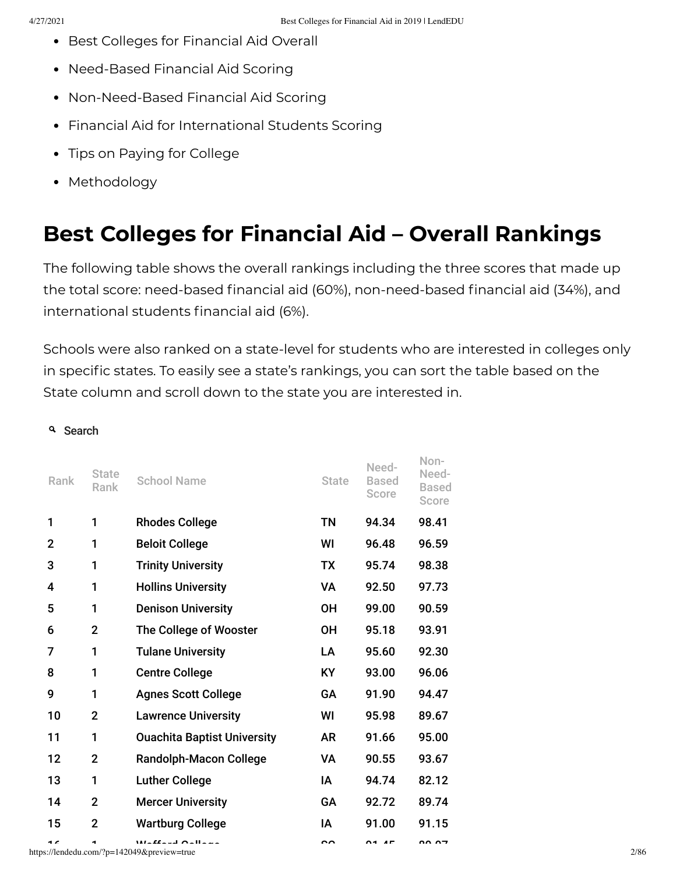- Best Colleges for [Financial](#page-1-0) Aid Overall
- [Need-Based](#page-25-0) Financial Aid Scoring
- [Non-Need-Based](#page-49-0) Financial Aid Scoring
- Financial Aid for [International](#page-73-0) Students Scoring
- Tips on Paying for [College](#page-80-0)
- [Methodology](#page-82-0)

## <span id="page-1-0"></span>**Best Colleges for Financial Aid – Overall Rankings**

The following table shows the overall rankings including the three scores that made up the total score: need-based financial aid (60%), non-need-based financial aid (34%), and international students financial aid (6%).

Schools were also ranked on a state-level for students who are interested in colleges only in specific states. To easily see a state's rankings, you can sort the table based on the State column and scroll down to the state you are interested in.

#### <sup>Q</sup> Search

| Rank           | <b>State</b><br>Rank | <b>School Name</b>                                                       | <b>State</b> | Need-<br><b>Based</b><br>Score | Non-<br>Need-<br><b>Based</b><br>Score |  |
|----------------|----------------------|--------------------------------------------------------------------------|--------------|--------------------------------|----------------------------------------|--|
| 1              | 1                    | <b>Rhodes College</b>                                                    | <b>TN</b>    | 94.34                          | 98.41                                  |  |
| $\mathbf{2}$   | 1                    | <b>Beloit College</b>                                                    | WI           | 96.48                          | 96.59                                  |  |
| 3              | 1                    | <b>Trinity University</b>                                                | <b>TX</b>    | 95.74                          | 98.38                                  |  |
| 4              | 1                    | <b>Hollins University</b>                                                | VA           | 92.50                          | 97.73                                  |  |
| 5              | 1                    | <b>Denison University</b>                                                | <b>OH</b>    | 99.00                          | 90.59                                  |  |
| 6              | $\overline{2}$       | The College of Wooster                                                   | <b>OH</b>    | 95.18                          | 93.91                                  |  |
| $\overline{7}$ | 1                    | <b>Tulane University</b>                                                 | LA           | 95.60                          | 92.30                                  |  |
| 8              | 1                    | <b>Centre College</b>                                                    | <b>KY</b>    | 93.00                          | 96.06                                  |  |
| 9              | 1                    | <b>Agnes Scott College</b>                                               | GA           | 91.90                          | 94.47                                  |  |
| 10             | $\overline{2}$       | <b>Lawrence University</b>                                               | WI           | 95.98                          | 89.67                                  |  |
| 11             | 1                    | <b>Ouachita Baptist University</b>                                       | <b>AR</b>    | 91.66                          | 95.00                                  |  |
| 12             | $\overline{2}$       | <b>Randolph-Macon College</b>                                            | VA           | 90.55                          | 93.67                                  |  |
| 13             | 1                    | <b>Luther College</b>                                                    | IA           | 94.74                          | 82.12                                  |  |
| 14             | $\overline{2}$       | <b>Mercer University</b>                                                 | GA           | 92.72                          | 89.74                                  |  |
| 15             | $\overline{2}$       | <b>Wartburg College</b>                                                  | IA           | 91.00                          | 91.15                                  |  |
| $\overline{ }$ |                      | $M = 22 - 4$ $O = 11 - 12$<br>https://lendedu.com/?p=142049&preview=true | ົ            | $\overline{ }$                 | <b>00.07</b>                           |  |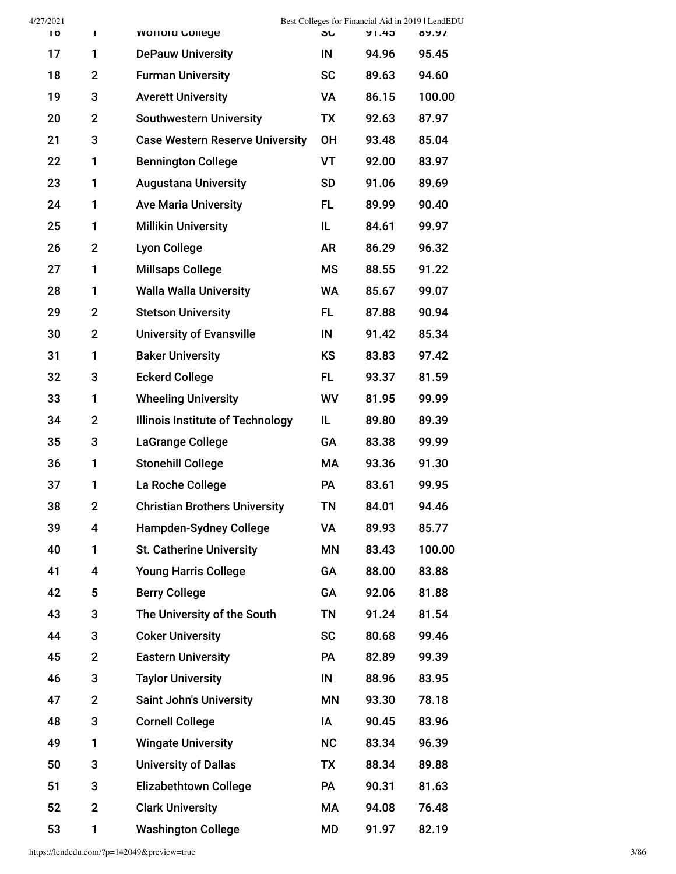| 4/27/2021 |                |                                         |           | Best Colleges for Financial Aid in 2019   LendEDU |        |
|-----------|----------------|-----------------------------------------|-----------|---------------------------------------------------|--------|
| Ίb        | Τ              | <b>WOTTORG COILEGE</b>                  | <b>SU</b> | 91.45                                             | 89.97  |
| 17        | 1              | <b>DePauw University</b>                | IN        | 94.96                                             | 95.45  |
| 18        | $\mathbf{2}$   | <b>Furman University</b>                | <b>SC</b> | 89.63                                             | 94.60  |
| 19        | 3              | <b>Averett University</b>               | VA        | 86.15                                             | 100.00 |
| 20        | $\overline{2}$ | <b>Southwestern University</b>          | TX        | 92.63                                             | 87.97  |
| 21        | 3              | <b>Case Western Reserve University</b>  | <b>OH</b> | 93.48                                             | 85.04  |
| 22        | 1              | <b>Bennington College</b>               | VT        | 92.00                                             | 83.97  |
| 23        | 1              | <b>Augustana University</b>             | <b>SD</b> | 91.06                                             | 89.69  |
| 24        | 1              | <b>Ave Maria University</b>             | FL        | 89.99                                             | 90.40  |
| 25        | 1              | <b>Millikin University</b>              | IL        | 84.61                                             | 99.97  |
| 26        | $\mathbf{2}$   | <b>Lyon College</b>                     | <b>AR</b> | 86.29                                             | 96.32  |
| 27        | 1              | <b>Millsaps College</b>                 | <b>MS</b> | 88.55                                             | 91.22  |
| 28        | 1              | <b>Walla Walla University</b>           | <b>WA</b> | 85.67                                             | 99.07  |
| 29        | $\mathbf 2$    | <b>Stetson University</b>               | FL.       | 87.88                                             | 90.94  |
| 30        | $\mathbf{2}$   | <b>University of Evansville</b>         | IN        | 91.42                                             | 85.34  |
| 31        | 1              | <b>Baker University</b>                 | <b>KS</b> | 83.83                                             | 97.42  |
| 32        | 3              | <b>Eckerd College</b>                   | FL.       | 93.37                                             | 81.59  |
| 33        | 1              | <b>Wheeling University</b>              | WV        | 81.95                                             | 99.99  |
| 34        | $\mathbf 2$    | <b>Illinois Institute of Technology</b> | IL        | 89.80                                             | 89.39  |
| 35        | 3              | LaGrange College                        | GA        | 83.38                                             | 99.99  |
| 36        | 1              | <b>Stonehill College</b>                | МA        | 93.36                                             | 91.30  |
| 37        | 1              | La Roche College                        | <b>PA</b> | 83.61                                             | 99.95  |
| 38        | $\mathbf 2$    | <b>Christian Brothers University</b>    | <b>TN</b> | 84.01                                             | 94.46  |
| 39        | 4              | <b>Hampden-Sydney College</b>           | VA        | 89.93                                             | 85.77  |
| 40        | 1              | <b>St. Catherine University</b>         | ΜN        | 83.43                                             | 100.00 |
| 41        | 4              | <b>Young Harris College</b>             | GA        | 88.00                                             | 83.88  |
| 42        | 5              | <b>Berry College</b>                    | GA        | 92.06                                             | 81.88  |
| 43        | 3              | The University of the South             | <b>TN</b> | 91.24                                             | 81.54  |
| 44        | 3              | <b>Coker University</b>                 | <b>SC</b> | 80.68                                             | 99.46  |
| 45        | $\overline{2}$ | <b>Eastern University</b>               | PA        | 82.89                                             | 99.39  |
| 46        | 3              | <b>Taylor University</b>                | IN        | 88.96                                             | 83.95  |
| 47        | $\mathbf 2$    | <b>Saint John's University</b>          | ΜN        | 93.30                                             | 78.18  |
| 48        | 3              | <b>Cornell College</b>                  | IA        | 90.45                                             | 83.96  |
| 49        | 1              | <b>Wingate University</b>               | <b>NC</b> | 83.34                                             | 96.39  |
| 50        | 3              | <b>University of Dallas</b>             | TX        | 88.34                                             | 89.88  |
| 51        | 3              | <b>Elizabethtown College</b>            | PA        | 90.31                                             | 81.63  |
| 52        | $\mathbf 2$    | <b>Clark University</b>                 | MA        | 94.08                                             | 76.48  |
| 53        | 1              | <b>Washington College</b>               | MD        | 91.97                                             | 82.19  |

https://lendedu.com/?p=142049&preview=true 3/86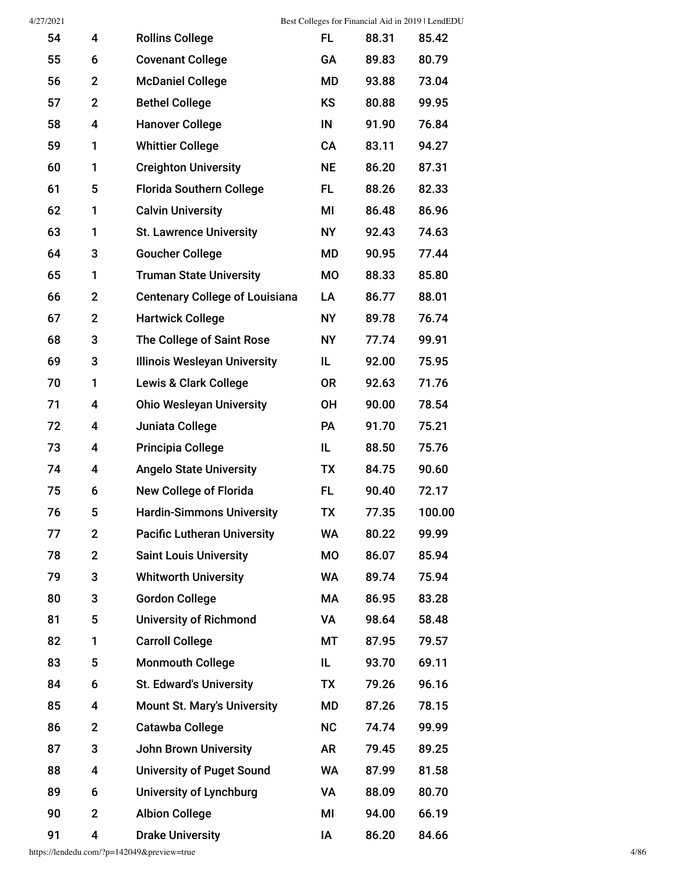| 54 | 4              | <b>Rollins College</b>                | FL.       | 88.31 | 85.42  |
|----|----------------|---------------------------------------|-----------|-------|--------|
| 55 | 6              | <b>Covenant College</b>               | GA        | 89.83 | 80.79  |
| 56 | $\overline{2}$ | <b>McDaniel College</b>               | <b>MD</b> | 93.88 | 73.04  |
| 57 | $\overline{2}$ | <b>Bethel College</b>                 | KS        | 80.88 | 99.95  |
| 58 | 4              | <b>Hanover College</b>                | IN        | 91.90 | 76.84  |
| 59 | 1              | <b>Whittier College</b>               | CA        | 83.11 | 94.27  |
| 60 | 1              | <b>Creighton University</b>           | <b>NE</b> | 86.20 | 87.31  |
| 61 | 5              | <b>Florida Southern College</b>       | FL.       | 88.26 | 82.33  |
| 62 | 1              | <b>Calvin University</b>              | MI        | 86.48 | 86.96  |
| 63 | 1              | <b>St. Lawrence University</b>        | <b>NY</b> | 92.43 | 74.63  |
| 64 | 3              | <b>Goucher College</b>                | MD        | 90.95 | 77.44  |
| 65 | 1              | <b>Truman State University</b>        | <b>MO</b> | 88.33 | 85.80  |
| 66 | $\mathbf{2}$   | <b>Centenary College of Louisiana</b> | LA        | 86.77 | 88.01  |
| 67 | $\overline{2}$ | <b>Hartwick College</b>               | <b>NY</b> | 89.78 | 76.74  |
| 68 | 3              | The College of Saint Rose             | <b>NY</b> | 77.74 | 99.91  |
| 69 | 3              | <b>Illinois Wesleyan University</b>   | IL.       | 92.00 | 75.95  |
| 70 | 1              | <b>Lewis &amp; Clark College</b>      | <b>OR</b> | 92.63 | 71.76  |
| 71 | 4              | <b>Ohio Wesleyan University</b>       | <b>OH</b> | 90.00 | 78.54  |
| 72 | 4              | Juniata College                       | PA        | 91.70 | 75.21  |
| 73 | 4              | <b>Principia College</b>              | IL        | 88.50 | 75.76  |
| 74 | 4              | <b>Angelo State University</b>        | <b>TX</b> | 84.75 | 90.60  |
| 75 | 6              | <b>New College of Florida</b>         | FL.       | 90.40 | 72.17  |
| 76 | 5              | <b>Hardin-Simmons University</b>      | TX        | 77.35 | 100.00 |
| 77 | $\mathbf 2$    | <b>Pacific Lutheran University</b>    | <b>WA</b> | 80.22 | 99.99  |
| 78 | $\overline{2}$ | <b>Saint Louis University</b>         | <b>MO</b> | 86.07 | 85.94  |
| 79 | 3              | <b>Whitworth University</b>           | <b>WA</b> | 89.74 | 75.94  |
| 80 | 3              | <b>Gordon College</b>                 | МA        | 86.95 | 83.28  |
| 81 | 5              | <b>University of Richmond</b>         | VA        | 98.64 | 58.48  |
| 82 | 1              | <b>Carroll College</b>                | МT        | 87.95 | 79.57  |
| 83 | 5              | <b>Monmouth College</b>               | IL.       | 93.70 | 69.11  |
| 84 | 6              | <b>St. Edward's University</b>        | <b>TX</b> | 79.26 | 96.16  |
| 85 | 4              | <b>Mount St. Mary's University</b>    | MD        | 87.26 | 78.15  |
| 86 | $\mathbf{2}$   | <b>Catawba College</b>                | <b>NC</b> | 74.74 | 99.99  |
| 87 | 3              | <b>John Brown University</b>          | AR        | 79.45 | 89.25  |
| 88 | 4              | <b>University of Puget Sound</b>      | WA        | 87.99 | 81.58  |
| 89 | 6              | <b>University of Lynchburg</b>        | VA        | 88.09 | 80.70  |
| 90 | $\overline{2}$ | <b>Albion College</b>                 | MI        | 94.00 | 66.19  |
| 91 | 4              | <b>Drake University</b>               | IA        | 86.20 | 84.66  |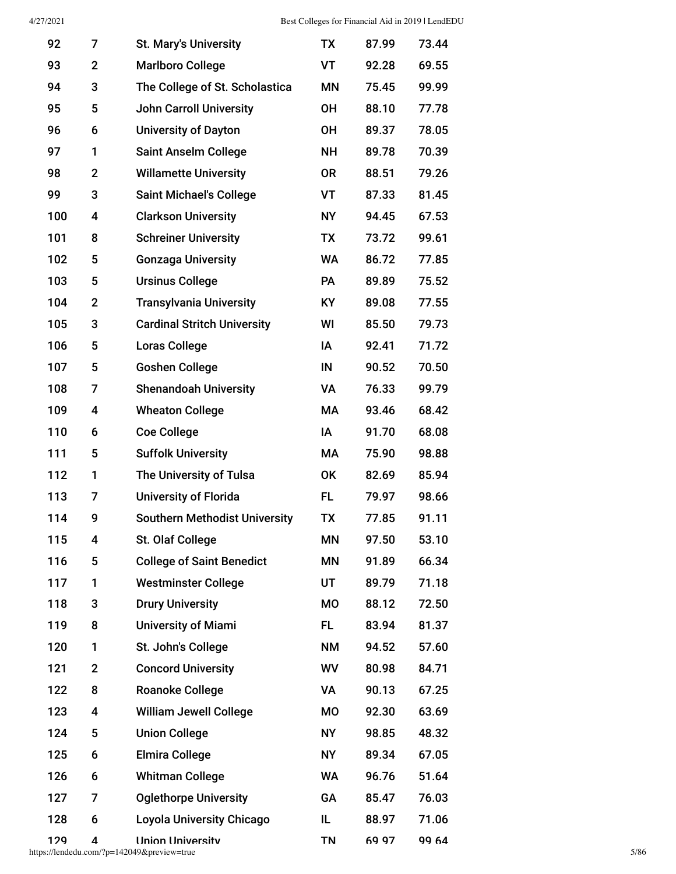| 92  | 7            | <b>St. Mary's University</b>         | <b>TX</b> | 87.99 | 73.44 |
|-----|--------------|--------------------------------------|-----------|-------|-------|
| 93  | $\mathbf{2}$ | <b>Marlboro College</b>              | VT        | 92.28 | 69.55 |
| 94  | 3            | The College of St. Scholastica       | <b>MN</b> | 75.45 | 99.99 |
| 95  | 5            | <b>John Carroll University</b>       | <b>OH</b> | 88.10 | 77.78 |
| 96  | 6            | <b>University of Dayton</b>          | <b>OH</b> | 89.37 | 78.05 |
| 97  | 1            | <b>Saint Anselm College</b>          | <b>NH</b> | 89.78 | 70.39 |
| 98  | $\mathbf{2}$ | <b>Willamette University</b>         | <b>OR</b> | 88.51 | 79.26 |
| 99  | 3            | <b>Saint Michael's College</b>       | VT        | 87.33 | 81.45 |
| 100 | 4            | <b>Clarkson University</b>           | <b>NY</b> | 94.45 | 67.53 |
| 101 | 8            | <b>Schreiner University</b>          | <b>TX</b> | 73.72 | 99.61 |
| 102 | 5            | <b>Gonzaga University</b>            | <b>WA</b> | 86.72 | 77.85 |
| 103 | 5            | <b>Ursinus College</b>               | <b>PA</b> | 89.89 | 75.52 |
| 104 | $\mathbf{2}$ | <b>Transylvania University</b>       | <b>KY</b> | 89.08 | 77.55 |
| 105 | 3            | <b>Cardinal Stritch University</b>   | WI        | 85.50 | 79.73 |
| 106 | 5            | <b>Loras College</b>                 | ΙA        | 92.41 | 71.72 |
| 107 | 5            | <b>Goshen College</b>                | IN        | 90.52 | 70.50 |
| 108 | 7            | <b>Shenandoah University</b>         | VA        | 76.33 | 99.79 |
| 109 | 4            | <b>Wheaton College</b>               | МA        | 93.46 | 68.42 |
| 110 | 6            | <b>Coe College</b>                   | IA        | 91.70 | 68.08 |
| 111 | 5            | <b>Suffolk University</b>            | МA        | 75.90 | 98.88 |
| 112 | 1            | The University of Tulsa              | OK        | 82.69 | 85.94 |
| 113 | 7            | <b>University of Florida</b>         | FL.       | 79.97 | 98.66 |
| 114 | 9            | <b>Southern Methodist University</b> | <b>TX</b> | 77.85 | 91.11 |
| 115 | 4            | St. Olaf College                     | <b>MN</b> | 97.50 | 53.10 |
| 116 | 5            | <b>College of Saint Benedict</b>     | ΜN        | 91.89 | 66.34 |
| 117 | 1            | <b>Westminster College</b>           | UT        | 89.79 | 71.18 |
| 118 | 3            | <b>Drury University</b>              | МO        | 88.12 | 72.50 |
| 119 | 8            | <b>University of Miami</b>           | FL.       | 83.94 | 81.37 |
| 120 | 1            | St. John's College                   | <b>NM</b> | 94.52 | 57.60 |
| 121 | $\mathbf{2}$ | <b>Concord University</b>            | WV        | 80.98 | 84.71 |
| 122 | 8            | <b>Roanoke College</b>               | VA        | 90.13 | 67.25 |
| 123 | 4            | <b>William Jewell College</b>        | MO        | 92.30 | 63.69 |
| 124 | 5            | <b>Union College</b>                 | <b>NY</b> | 98.85 | 48.32 |
| 125 | 6            | <b>Elmira College</b>                | <b>NY</b> | 89.34 | 67.05 |
| 126 | 6            | <b>Whitman College</b>               | <b>WA</b> | 96.76 | 51.64 |
| 127 | 7            | <b>Oglethorpe University</b>         | GA        | 85.47 | 76.03 |
| 128 | 6            | <b>Loyola University Chicago</b>     | IL.       | 88.97 | 71.06 |
| 129 | 4            | <b>Ilnion Ilniversitv</b>            | TN        | 69 97 | 99 64 |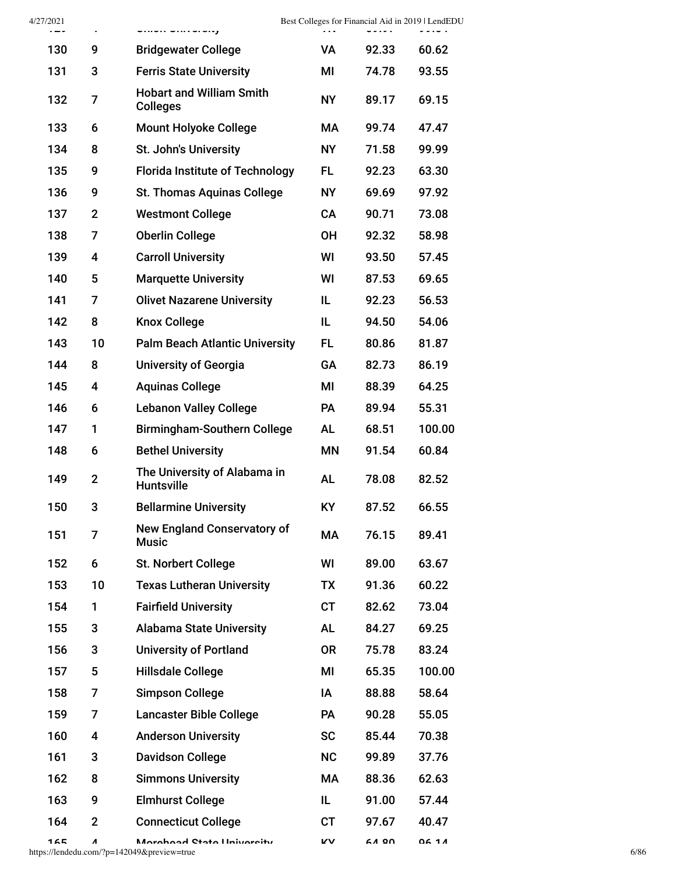| 4/27/2021<br>$\sim$ | $\mathbf{\bar{r}}$ | vinvir vintvivity                                  |           | . <i>.</i> | Best Colleges for Financial Aid in 2019   LendEDU |
|---------------------|--------------------|----------------------------------------------------|-----------|------------|---------------------------------------------------|
| 130                 | 9                  | <b>Bridgewater College</b>                         | VA        | 92.33      | 60.62                                             |
| 131                 | 3                  | <b>Ferris State University</b>                     | МI        | 74.78      | 93.55                                             |
| 132                 | 7                  | <b>Hobart and William Smith</b><br><b>Colleges</b> | <b>NY</b> | 89.17      | 69.15                                             |
| 133                 | 6                  | <b>Mount Holyoke College</b>                       | МA        | 99.74      | 47.47                                             |
| 134                 | 8                  | St. John's University                              | <b>NY</b> | 71.58      | 99.99                                             |
| 135                 | 9                  | <b>Florida Institute of Technology</b>             | FL.       | 92.23      | 63.30                                             |
| 136                 | 9                  | <b>St. Thomas Aquinas College</b>                  | <b>NY</b> | 69.69      | 97.92                                             |
| 137                 | $\overline{2}$     | <b>Westmont College</b>                            | <b>CA</b> | 90.71      | 73.08                                             |
| 138                 | 7                  | <b>Oberlin College</b>                             | <b>OH</b> | 92.32      | 58.98                                             |
| 139                 | 4                  | <b>Carroll University</b>                          | WI        | 93.50      | 57.45                                             |
| 140                 | 5                  | <b>Marquette University</b>                        | WI        | 87.53      | 69.65                                             |
| 141                 | 7                  | <b>Olivet Nazarene University</b>                  | IL        | 92.23      | 56.53                                             |
| 142                 | 8                  | <b>Knox College</b>                                | IL        | 94.50      | 54.06                                             |
| 143                 | 10                 | <b>Palm Beach Atlantic University</b>              | FL.       | 80.86      | 81.87                                             |
| 144                 | 8                  | <b>University of Georgia</b>                       | GA        | 82.73      | 86.19                                             |
| 145                 | 4                  | <b>Aquinas College</b>                             | MI        | 88.39      | 64.25                                             |
| 146                 | 6                  | <b>Lebanon Valley College</b>                      | PA        | 89.94      | 55.31                                             |
| 147                 | 1                  | <b>Birmingham-Southern College</b>                 | <b>AL</b> | 68.51      | 100.00                                            |
| 148                 | 6                  | <b>Bethel University</b>                           | ΜN        | 91.54      | 60.84                                             |
| 149                 | $\mathbf{2}$       | The University of Alabama in<br><b>Huntsville</b>  | <b>AL</b> | 78.08      | 82.52                                             |
| 150                 | 3                  | <b>Bellarmine University</b>                       | KY        | 87.52      | 66.55                                             |
| 151                 | 7                  | <b>New England Conservatory of</b><br><b>Music</b> | MA        | 76.15      | 89.41                                             |
| 152                 | 6                  | St. Norbert College                                | WI        | 89.00      | 63.67                                             |
| 153                 | 10                 | <b>Texas Lutheran University</b>                   | <b>TX</b> | 91.36      | 60.22                                             |
| 154                 | 1                  | <b>Fairfield University</b>                        | <b>CT</b> | 82.62      | 73.04                                             |
| 155                 | 3                  | <b>Alabama State University</b>                    | <b>AL</b> | 84.27      | 69.25                                             |
| 156                 | 3                  | <b>University of Portland</b>                      | <b>OR</b> | 75.78      | 83.24                                             |
| 157                 | 5                  | <b>Hillsdale College</b>                           | MI        | 65.35      | 100.00                                            |
| 158                 | 7                  | <b>Simpson College</b>                             | ΙA        | 88.88      | 58.64                                             |
| 159                 | 7                  | <b>Lancaster Bible College</b>                     | <b>PA</b> | 90.28      | 55.05                                             |
| 160                 | 4                  | <b>Anderson University</b>                         | <b>SC</b> | 85.44      | 70.38                                             |
| 161                 | 3                  | <b>Davidson College</b>                            | <b>NC</b> | 99.89      | 37.76                                             |
| 162                 | 8                  | <b>Simmons University</b>                          | МA        | 88.36      | 62.63                                             |
| 163                 | 9                  | <b>Elmhurst College</b>                            | IL        | 91.00      | 57.44                                             |
| 164                 | $\mathbf{2}$       | <b>Connecticut College</b>                         | CT        | 97.67      | 40.47                                             |
|                     |                    |                                                    |           |            |                                                   |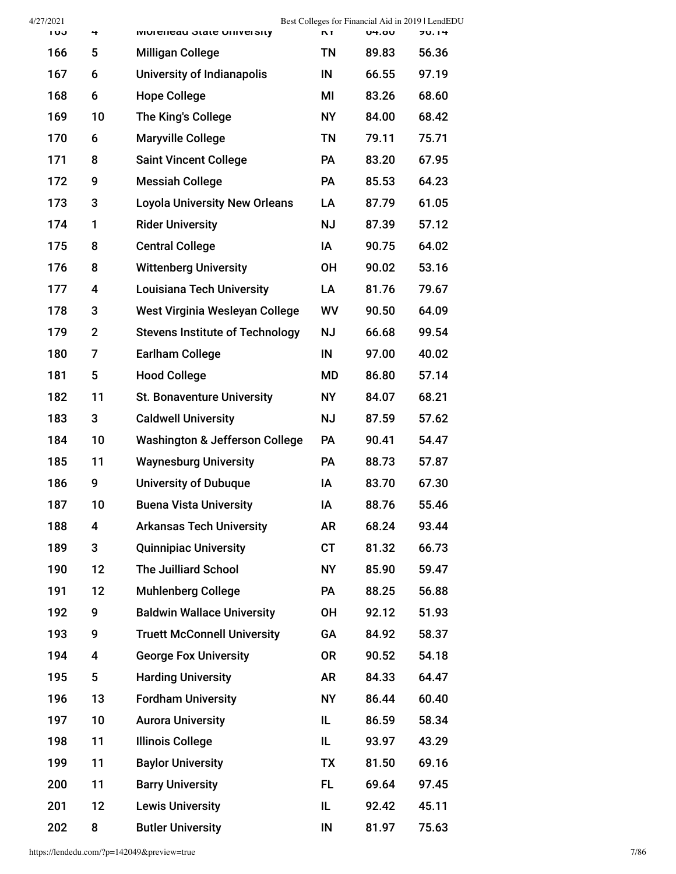| 4/27/2021 |                |                                           |           |              | Best Colleges for Financial Aid in 2019   LendEDU |
|-----------|----------------|-------------------------------------------|-----------|--------------|---------------------------------------------------|
| כט ו      | 4              | <b>MOTELIGAL STATE OF MARY</b>            | <b>NT</b> | <b>04.00</b> | 70.14                                             |
| 166       | 5              | <b>Milligan College</b>                   | <b>TN</b> | 89.83        | 56.36                                             |
| 167       | 6              | <b>University of Indianapolis</b>         | IN        | 66.55        | 97.19                                             |
| 168       | 6              | <b>Hope College</b>                       | MI        | 83.26        | 68.60                                             |
| 169       | 10             | The King's College                        | <b>NY</b> | 84.00        | 68.42                                             |
| 170       | 6              | <b>Maryville College</b>                  | <b>TN</b> | 79.11        | 75.71                                             |
| 171       | 8              | <b>Saint Vincent College</b>              | PA        | 83.20        | 67.95                                             |
| 172       | 9              | <b>Messiah College</b>                    | PA        | 85.53        | 64.23                                             |
| 173       | 3              | <b>Loyola University New Orleans</b>      | LA        | 87.79        | 61.05                                             |
| 174       | 1              | <b>Rider University</b>                   | <b>NJ</b> | 87.39        | 57.12                                             |
| 175       | 8              | <b>Central College</b>                    | IA        | 90.75        | 64.02                                             |
| 176       | 8              | <b>Wittenberg University</b>              | <b>OH</b> | 90.02        | 53.16                                             |
| 177       | 4              | <b>Louisiana Tech University</b>          | LA        | 81.76        | 79.67                                             |
| 178       | 3              | West Virginia Wesleyan College            | WV        | 90.50        | 64.09                                             |
| 179       | $\overline{2}$ | <b>Stevens Institute of Technology</b>    | <b>NJ</b> | 66.68        | 99.54                                             |
| 180       | 7              | <b>Earlham College</b>                    | IN        | 97.00        | 40.02                                             |
| 181       | 5              | <b>Hood College</b>                       | MD        | 86.80        | 57.14                                             |
| 182       | 11             | <b>St. Bonaventure University</b>         | <b>NY</b> | 84.07        | 68.21                                             |
| 183       | 3              | <b>Caldwell University</b>                | <b>NJ</b> | 87.59        | 57.62                                             |
| 184       | 10             | <b>Washington &amp; Jefferson College</b> | <b>PA</b> | 90.41        | 54.47                                             |
| 185       | 11             | <b>Waynesburg University</b>              | PA        | 88.73        | 57.87                                             |
| 186       | 9              | <b>University of Dubuque</b>              | IA        | 83.70        | 67.30                                             |
| 187       | 10             | <b>Buena Vista University</b>             | IA        | 88.76        | 55.46                                             |
| 188       | 4              | <b>Arkansas Tech University</b>           | <b>AR</b> | 68.24        | 93.44                                             |
| 189       | 3              | <b>Quinnipiac University</b>              | <b>CT</b> | 81.32        | 66.73                                             |
| 190       | 12             | <b>The Juilliard School</b>               | <b>NY</b> | 85.90        | 59.47                                             |
| 191       | 12             | <b>Muhlenberg College</b>                 | PA        | 88.25        | 56.88                                             |
| 192       | 9              | <b>Baldwin Wallace University</b>         | <b>OH</b> | 92.12        | 51.93                                             |
| 193       | 9              | <b>Truett McConnell University</b>        | GA        | 84.92        | 58.37                                             |
| 194       | 4              | <b>George Fox University</b>              | <b>OR</b> | 90.52        | 54.18                                             |
| 195       | 5              | <b>Harding University</b>                 | <b>AR</b> | 84.33        | 64.47                                             |
| 196       | 13             | <b>Fordham University</b>                 | <b>NY</b> | 86.44        | 60.40                                             |
| 197       | 10             | <b>Aurora University</b>                  | IL        | 86.59        | 58.34                                             |
| 198       | 11             | <b>Illinois College</b>                   | IL        | 93.97        | 43.29                                             |
| 199       | 11             | <b>Baylor University</b>                  | <b>TX</b> | 81.50        | 69.16                                             |
| 200       | 11             | <b>Barry University</b>                   | FL.       | 69.64        | 97.45                                             |
| 201       | 12             | <b>Lewis University</b>                   | IL        | 92.42        | 45.11                                             |
| 202       | 8              | <b>Butler University</b>                  | IN        | 81.97        | 75.63                                             |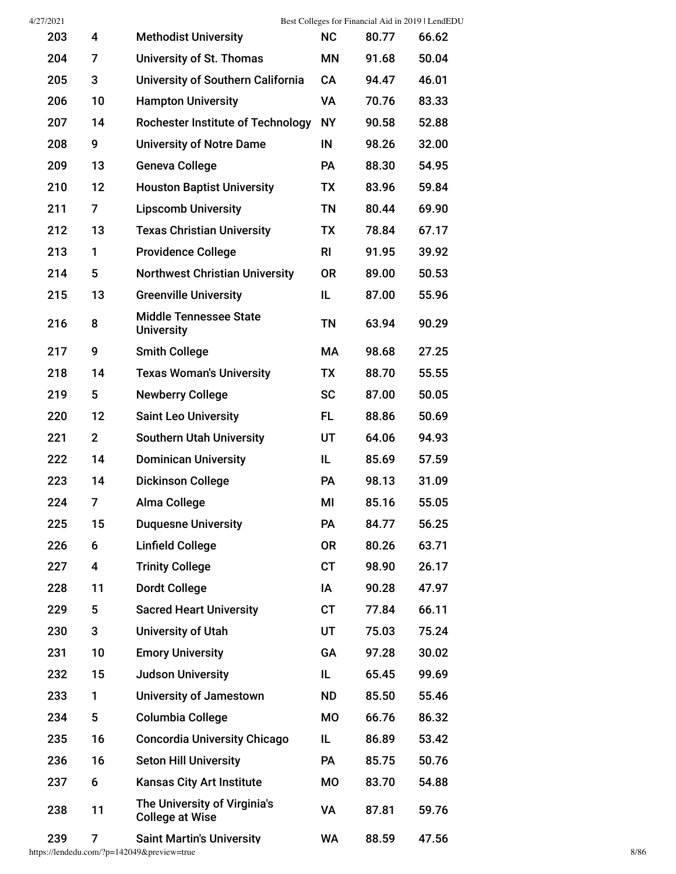| 4/27/2021 |                |                                                        |           |       | Best Colleges for Financial Aid in 2019   LendEDU |
|-----------|----------------|--------------------------------------------------------|-----------|-------|---------------------------------------------------|
| 203       | 4              | <b>Methodist University</b>                            | <b>NC</b> | 80.77 | 66.62                                             |
| 204       | 7              | University of St. Thomas                               | ΜN        | 91.68 | 50.04                                             |
| 205       | 3              | <b>University of Southern California</b>               | <b>CA</b> | 94.47 | 46.01                                             |
| 206       | 10             | <b>Hampton University</b>                              | VA        | 70.76 | 83.33                                             |
| 207       | 14             | <b>Rochester Institute of Technology</b>               | <b>NY</b> | 90.58 | 52.88                                             |
| 208       | 9              | <b>University of Notre Dame</b>                        | IN        | 98.26 | 32.00                                             |
| 209       | 13             | <b>Geneva College</b>                                  | <b>PA</b> | 88.30 | 54.95                                             |
| 210       | 12             | <b>Houston Baptist University</b>                      | TX        | 83.96 | 59.84                                             |
| 211       | 7              | <b>Lipscomb University</b>                             | <b>TN</b> | 80.44 | 69.90                                             |
| 212       | 13             | <b>Texas Christian University</b>                      | <b>TX</b> | 78.84 | 67.17                                             |
| 213       | 1              | <b>Providence College</b>                              | <b>RI</b> | 91.95 | 39.92                                             |
| 214       | 5              | <b>Northwest Christian University</b>                  | <b>OR</b> | 89.00 | 50.53                                             |
| 215       | 13             | <b>Greenville University</b>                           | IL        | 87.00 | 55.96                                             |
| 216       | 8              | <b>Middle Tennessee State</b><br><b>University</b>     | <b>TN</b> | 63.94 | 90.29                                             |
| 217       | 9              | <b>Smith College</b>                                   | МA        | 98.68 | 27.25                                             |
| 218       | 14             | <b>Texas Woman's University</b>                        | TX        | 88.70 | 55.55                                             |
| 219       | 5              | <b>Newberry College</b>                                | <b>SC</b> | 87.00 | 50.05                                             |
| 220       | 12             | <b>Saint Leo University</b>                            | <b>FL</b> | 88.86 | 50.69                                             |
| 221       | $\overline{2}$ | <b>Southern Utah University</b>                        | UT        | 64.06 | 94.93                                             |
| 222       | 14             | <b>Dominican University</b>                            | IL        | 85.69 | 57.59                                             |
| 223       | 14             | <b>Dickinson College</b>                               | <b>PA</b> | 98.13 | 31.09                                             |
| 224       | 7              | Alma College                                           | ΜI        | 85.16 | 55.05                                             |
| 225       | 15             | <b>Duquesne University</b>                             | PA        | 84.77 | 56.25                                             |
| 226       | 6              | <b>Linfield College</b>                                | <b>OR</b> | 80.26 | 63.71                                             |
| 227       | 4              | <b>Trinity College</b>                                 | <b>CT</b> | 98.90 | 26.17                                             |
| 228       | 11             | <b>Dordt College</b>                                   | IA        | 90.28 | 47.97                                             |
| 229       | 5              | <b>Sacred Heart University</b>                         | <b>CT</b> | 77.84 | 66.11                                             |
| 230       | 3              | <b>University of Utah</b>                              | UT        | 75.03 | 75.24                                             |
| 231       | 10             | <b>Emory University</b>                                | GA        | 97.28 | 30.02                                             |
| 232       | 15             | <b>Judson University</b>                               | IL        | 65.45 | 99.69                                             |
| 233       | 1              | <b>University of Jamestown</b>                         | <b>ND</b> | 85.50 | 55.46                                             |
| 234       | 5              | <b>Columbia College</b>                                | MO        | 66.76 | 86.32                                             |
| 235       | 16             | <b>Concordia University Chicago</b>                    | IL        | 86.89 | 53.42                                             |
| 236       | 16             | <b>Seton Hill University</b>                           | PA        | 85.75 | 50.76                                             |
| 237       | 6              | <b>Kansas City Art Institute</b>                       | <b>MO</b> | 83.70 | 54.88                                             |
| 238       | 11             | The University of Virginia's<br><b>College at Wise</b> | VA        | 87.81 | 59.76                                             |
| 239       | 7              | <b>Saint Martin's University</b>                       | <b>WA</b> | 88.59 | 47.56                                             |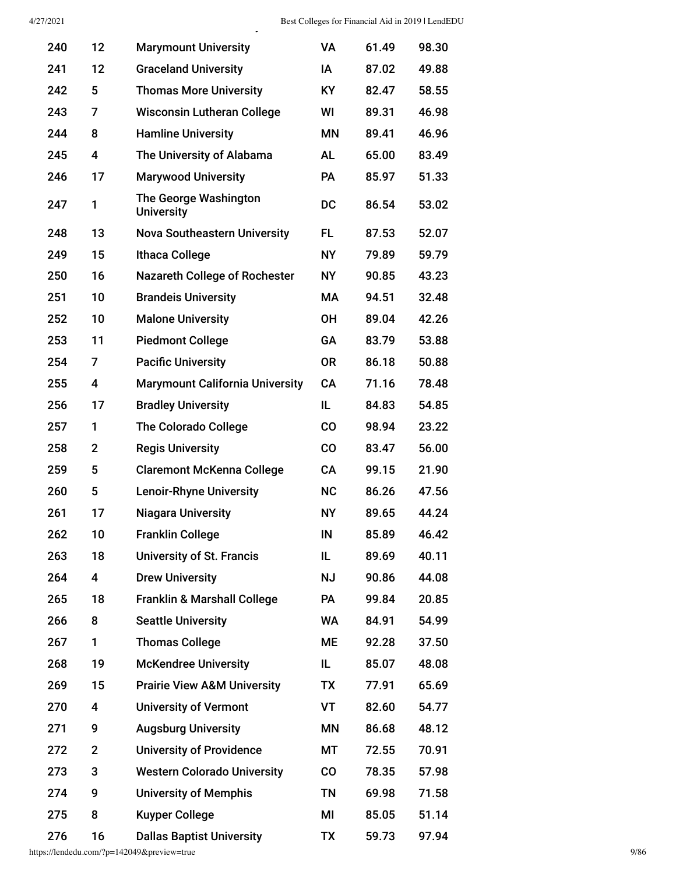| 240 | 12             | <b>Marymount University</b>                | <b>VA</b>     | 61.49 | 98.30 |
|-----|----------------|--------------------------------------------|---------------|-------|-------|
| 241 | 12             | <b>Graceland University</b>                | ΙA            | 87.02 | 49.88 |
| 242 | 5              | <b>Thomas More University</b>              | KY.           | 82.47 | 58.55 |
| 243 | 7              | <b>Wisconsin Lutheran College</b>          | WI            | 89.31 | 46.98 |
| 244 | 8              | <b>Hamline University</b>                  | <b>MN</b>     | 89.41 | 46.96 |
| 245 | 4              | The University of Alabama                  | <b>AL</b>     | 65.00 | 83.49 |
| 246 | 17             | <b>Marywood University</b>                 | <b>PA</b>     | 85.97 | 51.33 |
| 247 | 1              | The George Washington<br><b>University</b> | <b>DC</b>     | 86.54 | 53.02 |
| 248 | 13             | <b>Nova Southeastern University</b>        | FL.           | 87.53 | 52.07 |
| 249 | 15             | <b>Ithaca College</b>                      | <b>NY</b>     | 79.89 | 59.79 |
| 250 | 16             | <b>Nazareth College of Rochester</b>       | <b>NY</b>     | 90.85 | 43.23 |
| 251 | 10             | <b>Brandeis University</b>                 | МA            | 94.51 | 32.48 |
| 252 | 10             | <b>Malone University</b>                   | <b>OH</b>     | 89.04 | 42.26 |
| 253 | 11             | <b>Piedmont College</b>                    | <b>GA</b>     | 83.79 | 53.88 |
| 254 | 7              | <b>Pacific University</b>                  | <b>OR</b>     | 86.18 | 50.88 |
| 255 | 4              | <b>Marymount California University</b>     | <b>CA</b>     | 71.16 | 78.48 |
| 256 | 17             | <b>Bradley University</b>                  | IL.           | 84.83 | 54.85 |
| 257 | 1              | <b>The Colorado College</b>                | <b>CO</b>     | 98.94 | 23.22 |
| 258 | $\overline{2}$ | <b>Regis University</b>                    | CO            | 83.47 | 56.00 |
| 259 | 5              | <b>Claremont McKenna College</b>           | <b>CA</b>     | 99.15 | 21.90 |
| 260 | 5              | <b>Lenoir-Rhyne University</b>             | <b>NC</b>     | 86.26 | 47.56 |
| 261 | 17             | <b>Niagara University</b>                  | <b>NY</b>     | 89.65 | 44.24 |
| 262 | 10             | <b>Franklin College</b>                    | IN            | 85.89 | 46.42 |
| 263 | 18             | <b>University of St. Francis</b>           | IL.           | 89.69 | 40.11 |
| 264 | 4              | <b>Drew University</b>                     | <b>NJ</b>     | 90.86 | 44.08 |
| 265 | 18             | <b>Franklin &amp; Marshall College</b>     | <b>PA</b>     | 99.84 | 20.85 |
| 266 | 8              | <b>Seattle University</b>                  | WA            | 84.91 | 54.99 |
| 267 | 1              | <b>Thomas College</b>                      | ME            | 92.28 | 37.50 |
| 268 | 19             | <b>McKendree University</b>                | IL.           | 85.07 | 48.08 |
| 269 | 15             | <b>Prairie View A&amp;M University</b>     | <b>TX</b>     | 77.91 | 65.69 |
| 270 | 4              | <b>University of Vermont</b>               | VT            | 82.60 | 54.77 |
| 271 | 9              | <b>Augsburg University</b>                 | <b>MN</b>     | 86.68 | 48.12 |
| 272 | $\mathbf 2$    | <b>University of Providence</b>            | МT            | 72.55 | 70.91 |
| 273 | 3              | <b>Western Colorado University</b>         | $\mathbf{CO}$ | 78.35 | 57.98 |
| 274 | 9              | <b>University of Memphis</b>               | <b>TN</b>     | 69.98 | 71.58 |
| 275 | 8              | <b>Kuyper College</b>                      | MI            | 85.05 | 51.14 |
| 276 | 16             | <b>Dallas Baptist University</b>           | <b>TX</b>     | 59.73 | 97.94 |

y

https://lendedu.com/?p=142049&preview=true 9/86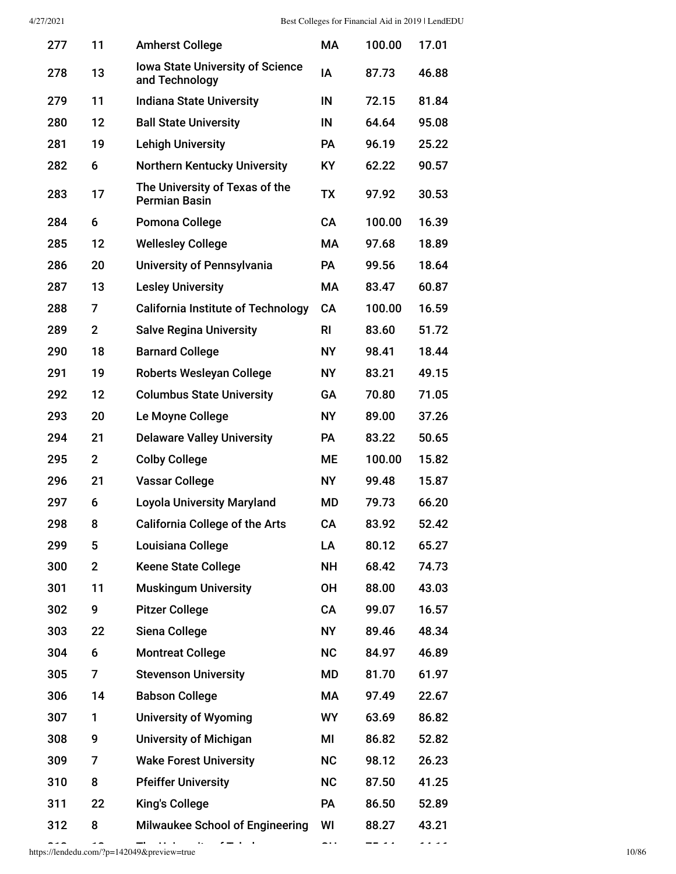| 277 | 11             | <b>Amherst College</b>                                    | MA        | 100.00 | 17.01 |
|-----|----------------|-----------------------------------------------------------|-----------|--------|-------|
| 278 | 13             | <b>Iowa State University of Science</b><br>and Technology | IA        | 87.73  | 46.88 |
| 279 | 11             | <b>Indiana State University</b>                           | IN        | 72.15  | 81.84 |
| 280 | 12             | <b>Ball State University</b>                              | IN        | 64.64  | 95.08 |
| 281 | 19             | <b>Lehigh University</b>                                  | <b>PA</b> | 96.19  | 25.22 |
| 282 | 6              | <b>Northern Kentucky University</b>                       | <b>KY</b> | 62.22  | 90.57 |
| 283 | 17             | The University of Texas of the<br><b>Permian Basin</b>    | <b>TX</b> | 97.92  | 30.53 |
| 284 | 6              | Pomona College                                            | <b>CA</b> | 100.00 | 16.39 |
| 285 | 12             | <b>Wellesley College</b>                                  | МA        | 97.68  | 18.89 |
| 286 | 20             | University of Pennsylvania                                | <b>PA</b> | 99.56  | 18.64 |
| 287 | 13             | <b>Lesley University</b>                                  | <b>MA</b> | 83.47  | 60.87 |
| 288 | 7              | <b>California Institute of Technology</b>                 | <b>CA</b> | 100.00 | 16.59 |
| 289 | $\overline{2}$ | <b>Salve Regina University</b>                            | <b>RI</b> | 83.60  | 51.72 |
| 290 | 18             | <b>Barnard College</b>                                    | <b>NY</b> | 98.41  | 18.44 |
| 291 | 19             | <b>Roberts Wesleyan College</b>                           | <b>NY</b> | 83.21  | 49.15 |
| 292 | 12             | <b>Columbus State University</b>                          | GA        | 70.80  | 71.05 |
| 293 | 20             | Le Moyne College                                          | <b>NY</b> | 89.00  | 37.26 |
| 294 | 21             | <b>Delaware Valley University</b>                         | PA        | 83.22  | 50.65 |
| 295 | $\overline{2}$ | <b>Colby College</b>                                      | МE        | 100.00 | 15.82 |
| 296 | 21             | <b>Vassar College</b>                                     | <b>NY</b> | 99.48  | 15.87 |
| 297 | 6              | <b>Loyola University Maryland</b>                         | MD        | 79.73  | 66.20 |
| 298 | 8              | <b>California College of the Arts</b>                     | CA        | 83.92  | 52.42 |
| 299 | 5              | Louisiana College                                         | LA        | 80.12  | 65.27 |
| 300 | $\overline{2}$ | <b>Keene State College</b>                                | <b>NH</b> | 68.42  | 74.73 |
| 301 | 11             | <b>Muskingum University</b>                               | <b>OH</b> | 88.00  | 43.03 |
| 302 | 9              | <b>Pitzer College</b>                                     | CA        | 99.07  | 16.57 |
| 303 | 22             | Siena College                                             | <b>NY</b> | 89.46  | 48.34 |
| 304 | 6              | <b>Montreat College</b>                                   | <b>NC</b> | 84.97  | 46.89 |
| 305 | 7              | <b>Stevenson University</b>                               | <b>MD</b> | 81.70  | 61.97 |
| 306 | 14             | <b>Babson College</b>                                     | МA        | 97.49  | 22.67 |
| 307 | 1              | <b>University of Wyoming</b>                              | <b>WY</b> | 63.69  | 86.82 |
| 308 | 9              | <b>University of Michigan</b>                             | MI        | 86.82  | 52.82 |
| 309 | 7              | <b>Wake Forest University</b>                             | <b>NC</b> | 98.12  | 26.23 |
| 310 | 8              | <b>Pfeiffer University</b>                                | <b>NC</b> | 87.50  | 41.25 |
| 311 | 22             | <b>King's College</b>                                     | PA        | 86.50  | 52.89 |
| 312 | 8              | <b>Milwaukee School of Engineering</b>                    | WI        | 88.27  | 43.21 |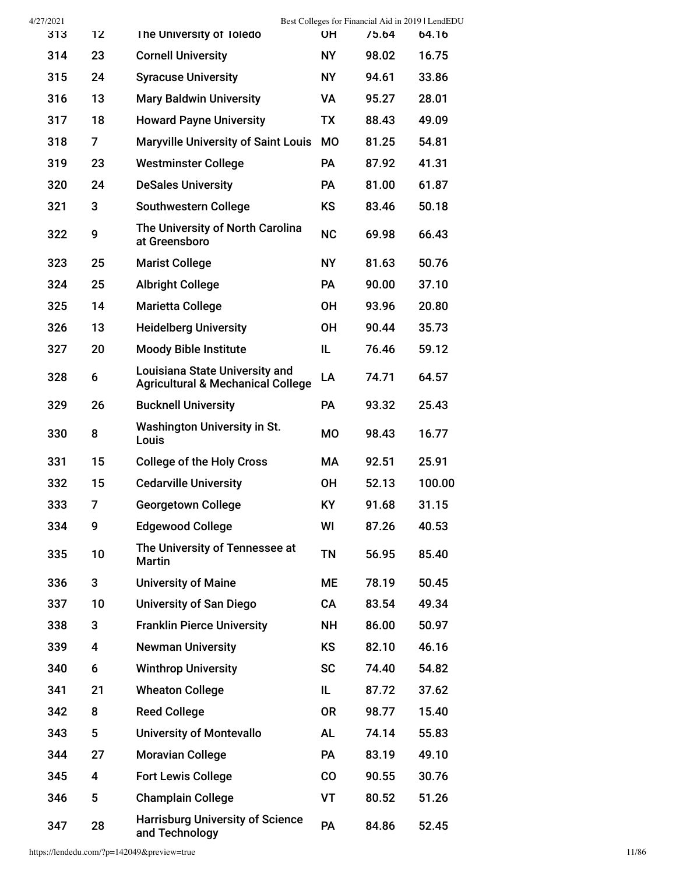| 4/27/2021 |                |                                                                                       |           | Best Colleges for Financial Aid in 2019   LendEDU |        |
|-----------|----------------|---------------------------------------------------------------------------------------|-----------|---------------------------------------------------|--------|
| 313       | 12             | The University of Toledo                                                              | <b>OH</b> | 75.64                                             | 64.16  |
| 314       | 23             | <b>Cornell University</b>                                                             | <b>NY</b> | 98.02                                             | 16.75  |
| 315       | 24             | <b>Syracuse University</b>                                                            | <b>NY</b> | 94.61                                             | 33.86  |
| 316       | 13             | <b>Mary Baldwin University</b>                                                        | VA        | 95.27                                             | 28.01  |
| 317       | 18             | <b>Howard Payne University</b>                                                        | <b>TX</b> | 88.43                                             | 49.09  |
| 318       | 7              | <b>Maryville University of Saint Louis</b>                                            | <b>MO</b> | 81.25                                             | 54.81  |
| 319       | 23             | <b>Westminster College</b>                                                            | PA        | 87.92                                             | 41.31  |
| 320       | 24             | <b>DeSales University</b>                                                             | PA        | 81.00                                             | 61.87  |
| 321       | 3              | <b>Southwestern College</b>                                                           | <b>KS</b> | 83.46                                             | 50.18  |
| 322       | 9              | The University of North Carolina<br>at Greensboro                                     | <b>NC</b> | 69.98                                             | 66.43  |
| 323       | 25             | <b>Marist College</b>                                                                 | <b>NY</b> | 81.63                                             | 50.76  |
| 324       | 25             | <b>Albright College</b>                                                               | PA        | 90.00                                             | 37.10  |
| 325       | 14             | <b>Marietta College</b>                                                               | <b>OH</b> | 93.96                                             | 20.80  |
| 326       | 13             | <b>Heidelberg University</b>                                                          | <b>OH</b> | 90.44                                             | 35.73  |
| 327       | 20             | <b>Moody Bible Institute</b>                                                          | IL        | 76.46                                             | 59.12  |
| 328       | 6              | <b>Louisiana State University and</b><br><b>Agricultural &amp; Mechanical College</b> | LA        | 74.71                                             | 64.57  |
| 329       | 26             | <b>Bucknell University</b>                                                            | PA        | 93.32                                             | 25.43  |
| 330       | 8              | <b>Washington University in St.</b><br>Louis                                          | <b>MO</b> | 98.43                                             | 16.77  |
| 331       | 15             | <b>College of the Holy Cross</b>                                                      | МA        | 92.51                                             | 25.91  |
| 332       | 15             | <b>Cedarville University</b>                                                          | <b>OH</b> | 52.13                                             | 100.00 |
| 333       | $\overline{7}$ | <b>Georgetown College</b>                                                             | <b>KY</b> | 91.68                                             | 31.15  |
| 334       | 9              | <b>Edgewood College</b>                                                               | WI        | 87.26                                             | 40.53  |
| 335       | 10             | The University of Tennessee at<br><b>Martin</b>                                       | <b>TN</b> | 56.95                                             | 85.40  |
| 336       | 3              | <b>University of Maine</b>                                                            | ME        | 78.19                                             | 50.45  |
| 337       | 10             | <b>University of San Diego</b>                                                        | <b>CA</b> | 83.54                                             | 49.34  |
| 338       | 3              | <b>Franklin Pierce University</b>                                                     | <b>NH</b> | 86.00                                             | 50.97  |
| 339       | 4              | <b>Newman University</b>                                                              | <b>KS</b> | 82.10                                             | 46.16  |
| 340       | 6              | <b>Winthrop University</b>                                                            | <b>SC</b> | 74.40                                             | 54.82  |
| 341       | 21             | <b>Wheaton College</b>                                                                | IL        | 87.72                                             | 37.62  |
| 342       | 8              | <b>Reed College</b>                                                                   | <b>OR</b> | 98.77                                             | 15.40  |
| 343       | 5              | <b>University of Montevallo</b>                                                       | <b>AL</b> | 74.14                                             | 55.83  |
| 344       | 27             | <b>Moravian College</b>                                                               | PA        | 83.19                                             | 49.10  |
| 345       | 4              | <b>Fort Lewis College</b>                                                             | CO        | 90.55                                             | 30.76  |
| 346       | 5              | <b>Champlain College</b>                                                              | VT        | 80.52                                             | 51.26  |
| 347       | 28             | <b>Harrisburg University of Science</b><br>and Technology                             | PA        | 84.86                                             | 52.45  |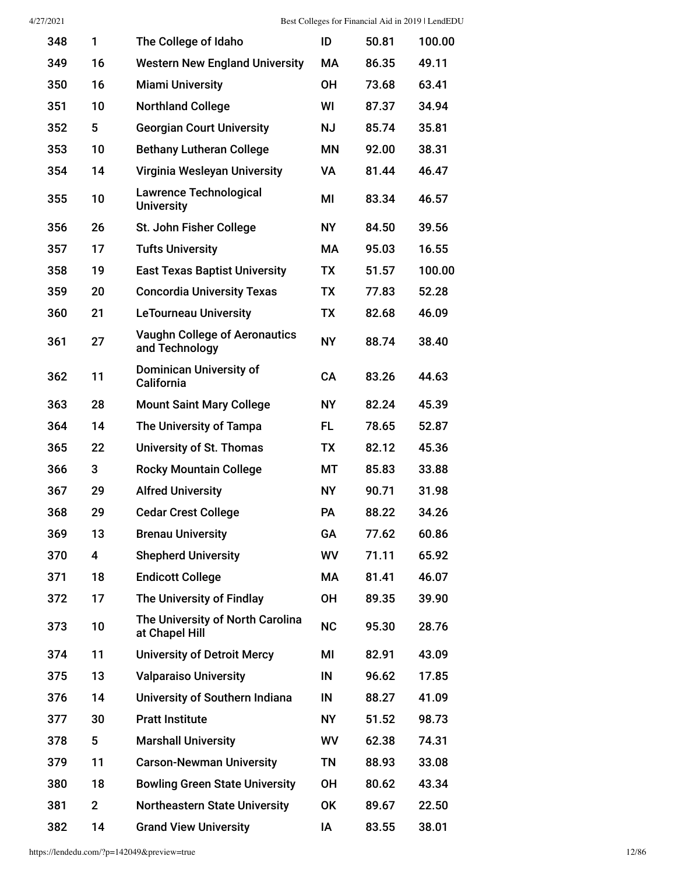| 348 | 1           | The College of Idaho                                   | ID        | 50.81 | 100.00 |
|-----|-------------|--------------------------------------------------------|-----------|-------|--------|
| 349 | 16          | <b>Western New England University</b>                  | <b>MA</b> | 86.35 | 49.11  |
| 350 | 16          | <b>Miami University</b>                                | 0H        | 73.68 | 63.41  |
| 351 | 10          | <b>Northland College</b>                               | WI        | 87.37 | 34.94  |
| 352 | 5           | <b>Georgian Court University</b>                       | <b>NJ</b> | 85.74 | 35.81  |
| 353 | 10          | <b>Bethany Lutheran College</b>                        | <b>MN</b> | 92.00 | 38.31  |
| 354 | 14          | Virginia Wesleyan University                           | VA        | 81.44 | 46.47  |
| 355 | 10          | <b>Lawrence Technological</b><br><b>University</b>     | ΜI        | 83.34 | 46.57  |
| 356 | 26          | St. John Fisher College                                | <b>NY</b> | 84.50 | 39.56  |
| 357 | 17          | <b>Tufts University</b>                                | <b>MA</b> | 95.03 | 16.55  |
| 358 | 19          | <b>East Texas Baptist University</b>                   | <b>TX</b> | 51.57 | 100.00 |
| 359 | 20          | <b>Concordia University Texas</b>                      | <b>TX</b> | 77.83 | 52.28  |
| 360 | 21          | <b>LeTourneau University</b>                           | <b>TX</b> | 82.68 | 46.09  |
| 361 | 27          | <b>Vaughn College of Aeronautics</b><br>and Technology | <b>NY</b> | 88.74 | 38.40  |
| 362 | 11          | <b>Dominican University of</b><br>California           | <b>CA</b> | 83.26 | 44.63  |
| 363 | 28          | <b>Mount Saint Mary College</b>                        | <b>NY</b> | 82.24 | 45.39  |
| 364 | 14          | The University of Tampa                                | FL.       | 78.65 | 52.87  |
| 365 | 22          | University of St. Thomas                               | <b>TX</b> | 82.12 | 45.36  |
| 366 | 3           | <b>Rocky Mountain College</b>                          | МT        | 85.83 | 33.88  |
| 367 | 29          | <b>Alfred University</b>                               | <b>NY</b> | 90.71 | 31.98  |
| 368 | 29          | <b>Cedar Crest College</b>                             | <b>PA</b> | 88.22 | 34.26  |
| 369 | 13          | <b>Brenau University</b>                               | GA        | 77.62 | 60.86  |
| 370 | 4           | <b>Shepherd University</b>                             | WV        | 71.11 | 65.92  |
| 371 | 18          | <b>Endicott College</b>                                | МA        | 81.41 | 46.07  |
| 372 | 17          | The University of Findlay                              | <b>OH</b> | 89.35 | 39.90  |
| 373 | 10          | The University of North Carolina<br>at Chapel Hill     | <b>NC</b> | 95.30 | 28.76  |
| 374 | 11          | <b>University of Detroit Mercy</b>                     | MI        | 82.91 | 43.09  |
| 375 | 13          | <b>Valparaiso University</b>                           | IN        | 96.62 | 17.85  |
| 376 | 14          | University of Southern Indiana                         | IN        | 88.27 | 41.09  |
| 377 | 30          | <b>Pratt Institute</b>                                 | <b>NY</b> | 51.52 | 98.73  |
| 378 | 5           | <b>Marshall University</b>                             | WV        | 62.38 | 74.31  |
| 379 | 11          | <b>Carson-Newman University</b>                        | <b>TN</b> | 88.93 | 33.08  |
| 380 | 18          | <b>Bowling Green State University</b>                  | <b>OH</b> | 80.62 | 43.34  |
| 381 | $\mathbf 2$ | <b>Northeastern State University</b>                   | <b>OK</b> | 89.67 | 22.50  |
| 382 | 14          | <b>Grand View University</b>                           | ΙA        | 83.55 | 38.01  |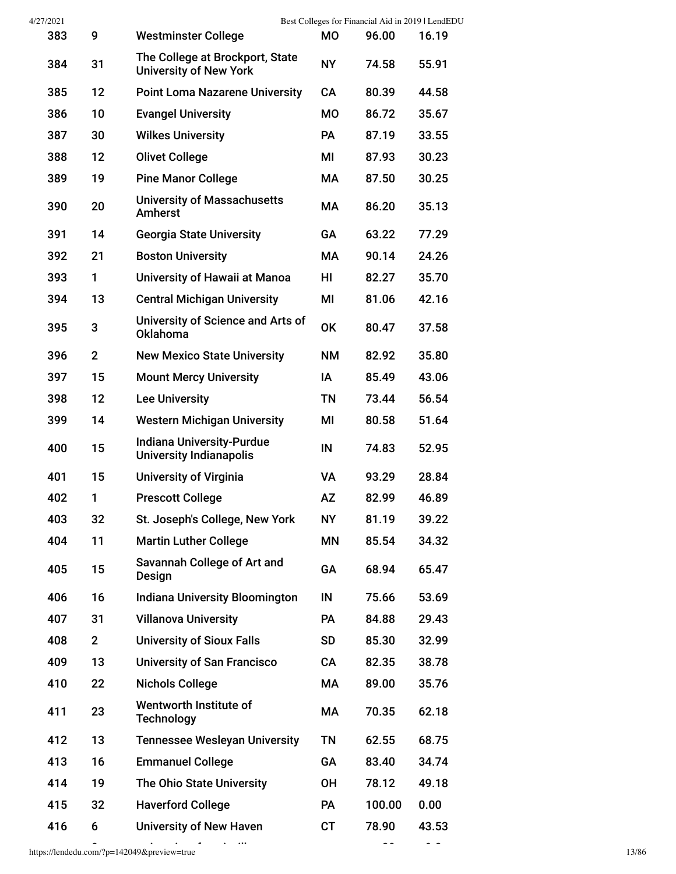| 4/27/2021 |                |                                                                    |           | Best Colleges for Financial Aid in 2019   LendEDU |       |
|-----------|----------------|--------------------------------------------------------------------|-----------|---------------------------------------------------|-------|
| 383       | 9              | <b>Westminster College</b>                                         | <b>MO</b> | 96.00                                             | 16.19 |
| 384       | 31             | The College at Brockport, State<br><b>University of New York</b>   | <b>NY</b> | 74.58                                             | 55.91 |
| 385       | 12             | <b>Point Loma Nazarene University</b>                              | <b>CA</b> | 80.39                                             | 44.58 |
| 386       | 10             | <b>Evangel University</b>                                          | <b>MO</b> | 86.72                                             | 35.67 |
| 387       | 30             | <b>Wilkes University</b>                                           | PA        | 87.19                                             | 33.55 |
| 388       | 12             | <b>Olivet College</b>                                              | ΜI        | 87.93                                             | 30.23 |
| 389       | 19             | <b>Pine Manor College</b>                                          | МA        | 87.50                                             | 30.25 |
| 390       | 20             | <b>University of Massachusetts</b><br>Amherst                      | МA        | 86.20                                             | 35.13 |
| 391       | 14             | <b>Georgia State University</b>                                    | GA        | 63.22                                             | 77.29 |
| 392       | 21             | <b>Boston University</b>                                           | МA        | 90.14                                             | 24.26 |
| 393       | 1              | University of Hawaii at Manoa                                      | HI        | 82.27                                             | 35.70 |
| 394       | 13             | <b>Central Michigan University</b>                                 | MI        | 81.06                                             | 42.16 |
| 395       | 3              | University of Science and Arts of<br>Oklahoma                      | <b>OK</b> | 80.47                                             | 37.58 |
| 396       | $\overline{2}$ | <b>New Mexico State University</b>                                 | <b>NM</b> | 82.92                                             | 35.80 |
| 397       | 15             | <b>Mount Mercy University</b>                                      | IA        | 85.49                                             | 43.06 |
| 398       | 12             | <b>Lee University</b>                                              | <b>TN</b> | 73.44                                             | 56.54 |
| 399       | 14             | <b>Western Michigan University</b>                                 | MI        | 80.58                                             | 51.64 |
| 400       | 15             | <b>Indiana University-Purdue</b><br><b>University Indianapolis</b> | IN        | 74.83                                             | 52.95 |
| 401       | 15             | <b>University of Virginia</b>                                      | <b>VA</b> | 93.29                                             | 28.84 |
| 402       | 1              | <b>Prescott College</b>                                            | <b>AZ</b> | 82.99                                             | 46.89 |
| 403       | 32             | St. Joseph's College, New York                                     | <b>NY</b> | 81.19                                             | 39.22 |
| 404       | 11             | <b>Martin Luther College</b>                                       | <b>MN</b> | 85.54                                             | 34.32 |
| 405       | 15             | Savannah College of Art and<br>Design                              | GA        | 68.94                                             | 65.47 |
| 406       | 16             | <b>Indiana University Bloomington</b>                              | IN        | 75.66                                             | 53.69 |
| 407       | 31             | <b>Villanova University</b>                                        | <b>PA</b> | 84.88                                             | 29.43 |
| 408       | $\overline{2}$ | <b>University of Sioux Falls</b>                                   | <b>SD</b> | 85.30                                             | 32.99 |
| 409       | 13             | <b>University of San Francisco</b>                                 | CA        | 82.35                                             | 38.78 |
| 410       | 22             | <b>Nichols College</b>                                             | МA        | 89.00                                             | 35.76 |
| 411       | 23             | Wentworth Institute of<br><b>Technology</b>                        | МA        | 70.35                                             | 62.18 |
| 412       | 13             | <b>Tennessee Wesleyan University</b>                               | <b>TN</b> | 62.55                                             | 68.75 |
| 413       | 16             | <b>Emmanuel College</b>                                            | GA        | 83.40                                             | 34.74 |
| 414       | 19             | The Ohio State University                                          | <b>OH</b> | 78.12                                             | 49.18 |
| 415       | 32             | <b>Haverford College</b>                                           | <b>PA</b> | 100.00                                            | 0.00  |
| 416       | 6              | <b>University of New Haven</b>                                     | CT        | 78.90                                             | 43.53 |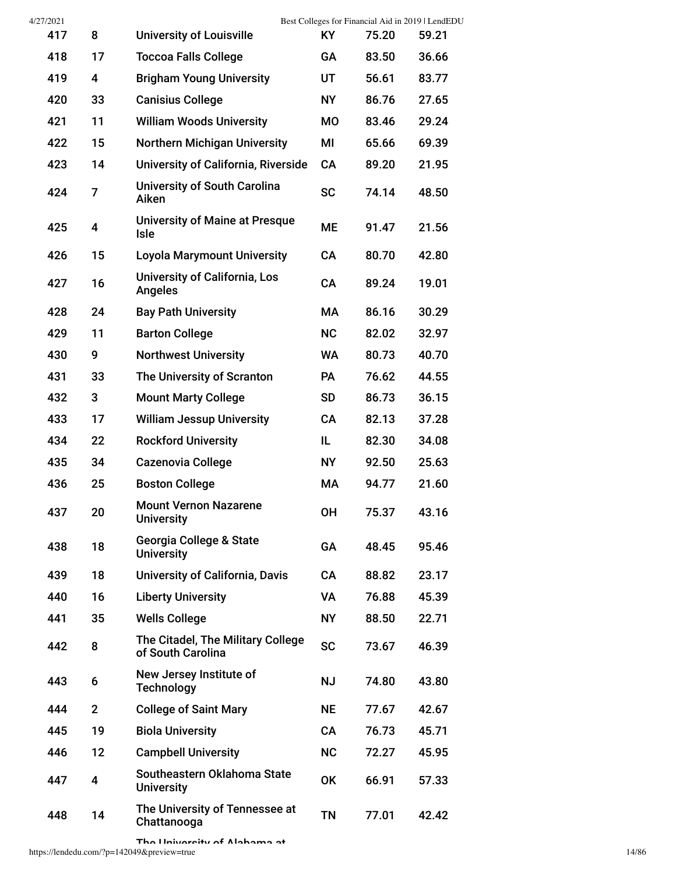| 4/27/2021 |              |                                                        |           | Best Colleges for Financial Aid in 2019   LendEDU |       |
|-----------|--------------|--------------------------------------------------------|-----------|---------------------------------------------------|-------|
| 417       | 8            | <b>University of Louisville</b>                        | ΚY        | 75.20                                             | 59.21 |
| 418       | 17           | <b>Toccoa Falls College</b>                            | GA        | 83.50                                             | 36.66 |
| 419       | 4            | <b>Brigham Young University</b>                        | UT        | 56.61                                             | 83.77 |
| 420       | 33           | <b>Canisius College</b>                                | <b>NY</b> | 86.76                                             | 27.65 |
| 421       | 11           | <b>William Woods University</b>                        | M0        | 83.46                                             | 29.24 |
| 422       | 15           | <b>Northern Michigan University</b>                    | МI        | 65.66                                             | 69.39 |
| 423       | 14           | University of California, Riverside                    | CA        | 89.20                                             | 21.95 |
| 424       | 7            | University of South Carolina<br>Aiken                  | <b>SC</b> | 74.14                                             | 48.50 |
| 425       | 4            | <b>University of Maine at Presque</b><br><b>Isle</b>   | <b>ME</b> | 91.47                                             | 21.56 |
| 426       | 15           | <b>Loyola Marymount University</b>                     | CA        | 80.70                                             | 42.80 |
| 427       | 16           | <b>University of California, Los</b><br>Angeles        | <b>CA</b> | 89.24                                             | 19.01 |
| 428       | 24           | <b>Bay Path University</b>                             | МA        | 86.16                                             | 30.29 |
| 429       | 11           | <b>Barton College</b>                                  | <b>NC</b> | 82.02                                             | 32.97 |
| 430       | 9            | <b>Northwest University</b>                            | <b>WA</b> | 80.73                                             | 40.70 |
| 431       | 33           | The University of Scranton                             | PA        | 76.62                                             | 44.55 |
| 432       | 3            | <b>Mount Marty College</b>                             | <b>SD</b> | 86.73                                             | 36.15 |
| 433       | 17           | <b>William Jessup University</b>                       | CA        | 82.13                                             | 37.28 |
| 434       | 22           | <b>Rockford University</b>                             | IL.       | 82.30                                             | 34.08 |
| 435       | 34           | <b>Cazenovia College</b>                               | <b>NY</b> | 92.50                                             | 25.63 |
| 436       | 25           | <b>Boston College</b>                                  | МA        | 94.77                                             | 21.60 |
| 437       | 20           | <b>Mount Vernon Nazarene</b><br><b>University</b>      | <b>OH</b> | 75.37                                             | 43.16 |
| 438       | 18           | Georgia College & State<br><b>University</b>           | GA        | 48.45                                             | 95.46 |
| 439       | 18           | <b>University of California, Davis</b>                 | CA        | 88.82                                             | 23.17 |
| 440       | 16           | <b>Liberty University</b>                              | VA        | 76.88                                             | 45.39 |
| 441       | 35           | <b>Wells College</b>                                   | <b>NY</b> | 88.50                                             | 22.71 |
| 442       | 8            | The Citadel, The Military College<br>of South Carolina | <b>SC</b> | 73.67                                             | 46.39 |
| 443       | 6            | New Jersey Institute of<br><b>Technology</b>           | <b>NJ</b> | 74.80                                             | 43.80 |
| 444       | $\mathbf{2}$ | <b>College of Saint Mary</b>                           | <b>NE</b> | 77.67                                             | 42.67 |
| 445       | 19           | <b>Biola University</b>                                | CA        | 76.73                                             | 45.71 |
| 446       | 12           | <b>Campbell University</b>                             | <b>NC</b> | 72.27                                             | 45.95 |
| 447       | 4            | Southeastern Oklahoma State<br><b>University</b>       | <b>OK</b> | 66.91                                             | 57.33 |
| 448       | 14           | The University of Tennessee at<br>Chattanooga          | <b>TN</b> | 77.01                                             | 42.42 |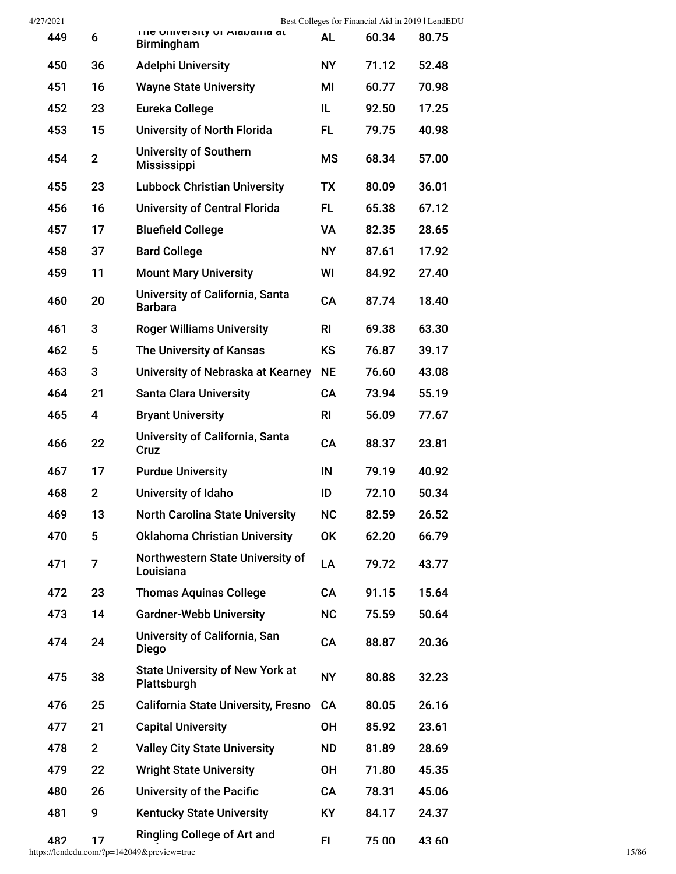| 4/27/2021 |                |                                                       |                | Best Colleges for Financial Aid in 2019   LendEDU |       |
|-----------|----------------|-------------------------------------------------------|----------------|---------------------------------------------------|-------|
| 449       | 6              | The University of Alabania at<br><b>Birmingham</b>    | <b>AL</b>      | 60.34                                             | 80.75 |
| 450       | 36             | <b>Adelphi University</b>                             | <b>NY</b>      | 71.12                                             | 52.48 |
| 451       | 16             | <b>Wayne State University</b>                         | ΜI             | 60.77                                             | 70.98 |
| 452       | 23             | Eureka College                                        | IL.            | 92.50                                             | 17.25 |
| 453       | 15             | University of North Florida                           | FL.            | 79.75                                             | 40.98 |
| 454       | $\overline{2}$ | <b>University of Southern</b><br><b>Mississippi</b>   | <b>MS</b>      | 68.34                                             | 57.00 |
| 455       | 23             | <b>Lubbock Christian University</b>                   | <b>TX</b>      | 80.09                                             | 36.01 |
| 456       | 16             | <b>University of Central Florida</b>                  | FL.            | 65.38                                             | 67.12 |
| 457       | 17             | <b>Bluefield College</b>                              | <b>VA</b>      | 82.35                                             | 28.65 |
| 458       | 37             | <b>Bard College</b>                                   | <b>NY</b>      | 87.61                                             | 17.92 |
| 459       | 11             | <b>Mount Mary University</b>                          | WI             | 84.92                                             | 27.40 |
| 460       | 20             | University of California, Santa<br><b>Barbara</b>     | <b>CA</b>      | 87.74                                             | 18.40 |
| 461       | 3              | <b>Roger Williams University</b>                      | R <sub>l</sub> | 69.38                                             | 63.30 |
| 462       | 5              | The University of Kansas                              | <b>KS</b>      | 76.87                                             | 39.17 |
| 463       | 3              | University of Nebraska at Kearney                     | <b>NE</b>      | 76.60                                             | 43.08 |
| 464       | 21             | <b>Santa Clara University</b>                         | <b>CA</b>      | 73.94                                             | 55.19 |
| 465       | 4              | <b>Bryant University</b>                              | R <sub>l</sub> | 56.09                                             | 77.67 |
| 466       | 22             | University of California, Santa<br>Cruz               | <b>CA</b>      | 88.37                                             | 23.81 |
| 467       | 17             | <b>Purdue University</b>                              | IN             | 79.19                                             | 40.92 |
| 468       | $\mathbf{2}$   | University of Idaho                                   | ID             | 72.10                                             | 50.34 |
| 469       | 13             | <b>North Carolina State University</b>                | <b>NC</b>      | 82.59                                             | 26.52 |
| 470       | 5              | <b>Oklahoma Christian University</b>                  | <b>OK</b>      | 62.20                                             | 66.79 |
| 471       | 7              | Northwestern State University of<br>Louisiana         | LA             | 79.72                                             | 43.77 |
| 472       | 23             | <b>Thomas Aquinas College</b>                         | <b>CA</b>      | 91.15                                             | 15.64 |
| 473       | 14             | <b>Gardner-Webb University</b>                        | <b>NC</b>      | 75.59                                             | 50.64 |
| 474       | 24             | University of California, San<br><b>Diego</b>         | <b>CA</b>      | 88.87                                             | 20.36 |
| 475       | 38             | <b>State University of New York at</b><br>Plattsburgh | <b>NY</b>      | 80.88                                             | 32.23 |
| 476       | 25             | <b>California State University, Fresno</b>            | CA             | 80.05                                             | 26.16 |
| 477       | 21             | <b>Capital University</b>                             | <b>OH</b>      | 85.92                                             | 23.61 |
| 478       | $\overline{2}$ | <b>Valley City State University</b>                   | <b>ND</b>      | 81.89                                             | 28.69 |
| 479       | 22             | <b>Wright State University</b>                        | <b>OH</b>      | 71.80                                             | 45.35 |
| 480       | 26             | <b>University of the Pacific</b>                      | <b>CA</b>      | 78.31                                             | 45.06 |
| 481       | 9              | <b>Kentucky State University</b>                      | <b>KY</b>      | 84.17                                             | 24.37 |
| 482       | 17             | <b>Ringling College of Art and</b>                    | FI             | 75 00                                             | 43.60 |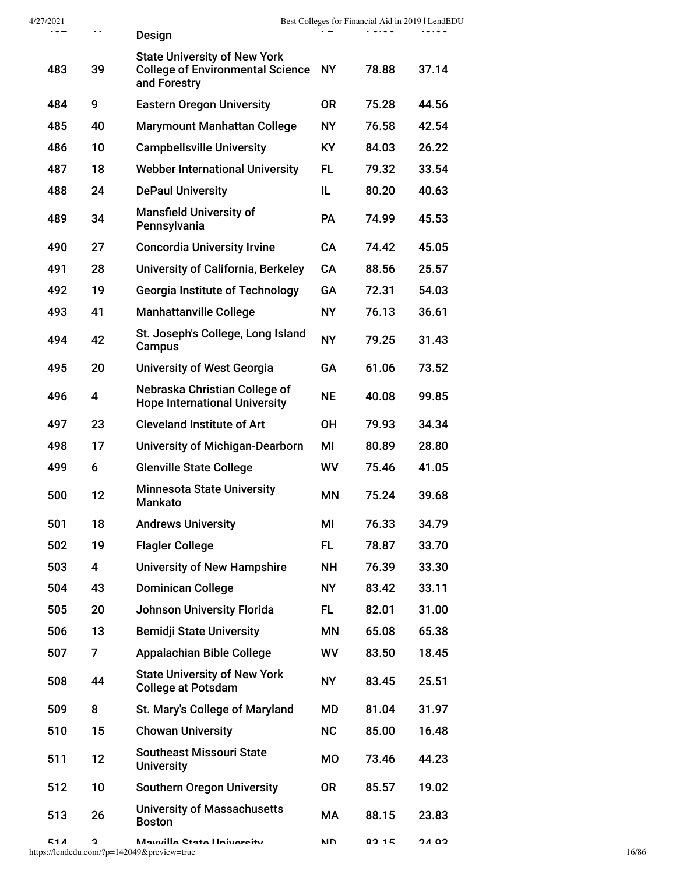| 4/27/2021<br>ᅮᇦᆇ | $\blacksquare$ | Design                                                                                            | e an      | Best Colleges for Financial Aid in 2019   LendEDU<br>いいいい |       |       |
|------------------|----------------|---------------------------------------------------------------------------------------------------|-----------|-----------------------------------------------------------|-------|-------|
|                  |                |                                                                                                   |           |                                                           |       |       |
| 483              | 39             | <b>State University of New York</b><br><b>College of Environmental Science NY</b><br>and Forestry |           | 78.88                                                     | 37.14 |       |
| 484              | 9              | <b>Eastern Oregon University</b>                                                                  | <b>OR</b> | 75.28                                                     | 44.56 |       |
| 485              | 40             | <b>Marymount Manhattan College</b>                                                                | <b>NY</b> | 76.58                                                     | 42.54 |       |
| 486              | 10             | <b>Campbellsville University</b>                                                                  | <b>KY</b> | 84.03                                                     | 26.22 |       |
| 487              | 18             | <b>Webber International University</b>                                                            | <b>FL</b> | 79.32                                                     | 33.54 |       |
| 488              | 24             | <b>DePaul University</b>                                                                          | IL        | 80.20                                                     | 40.63 |       |
| 489              | 34             | <b>Mansfield University of</b><br>Pennsylvania                                                    | PA        | 74.99                                                     | 45.53 |       |
| 490              | 27             | <b>Concordia University Irvine</b>                                                                | CA        | 74.42                                                     | 45.05 |       |
| 491              | 28             | University of California, Berkeley                                                                | <b>CA</b> | 88.56                                                     | 25.57 |       |
| 492              | 19             | <b>Georgia Institute of Technology</b>                                                            | GA        | 72.31                                                     | 54.03 |       |
| 493              | 41             | <b>Manhattanville College</b>                                                                     | <b>NY</b> | 76.13                                                     | 36.61 |       |
| 494              | 42             | St. Joseph's College, Long Island<br>Campus                                                       | <b>NY</b> | 79.25                                                     | 31.43 |       |
| 495              | 20             | <b>University of West Georgia</b>                                                                 | GA        | 61.06                                                     | 73.52 |       |
| 496              | 4              | Nebraska Christian College of<br><b>Hope International University</b>                             | <b>NE</b> | 40.08                                                     | 99.85 |       |
| 497              | 23             | <b>Cleveland Institute of Art</b>                                                                 | <b>OH</b> | 79.93                                                     | 34.34 |       |
| 498              | 17             | <b>University of Michigan-Dearborn</b>                                                            | MI        | 80.89                                                     | 28.80 |       |
| 499              | 6              | <b>Glenville State College</b>                                                                    | WV        | 75.46                                                     | 41.05 |       |
| 500              | 12             | <b>Minnesota State University</b><br><b>Mankato</b>                                               | MN        | 75.24                                                     | 39.68 |       |
| 501              | 18             | <b>Andrews University</b>                                                                         | ΜI        | 76.33                                                     | 34.79 |       |
| 502              | 19             | <b>Flagler College</b>                                                                            | <b>FL</b> | 78.87                                                     | 33.70 |       |
| 503              | 4              | <b>University of New Hampshire</b>                                                                | <b>NH</b> | 76.39                                                     | 33.30 |       |
| 504              | 43             | <b>Dominican College</b>                                                                          | <b>NY</b> | 83.42                                                     | 33.11 |       |
| 505              | 20             | <b>Johnson University Florida</b>                                                                 | <b>FL</b> | 82.01                                                     | 31.00 |       |
| 506              | 13             | <b>Bemidji State University</b>                                                                   | ΜN        | 65.08                                                     | 65.38 |       |
| 507              | $\overline{7}$ | <b>Appalachian Bible College</b>                                                                  | WV        | 83.50                                                     | 18.45 |       |
| 508              | 44             | <b>State University of New York</b><br><b>College at Potsdam</b>                                  | <b>NY</b> | 83.45                                                     | 25.51 |       |
| 509              | 8              | St. Mary's College of Maryland                                                                    | MD        | 81.04                                                     | 31.97 |       |
| 510              | 15             | <b>Chowan University</b>                                                                          | <b>NC</b> | 85.00                                                     | 16.48 |       |
| 511              | 12             | <b>Southeast Missouri State</b><br><b>University</b>                                              | <b>MO</b> | 73.46                                                     | 44.23 |       |
| 512              | 10             | <b>Southern Oregon University</b>                                                                 | <b>OR</b> | 85.57                                                     | 19.02 |       |
| 513              | 26             | <b>University of Massachusetts</b><br><b>Boston</b>                                               | МA        | 88.15                                                     | 23.83 |       |
| 51 A             | C              | Manuilla Ctata University<br>https://lendedu.com/?p=142049&preview=true                           | חוח       | 02 1 E                                                    | כם גר | 16/86 |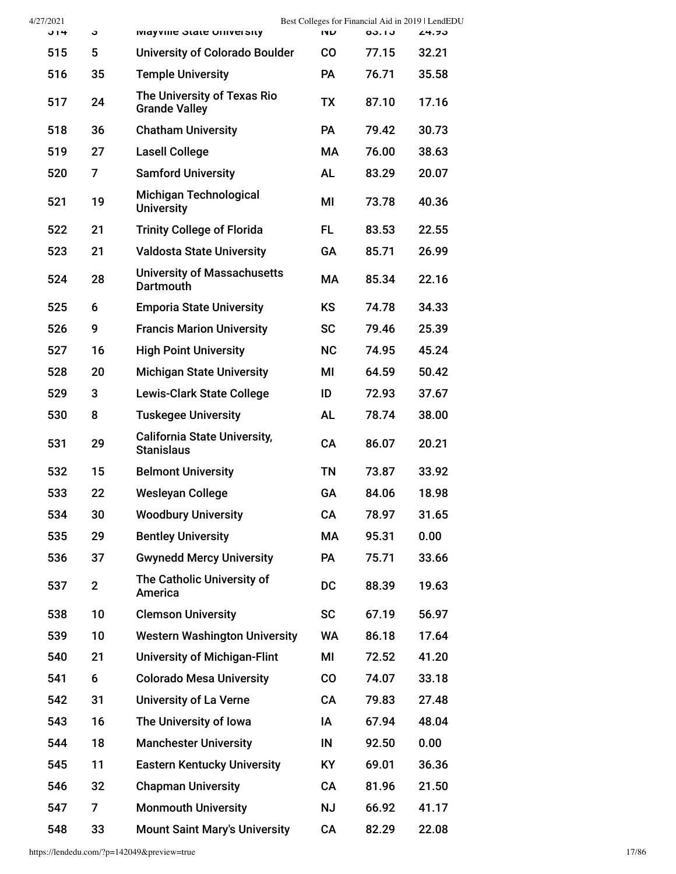| 4/27/2021 |                |                                                          | Best Colleges for Financial Aid in 2019   LendEDU |       |       |
|-----------|----------------|----------------------------------------------------------|---------------------------------------------------|-------|-------|
| J14       | c              | <b>IVIAYVING STATE UNIVERSITY</b>                        | שוו                                               | 00.10 | 24.95 |
| 515       | 5              | <b>University of Colorado Boulder</b>                    | <b>CO</b>                                         | 77.15 | 32.21 |
| 516       | 35             | <b>Temple University</b>                                 | <b>PA</b>                                         | 76.71 | 35.58 |
| 517       | 24             | The University of Texas Rio<br><b>Grande Valley</b>      | <b>TX</b>                                         | 87.10 | 17.16 |
| 518       | 36             | <b>Chatham University</b>                                | <b>PA</b>                                         | 79.42 | 30.73 |
| 519       | 27             | <b>Lasell College</b>                                    | <b>MA</b>                                         | 76.00 | 38.63 |
| 520       | 7              | <b>Samford University</b>                                | <b>AL</b>                                         | 83.29 | 20.07 |
| 521       | 19             | Michigan Technological<br><b>University</b>              | ΜI                                                | 73.78 | 40.36 |
| 522       | 21             | <b>Trinity College of Florida</b>                        | FL.                                               | 83.53 | 22.55 |
| 523       | 21             | <b>Valdosta State University</b>                         | <b>GA</b>                                         | 85.71 | 26.99 |
| 524       | 28             | <b>University of Massachusetts</b><br><b>Dartmouth</b>   | <b>MA</b>                                         | 85.34 | 22.16 |
| 525       | 6              | <b>Emporia State University</b>                          | <b>KS</b>                                         | 74.78 | 34.33 |
| 526       | 9              | <b>Francis Marion University</b>                         | <b>SC</b>                                         | 79.46 | 25.39 |
| 527       | 16             | <b>High Point University</b>                             | <b>NC</b>                                         | 74.95 | 45.24 |
| 528       | 20             | <b>Michigan State University</b>                         | ΜI                                                | 64.59 | 50.42 |
| 529       | 3              | <b>Lewis-Clark State College</b>                         | ID                                                | 72.93 | 37.67 |
| 530       | 8              | <b>Tuskegee University</b>                               | <b>AL</b>                                         | 78.74 | 38.00 |
| 531       | 29             | <b>California State University,</b><br><b>Stanislaus</b> | CA                                                | 86.07 | 20.21 |
| 532       | 15             | <b>Belmont University</b>                                | <b>TN</b>                                         | 73.87 | 33.92 |
| 533       | 22             | <b>Wesleyan College</b>                                  | GA                                                | 84.06 | 18.98 |
| 534       | 30             | <b>Woodbury University</b>                               | CA                                                | 78.97 | 31.65 |
| 535       | 29             | <b>Bentley University</b>                                | МA                                                | 95.31 | 0.00  |
| 536       | 37             | <b>Gwynedd Mercy University</b>                          | <b>PA</b>                                         | 75.71 | 33.66 |
| 537       | $\overline{2}$ | The Catholic University of<br>America                    | <b>DC</b>                                         | 88.39 | 19.63 |
| 538       | 10             | <b>Clemson University</b>                                | <b>SC</b>                                         | 67.19 | 56.97 |
| 539       | 10             | <b>Western Washington University</b>                     | WA                                                | 86.18 | 17.64 |
| 540       | 21             | <b>University of Michigan-Flint</b>                      | MI                                                | 72.52 | 41.20 |
| 541       | 6              | <b>Colorado Mesa University</b>                          | co                                                | 74.07 | 33.18 |
| 542       | 31             | <b>University of La Verne</b>                            | CA                                                | 79.83 | 27.48 |
| 543       | 16             | The University of Iowa                                   | IA                                                | 67.94 | 48.04 |
| 544       | 18             | <b>Manchester University</b>                             | IN                                                | 92.50 | 0.00  |
| 545       | 11             | <b>Eastern Kentucky University</b>                       | <b>KY</b>                                         | 69.01 | 36.36 |
| 546       | 32             | <b>Chapman University</b>                                | CA                                                | 81.96 | 21.50 |
| 547       | 7              | <b>Monmouth University</b>                               | <b>NJ</b>                                         | 66.92 | 41.17 |
| 548       | 33             | <b>Mount Saint Mary's University</b>                     | CA                                                | 82.29 | 22.08 |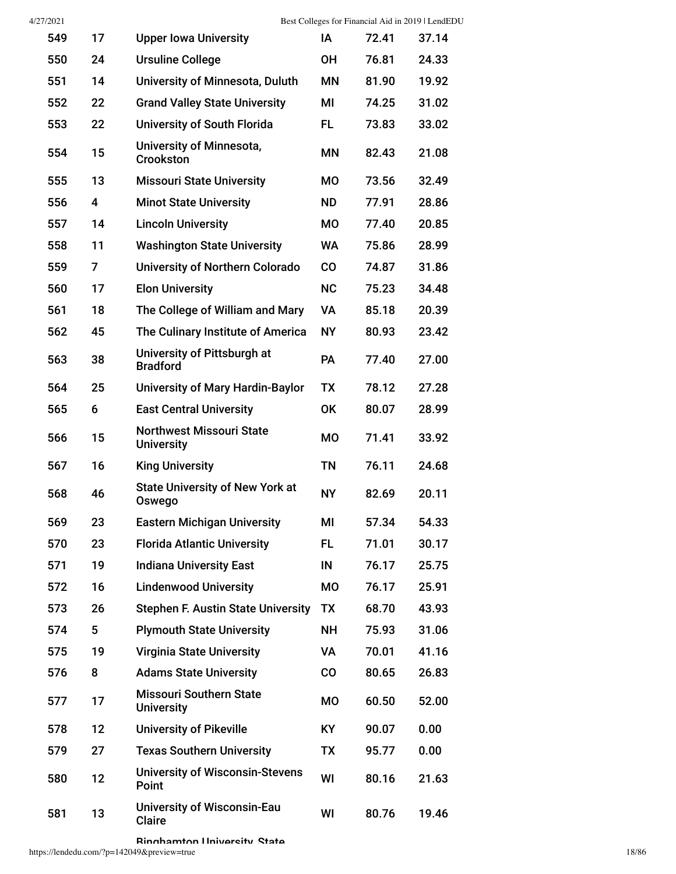| 549 | 17 | <b>Upper Iowa University</b>                         | ΙA        | 72.41 | 37.14 |
|-----|----|------------------------------------------------------|-----------|-------|-------|
| 550 | 24 | <b>Ursuline College</b>                              | 0H        | 76.81 | 24.33 |
| 551 | 14 | University of Minnesota, Duluth                      | ΜN        | 81.90 | 19.92 |
| 552 | 22 | <b>Grand Valley State University</b>                 | ΜI        | 74.25 | 31.02 |
| 553 | 22 | <b>University of South Florida</b>                   | FL.       | 73.83 | 33.02 |
| 554 | 15 | <b>University of Minnesota,</b><br>Crookston         | ΜN        | 82.43 | 21.08 |
| 555 | 13 | <b>Missouri State University</b>                     | <b>MO</b> | 73.56 | 32.49 |
| 556 | 4  | <b>Minot State University</b>                        | <b>ND</b> | 77.91 | 28.86 |
| 557 | 14 | <b>Lincoln University</b>                            | <b>MO</b> | 77.40 | 20.85 |
| 558 | 11 | <b>Washington State University</b>                   | <b>WA</b> | 75.86 | 28.99 |
| 559 | 7  | <b>University of Northern Colorado</b>               | <b>CO</b> | 74.87 | 31.86 |
| 560 | 17 | <b>Elon University</b>                               | <b>NC</b> | 75.23 | 34.48 |
| 561 | 18 | The College of William and Mary                      | <b>VA</b> | 85.18 | 20.39 |
| 562 | 45 | The Culinary Institute of America                    | <b>NY</b> | 80.93 | 23.42 |
| 563 | 38 | University of Pittsburgh at<br><b>Bradford</b>       | <b>PA</b> | 77.40 | 27.00 |
| 564 | 25 | <b>University of Mary Hardin-Baylor</b>              | <b>TX</b> | 78.12 | 27.28 |
| 565 | 6  | <b>East Central University</b>                       | <b>OK</b> | 80.07 | 28.99 |
| 566 | 15 | <b>Northwest Missouri State</b><br><b>University</b> | <b>MO</b> | 71.41 | 33.92 |
| 567 | 16 | <b>King University</b>                               | <b>TN</b> | 76.11 | 24.68 |
| 568 | 46 | <b>State University of New York at</b><br>Oswego     | <b>NY</b> | 82.69 | 20.11 |
| 569 | 23 | <b>Eastern Michigan University</b>                   | МI        | 57.34 | 54.33 |
| 570 | 23 | <b>Florida Atlantic University</b>                   | FL        | 71.01 | 30.17 |
| 571 | 19 | <b>Indiana University East</b>                       | IN        | 76.17 | 25.75 |
| 572 | 16 | <b>Lindenwood University</b>                         | <b>MO</b> | 76.17 | 25.91 |
| 573 | 26 | <b>Stephen F. Austin State University</b>            | <b>TX</b> | 68.70 | 43.93 |
| 574 | 5  | <b>Plymouth State University</b>                     | <b>NH</b> | 75.93 | 31.06 |
| 575 | 19 | <b>Virginia State University</b>                     | VA        | 70.01 | 41.16 |
| 576 | 8  | <b>Adams State University</b>                        | CO        | 80.65 | 26.83 |
| 577 | 17 | <b>Missouri Southern State</b><br><b>University</b>  | <b>MO</b> | 60.50 | 52.00 |
| 578 | 12 | <b>University of Pikeville</b>                       | KY        | 90.07 | 0.00  |
| 579 | 27 | <b>Texas Southern University</b>                     | <b>TX</b> | 95.77 | 0.00  |
| 580 | 12 | <b>University of Wisconsin-Stevens</b><br>Point      | WI        | 80.16 | 21.63 |
| 581 | 13 | <b>University of Wisconsin-Eau</b><br><b>Claire</b>  | WI        | 80.76 | 19.46 |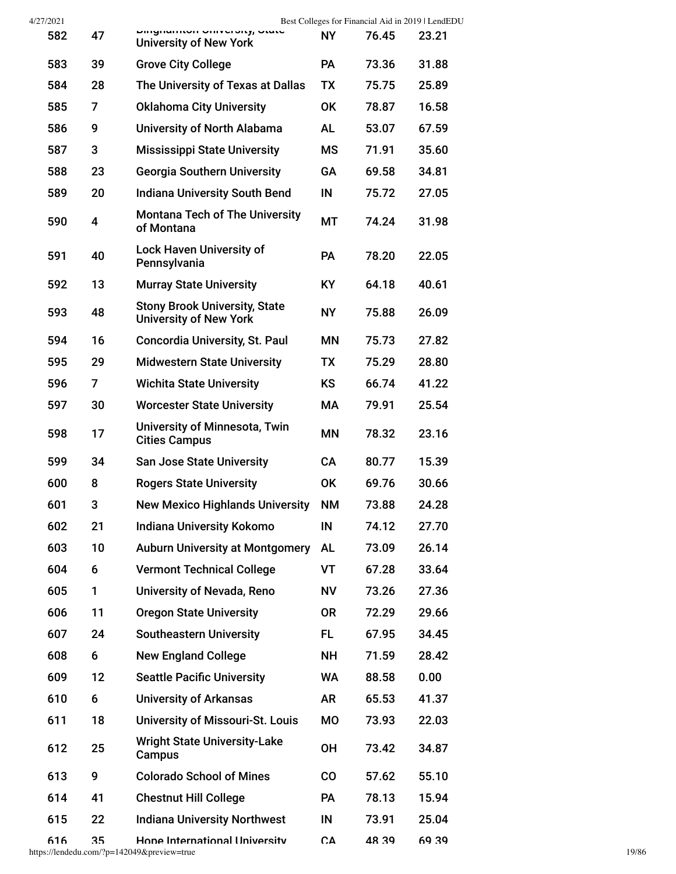| 4/27/2021 |  |
|-----------|--|
|-----------|--|

| 583 | 39             | <b>Grove City College</b>                                             | PA        | 73.36 | 31.88 |
|-----|----------------|-----------------------------------------------------------------------|-----------|-------|-------|
| 584 | 28             | The University of Texas at Dallas                                     | <b>TX</b> | 75.75 | 25.89 |
| 585 | 7              | <b>Oklahoma City University</b>                                       | 0K        | 78.87 | 16.58 |
| 586 | 9              | University of North Alabama                                           | AL        | 53.07 | 67.59 |
| 587 | 3              | <b>Mississippi State University</b>                                   | <b>MS</b> | 71.91 | 35.60 |
| 588 | 23             | <b>Georgia Southern University</b>                                    | GA        | 69.58 | 34.81 |
| 589 | 20             | <b>Indiana University South Bend</b>                                  | IN        | 75.72 | 27.05 |
| 590 | 4              | <b>Montana Tech of The University</b><br>of Montana                   | МT        | 74.24 | 31.98 |
| 591 | 40             | <b>Lock Haven University of</b><br>Pennsylvania                       | <b>PA</b> | 78.20 | 22.05 |
| 592 | 13             | <b>Murray State University</b>                                        | <b>KY</b> | 64.18 | 40.61 |
| 593 | 48             | <b>Stony Brook University, State</b><br><b>University of New York</b> | <b>NY</b> | 75.88 | 26.09 |
| 594 | 16             | <b>Concordia University, St. Paul</b>                                 | <b>MN</b> | 75.73 | 27.82 |
| 595 | 29             | <b>Midwestern State University</b>                                    | TX        | 75.29 | 28.80 |
| 596 | $\overline{7}$ | <b>Wichita State University</b>                                       | <b>KS</b> | 66.74 | 41.22 |
| 597 | 30             | <b>Worcester State University</b>                                     | МA        | 79.91 | 25.54 |
| 598 | 17             | <b>University of Minnesota, Twin</b><br><b>Cities Campus</b>          | ΜN        | 78.32 | 23.16 |
| 599 | 34             | <b>San Jose State University</b>                                      | CA        | 80.77 | 15.39 |
| 600 | 8              | <b>Rogers State University</b>                                        | <b>OK</b> | 69.76 | 30.66 |
| 601 | 3              | <b>New Mexico Highlands University</b>                                | <b>NM</b> | 73.88 | 24.28 |
| 602 | 21             | <b>Indiana University Kokomo</b>                                      | IN        | 74.12 | 27.70 |
| 603 | 10             | <b>Auburn University at Montgomery</b>                                | <b>AL</b> | 73.09 | 26.14 |
| 604 | 6              | <b>Vermont Technical College</b>                                      | VT        | 67.28 | 33.64 |
| 605 | 1              | University of Nevada, Reno                                            | ΝV        | 73.26 | 27.36 |
| 606 | 11             | <b>Oregon State University</b>                                        | <b>OR</b> | 72.29 | 29.66 |
| 607 | 24             | <b>Southeastern University</b>                                        | FL        | 67.95 | 34.45 |
| 608 | 6              | <b>New England College</b>                                            | NΗ        | 71.59 | 28.42 |
| 609 | 12             | <b>Seattle Pacific University</b>                                     | WA        | 88.58 | 0.00  |
| 610 | 6              | <b>University of Arkansas</b>                                         | <b>AR</b> | 65.53 | 41.37 |
| 611 | 18             | <b>University of Missouri-St. Louis</b>                               | <b>MO</b> | 73.93 | 22.03 |
| 612 | 25             | <b>Wright State University-Lake</b><br>Campus                         | 0H        | 73.42 | 34.87 |
| 613 | 9              | <b>Colorado School of Mines</b>                                       | CO        | 57.62 | 55.10 |
| 614 | 41             | <b>Chestnut Hill College</b>                                          | <b>PA</b> | 78.13 | 15.94 |
| 615 | 22             | <b>Indiana University Northwest</b>                                   | IN        | 73.91 | 25.04 |
| 616 | 35             | Hone International University                                         | СA        | 48.39 | 69 39 |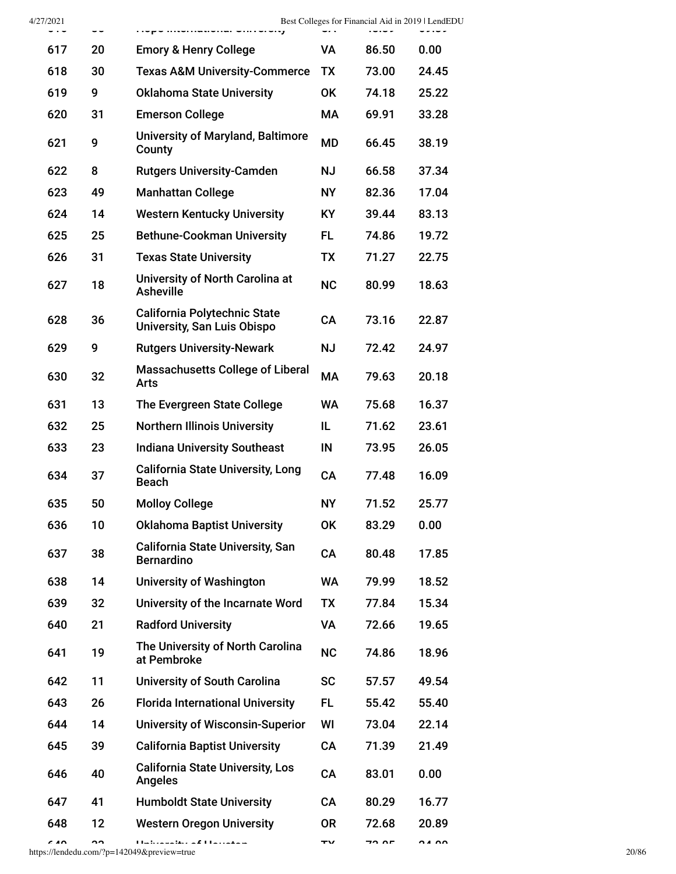| .   | ~~ | i ivpo miomaaviai viirroivity                                | ັ້        | ーいいい  | ~~~~  |
|-----|----|--------------------------------------------------------------|-----------|-------|-------|
| 617 | 20 | <b>Emory &amp; Henry College</b>                             | VA        | 86.50 | 0.00  |
| 618 | 30 | <b>Texas A&amp;M University-Commerce</b>                     | <b>TX</b> | 73.00 | 24.45 |
| 619 | 9  | <b>Oklahoma State University</b>                             | <b>OK</b> | 74.18 | 25.22 |
| 620 | 31 | <b>Emerson College</b>                                       | МA        | 69.91 | 33.28 |
| 621 | 9  | <b>University of Maryland, Baltimore</b><br>County           | <b>MD</b> | 66.45 | 38.19 |
| 622 | 8  | <b>Rutgers University-Camden</b>                             | <b>NJ</b> | 66.58 | 37.34 |
| 623 | 49 | <b>Manhattan College</b>                                     | NΥ        | 82.36 | 17.04 |
| 624 | 14 | <b>Western Kentucky University</b>                           | KY        | 39.44 | 83.13 |
| 625 | 25 | <b>Bethune-Cookman University</b>                            | FL        | 74.86 | 19.72 |
| 626 | 31 | <b>Texas State University</b>                                | <b>TX</b> | 71.27 | 22.75 |
| 627 | 18 | University of North Carolina at<br><b>Asheville</b>          | <b>NC</b> | 80.99 | 18.63 |
| 628 | 36 | California Polytechnic State<br>University, San Luis Obispo  | CA        | 73.16 | 22.87 |
| 629 | 9  | <b>Rutgers University-Newark</b>                             | <b>NJ</b> | 72.42 | 24.97 |
| 630 | 32 | <b>Massachusetts College of Liberal</b><br><b>Arts</b>       | МA        | 79.63 | 20.18 |
| 631 | 13 | The Evergreen State College                                  | <b>WA</b> | 75.68 | 16.37 |
| 632 | 25 | <b>Northern Illinois University</b>                          | IL.       | 71.62 | 23.61 |
| 633 | 23 | <b>Indiana University Southeast</b>                          | IN        | 73.95 | 26.05 |
| 634 | 37 | <b>California State University, Long</b><br><b>Beach</b>     | CA        | 77.48 | 16.09 |
| 635 | 50 | <b>Molloy College</b>                                        | NΥ        | 71.52 | 25.77 |
| 636 | 10 | <b>Oklahoma Baptist University</b>                           | OK        | 83.29 | 0.00  |
| 637 | 38 | <b>California State University, San</b><br><b>Bernardino</b> | CA        | 80.48 | 17.85 |
| 638 | 14 | <b>University of Washington</b>                              | <b>WA</b> | 79.99 | 18.52 |
| 639 | 32 | University of the Incarnate Word                             | <b>TX</b> | 77.84 | 15.34 |
| 640 | 21 | <b>Radford University</b>                                    | <b>VA</b> | 72.66 | 19.65 |
| 641 | 19 | The University of North Carolina<br>at Pembroke              | <b>NC</b> | 74.86 | 18.96 |
| 642 | 11 | <b>University of South Carolina</b>                          | <b>SC</b> | 57.57 | 49.54 |
| 643 | 26 | <b>Florida International University</b>                      | FL        | 55.42 | 55.40 |
| 644 | 14 | <b>University of Wisconsin-Superior</b>                      | WI        | 73.04 | 22.14 |
| 645 | 39 | <b>California Baptist University</b>                         | CA        | 71.39 | 21.49 |
| 646 | 40 | <b>California State University, Los</b><br><b>Angeles</b>    | CA        | 83.01 | 0.00  |
| 647 | 41 | <b>Humboldt State University</b>                             | <b>CA</b> | 80.29 | 16.77 |
| 648 | 12 | <b>Western Oregon University</b>                             | 0R        | 72.68 | 20.89 |
|     |    |                                                              |           |       |       |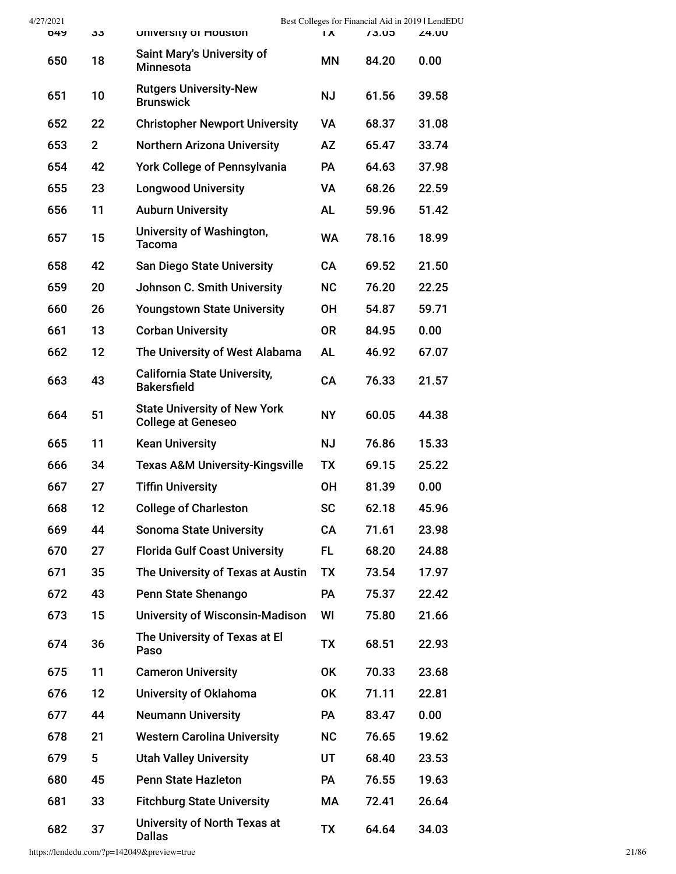| 4/27/2021 |                |                                                                  |                |       | Best Colleges for Financial Aid in 2019   LendEDU |
|-----------|----------------|------------------------------------------------------------------|----------------|-------|---------------------------------------------------|
| 649       | კკ             | University of Houston                                            | $\overline{X}$ | 73.U5 | <b>Z4.00</b>                                      |
| 650       | 18             | <b>Saint Mary's University of</b><br><b>Minnesota</b>            | <b>MN</b>      | 84.20 | 0.00                                              |
| 651       | 10             | <b>Rutgers University-New</b><br><b>Brunswick</b>                | <b>NJ</b>      | 61.56 | 39.58                                             |
| 652       | 22             | <b>Christopher Newport University</b>                            | <b>VA</b>      | 68.37 | 31.08                                             |
| 653       | $\overline{2}$ | <b>Northern Arizona University</b>                               | AZ             | 65.47 | 33.74                                             |
| 654       | 42             | <b>York College of Pennsylvania</b>                              | PA             | 64.63 | 37.98                                             |
| 655       | 23             | <b>Longwood University</b>                                       | VA             | 68.26 | 22.59                                             |
| 656       | 11             | <b>Auburn University</b>                                         | <b>AL</b>      | 59.96 | 51.42                                             |
| 657       | 15             | University of Washington,<br><b>Tacoma</b>                       | <b>WA</b>      | 78.16 | 18.99                                             |
| 658       | 42             | <b>San Diego State University</b>                                | CA             | 69.52 | 21.50                                             |
| 659       | 20             | Johnson C. Smith University                                      | <b>NC</b>      | 76.20 | 22.25                                             |
| 660       | 26             | <b>Youngstown State University</b>                               | <b>OH</b>      | 54.87 | 59.71                                             |
| 661       | 13             | <b>Corban University</b>                                         | <b>OR</b>      | 84.95 | 0.00                                              |
| 662       | 12             | The University of West Alabama                                   | <b>AL</b>      | 46.92 | 67.07                                             |
| 663       | 43             | <b>California State University,</b><br><b>Bakersfield</b>        | CA             | 76.33 | 21.57                                             |
| 664       | 51             | <b>State University of New York</b><br><b>College at Geneseo</b> | <b>NY</b>      | 60.05 | 44.38                                             |
| 665       | 11             | <b>Kean University</b>                                           | <b>NJ</b>      | 76.86 | 15.33                                             |
| 666       | 34             | <b>Texas A&amp;M University-Kingsville</b>                       | <b>TX</b>      | 69.15 | 25.22                                             |
| 667       | 27             | <b>Tiffin University</b>                                         | <b>OH</b>      | 81.39 | 0.00                                              |
| 668       | 12             | <b>College of Charleston</b>                                     | <b>SC</b>      | 62.18 | 45.96                                             |
| 669       | 44             | <b>Sonoma State University</b>                                   | CA             | 71.61 | 23.98                                             |
| 670       | 27             | <b>Florida Gulf Coast University</b>                             | FL.            | 68.20 | 24.88                                             |
| 671       | 35             | The University of Texas at Austin                                | <b>TX</b>      | 73.54 | 17.97                                             |
| 672       | 43             | Penn State Shenango                                              | <b>PA</b>      | 75.37 | 22.42                                             |
| 673       | 15             | <b>University of Wisconsin-Madison</b>                           | WI             | 75.80 | 21.66                                             |
| 674       | 36             | The University of Texas at El<br>Paso                            | TX             | 68.51 | 22.93                                             |
| 675       | 11             | <b>Cameron University</b>                                        | OK             | 70.33 | 23.68                                             |
| 676       | 12             | University of Oklahoma                                           | <b>OK</b>      | 71.11 | 22.81                                             |
| 677       | 44             | <b>Neumann University</b>                                        | PA             | 83.47 | 0.00                                              |
| 678       | 21             | <b>Western Carolina University</b>                               | <b>NC</b>      | 76.65 | 19.62                                             |
| 679       | 5              | <b>Utah Valley University</b>                                    | UT             | 68.40 | 23.53                                             |
| 680       | 45             | <b>Penn State Hazleton</b>                                       | <b>PA</b>      | 76.55 | 19.63                                             |
| 681       | 33             | <b>Fitchburg State University</b>                                | МA             | 72.41 | 26.64                                             |
| 682       | 37             | University of North Texas at<br><b>Dallas</b>                    | TX             | 64.64 | 34.03                                             |

https://lendedu.com/?p=142049&preview=true 21/86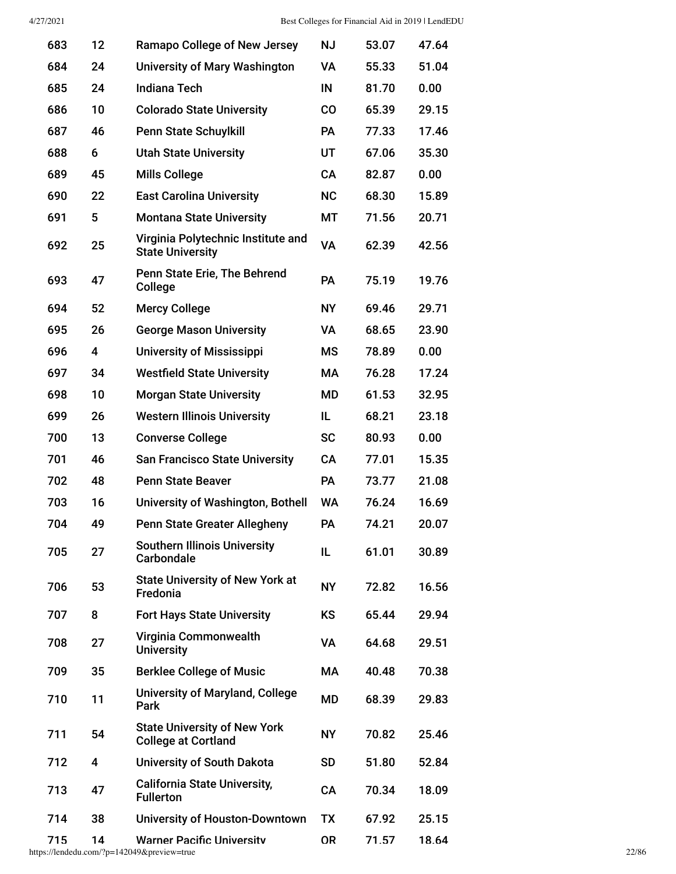| 683 | 12 | Ramapo College of New Jersey                                      | <b>NJ</b> | 53.07 | 47.64 |
|-----|----|-------------------------------------------------------------------|-----------|-------|-------|
| 684 | 24 | <b>University of Mary Washington</b>                              | VA        | 55.33 | 51.04 |
| 685 | 24 | <b>Indiana Tech</b>                                               | IN        | 81.70 | 0.00  |
| 686 | 10 | <b>Colorado State University</b>                                  | <b>CO</b> | 65.39 | 29.15 |
| 687 | 46 | <b>Penn State Schuylkill</b>                                      | <b>PA</b> | 77.33 | 17.46 |
| 688 | 6  | <b>Utah State University</b>                                      | UT        | 67.06 | 35.30 |
| 689 | 45 | <b>Mills College</b>                                              | <b>CA</b> | 82.87 | 0.00  |
| 690 | 22 | <b>East Carolina University</b>                                   | <b>NC</b> | 68.30 | 15.89 |
| 691 | 5  | <b>Montana State University</b>                                   | MT        | 71.56 | 20.71 |
| 692 | 25 | Virginia Polytechnic Institute and<br><b>State University</b>     | <b>VA</b> | 62.39 | 42.56 |
| 693 | 47 | Penn State Erie, The Behrend<br>College                           | <b>PA</b> | 75.19 | 19.76 |
| 694 | 52 | <b>Mercy College</b>                                              | <b>NY</b> | 69.46 | 29.71 |
| 695 | 26 | <b>George Mason University</b>                                    | <b>VA</b> | 68.65 | 23.90 |
| 696 | 4  | <b>University of Mississippi</b>                                  | <b>MS</b> | 78.89 | 0.00  |
| 697 | 34 | <b>Westfield State University</b>                                 | МA        | 76.28 | 17.24 |
| 698 | 10 | <b>Morgan State University</b>                                    | MD        | 61.53 | 32.95 |
| 699 | 26 | <b>Western Illinois University</b>                                | IL.       | 68.21 | 23.18 |
| 700 | 13 | <b>Converse College</b>                                           | <b>SC</b> | 80.93 | 0.00  |
| 701 | 46 | <b>San Francisco State University</b>                             | <b>CA</b> | 77.01 | 15.35 |
| 702 | 48 | <b>Penn State Beaver</b>                                          | <b>PA</b> | 73.77 | 21.08 |
| 703 | 16 | University of Washington, Bothell                                 | <b>WA</b> | 76.24 | 16.69 |
| 704 | 49 | <b>Penn State Greater Allegheny</b>                               | PA        | 74.21 | 20.07 |
| 705 | 27 | <b>Southern Illinois University</b><br><b>Carbondale</b>          | IL.       | 61.01 | 30.89 |
| 706 | 53 | <b>State University of New York at</b><br>Fredonia                | <b>NY</b> | 72.82 | 16.56 |
| 707 | 8  | <b>Fort Hays State University</b>                                 | KS        | 65.44 | 29.94 |
| 708 | 27 | Virginia Commonwealth<br><b>University</b>                        | <b>VA</b> | 64.68 | 29.51 |
| 709 | 35 | <b>Berklee College of Music</b>                                   | МA        | 40.48 | 70.38 |
| 710 | 11 | <b>University of Maryland, College</b><br>Park                    | MD        | 68.39 | 29.83 |
| 711 | 54 | <b>State University of New York</b><br><b>College at Cortland</b> | <b>NY</b> | 70.82 | 25.46 |
| 712 | 4  | University of South Dakota                                        | <b>SD</b> | 51.80 | 52.84 |
| 713 | 47 | <b>California State University,</b><br><b>Fullerton</b>           | CA        | 70.34 | 18.09 |
| 714 | 38 | <b>University of Houston-Downtown</b>                             | <b>TX</b> | 67.92 | 25.15 |
| 715 | 14 | <b>Warner Pacific Universitv</b>                                  | <b>OR</b> | 71.57 | 18.64 |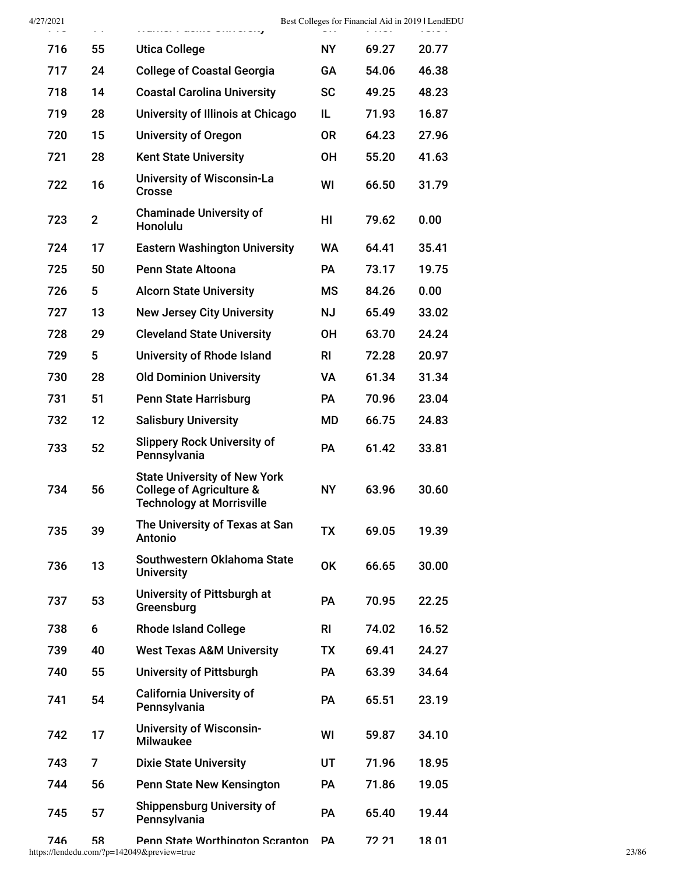| 4/27/2021 | $\sim$         |                                                                                                                |           | $\cdots$ | Best Colleges for Financial Aid in 2019   LendEDU |
|-----------|----------------|----------------------------------------------------------------------------------------------------------------|-----------|----------|---------------------------------------------------|
| 716       | 55             | <b>Utica College</b>                                                                                           | <b>NY</b> | 69.27    | 20.77                                             |
| 717       | 24             | <b>College of Coastal Georgia</b>                                                                              | GA        | 54.06    | 46.38                                             |
| 718       | 14             | <b>Coastal Carolina University</b>                                                                             | <b>SC</b> | 49.25    | 48.23                                             |
| 719       | 28             | University of Illinois at Chicago                                                                              | IL.       | 71.93    | 16.87                                             |
| 720       | 15             | <b>University of Oregon</b>                                                                                    | <b>OR</b> | 64.23    | 27.96                                             |
| 721       | 28             | <b>Kent State University</b>                                                                                   | <b>OH</b> | 55.20    | 41.63                                             |
| 722       | 16             | <b>University of Wisconsin-La</b><br><b>Crosse</b>                                                             | WI        | 66.50    | 31.79                                             |
| 723       | $\overline{2}$ | <b>Chaminade University of</b><br>Honolulu                                                                     | HI        | 79.62    | 0.00                                              |
| 724       | 17             | <b>Eastern Washington University</b>                                                                           | <b>WA</b> | 64.41    | 35.41                                             |
| 725       | 50             | Penn State Altoona                                                                                             | <b>PA</b> | 73.17    | 19.75                                             |
| 726       | 5              | <b>Alcorn State University</b>                                                                                 | <b>MS</b> | 84.26    | 0.00                                              |
| 727       | 13             | <b>New Jersey City University</b>                                                                              | <b>NJ</b> | 65.49    | 33.02                                             |
| 728       | 29             | <b>Cleveland State University</b>                                                                              | <b>OH</b> | 63.70    | 24.24                                             |
| 729       | 5              | University of Rhode Island                                                                                     | <b>RI</b> | 72.28    | 20.97                                             |
| 730       | 28             | <b>Old Dominion University</b>                                                                                 | VA        | 61.34    | 31.34                                             |
| 731       | 51             | <b>Penn State Harrisburg</b>                                                                                   | PA        | 70.96    | 23.04                                             |
| 732       | 12             | <b>Salisbury University</b>                                                                                    | MD        | 66.75    | 24.83                                             |
| 733       | 52             | <b>Slippery Rock University of</b><br>Pennsylvania                                                             | PA        | 61.42    | 33.81                                             |
| 734       | 56             | <b>State University of New York</b><br><b>College of Agriculture &amp;</b><br><b>Technology at Morrisville</b> | <b>NY</b> | 63.96    | 30.60                                             |
| 735       | 39             | The University of Texas at San<br><b>Antonio</b>                                                               | <b>TX</b> | 69.05    | 19.39                                             |
| 736       | 13             | Southwestern Oklahoma State<br><b>University</b>                                                               | <b>OK</b> | 66.65    | 30.00                                             |
| 737       | 53             | University of Pittsburgh at<br>Greensburg                                                                      | <b>PA</b> | 70.95    | 22.25                                             |
| 738       | 6              | <b>Rhode Island College</b>                                                                                    | <b>RI</b> | 74.02    | 16.52                                             |
| 739       | 40             | <b>West Texas A&amp;M University</b>                                                                           | <b>TX</b> | 69.41    | 24.27                                             |
| 740       | 55             | <b>University of Pittsburgh</b>                                                                                | <b>PA</b> | 63.39    | 34.64                                             |
| 741       | 54             | <b>California University of</b><br>Pennsylvania                                                                | <b>PA</b> | 65.51    | 23.19                                             |
| 742       | 17             | <b>University of Wisconsin-</b><br><b>Milwaukee</b>                                                            | WI        | 59.87    | 34.10                                             |
| 743       | 7              | <b>Dixie State University</b>                                                                                  | UT        | 71.96    | 18.95                                             |
| 744       | 56             | Penn State New Kensington                                                                                      | <b>PA</b> | 71.86    | 19.05                                             |
| 745       | 57             | <b>Shippensburg University of</b><br>Pennsylvania                                                              | <b>PA</b> | 65.40    | 19.44                                             |
| 746       | 58             | Penn State Worthington Scranton                                                                                | PA        | 72 21    | 18 01                                             |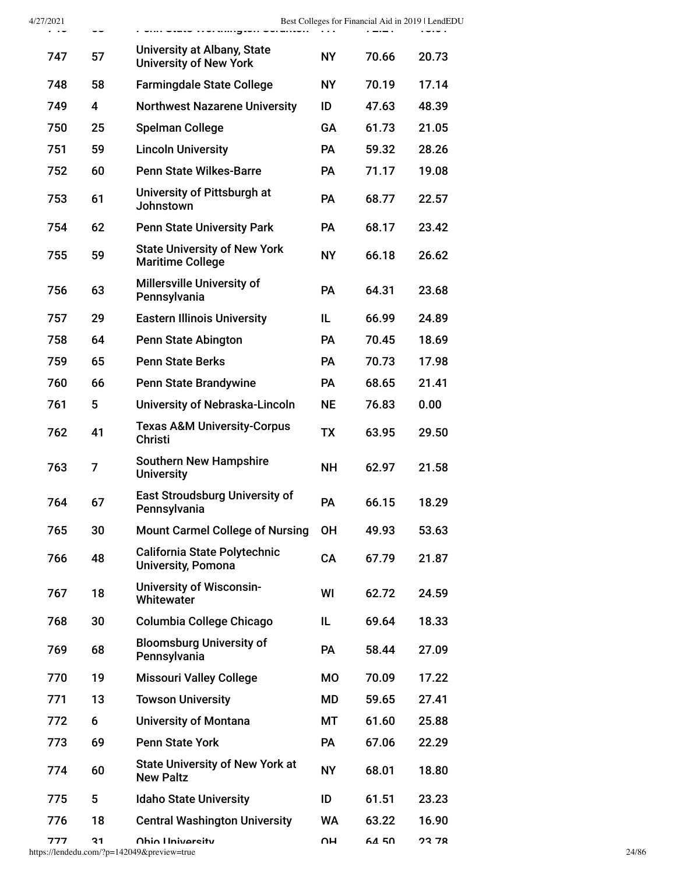| $1 - 1$ | ~~ | r van vuuv morumiyeen vorunen.                                   | $\mathbf{r}$ | best coneges for 1 manetal <i>T</i> Hu III 2013<br>$\mathbf{r}$ and $\mathbf{r}$ | $\cdots$ |
|---------|----|------------------------------------------------------------------|--------------|----------------------------------------------------------------------------------|----------|
| 747     | 57 | University at Albany, State<br><b>University of New York</b>     | <b>NY</b>    | 70.66                                                                            | 20.73    |
| 748     | 58 | <b>Farmingdale State College</b>                                 | NΥ           | 70.19                                                                            | 17.14    |
| 749     | 4  | <b>Northwest Nazarene University</b>                             | ID           | 47.63                                                                            | 48.39    |
| 750     | 25 | <b>Spelman College</b>                                           | GA           | 61.73                                                                            | 21.05    |
| 751     | 59 | <b>Lincoln University</b>                                        | <b>PA</b>    | 59.32                                                                            | 28.26    |
| 752     | 60 | <b>Penn State Wilkes-Barre</b>                                   | <b>PA</b>    | 71.17                                                                            | 19.08    |
| 753     | 61 | University of Pittsburgh at<br>Johnstown                         | PA           | 68.77                                                                            | 22.57    |
| 754     | 62 | <b>Penn State University Park</b>                                | <b>PA</b>    | 68.17                                                                            | 23.42    |
| 755     | 59 | <b>State University of New York</b><br><b>Maritime College</b>   | <b>NY</b>    | 66.18                                                                            | 26.62    |
| 756     | 63 | Millersville University of<br>Pennsylvania                       | <b>PA</b>    | 64.31                                                                            | 23.68    |
| 757     | 29 | <b>Eastern Illinois University</b>                               | IL           | 66.99                                                                            | 24.89    |
| 758     | 64 | <b>Penn State Abington</b>                                       | PA           | 70.45                                                                            | 18.69    |
| 759     | 65 | <b>Penn State Berks</b>                                          | <b>PA</b>    | 70.73                                                                            | 17.98    |
| 760     | 66 | <b>Penn State Brandywine</b>                                     | <b>PA</b>    | 68.65                                                                            | 21.41    |
| 761     | 5  | University of Nebraska-Lincoln                                   | <b>NE</b>    | 76.83                                                                            | 0.00     |
| 762     | 41 | <b>Texas A&amp;M University-Corpus</b><br><b>Christi</b>         | <b>TX</b>    | 63.95                                                                            | 29.50    |
| 763     | 7  | <b>Southern New Hampshire</b><br><b>University</b>               | <b>NH</b>    | 62.97                                                                            | 21.58    |
| 764     | 67 | <b>East Stroudsburg University of</b><br>Pennsylvania            | PA           | 66.15                                                                            | 18.29    |
| 765     | 30 | <b>Mount Carmel College of Nursing</b>                           | <b>OH</b>    | 49.93                                                                            | 53.63    |
| 766     | 48 | <b>California State Polytechnic</b><br><b>University, Pomona</b> | CA           | 67.79                                                                            | 21.87    |
| 767     | 18 | <b>University of Wisconsin-</b><br>Whitewater                    | WI           | 62.72                                                                            | 24.59    |
| 768     | 30 | Columbia College Chicago                                         | IL           | 69.64                                                                            | 18.33    |
| 769     | 68 | <b>Bloomsburg University of</b><br>Pennsylvania                  | PA           | 58.44                                                                            | 27.09    |
| 770     | 19 | <b>Missouri Valley College</b>                                   | МO           | 70.09                                                                            | 17.22    |
| 771     | 13 | <b>Towson University</b>                                         | MD           | 59.65                                                                            | 27.41    |
| 772     | 6  | <b>University of Montana</b>                                     | МT           | 61.60                                                                            | 25.88    |
| 773     | 69 | <b>Penn State York</b>                                           | <b>PA</b>    | 67.06                                                                            | 22.29    |
| 774     | 60 | <b>State University of New York at</b><br><b>New Paltz</b>       | NΥ           | 68.01                                                                            | 18.80    |
| 775     | 5  | <b>Idaho State University</b>                                    | ID           | 61.51                                                                            | 23.23    |
| 776     | 18 | <b>Central Washington University</b>                             | WA           | 63.22                                                                            | 16.90    |
| 777     | 31 | Ohio I Iniversity                                                | UН           | 64 50                                                                            | 23 78    |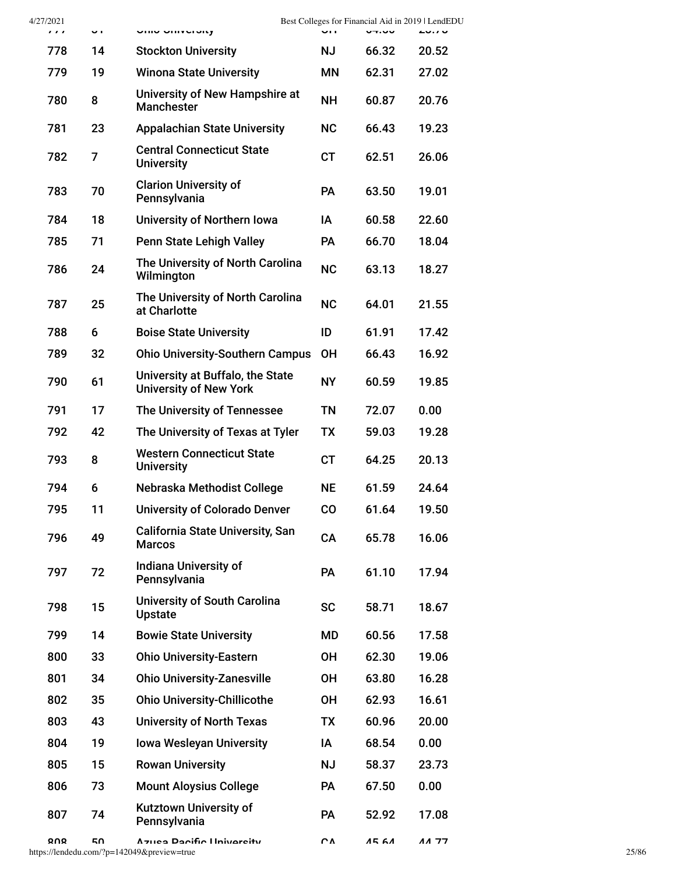| 4/27/2021<br>111 | U I | שוווט טוווע טוווט                                                 | u i       | Best Colleges for Financial Aid in 2019   LendEDU<br>いて・マレ |           |
|------------------|-----|-------------------------------------------------------------------|-----------|------------------------------------------------------------|-----------|
| 778              | 14  | <b>Stockton University</b>                                        | ΝJ        | 66.32                                                      | 20.52     |
| 779              | 19  | <b>Winona State University</b>                                    | <b>MN</b> | 62.31                                                      | 27.02     |
| 780              | 8   | University of New Hampshire at<br><b>Manchester</b>               | <b>NH</b> | 60.87                                                      | 20.76     |
| 781              | 23  | <b>Appalachian State University</b>                               | <b>NC</b> | 66.43                                                      | 19.23     |
| 782              | 7   | <b>Central Connecticut State</b><br><b>University</b>             | <b>CT</b> | 62.51                                                      | 26.06     |
| 783              | 70  | <b>Clarion University of</b><br>Pennsylvania                      | <b>PA</b> | 63.50                                                      | 19.01     |
| 784              | 18  | University of Northern Iowa                                       | ΙA        | 60.58                                                      | 22.60     |
| 785              | 71  | <b>Penn State Lehigh Valley</b>                                   | PA        | 66.70                                                      | 18.04     |
| 786              | 24  | The University of North Carolina<br>Wilmington                    | <b>NC</b> | 63.13                                                      | 18.27     |
| 787              | 25  | The University of North Carolina<br>at Charlotte                  | <b>NC</b> | 64.01                                                      | 21.55     |
| 788              | 6   | <b>Boise State University</b>                                     | ID        | 61.91                                                      | 17.42     |
| 789              | 32  | <b>Ohio University-Southern Campus</b>                            | <b>OH</b> | 66.43                                                      | 16.92     |
| 790              | 61  | University at Buffalo, the State<br><b>University of New York</b> | <b>NY</b> | 60.59                                                      | 19.85     |
| 791              | 17  | The University of Tennessee                                       | <b>TN</b> | 72.07                                                      | 0.00      |
| 792              | 42  | The University of Texas at Tyler                                  | <b>TX</b> | 59.03                                                      | 19.28     |
| 793              | 8   | <b>Western Connecticut State</b><br><b>University</b>             | <b>CT</b> | 64.25                                                      | 20.13     |
| 794              | 6   | Nebraska Methodist College                                        | <b>NE</b> | 61.59                                                      | 24.64     |
| 795              | 11  | <b>University of Colorado Denver</b>                              | CO        | 61.64                                                      | 19.50     |
| 796              | 49  | <b>California State University, San</b><br><b>Marcos</b>          | CA        | 65.78                                                      | 16.06     |
| 797              | 72  | <b>Indiana University of</b><br>Pennsylvania                      | PA        | 61.10                                                      | 17.94     |
| 798              | 15  | <b>University of South Carolina</b><br><b>Upstate</b>             | <b>SC</b> | 58.71                                                      | 18.67     |
| 799              | 14  | <b>Bowie State University</b>                                     | MD        | 60.56                                                      | 17.58     |
| 800              | 33  | <b>Ohio University-Eastern</b>                                    | <b>OH</b> | 62.30                                                      | 19.06     |
| 801              | 34  | <b>Ohio University-Zanesville</b>                                 | <b>OH</b> | 63.80                                                      | 16.28     |
| 802              | 35  | <b>Ohio University-Chillicothe</b>                                | <b>OH</b> | 62.93                                                      | 16.61     |
| 803              | 43  | <b>University of North Texas</b>                                  | <b>TX</b> | 60.96                                                      | 20.00     |
| 804              | 19  | <b>Iowa Wesleyan University</b>                                   | ΙA        | 68.54                                                      | 0.00      |
| 805              | 15  | <b>Rowan University</b>                                           | <b>NJ</b> | 58.37                                                      | 23.73     |
| 806              | 73  | <b>Mount Aloysius College</b>                                     | <b>PA</b> | 67.50                                                      | 0.00      |
| 807              | 74  | Kutztown University of<br>Pennsylvania                            | <b>PA</b> | 52.92                                                      | 17.08     |
| 000              | cΩ  | Azugo Dooifia University                                          | rΛ        | AE CA                                                      | $AA$ $77$ |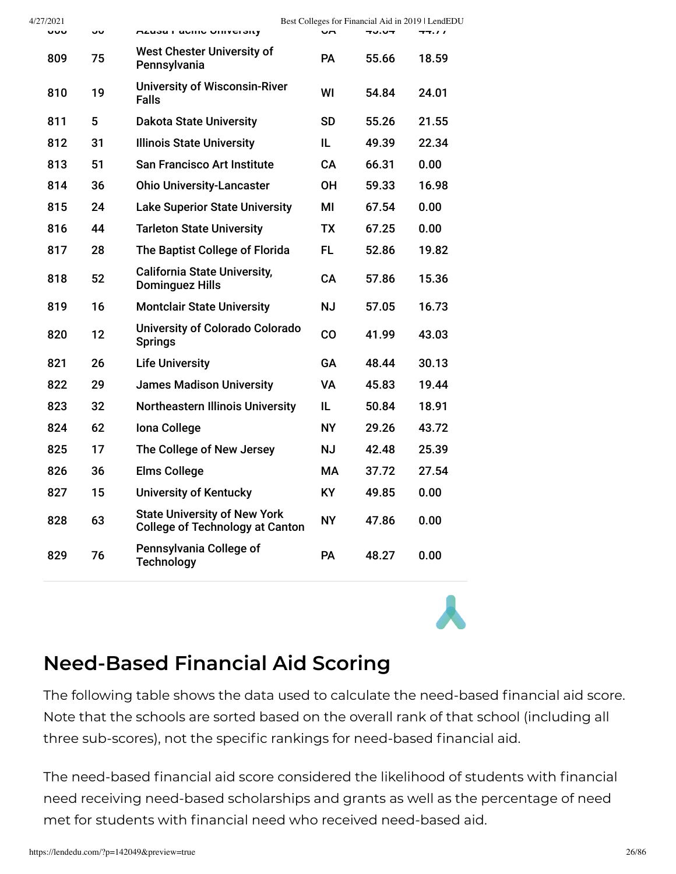| 4/27/2021 |    |                                                                               |           |              | Best Colleges for Financial Aid in 2019   LendEDU |
|-----------|----|-------------------------------------------------------------------------------|-----------|--------------|---------------------------------------------------|
| ouo       | יי | <b>ALUSA FAULIU UTITUCI SITY</b>                                              | uм        | <b>40.04</b> | 44.11                                             |
| 809       | 75 | <b>West Chester University of</b><br>Pennsylvania                             | <b>PA</b> | 55.66        | 18.59                                             |
| 810       | 19 | <b>University of Wisconsin-River</b><br><b>Falls</b>                          | WI        | 54.84        | 24.01                                             |
| 811       | 5  | <b>Dakota State University</b>                                                | SD        | 55.26        | 21.55                                             |
| 812       | 31 | <b>Illinois State University</b>                                              | IL        | 49.39        | 22.34                                             |
| 813       | 51 | <b>San Francisco Art Institute</b>                                            | CA        | 66.31        | 0.00                                              |
| 814       | 36 | <b>Ohio University-Lancaster</b>                                              | OН        | 59.33        | 16.98                                             |
| 815       | 24 | <b>Lake Superior State University</b>                                         | MI        | 67.54        | 0.00                                              |
| 816       | 44 | <b>Tarleton State University</b>                                              | ТX        | 67.25        | 0.00                                              |
| 817       | 28 | The Baptist College of Florida                                                | FL.       | 52.86        | 19.82                                             |
| 818       | 52 | <b>California State University,</b><br><b>Dominguez Hills</b>                 | CA        | 57.86        | 15.36                                             |
| 819       | 16 | <b>Montclair State University</b>                                             | <b>NJ</b> | 57.05        | 16.73                                             |
| 820       | 12 | <b>University of Colorado Colorado</b><br><b>Springs</b>                      | CO        | 41.99        | 43.03                                             |
| 821       | 26 | <b>Life University</b>                                                        | GA        | 48.44        | 30.13                                             |
| 822       | 29 | <b>James Madison University</b>                                               | VA        | 45.83        | 19.44                                             |
| 823       | 32 | <b>Northeastern Illinois University</b>                                       | IL.       | 50.84        | 18.91                                             |
| 824       | 62 | Iona College                                                                  | NY.       | 29.26        | 43.72                                             |
| 825       | 17 | The College of New Jersey                                                     | <b>NJ</b> | 42.48        | 25.39                                             |
| 826       | 36 | <b>Elms College</b>                                                           | МA        | 37.72        | 27.54                                             |
| 827       | 15 | <b>University of Kentucky</b>                                                 | KY.       | 49.85        | 0.00                                              |
| 828       | 63 | <b>State University of New York</b><br><b>College of Technology at Canton</b> | <b>NY</b> | 47.86        | 0.00                                              |
| 829       | 76 | Pennsylvania College of<br><b>Technology</b>                                  | <b>PA</b> | 48.27        | 0.00                                              |
|           |    |                                                                               |           |              |                                                   |

## <span id="page-25-0"></span>**Need-Based Financial Aid Scoring**

The following table shows the data used to calculate the need-based financial aid score. Note that the schools are sorted based on the overall rank of that school (including all three sub-scores), not the specific rankings for need-based financial aid.

The need-based financial aid score considered the likelihood of students with financial need receiving need-based scholarships and grants as well as the percentage of need met for students with financial need who received need-based aid.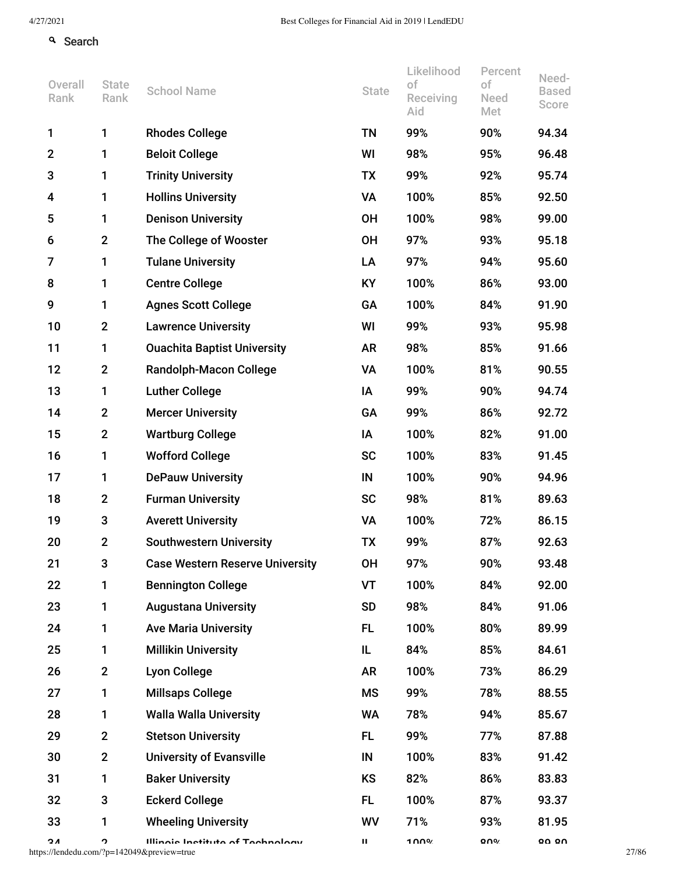### **q** Search

| 1<br><b>Rhodes College</b><br><b>TN</b><br>90%<br>94.34<br>1<br>99%<br>$\mathbf{2}$<br>98%<br>96.48<br><b>Beloit College</b><br>WI<br>95%<br>1<br>$\mathbf 3$<br><b>Trinity University</b><br>99%<br>92%<br>95.74<br><b>TX</b><br>1<br><b>Hollins University</b><br><b>VA</b><br>100%<br>85%<br>92.50<br>4<br>1<br>5<br><b>Denison University</b><br><b>OH</b><br>100%<br>99.00<br>98%<br>1<br>The College of Wooster<br>97%<br>95.18<br>6<br>$\mathbf{2}$<br><b>OH</b><br>93%<br><b>Tulane University</b><br>97%<br>95.60<br>$\overline{7}$<br>LA<br>94%<br>1<br>8<br><b>Centre College</b><br><b>KY</b><br>100%<br>86%<br>93.00<br>1<br>9<br>GA<br>100%<br>84%<br>91.90<br><b>Agnes Scott College</b><br>1<br>10<br><b>Lawrence University</b><br>99%<br>95.98<br>$\mathbf 2$<br>WI<br>93%<br>11<br><b>Ouachita Baptist University</b><br>98%<br>85%<br>91.66<br>1<br>AR<br>12<br>$\mathbf{2}$<br><b>Randolph-Macon College</b><br>100%<br>81%<br>90.55<br>VA<br>13<br><b>Luther College</b><br>99%<br>94.74<br>1<br>IA<br>90%<br>14<br>$\mathbf{2}$<br><b>Mercer University</b><br>99%<br>86%<br>92.72<br>GA<br>15<br>$\mathbf{2}$<br><b>Wartburg College</b><br>100%<br>82%<br>91.00<br>IA | Need-<br><b>Based</b><br>Score |
|------------------------------------------------------------------------------------------------------------------------------------------------------------------------------------------------------------------------------------------------------------------------------------------------------------------------------------------------------------------------------------------------------------------------------------------------------------------------------------------------------------------------------------------------------------------------------------------------------------------------------------------------------------------------------------------------------------------------------------------------------------------------------------------------------------------------------------------------------------------------------------------------------------------------------------------------------------------------------------------------------------------------------------------------------------------------------------------------------------------------------------------------------------------------------------------------|--------------------------------|
|                                                                                                                                                                                                                                                                                                                                                                                                                                                                                                                                                                                                                                                                                                                                                                                                                                                                                                                                                                                                                                                                                                                                                                                                |                                |
|                                                                                                                                                                                                                                                                                                                                                                                                                                                                                                                                                                                                                                                                                                                                                                                                                                                                                                                                                                                                                                                                                                                                                                                                |                                |
|                                                                                                                                                                                                                                                                                                                                                                                                                                                                                                                                                                                                                                                                                                                                                                                                                                                                                                                                                                                                                                                                                                                                                                                                |                                |
|                                                                                                                                                                                                                                                                                                                                                                                                                                                                                                                                                                                                                                                                                                                                                                                                                                                                                                                                                                                                                                                                                                                                                                                                |                                |
|                                                                                                                                                                                                                                                                                                                                                                                                                                                                                                                                                                                                                                                                                                                                                                                                                                                                                                                                                                                                                                                                                                                                                                                                |                                |
|                                                                                                                                                                                                                                                                                                                                                                                                                                                                                                                                                                                                                                                                                                                                                                                                                                                                                                                                                                                                                                                                                                                                                                                                |                                |
|                                                                                                                                                                                                                                                                                                                                                                                                                                                                                                                                                                                                                                                                                                                                                                                                                                                                                                                                                                                                                                                                                                                                                                                                |                                |
|                                                                                                                                                                                                                                                                                                                                                                                                                                                                                                                                                                                                                                                                                                                                                                                                                                                                                                                                                                                                                                                                                                                                                                                                |                                |
|                                                                                                                                                                                                                                                                                                                                                                                                                                                                                                                                                                                                                                                                                                                                                                                                                                                                                                                                                                                                                                                                                                                                                                                                |                                |
|                                                                                                                                                                                                                                                                                                                                                                                                                                                                                                                                                                                                                                                                                                                                                                                                                                                                                                                                                                                                                                                                                                                                                                                                |                                |
|                                                                                                                                                                                                                                                                                                                                                                                                                                                                                                                                                                                                                                                                                                                                                                                                                                                                                                                                                                                                                                                                                                                                                                                                |                                |
|                                                                                                                                                                                                                                                                                                                                                                                                                                                                                                                                                                                                                                                                                                                                                                                                                                                                                                                                                                                                                                                                                                                                                                                                |                                |
|                                                                                                                                                                                                                                                                                                                                                                                                                                                                                                                                                                                                                                                                                                                                                                                                                                                                                                                                                                                                                                                                                                                                                                                                |                                |
|                                                                                                                                                                                                                                                                                                                                                                                                                                                                                                                                                                                                                                                                                                                                                                                                                                                                                                                                                                                                                                                                                                                                                                                                |                                |
|                                                                                                                                                                                                                                                                                                                                                                                                                                                                                                                                                                                                                                                                                                                                                                                                                                                                                                                                                                                                                                                                                                                                                                                                |                                |
| 100%<br>16<br><b>Wofford College</b><br><b>SC</b><br>83%<br>91.45<br>1                                                                                                                                                                                                                                                                                                                                                                                                                                                                                                                                                                                                                                                                                                                                                                                                                                                                                                                                                                                                                                                                                                                         |                                |
| 94.96<br>17<br><b>DePauw University</b><br>IN<br>100%<br>90%<br>1                                                                                                                                                                                                                                                                                                                                                                                                                                                                                                                                                                                                                                                                                                                                                                                                                                                                                                                                                                                                                                                                                                                              |                                |
| 18<br><b>Furman University</b><br><b>SC</b><br>98%<br>81%<br>89.63<br>$\mathbf 2$                                                                                                                                                                                                                                                                                                                                                                                                                                                                                                                                                                                                                                                                                                                                                                                                                                                                                                                                                                                                                                                                                                              |                                |
| 19<br>3<br><b>Averett University</b><br>100%<br>86.15<br>VA<br>72%                                                                                                                                                                                                                                                                                                                                                                                                                                                                                                                                                                                                                                                                                                                                                                                                                                                                                                                                                                                                                                                                                                                             |                                |
| <b>Southwestern University</b><br>20<br>$\overline{2}$<br><b>TX</b><br>99%<br>87%<br>92.63                                                                                                                                                                                                                                                                                                                                                                                                                                                                                                                                                                                                                                                                                                                                                                                                                                                                                                                                                                                                                                                                                                     |                                |
| 97%<br>21<br>3<br>OH<br>90%<br>93.48<br><b>Case Western Reserve University</b>                                                                                                                                                                                                                                                                                                                                                                                                                                                                                                                                                                                                                                                                                                                                                                                                                                                                                                                                                                                                                                                                                                                 |                                |
| 22<br><b>VT</b><br>92.00<br><b>Bennington College</b><br>100%<br>84%<br>1                                                                                                                                                                                                                                                                                                                                                                                                                                                                                                                                                                                                                                                                                                                                                                                                                                                                                                                                                                                                                                                                                                                      |                                |
| 23<br><b>SD</b><br>98%<br>84%<br>91.06<br>1<br><b>Augustana University</b>                                                                                                                                                                                                                                                                                                                                                                                                                                                                                                                                                                                                                                                                                                                                                                                                                                                                                                                                                                                                                                                                                                                     |                                |
| 24<br>FL.<br>100%<br>80%<br>89.99<br>1<br><b>Ave Maria University</b>                                                                                                                                                                                                                                                                                                                                                                                                                                                                                                                                                                                                                                                                                                                                                                                                                                                                                                                                                                                                                                                                                                                          |                                |
| 84%<br>84.61<br>25<br>1<br><b>Millikin University</b><br>IL<br>85%                                                                                                                                                                                                                                                                                                                                                                                                                                                                                                                                                                                                                                                                                                                                                                                                                                                                                                                                                                                                                                                                                                                             |                                |
| 26<br>100%<br>86.29<br>$\mathbf 2$<br><b>Lyon College</b><br>AR<br>73%                                                                                                                                                                                                                                                                                                                                                                                                                                                                                                                                                                                                                                                                                                                                                                                                                                                                                                                                                                                                                                                                                                                         |                                |
| 27<br>1<br><b>Millsaps College</b><br><b>MS</b><br>99%<br>78%<br>88.55                                                                                                                                                                                                                                                                                                                                                                                                                                                                                                                                                                                                                                                                                                                                                                                                                                                                                                                                                                                                                                                                                                                         |                                |
| 28<br>1<br><b>Walla Walla University</b><br>WA<br>78%<br>94%<br>85.67                                                                                                                                                                                                                                                                                                                                                                                                                                                                                                                                                                                                                                                                                                                                                                                                                                                                                                                                                                                                                                                                                                                          |                                |
| 29<br>$\mathbf{2}$<br>87.88<br><b>Stetson University</b><br>FL.<br>99%<br>77%                                                                                                                                                                                                                                                                                                                                                                                                                                                                                                                                                                                                                                                                                                                                                                                                                                                                                                                                                                                                                                                                                                                  |                                |
| 30<br>$\mathbf 2$<br><b>University of Evansville</b><br>IN<br>100%<br>83%<br>91.42                                                                                                                                                                                                                                                                                                                                                                                                                                                                                                                                                                                                                                                                                                                                                                                                                                                                                                                                                                                                                                                                                                             |                                |
| 31<br>82%<br>83.83<br>1<br><b>Baker University</b><br>KS<br>86%                                                                                                                                                                                                                                                                                                                                                                                                                                                                                                                                                                                                                                                                                                                                                                                                                                                                                                                                                                                                                                                                                                                                |                                |
| 32<br>3<br><b>Eckerd College</b><br>FL.<br>100%<br>87%<br>93.37                                                                                                                                                                                                                                                                                                                                                                                                                                                                                                                                                                                                                                                                                                                                                                                                                                                                                                                                                                                                                                                                                                                                |                                |
| 33<br>1<br><b>Wheeling University</b><br>WV<br>71%<br>93%<br>81.95                                                                                                                                                                                                                                                                                                                                                                                                                                                                                                                                                                                                                                                                                                                                                                                                                                                                                                                                                                                                                                                                                                                             |                                |
| <b>QNO</b><br><b>00 00</b><br>ΟA<br>Illinoie Inetitute of Toohnology<br>1 በበ%<br>າ<br>ш<br>https://lendedu.com/?p=142049&preview=true                                                                                                                                                                                                                                                                                                                                                                                                                                                                                                                                                                                                                                                                                                                                                                                                                                                                                                                                                                                                                                                          | 27/86                          |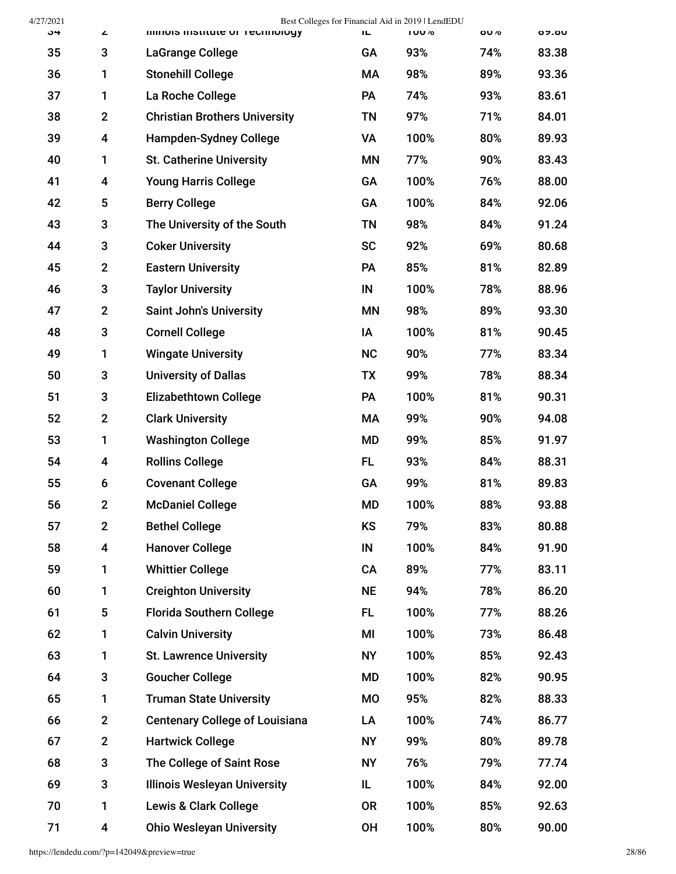| 4/27/2021 |                |                                          |           | Best Colleges for Financial Aid in 2019   LendEDU |              |                |
|-----------|----------------|------------------------------------------|-----------|---------------------------------------------------|--------------|----------------|
| ა4        | ∠<br>3         | <b>IIIIIIUIS IIISULULE UI TECHNOLOGY</b> | ТL.<br>GA | I UU /o<br>93%                                    | OU /0<br>74% | <b>07.0U</b>   |
| 35        |                | LaGrange College                         |           |                                                   |              | 83.38          |
| 36<br>37  | 1              | <b>Stonehill College</b>                 | МA<br>PA  | 98%<br>74%                                        | 89%<br>93%   | 93.36<br>83.61 |
|           | 1              | La Roche College                         |           |                                                   |              |                |
| 38        | $\mathbf{2}$   | <b>Christian Brothers University</b>     | TN        | 97%                                               | 71%          | 84.01          |
| 39        | 4              | <b>Hampden-Sydney College</b>            | VA        | 100%                                              | 80%          | 89.93          |
| 40        | 1              | <b>St. Catherine University</b>          | <b>MN</b> | 77%                                               | 90%          | 83.43          |
| 41        | 4              | <b>Young Harris College</b>              | GA        | 100%                                              | 76%          | 88.00          |
| 42        | 5              | <b>Berry College</b>                     | GA        | 100%                                              | 84%          | 92.06          |
| 43        | 3              | The University of the South              | TN        | 98%                                               | 84%          | 91.24          |
| 44        | 3              | <b>Coker University</b>                  | <b>SC</b> | 92%                                               | 69%          | 80.68          |
| 45        | $\mathbf{2}$   | <b>Eastern University</b>                | <b>PA</b> | 85%                                               | 81%          | 82.89          |
| 46        | 3              | <b>Taylor University</b>                 | IN        | 100%                                              | 78%          | 88.96          |
| 47        | $\mathbf{2}$   | <b>Saint John's University</b>           | ΜN        | 98%                                               | 89%          | 93.30          |
| 48        | 3              | <b>Cornell College</b>                   | IA        | 100%                                              | 81%          | 90.45          |
| 49        | 1              | <b>Wingate University</b>                | <b>NC</b> | 90%                                               | 77%          | 83.34          |
| 50        | 3              | <b>University of Dallas</b>              | TX        | 99%                                               | 78%          | 88.34          |
| 51        | 3              | <b>Elizabethtown College</b>             | PA        | 100%                                              | 81%          | 90.31          |
| 52        | $\mathbf{2}$   | <b>Clark University</b>                  | МA        | 99%                                               | 90%          | 94.08          |
| 53        | 1              | <b>Washington College</b>                | <b>MD</b> | 99%                                               | 85%          | 91.97          |
| 54        | 4              | <b>Rollins College</b>                   | FL.       | 93%                                               | 84%          | 88.31          |
| 55        | 6              | <b>Covenant College</b>                  | GA        | 99%                                               | 81%          | 89.83          |
| 56        | $\mathfrak{p}$ | <b>McDaniel College</b>                  | <b>MD</b> | 100%                                              | 88%          | 93.88          |
| 57        | $\mathbf{2}$   | <b>Bethel College</b>                    | KS        | 79%                                               | 83%          | 80.88          |
| 58        | 4              | <b>Hanover College</b>                   | IN        | 100%                                              | 84%          | 91.90          |
| 59        | 1              | <b>Whittier College</b>                  | CA        | 89%                                               | 77%          | 83.11          |
| 60        | 1              | <b>Creighton University</b>              | <b>NE</b> | 94%                                               | 78%          | 86.20          |
| 61        | 5              | <b>Florida Southern College</b>          | <b>FL</b> | 100%                                              | 77%          | 88.26          |
| 62        | 1              | <b>Calvin University</b>                 | MI        | 100%                                              | 73%          | 86.48          |
| 63        | 1              | <b>St. Lawrence University</b>           | <b>NY</b> | 100%                                              | 85%          | 92.43          |
| 64        | 3              | <b>Goucher College</b>                   | MD        | 100%                                              | 82%          | 90.95          |
| 65        | 1              | <b>Truman State University</b>           | MO        | 95%                                               | 82%          | 88.33          |
| 66        | $\mathbf{2}$   | <b>Centenary College of Louisiana</b>    | LA        | 100%                                              | 74%          | 86.77          |
| 67        | $\mathbf{2}$   | <b>Hartwick College</b>                  | <b>NY</b> | 99%                                               | 80%          | 89.78          |
| 68        | 3              | The College of Saint Rose                | <b>NY</b> | 76%                                               | 79%          | 77.74          |
| 69        | 3              | <b>Illinois Wesleyan University</b>      | IL        | 100%                                              | 84%          | 92.00          |
| 70        | 1              | <b>Lewis &amp; Clark College</b>         | <b>OR</b> | 100%                                              | 85%          | 92.63          |
| 71        | 4              | <b>Ohio Wesleyan University</b>          | OH        | 100%                                              | 80%          | 90.00          |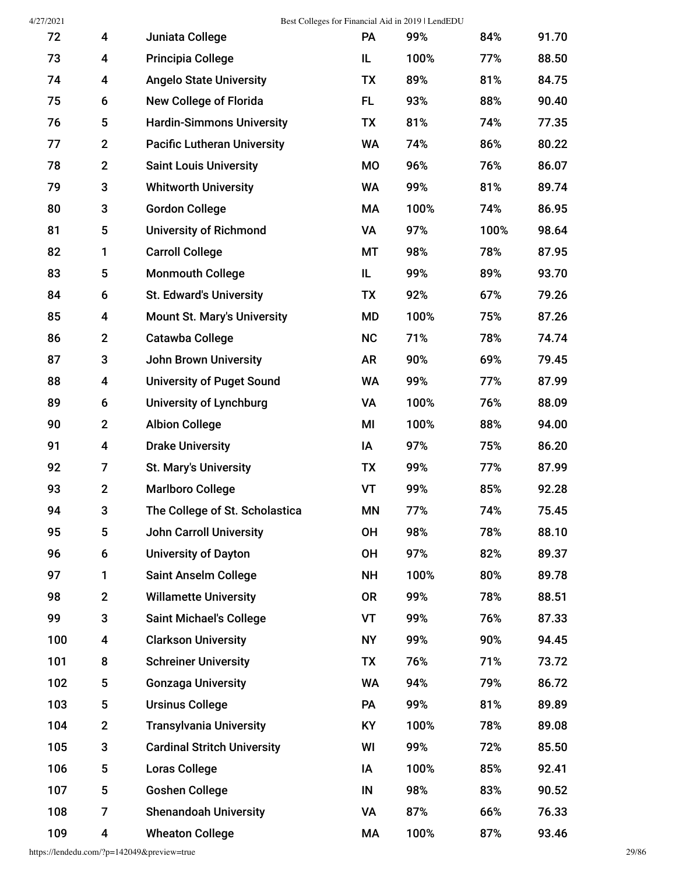4/27/2021 Best Colleges for Financial Aid in 2019 | LendEDU

| 72  | 4              | Juniata College                    | PA        | 99%  | 84%  | 91.70 |
|-----|----------------|------------------------------------|-----------|------|------|-------|
| 73  | 4              | <b>Principia College</b>           | IL        | 100% | 77%  | 88.50 |
| 74  | 4              | <b>Angelo State University</b>     | <b>TX</b> | 89%  | 81%  | 84.75 |
| 75  | 6              | <b>New College of Florida</b>      | FL.       | 93%  | 88%  | 90.40 |
| 76  | 5              | <b>Hardin-Simmons University</b>   | <b>TX</b> | 81%  | 74%  | 77.35 |
| 77  | $\mathbf 2$    | <b>Pacific Lutheran University</b> | <b>WA</b> | 74%  | 86%  | 80.22 |
| 78  | $\overline{2}$ | <b>Saint Louis University</b>      | <b>MO</b> | 96%  | 76%  | 86.07 |
| 79  | 3              | <b>Whitworth University</b>        | <b>WA</b> | 99%  | 81%  | 89.74 |
| 80  | 3              | <b>Gordon College</b>              | MA        | 100% | 74%  | 86.95 |
| 81  | 5              | <b>University of Richmond</b>      | VA        | 97%  | 100% | 98.64 |
| 82  | 1              | <b>Carroll College</b>             | MT        | 98%  | 78%  | 87.95 |
| 83  | 5              | <b>Monmouth College</b>            | IL        | 99%  | 89%  | 93.70 |
| 84  | 6              | <b>St. Edward's University</b>     | TX        | 92%  | 67%  | 79.26 |
| 85  | 4              | <b>Mount St. Mary's University</b> | <b>MD</b> | 100% | 75%  | 87.26 |
| 86  | $\overline{2}$ | <b>Catawba College</b>             | <b>NC</b> | 71%  | 78%  | 74.74 |
| 87  | 3              | <b>John Brown University</b>       | <b>AR</b> | 90%  | 69%  | 79.45 |
| 88  | 4              | <b>University of Puget Sound</b>   | <b>WA</b> | 99%  | 77%  | 87.99 |
| 89  | 6              | <b>University of Lynchburg</b>     | VA        | 100% | 76%  | 88.09 |
| 90  | $\overline{2}$ | <b>Albion College</b>              | MI        | 100% | 88%  | 94.00 |
| 91  | 4              | <b>Drake University</b>            | IA        | 97%  | 75%  | 86.20 |
| 92  | 7              | <b>St. Mary's University</b>       | TX        | 99%  | 77%  | 87.99 |
| 93  | $\mathbf 2$    | <b>Marlboro College</b>            | <b>VT</b> | 99%  | 85%  | 92.28 |
| 94  | 3              | The College of St. Scholastica     | <b>MN</b> | 77%  | 74%  | 75.45 |
| 95  | 5              | <b>John Carroll University</b>     | <b>OH</b> | 98%  | 78%  | 88.10 |
| 96  | 6              | <b>University of Dayton</b>        | <b>OH</b> | 97%  | 82%  | 89.37 |
| 97  | 1              | <b>Saint Anselm College</b>        | <b>NH</b> | 100% | 80%  | 89.78 |
| 98  | $\overline{2}$ | <b>Willamette University</b>       | <b>OR</b> | 99%  | 78%  | 88.51 |
| 99  | 3              | <b>Saint Michael's College</b>     | VT        | 99%  | 76%  | 87.33 |
| 100 | 4              | <b>Clarkson University</b>         | <b>NY</b> | 99%  | 90%  | 94.45 |
| 101 | 8              | <b>Schreiner University</b>        | TX        | 76%  | 71%  | 73.72 |
| 102 | 5              | <b>Gonzaga University</b>          | <b>WA</b> | 94%  | 79%  | 86.72 |
| 103 | 5              | <b>Ursinus College</b>             | PA        | 99%  | 81%  | 89.89 |
| 104 | $\mathbf 2$    | <b>Transylvania University</b>     | KY        | 100% | 78%  | 89.08 |
| 105 | 3              | <b>Cardinal Stritch University</b> | WI        | 99%  | 72%  | 85.50 |
| 106 | 5              | <b>Loras College</b>               | ΙA        | 100% | 85%  | 92.41 |
| 107 | 5              | <b>Goshen College</b>              | IN        | 98%  | 83%  | 90.52 |
| 108 | 7              | <b>Shenandoah University</b>       | VA        | 87%  | 66%  | 76.33 |
| 109 | 4              | <b>Wheaton College</b>             | MA        | 100% | 87%  | 93.46 |

https://lendedu.com/?p=142049&preview=true 29/86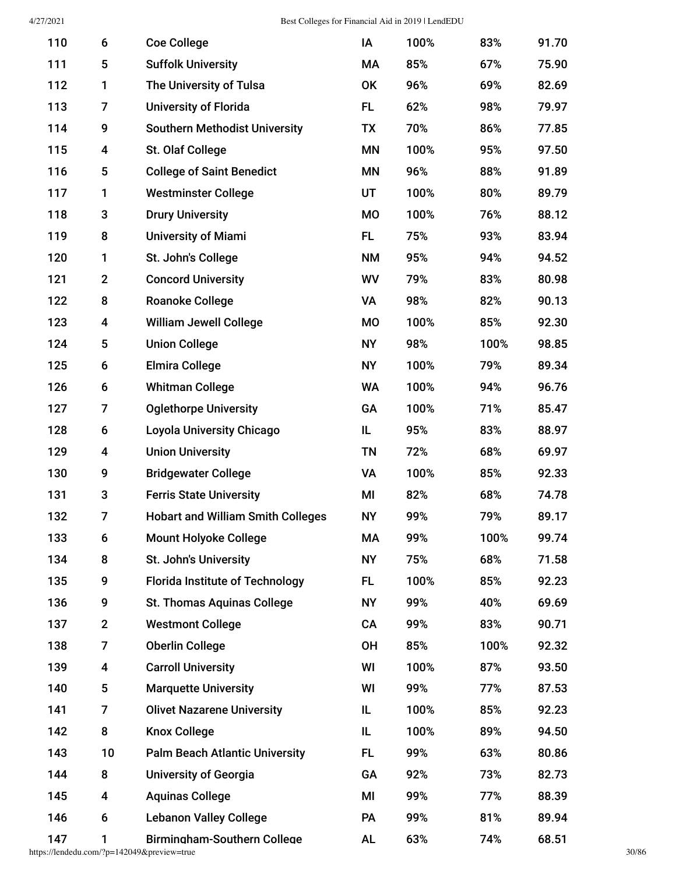| 110 | 6              | <b>Coe College</b>                       | IA        | 100% | 83%  | 91.70 |
|-----|----------------|------------------------------------------|-----------|------|------|-------|
| 111 | 5              | <b>Suffolk University</b>                | МA        | 85%  | 67%  | 75.90 |
| 112 | 1              | The University of Tulsa                  | OK        | 96%  | 69%  | 82.69 |
| 113 | 7              | <b>University of Florida</b>             | <b>FL</b> | 62%  | 98%  | 79.97 |
| 114 | 9              | <b>Southern Methodist University</b>     | <b>TX</b> | 70%  | 86%  | 77.85 |
| 115 | 4              | St. Olaf College                         | <b>MN</b> | 100% | 95%  | 97.50 |
| 116 | 5              | <b>College of Saint Benedict</b>         | <b>MN</b> | 96%  | 88%  | 91.89 |
| 117 | 1              | <b>Westminster College</b>               | UT        | 100% | 80%  | 89.79 |
| 118 | 3              | <b>Drury University</b>                  | <b>MO</b> | 100% | 76%  | 88.12 |
| 119 | 8              | <b>University of Miami</b>               | <b>FL</b> | 75%  | 93%  | 83.94 |
| 120 | 1              | St. John's College                       | <b>NM</b> | 95%  | 94%  | 94.52 |
| 121 | $\mathbf{2}$   | <b>Concord University</b>                | WV        | 79%  | 83%  | 80.98 |
| 122 | 8              | <b>Roanoke College</b>                   | VA        | 98%  | 82%  | 90.13 |
| 123 | 4              | <b>William Jewell College</b>            | <b>MO</b> | 100% | 85%  | 92.30 |
| 124 | 5              | <b>Union College</b>                     | <b>NY</b> | 98%  | 100% | 98.85 |
| 125 | 6              | <b>Elmira College</b>                    | <b>NY</b> | 100% | 79%  | 89.34 |
| 126 | 6              | <b>Whitman College</b>                   | <b>WA</b> | 100% | 94%  | 96.76 |
| 127 | 7              | <b>Oglethorpe University</b>             | GA        | 100% | 71%  | 85.47 |
| 128 | 6              | <b>Loyola University Chicago</b>         | IL        | 95%  | 83%  | 88.97 |
| 129 | 4              | <b>Union University</b>                  | <b>TN</b> | 72%  | 68%  | 69.97 |
| 130 | 9              | <b>Bridgewater College</b>               | <b>VA</b> | 100% | 85%  | 92.33 |
| 131 | 3              | <b>Ferris State University</b>           | MI        | 82%  | 68%  | 74.78 |
| 132 | 7              | <b>Hobart and William Smith Colleges</b> | <b>NY</b> | 99%  | 79%  | 89.17 |
| 133 | 6              | <b>Mount Holyoke College</b>             | MA        | 99%  | 100% | 99.74 |
| 134 | 8              | St. John's University                    | <b>NY</b> | 75%  | 68%  | 71.58 |
| 135 | 9              | <b>Florida Institute of Technology</b>   | <b>FL</b> | 100% | 85%  | 92.23 |
| 136 | 9              | <b>St. Thomas Aquinas College</b>        | <b>NY</b> | 99%  | 40%  | 69.69 |
| 137 | $\mathbf{2}$   | <b>Westmont College</b>                  | CA        | 99%  | 83%  | 90.71 |
| 138 | $\overline{7}$ | <b>Oberlin College</b>                   | <b>OH</b> | 85%  | 100% | 92.32 |
| 139 | 4              | <b>Carroll University</b>                | WI        | 100% | 87%  | 93.50 |
| 140 | 5              | <b>Marquette University</b>              | WI        | 99%  | 77%  | 87.53 |
| 141 | 7              | <b>Olivet Nazarene University</b>        | IL        | 100% | 85%  | 92.23 |
| 142 | 8              | <b>Knox College</b>                      | IL        | 100% | 89%  | 94.50 |
| 143 | 10             | <b>Palm Beach Atlantic University</b>    | <b>FL</b> | 99%  | 63%  | 80.86 |
| 144 | 8              | <b>University of Georgia</b>             | GA        | 92%  | 73%  | 82.73 |
| 145 | 4              | <b>Aquinas College</b>                   | MI        | 99%  | 77%  | 88.39 |
| 146 | 6              | <b>Lebanon Valley College</b>            | <b>PA</b> | 99%  | 81%  | 89.94 |
| 147 | 1              | <b>Birmingham-Southern College</b>       | <b>AL</b> | 63%  | 74%  | 68.51 |

https://lendedu.com/?p=142049&preview=true 30/86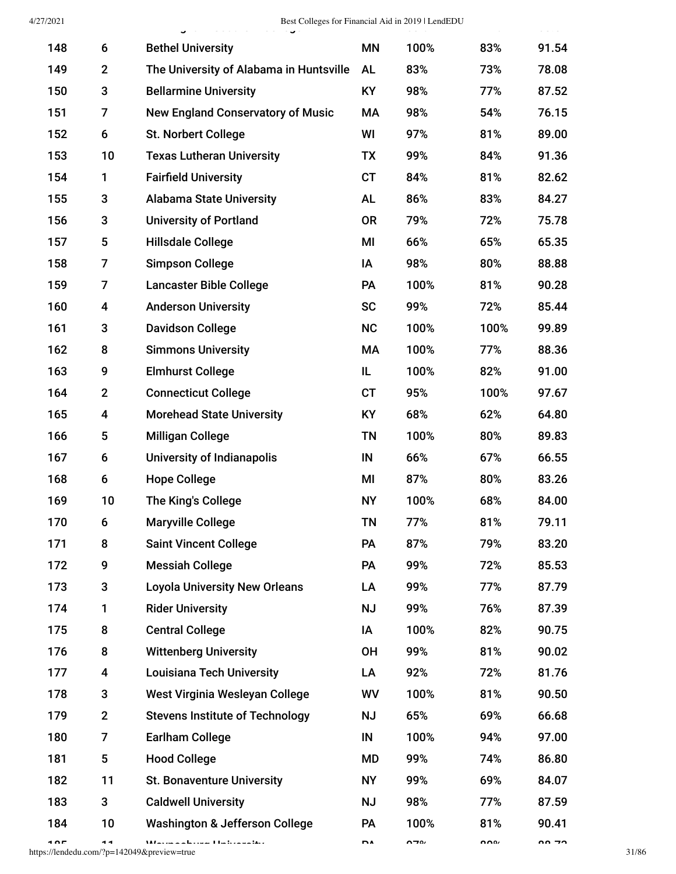| 4/27/2021 |                         | Best Colleges for Financial Aid in 2019   LendEDU |           |      |      | 22222 |
|-----------|-------------------------|---------------------------------------------------|-----------|------|------|-------|
| 148       | 6                       | <b>Bethel University</b>                          | <b>MN</b> | 100% | 83%  | 91.54 |
| 149       | $\mathbf 2$             | The University of Alabama in Huntsville           | <b>AL</b> | 83%  | 73%  | 78.08 |
| 150       | 3                       | <b>Bellarmine University</b>                      | KY        | 98%  | 77%  | 87.52 |
| 151       | 7                       | <b>New England Conservatory of Music</b>          | MA        | 98%  | 54%  | 76.15 |
| 152       | 6                       | <b>St. Norbert College</b>                        | WI        | 97%  | 81%  | 89.00 |
| 153       | 10                      | <b>Texas Lutheran University</b>                  | TX        | 99%  | 84%  | 91.36 |
| 154       | 1                       | <b>Fairfield University</b>                       | <b>CT</b> | 84%  | 81%  | 82.62 |
| 155       | 3                       | <b>Alabama State University</b>                   | <b>AL</b> | 86%  | 83%  | 84.27 |
| 156       | 3                       | <b>University of Portland</b>                     | <b>OR</b> | 79%  | 72%  | 75.78 |
| 157       | 5                       | <b>Hillsdale College</b>                          | MI        | 66%  | 65%  | 65.35 |
| 158       | $\overline{7}$          | <b>Simpson College</b>                            | ΙA        | 98%  | 80%  | 88.88 |
| 159       | 7                       | <b>Lancaster Bible College</b>                    | <b>PA</b> | 100% | 81%  | 90.28 |
| 160       | 4                       | <b>Anderson University</b>                        | <b>SC</b> | 99%  | 72%  | 85.44 |
| 161       | 3                       | <b>Davidson College</b>                           | <b>NC</b> | 100% | 100% | 99.89 |
| 162       | 8                       | <b>Simmons University</b>                         | MA        | 100% | 77%  | 88.36 |
| 163       | 9                       | <b>Elmhurst College</b>                           | IL        | 100% | 82%  | 91.00 |
| 164       | $\mathbf{2}$            | <b>Connecticut College</b>                        | <b>CT</b> | 95%  | 100% | 97.67 |
| 165       | 4                       | <b>Morehead State University</b>                  | <b>KY</b> | 68%  | 62%  | 64.80 |
| 166       | 5                       | <b>Milligan College</b>                           | <b>TN</b> | 100% | 80%  | 89.83 |
| 167       | 6                       | University of Indianapolis                        | IN        | 66%  | 67%  | 66.55 |
| 168       | 6                       | <b>Hope College</b>                               | MI        | 87%  | 80%  | 83.26 |
| 169       | 10                      | The King's College                                | <b>NY</b> | 100% | 68%  | 84.00 |
| 170       | 6                       | <b>Maryville College</b>                          | ΤN        | 77%  | 81%  | 79.11 |
| 171       | 8                       | <b>Saint Vincent College</b>                      | PA        | 87%  | 79%  | 83.20 |
| 172       | 9                       | <b>Messiah College</b>                            | PA        | 99%  | 72%  | 85.53 |
| 173       | 3                       | <b>Loyola University New Orleans</b>              | LA        | 99%  | 77%  | 87.79 |
| 174       | 1                       | <b>Rider University</b>                           | <b>NJ</b> | 99%  | 76%  | 87.39 |
| 175       | 8                       | <b>Central College</b>                            | IA        | 100% | 82%  | 90.75 |
| 176       | 8                       | <b>Wittenberg University</b>                      | <b>OH</b> | 99%  | 81%  | 90.02 |
| 177       | 4                       | <b>Louisiana Tech University</b>                  | LA        | 92%  | 72%  | 81.76 |
| 178       | 3                       | West Virginia Wesleyan College                    | WV        | 100% | 81%  | 90.50 |
| 179       | $\mathbf 2$             | <b>Stevens Institute of Technology</b>            | <b>NJ</b> | 65%  | 69%  | 66.68 |
| 180       | 7                       | <b>Earlham College</b>                            | $\sf IN$  | 100% | 94%  | 97.00 |
| 181       | $\overline{\mathbf{5}}$ | <b>Hood College</b>                               | MD        | 99%  | 74%  | 86.80 |
| 182       | 11                      | <b>St. Bonaventure University</b>                 | <b>NY</b> | 99%  | 69%  | 84.07 |
| 183       | 3                       | <b>Caldwell University</b>                        | <b>NJ</b> | 98%  | 77%  | 87.59 |
| 184       | 10                      | <b>Washington &amp; Jefferson College</b>         | PA        | 100% | 81%  | 90.41 |
|           |                         |                                                   |           |      |      |       |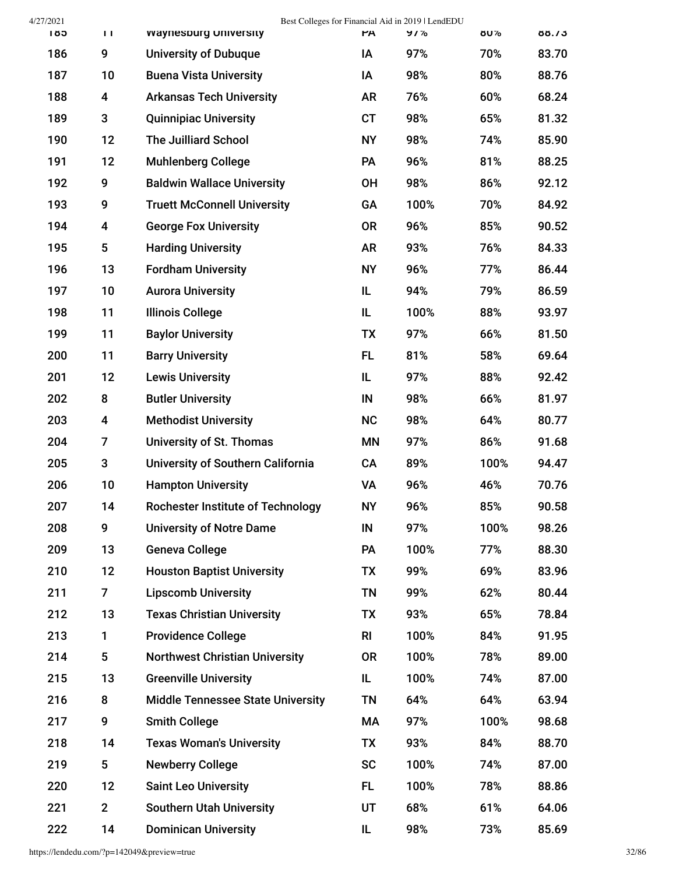| 4/27/2021 |                |                                          |                | Best Colleges for Financial Aid in 2019   LendEDU |      |       |
|-----------|----------------|------------------------------------------|----------------|---------------------------------------------------|------|-------|
| ខេត       | TT             | waynespurg University                    | <b>PA</b>      | 9/%                                               | 8U%  | 88.73 |
| 186       | 9              | <b>University of Dubuque</b>             | ΙA             | 97%                                               | 70%  | 83.70 |
| 187       | 10             | <b>Buena Vista University</b>            | ΙA             | 98%                                               | 80%  | 88.76 |
| 188       | 4              | <b>Arkansas Tech University</b>          | <b>AR</b>      | 76%                                               | 60%  | 68.24 |
| 189       | 3              | <b>Quinnipiac University</b>             | <b>CT</b>      | 98%                                               | 65%  | 81.32 |
| 190       | 12             | <b>The Juilliard School</b>              | <b>NY</b>      | 98%                                               | 74%  | 85.90 |
| 191       | 12             | <b>Muhlenberg College</b>                | PA             | 96%                                               | 81%  | 88.25 |
| 192       | 9              | <b>Baldwin Wallace University</b>        | <b>OH</b>      | 98%                                               | 86%  | 92.12 |
| 193       | 9              | <b>Truett McConnell University</b>       | GA             | 100%                                              | 70%  | 84.92 |
| 194       | 4              | <b>George Fox University</b>             | <b>OR</b>      | 96%                                               | 85%  | 90.52 |
| 195       | 5              | <b>Harding University</b>                | <b>AR</b>      | 93%                                               | 76%  | 84.33 |
| 196       | 13             | <b>Fordham University</b>                | <b>NY</b>      | 96%                                               | 77%  | 86.44 |
| 197       | 10             | <b>Aurora University</b>                 | IL             | 94%                                               | 79%  | 86.59 |
| 198       | 11             | <b>Illinois College</b>                  | IL.            | 100%                                              | 88%  | 93.97 |
| 199       | 11             | <b>Baylor University</b>                 | TX             | 97%                                               | 66%  | 81.50 |
| 200       | 11             | <b>Barry University</b>                  | FL.            | 81%                                               | 58%  | 69.64 |
| 201       | 12             | <b>Lewis University</b>                  | IL             | 97%                                               | 88%  | 92.42 |
| 202       | 8              | <b>Butler University</b>                 | IN             | 98%                                               | 66%  | 81.97 |
| 203       | 4              | <b>Methodist University</b>              | <b>NC</b>      | 98%                                               | 64%  | 80.77 |
| 204       | 7              | University of St. Thomas                 | ΜN             | 97%                                               | 86%  | 91.68 |
| 205       | 3              | University of Southern California        | CA             | 89%                                               | 100% | 94.47 |
| 206       | 10             | <b>Hampton University</b>                | VA             | 96%                                               | 46%  | 70.76 |
| 207       | 14             | <b>Rochester Institute of Technology</b> | <b>NY</b>      | 96%                                               | 85%  | 90.58 |
| 208       | 9              | <b>University of Notre Dame</b>          | IN             | 97%                                               | 100% | 98.26 |
| 209       | 13             | <b>Geneva College</b>                    | PA             | 100%                                              | 77%  | 88.30 |
| 210       | 12             | <b>Houston Baptist University</b>        | TX             | 99%                                               | 69%  | 83.96 |
| 211       | $\overline{7}$ | <b>Lipscomb University</b>               | TN             | 99%                                               | 62%  | 80.44 |
| 212       | 13             | <b>Texas Christian University</b>        | TX             | 93%                                               | 65%  | 78.84 |
| 213       | 1.             | <b>Providence College</b>                | R <sub>l</sub> | 100%                                              | 84%  | 91.95 |
| 214       | 5              | <b>Northwest Christian University</b>    | <b>OR</b>      | 100%                                              | 78%  | 89.00 |
| 215       | 13             | <b>Greenville University</b>             | IL             | 100%                                              | 74%  | 87.00 |
| 216       | 8              | <b>Middle Tennessee State University</b> | TN             | 64%                                               | 64%  | 63.94 |
| 217       | 9              | <b>Smith College</b>                     | МA             | 97%                                               | 100% | 98.68 |
| 218       | 14             | <b>Texas Woman's University</b>          | TX             | 93%                                               | 84%  | 88.70 |
| 219       | 5              | <b>Newberry College</b>                  | <b>SC</b>      | 100%                                              | 74%  | 87.00 |
| 220       | 12             | <b>Saint Leo University</b>              | FL.            | 100%                                              | 78%  | 88.86 |
| 221       | $\overline{2}$ | <b>Southern Utah University</b>          | UT             | 68%                                               | 61%  | 64.06 |
| 222       | 14             | <b>Dominican University</b>              | IL             | 98%                                               | 73%  | 85.69 |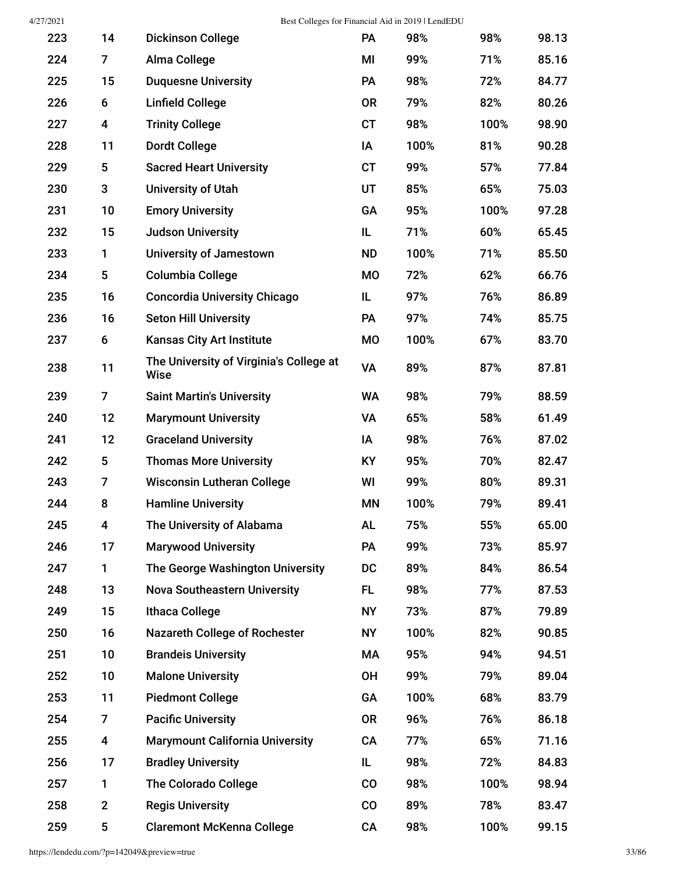4/27/2021 Best Colleges for Financial Aid in 2019 | LendEDU

| 223 | 14             | <b>Dickinson College</b>                               | <b>PA</b> | 98%  | 98%  | 98.13 |
|-----|----------------|--------------------------------------------------------|-----------|------|------|-------|
| 224 | $\overline{7}$ | Alma College                                           | MI        | 99%  | 71%  | 85.16 |
| 225 | 15             | <b>Duquesne University</b>                             | PA        | 98%  | 72%  | 84.77 |
| 226 | 6              | <b>Linfield College</b>                                | <b>OR</b> | 79%  | 82%  | 80.26 |
| 227 | 4              | <b>Trinity College</b>                                 | <b>CT</b> | 98%  | 100% | 98.90 |
| 228 | 11             | <b>Dordt College</b>                                   | IA        | 100% | 81%  | 90.28 |
| 229 | 5              | <b>Sacred Heart University</b>                         | <b>CT</b> | 99%  | 57%  | 77.84 |
| 230 | 3              | <b>University of Utah</b>                              | UT        | 85%  | 65%  | 75.03 |
| 231 | 10             | <b>Emory University</b>                                | GA        | 95%  | 100% | 97.28 |
| 232 | 15             | <b>Judson University</b>                               | IL        | 71%  | 60%  | 65.45 |
| 233 | 1              | <b>University of Jamestown</b>                         | <b>ND</b> | 100% | 71%  | 85.50 |
| 234 | 5              | <b>Columbia College</b>                                | <b>MO</b> | 72%  | 62%  | 66.76 |
| 235 | 16             | <b>Concordia University Chicago</b>                    | IL        | 97%  | 76%  | 86.89 |
| 236 | 16             | <b>Seton Hill University</b>                           | <b>PA</b> | 97%  | 74%  | 85.75 |
| 237 | 6              | <b>Kansas City Art Institute</b>                       | <b>MO</b> | 100% | 67%  | 83.70 |
| 238 | 11             | The University of Virginia's College at<br><b>Wise</b> | VA        | 89%  | 87%  | 87.81 |
| 239 | 7              | <b>Saint Martin's University</b>                       | <b>WA</b> | 98%  | 79%  | 88.59 |
| 240 | 12             | <b>Marymount University</b>                            | VA        | 65%  | 58%  | 61.49 |
| 241 | 12             | <b>Graceland University</b>                            | IA        | 98%  | 76%  | 87.02 |
| 242 | 5              | <b>Thomas More University</b>                          | KY        | 95%  | 70%  | 82.47 |
| 243 | 7              | <b>Wisconsin Lutheran College</b>                      | WI        | 99%  | 80%  | 89.31 |
| 244 | 8              | <b>Hamline University</b>                              | <b>MN</b> | 100% | 79%  | 89.41 |
| 245 | 4              | The University of Alabama                              | <b>AL</b> | 75%  | 55%  | 65.00 |
| 246 | 17             | <b>Marywood University</b>                             | PA        | 99%  | 73%  | 85.97 |
| 247 | 1              | The George Washington University                       | DC        | 89%  | 84%  | 86.54 |
| 248 | 13             | <b>Nova Southeastern University</b>                    | FL.       | 98%  | 77%  | 87.53 |
| 249 | 15             | <b>Ithaca College</b>                                  | <b>NY</b> | 73%  | 87%  | 79.89 |
| 250 | 16             | <b>Nazareth College of Rochester</b>                   | <b>NY</b> | 100% | 82%  | 90.85 |
| 251 | 10             | <b>Brandeis University</b>                             | МA        | 95%  | 94%  | 94.51 |
| 252 | 10             | <b>Malone University</b>                               | <b>OH</b> | 99%  | 79%  | 89.04 |
| 253 | 11             | <b>Piedmont College</b>                                | GA        | 100% | 68%  | 83.79 |
| 254 | $\overline{7}$ | <b>Pacific University</b>                              | <b>OR</b> | 96%  | 76%  | 86.18 |
| 255 | 4              | <b>Marymount California University</b>                 | <b>CA</b> | 77%  | 65%  | 71.16 |
| 256 | 17             | <b>Bradley University</b>                              | IL        | 98%  | 72%  | 84.83 |
| 257 | 1              | <b>The Colorado College</b>                            | CO        | 98%  | 100% | 98.94 |
| 258 | $\mathbf{2}$   | <b>Regis University</b>                                | CO        | 89%  | 78%  | 83.47 |
| 259 | 5              | <b>Claremont McKenna College</b>                       | CA        | 98%  | 100% | 99.15 |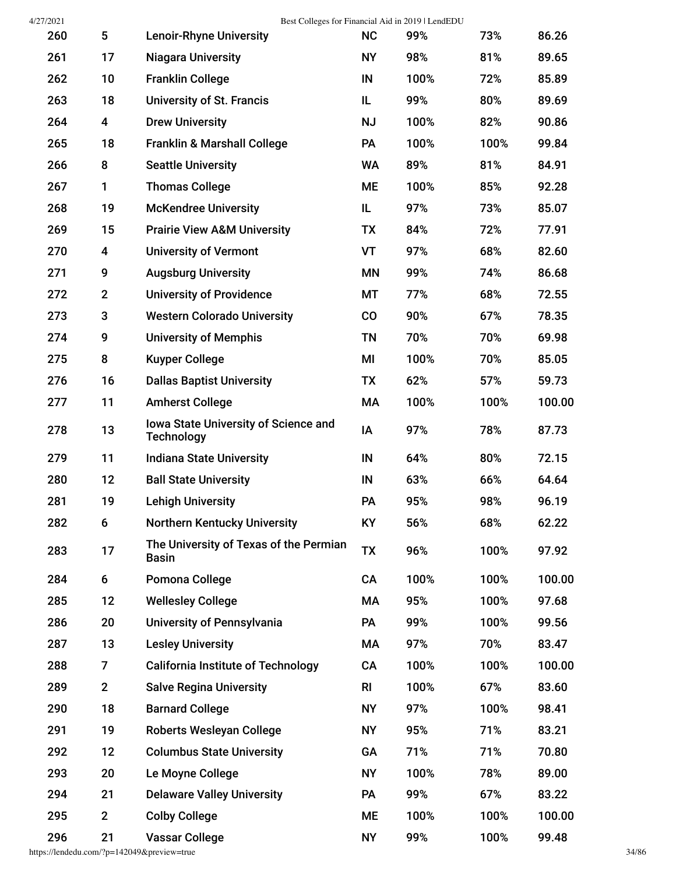| 4/27/2021 |                 | Best Colleges for Financial Aid in 2019   LendEDU                |                |      |      |        |
|-----------|-----------------|------------------------------------------------------------------|----------------|------|------|--------|
| 260       | $5\phantom{.0}$ | <b>Lenoir-Rhyne University</b>                                   | <b>NC</b>      | 99%  | 73%  | 86.26  |
| 261       | 17              | <b>Niagara University</b>                                        | <b>NY</b>      | 98%  | 81%  | 89.65  |
| 262       | 10              | <b>Franklin College</b>                                          | IN             | 100% | 72%  | 85.89  |
| 263       | 18              | <b>University of St. Francis</b>                                 | IL             | 99%  | 80%  | 89.69  |
| 264       | 4               | <b>Drew University</b>                                           | <b>NJ</b>      | 100% | 82%  | 90.86  |
| 265       | 18              | <b>Franklin &amp; Marshall College</b>                           | PA             | 100% | 100% | 99.84  |
| 266       | 8               | <b>Seattle University</b>                                        | WA             | 89%  | 81%  | 84.91  |
| 267       | 1               | <b>Thomas College</b>                                            | <b>ME</b>      | 100% | 85%  | 92.28  |
| 268       | 19              | <b>McKendree University</b>                                      | IL             | 97%  | 73%  | 85.07  |
| 269       | 15              | <b>Prairie View A&amp;M University</b>                           | TX             | 84%  | 72%  | 77.91  |
| 270       | 4               | <b>University of Vermont</b>                                     | VT             | 97%  | 68%  | 82.60  |
| 271       | 9               | <b>Augsburg University</b>                                       | ΜN             | 99%  | 74%  | 86.68  |
| 272       | $\mathbf{2}$    | <b>University of Providence</b>                                  | МT             | 77%  | 68%  | 72.55  |
| 273       | 3               | <b>Western Colorado University</b>                               | $\rm CO$       | 90%  | 67%  | 78.35  |
| 274       | 9               | <b>University of Memphis</b>                                     | TN             | 70%  | 70%  | 69.98  |
| 275       | 8               | <b>Kuyper College</b>                                            | MI             | 100% | 70%  | 85.05  |
| 276       | 16              | <b>Dallas Baptist University</b>                                 | TX             | 62%  | 57%  | 59.73  |
| 277       | 11              | <b>Amherst College</b>                                           | МA             | 100% | 100% | 100.00 |
| 278       | 13              | <b>Iowa State University of Science and</b><br><b>Technology</b> | IA             | 97%  | 78%  | 87.73  |
| 279       | 11              | <b>Indiana State University</b>                                  | IN             | 64%  | 80%  | 72.15  |
| 280       | 12              | <b>Ball State University</b>                                     | IN             | 63%  | 66%  | 64.64  |
| 281       | 19              | <b>Lehigh University</b>                                         | PA             | 95%  | 98%  | 96.19  |
| 282       | 6               | <b>Northern Kentucky University</b>                              | <b>KY</b>      | 56%  | 68%  | 62.22  |
| 283       | 17              | The University of Texas of the Permian<br><b>Basin</b>           | <b>TX</b>      | 96%  | 100% | 97.92  |
| 284       | 6               | Pomona College                                                   | CA             | 100% | 100% | 100.00 |
| 285       | 12              | <b>Wellesley College</b>                                         | МA             | 95%  | 100% | 97.68  |
| 286       | 20              | University of Pennsylvania                                       | <b>PA</b>      | 99%  | 100% | 99.56  |
| 287       | 13              | <b>Lesley University</b>                                         | МA             | 97%  | 70%  | 83.47  |
| 288       | 7               | <b>California Institute of Technology</b>                        | CA             | 100% | 100% | 100.00 |
| 289       | $\overline{2}$  | <b>Salve Regina University</b>                                   | R <sub>l</sub> | 100% | 67%  | 83.60  |
| 290       | 18              | <b>Barnard College</b>                                           | <b>NY</b>      | 97%  | 100% | 98.41  |
| 291       | 19              | Roberts Wesleyan College                                         | <b>NY</b>      | 95%  | 71%  | 83.21  |
| 292       | 12              | <b>Columbus State University</b>                                 | GA             | 71%  | 71%  | 70.80  |
| 293       | 20              | Le Moyne College                                                 | <b>NY</b>      | 100% | 78%  | 89.00  |
| 294       | 21              | <b>Delaware Valley University</b>                                | <b>PA</b>      | 99%  | 67%  | 83.22  |
| 295       | $\mathbf{2}$    | <b>Colby College</b>                                             | <b>ME</b>      | 100% | 100% | 100.00 |
| 296       | 21              | <b>Vassar College</b>                                            | <b>NY</b>      | 99%  | 100% | 99.48  |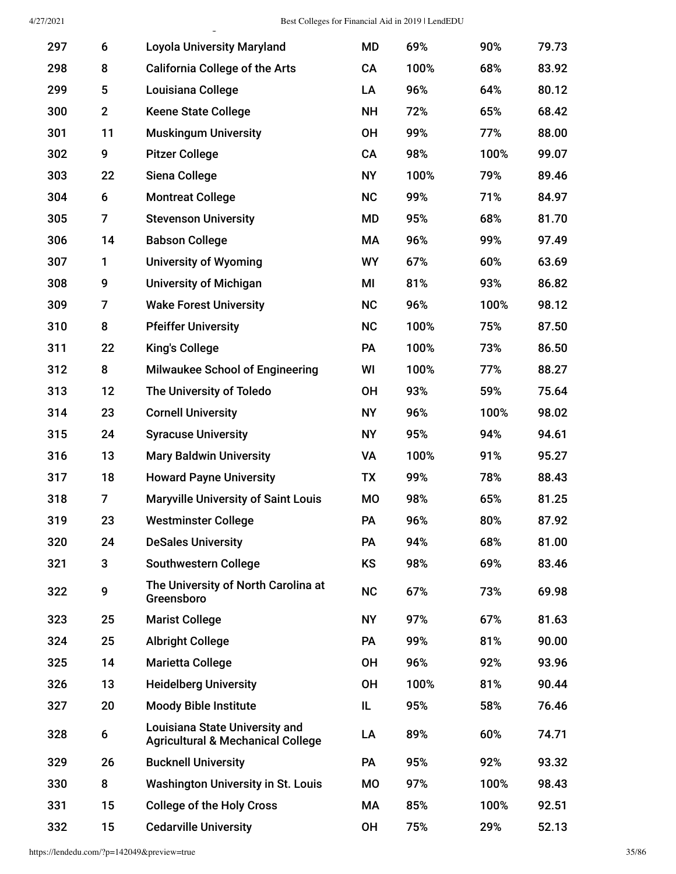| 297 | 6            | <b>Loyola University Maryland</b>                                                     | <b>MD</b> | 69%  | 90%  | 79.73 |
|-----|--------------|---------------------------------------------------------------------------------------|-----------|------|------|-------|
| 298 | 8            | <b>California College of the Arts</b>                                                 | CA        | 100% | 68%  | 83.92 |
| 299 | 5            | Louisiana College                                                                     | LA        | 96%  | 64%  | 80.12 |
| 300 | $\mathbf{2}$ | <b>Keene State College</b>                                                            | <b>NH</b> | 72%  | 65%  | 68.42 |
| 301 | 11           | <b>Muskingum University</b>                                                           | <b>OH</b> | 99%  | 77%  | 88.00 |
| 302 | 9            | <b>Pitzer College</b>                                                                 | CA        | 98%  | 100% | 99.07 |
| 303 | 22           | Siena College                                                                         | <b>NY</b> | 100% | 79%  | 89.46 |
| 304 | 6            | <b>Montreat College</b>                                                               | <b>NC</b> | 99%  | 71%  | 84.97 |
| 305 | 7            | <b>Stevenson University</b>                                                           | MD        | 95%  | 68%  | 81.70 |
| 306 | 14           | <b>Babson College</b>                                                                 | <b>MA</b> | 96%  | 99%  | 97.49 |
| 307 | 1            | <b>University of Wyoming</b>                                                          | <b>WY</b> | 67%  | 60%  | 63.69 |
| 308 | 9            | <b>University of Michigan</b>                                                         | MI        | 81%  | 93%  | 86.82 |
| 309 | 7            | <b>Wake Forest University</b>                                                         | <b>NC</b> | 96%  | 100% | 98.12 |
| 310 | 8            | <b>Pfeiffer University</b>                                                            | NC        | 100% | 75%  | 87.50 |
| 311 | 22           | <b>King's College</b>                                                                 | PA        | 100% | 73%  | 86.50 |
| 312 | 8            | <b>Milwaukee School of Engineering</b>                                                | WI        | 100% | 77%  | 88.27 |
| 313 | 12           | The University of Toledo                                                              | <b>OH</b> | 93%  | 59%  | 75.64 |
| 314 | 23           | <b>Cornell University</b>                                                             | <b>NY</b> | 96%  | 100% | 98.02 |
| 315 | 24           | <b>Syracuse University</b>                                                            | <b>NY</b> | 95%  | 94%  | 94.61 |
| 316 | 13           | <b>Mary Baldwin University</b>                                                        | VA        | 100% | 91%  | 95.27 |
| 317 | 18           | <b>Howard Payne University</b>                                                        | TX        | 99%  | 78%  | 88.43 |
| 318 | 7            | <b>Maryville University of Saint Louis</b>                                            | <b>MO</b> | 98%  | 65%  | 81.25 |
| 319 | 23           | <b>Westminster College</b>                                                            | PA        | 96%  | 80%  | 87.92 |
| 320 | 24           | <b>DeSales University</b>                                                             | PA        | 94%  | 68%  | 81.00 |
| 321 | 3            | <b>Southwestern College</b>                                                           | KS        | 98%  | 69%  | 83.46 |
| 322 | 9            | The University of North Carolina at<br>Greensboro                                     | <b>NC</b> | 67%  | 73%  | 69.98 |
| 323 | 25           | <b>Marist College</b>                                                                 | <b>NY</b> | 97%  | 67%  | 81.63 |
| 324 | 25           | <b>Albright College</b>                                                               | <b>PA</b> | 99%  | 81%  | 90.00 |
| 325 | 14           | <b>Marietta College</b>                                                               | <b>OH</b> | 96%  | 92%  | 93.96 |
| 326 | 13           | <b>Heidelberg University</b>                                                          | <b>OH</b> | 100% | 81%  | 90.44 |
| 327 | 20           | <b>Moody Bible Institute</b>                                                          | IL        | 95%  | 58%  | 76.46 |
| 328 | 6            | <b>Louisiana State University and</b><br><b>Agricultural &amp; Mechanical College</b> | LA        | 89%  | 60%  | 74.71 |
| 329 | 26           | <b>Bucknell University</b>                                                            | <b>PA</b> | 95%  | 92%  | 93.32 |
| 330 | 8            | <b>Washington University in St. Louis</b>                                             | <b>MO</b> | 97%  | 100% | 98.43 |
| 331 | 15           | <b>College of the Holy Cross</b>                                                      | МA        | 85%  | 100% | 92.51 |
| 332 | 15           | <b>Cedarville University</b>                                                          | <b>OH</b> | 75%  | 29%  | 52.13 |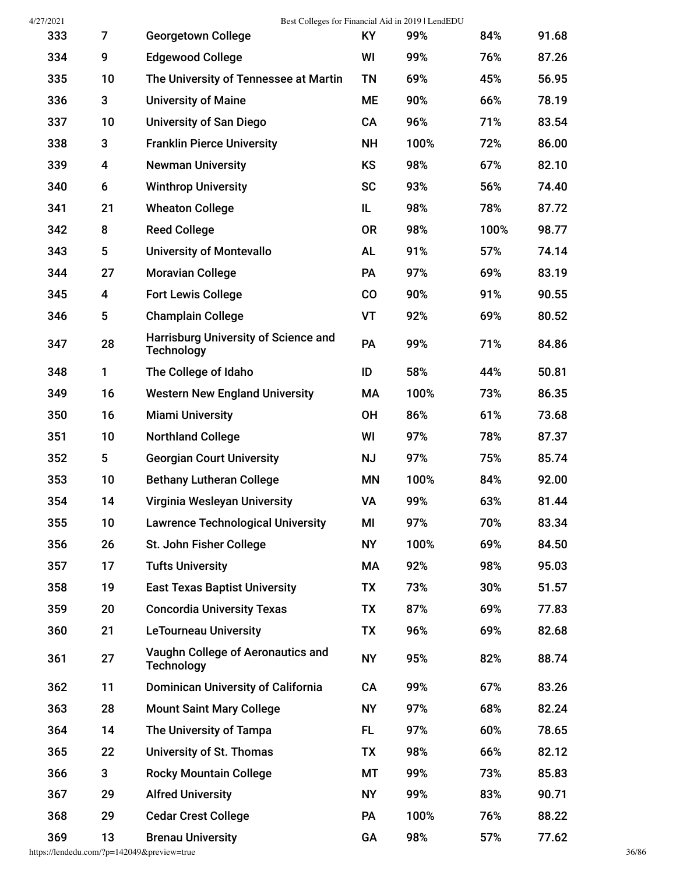| 4/27/2021 | Best Colleges for Financial Aid in 2019   LendEDU |                                                                  |           |      |      |       |  |  |  |
|-----------|---------------------------------------------------|------------------------------------------------------------------|-----------|------|------|-------|--|--|--|
| 333       | 7                                                 | <b>Georgetown College</b>                                        | <b>KY</b> | 99%  | 84%  | 91.68 |  |  |  |
| 334       | 9                                                 | <b>Edgewood College</b>                                          | WI        | 99%  | 76%  | 87.26 |  |  |  |
| 335       | 10                                                | The University of Tennessee at Martin                            | TN        | 69%  | 45%  | 56.95 |  |  |  |
| 336       | 3                                                 | <b>University of Maine</b>                                       | ME        | 90%  | 66%  | 78.19 |  |  |  |
| 337       | 10                                                | <b>University of San Diego</b>                                   | CA        | 96%  | 71%  | 83.54 |  |  |  |
| 338       | 3                                                 | <b>Franklin Pierce University</b>                                | <b>NH</b> | 100% | 72%  | 86.00 |  |  |  |
| 339       | 4                                                 | <b>Newman University</b>                                         | KS        | 98%  | 67%  | 82.10 |  |  |  |
| 340       | 6                                                 | <b>Winthrop University</b>                                       | <b>SC</b> | 93%  | 56%  | 74.40 |  |  |  |
| 341       | 21                                                | <b>Wheaton College</b>                                           | IL.       | 98%  | 78%  | 87.72 |  |  |  |
| 342       | 8                                                 | <b>Reed College</b>                                              | 0R        | 98%  | 100% | 98.77 |  |  |  |
| 343       | 5                                                 | <b>University of Montevallo</b>                                  | <b>AL</b> | 91%  | 57%  | 74.14 |  |  |  |
| 344       | 27                                                | <b>Moravian College</b>                                          | PA        | 97%  | 69%  | 83.19 |  |  |  |
| 345       | 4                                                 | <b>Fort Lewis College</b>                                        | $\rm CO$  | 90%  | 91%  | 90.55 |  |  |  |
| 346       | 5                                                 | <b>Champlain College</b>                                         | <b>VT</b> | 92%  | 69%  | 80.52 |  |  |  |
| 347       | 28                                                | <b>Harrisburg University of Science and</b><br><b>Technology</b> | PA        | 99%  | 71%  | 84.86 |  |  |  |
| 348       | 1                                                 | The College of Idaho                                             | ID        | 58%  | 44%  | 50.81 |  |  |  |
| 349       | 16                                                | <b>Western New England University</b>                            | МA        | 100% | 73%  | 86.35 |  |  |  |
| 350       | 16                                                | <b>Miami University</b>                                          | <b>OH</b> | 86%  | 61%  | 73.68 |  |  |  |
| 351       | 10                                                | <b>Northland College</b>                                         | WI        | 97%  | 78%  | 87.37 |  |  |  |
| 352       | 5                                                 | <b>Georgian Court University</b>                                 | <b>NJ</b> | 97%  | 75%  | 85.74 |  |  |  |
| 353       | 10                                                | <b>Bethany Lutheran College</b>                                  | <b>MN</b> | 100% | 84%  | 92.00 |  |  |  |
| 354       | 14                                                | Virginia Wesleyan University                                     | VA        | 99%  | 63%  | 81.44 |  |  |  |
| 355       | 10                                                | <b>Lawrence Technological University</b>                         | MI        | 97%  | 70%  | 83.34 |  |  |  |
| 356       | 26                                                | St. John Fisher College                                          | <b>NY</b> | 100% | 69%  | 84.50 |  |  |  |
| 357       | 17                                                | <b>Tufts University</b>                                          | МA        | 92%  | 98%  | 95.03 |  |  |  |
| 358       | 19                                                | <b>East Texas Baptist University</b>                             | TX        | 73%  | 30%  | 51.57 |  |  |  |
| 359       | 20                                                | <b>Concordia University Texas</b>                                | TX        | 87%  | 69%  | 77.83 |  |  |  |
| 360       | 21                                                | <b>LeTourneau University</b>                                     | <b>TX</b> | 96%  | 69%  | 82.68 |  |  |  |
| 361       | 27                                                | Vaughn College of Aeronautics and<br><b>Technology</b>           | <b>NY</b> | 95%  | 82%  | 88.74 |  |  |  |
| 362       | 11                                                | <b>Dominican University of California</b>                        | CA        | 99%  | 67%  | 83.26 |  |  |  |
| 363       | 28                                                | <b>Mount Saint Mary College</b>                                  | <b>NY</b> | 97%  | 68%  | 82.24 |  |  |  |
| 364       | 14                                                | The University of Tampa                                          | <b>FL</b> | 97%  | 60%  | 78.65 |  |  |  |
| 365       | 22                                                | <b>University of St. Thomas</b>                                  | TX        | 98%  | 66%  | 82.12 |  |  |  |
| 366       | 3                                                 | <b>Rocky Mountain College</b>                                    | MT        | 99%  | 73%  | 85.83 |  |  |  |
| 367       | 29                                                | <b>Alfred University</b>                                         | <b>NY</b> | 99%  | 83%  | 90.71 |  |  |  |
| 368       | 29                                                | <b>Cedar Crest College</b>                                       | <b>PA</b> | 100% | 76%  | 88.22 |  |  |  |
| 369       | 13                                                | <b>Brenau University</b>                                         | GA        | 98%  | 57%  | 77.62 |  |  |  |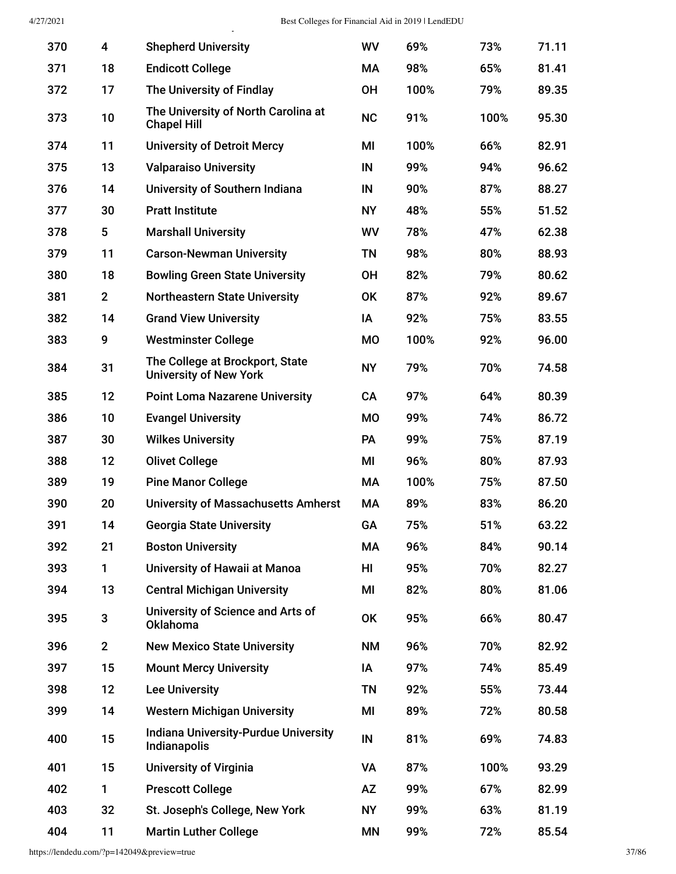y

| 370 | 4              | <b>Shepherd University</b>                                       | <b>WV</b> | 69%  | 73%  | 71.11 |
|-----|----------------|------------------------------------------------------------------|-----------|------|------|-------|
| 371 | 18             | <b>Endicott College</b>                                          | МA        | 98%  | 65%  | 81.41 |
| 372 | 17             | The University of Findlay                                        | <b>OH</b> | 100% | 79%  | 89.35 |
| 373 | 10             | The University of North Carolina at<br><b>Chapel Hill</b>        | <b>NC</b> | 91%  | 100% | 95.30 |
| 374 | 11             | <b>University of Detroit Mercy</b>                               | MI        | 100% | 66%  | 82.91 |
| 375 | 13             | <b>Valparaiso University</b>                                     | IN        | 99%  | 94%  | 96.62 |
| 376 | 14             | University of Southern Indiana                                   | IN        | 90%  | 87%  | 88.27 |
| 377 | 30             | <b>Pratt Institute</b>                                           | <b>NY</b> | 48%  | 55%  | 51.52 |
| 378 | 5              | <b>Marshall University</b>                                       | WV        | 78%  | 47%  | 62.38 |
| 379 | 11             | <b>Carson-Newman University</b>                                  | <b>TN</b> | 98%  | 80%  | 88.93 |
| 380 | 18             | <b>Bowling Green State University</b>                            | <b>OH</b> | 82%  | 79%  | 80.62 |
| 381 | $\overline{2}$ | <b>Northeastern State University</b>                             | <b>OK</b> | 87%  | 92%  | 89.67 |
| 382 | 14             | <b>Grand View University</b>                                     | IA        | 92%  | 75%  | 83.55 |
| 383 | 9              | <b>Westminster College</b>                                       | <b>MO</b> | 100% | 92%  | 96.00 |
| 384 | 31             | The College at Brockport, State<br><b>University of New York</b> | <b>NY</b> | 79%  | 70%  | 74.58 |
| 385 | 12             | <b>Point Loma Nazarene University</b>                            | <b>CA</b> | 97%  | 64%  | 80.39 |
| 386 | 10             | <b>Evangel University</b>                                        | <b>MO</b> | 99%  | 74%  | 86.72 |
| 387 | 30             | <b>Wilkes University</b>                                         | PA        | 99%  | 75%  | 87.19 |
| 388 | 12             | <b>Olivet College</b>                                            | MI        | 96%  | 80%  | 87.93 |
| 389 | 19             | <b>Pine Manor College</b>                                        | MA        | 100% | 75%  | 87.50 |
| 390 | 20             | <b>University of Massachusetts Amherst</b>                       | MA        | 89%  | 83%  | 86.20 |
| 391 | 14             | <b>Georgia State University</b>                                  | GA        | 75%  | 51%  | 63.22 |
| 392 | 21             | <b>Boston University</b>                                         | МA        | 96%  | 84%  | 90.14 |
| 393 | 1              | University of Hawaii at Manoa                                    | HI        | 95%  | 70%  | 82.27 |
| 394 | 13             | <b>Central Michigan University</b>                               | MI        | 82%  | 80%  | 81.06 |
| 395 | 3              | University of Science and Arts of<br><b>Oklahoma</b>             | OK        | 95%  | 66%  | 80.47 |
| 396 | $\overline{2}$ | <b>New Mexico State University</b>                               | <b>NM</b> | 96%  | 70%  | 82.92 |
| 397 | 15             | <b>Mount Mercy University</b>                                    | IA        | 97%  | 74%  | 85.49 |
| 398 | 12             | <b>Lee University</b>                                            | <b>TN</b> | 92%  | 55%  | 73.44 |
| 399 | 14             | <b>Western Michigan University</b>                               | MI        | 89%  | 72%  | 80.58 |
| 400 | 15             | <b>Indiana University-Purdue University</b><br>Indianapolis      | IN        | 81%  | 69%  | 74.83 |
| 401 | 15             | <b>University of Virginia</b>                                    | VA        | 87%  | 100% | 93.29 |
| 402 | 1              | <b>Prescott College</b>                                          | <b>AZ</b> | 99%  | 67%  | 82.99 |
| 403 | 32             | St. Joseph's College, New York                                   | <b>NY</b> | 99%  | 63%  | 81.19 |
| 404 | 11             | <b>Martin Luther College</b>                                     | MN        | 99%  | 72%  | 85.54 |

https://lendedu.com/?p=142049&preview=true 37/86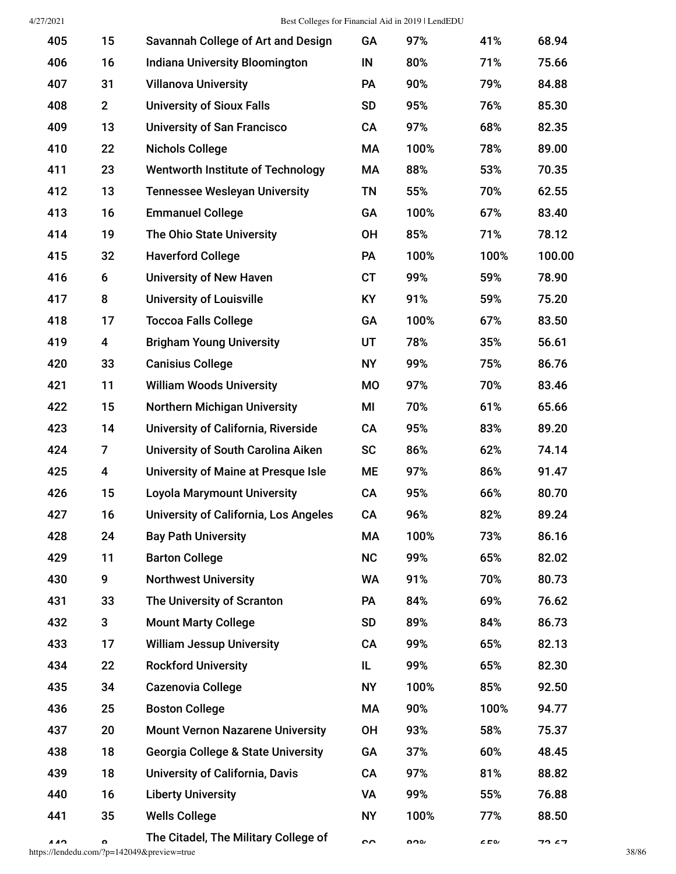| 405 | 15           | Savannah College of Art and Design            | GA        | 97%  | 41%     | 68.94  |       |
|-----|--------------|-----------------------------------------------|-----------|------|---------|--------|-------|
| 406 | 16           | <b>Indiana University Bloomington</b>         | IN        | 80%  | 71%     | 75.66  |       |
| 407 | 31           | <b>Villanova University</b>                   | PA        | 90%  | 79%     | 84.88  |       |
| 408 | $\mathbf{2}$ | <b>University of Sioux Falls</b>              | <b>SD</b> | 95%  | 76%     | 85.30  |       |
| 409 | 13           | <b>University of San Francisco</b>            | CA        | 97%  | 68%     | 82.35  |       |
| 410 | 22           | <b>Nichols College</b>                        | МA        | 100% | 78%     | 89.00  |       |
| 411 | 23           | <b>Wentworth Institute of Technology</b>      | МA        | 88%  | 53%     | 70.35  |       |
| 412 | 13           | <b>Tennessee Wesleyan University</b>          | <b>TN</b> | 55%  | 70%     | 62.55  |       |
| 413 | 16           | <b>Emmanuel College</b>                       | GA        | 100% | 67%     | 83.40  |       |
| 414 | 19           | The Ohio State University                     | OH        | 85%  | 71%     | 78.12  |       |
| 415 | 32           | <b>Haverford College</b>                      | <b>PA</b> | 100% | 100%    | 100.00 |       |
| 416 | 6            | <b>University of New Haven</b>                | <b>CT</b> | 99%  | 59%     | 78.90  |       |
| 417 | 8            | <b>University of Louisville</b>               | <b>KY</b> | 91%  | 59%     | 75.20  |       |
| 418 | 17           | <b>Toccoa Falls College</b>                   | GA        | 100% | 67%     | 83.50  |       |
| 419 | 4            | <b>Brigham Young University</b>               | UT        | 78%  | 35%     | 56.61  |       |
| 420 | 33           | <b>Canisius College</b>                       | <b>NY</b> | 99%  | 75%     | 86.76  |       |
| 421 | 11           | <b>William Woods University</b>               | MO        | 97%  | 70%     | 83.46  |       |
| 422 | 15           | <b>Northern Michigan University</b>           | MI        | 70%  | 61%     | 65.66  |       |
| 423 | 14           | University of California, Riverside           | CA        | 95%  | 83%     | 89.20  |       |
| 424 | 7            | University of South Carolina Aiken            | <b>SC</b> | 86%  | 62%     | 74.14  |       |
| 425 | 4            | University of Maine at Presque Isle           | ME        | 97%  | 86%     | 91.47  |       |
| 426 | 15           | <b>Loyola Marymount University</b>            | CA        | 95%  | 66%     | 80.70  |       |
| 427 | 16           | <b>University of California, Los Angeles</b>  | CA        | 96%  | 82%     | 89.24  |       |
| 428 | 24           | <b>Bay Path University</b>                    | МA        | 100% | 73%     | 86.16  |       |
| 429 | 11           | <b>Barton College</b>                         | NC        | 99%  | 65%     | 82.02  |       |
| 430 | 9            | <b>Northwest University</b>                   | <b>WA</b> | 91%  | 70%     | 80.73  |       |
| 431 | 33           | The University of Scranton                    | <b>PA</b> | 84%  | 69%     | 76.62  |       |
| 432 | 3            | <b>Mount Marty College</b>                    | <b>SD</b> | 89%  | 84%     | 86.73  |       |
| 433 | 17           | <b>William Jessup University</b>              | CA        | 99%  | 65%     | 82.13  |       |
| 434 | 22           | <b>Rockford University</b>                    | IL        | 99%  | 65%     | 82.30  |       |
| 435 | 34           | Cazenovia College                             | <b>NY</b> | 100% | 85%     | 92.50  |       |
| 436 | 25           | <b>Boston College</b>                         | МA        | 90%  | 100%    | 94.77  |       |
| 437 | 20           | <b>Mount Vernon Nazarene University</b>       | OH        | 93%  | 58%     | 75.37  |       |
| 438 | 18           | <b>Georgia College &amp; State University</b> | GA        | 37%  | 60%     | 48.45  |       |
| 439 | 18           | <b>University of California, Davis</b>        | CA        | 97%  | 81%     | 88.82  |       |
| 440 | 16           | <b>Liberty University</b>                     | VA        | 99%  | 55%     | 76.88  |       |
| 441 | 35           | <b>Wells College</b>                          | <b>NY</b> | 100% | 77%     | 88.50  |       |
| AA  | $\mathbf{o}$ | The Citadel, The Military College of          | $\sim$    | 0.00 | $C = 0$ | 72 67  |       |
|     |              | https://lendedu.com/?p=142049&preview=true    |           |      |         |        | 38/86 |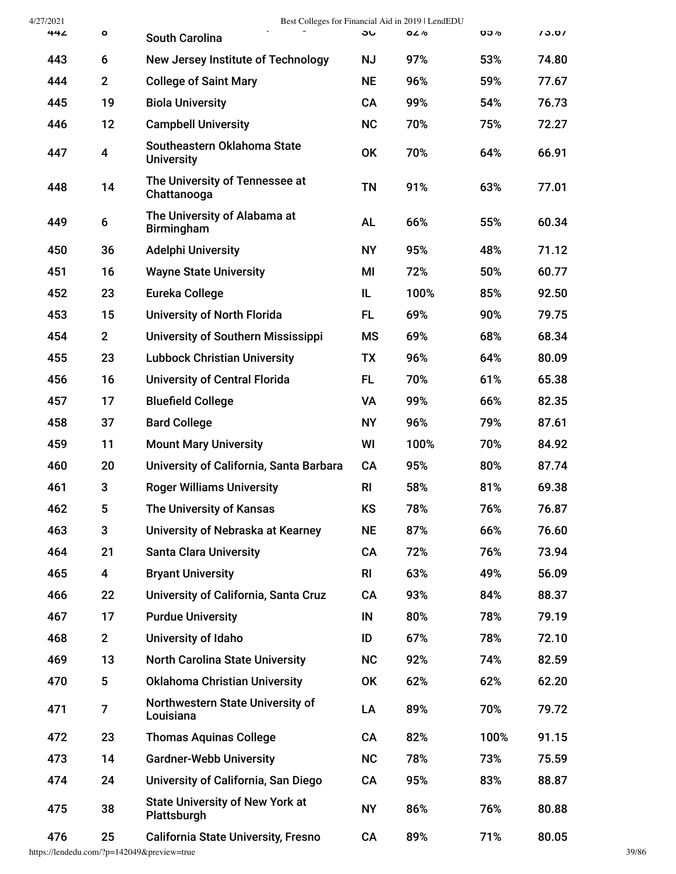| 4/27/2021 |                  |                                                       |                | Best Colleges for Financial Aid in 2019   LendEDU |            |       |
|-----------|------------------|-------------------------------------------------------|----------------|---------------------------------------------------|------------|-------|
| 44Z       | ö                | <b>South Carolina</b>                                 | ას             | 82%                                               | <b>00%</b> | 13.01 |
| 443       | 6                | New Jersey Institute of Technology                    | <b>NJ</b>      | 97%                                               | 53%        | 74.80 |
| 444       | $\mathbf{2}$     | <b>College of Saint Mary</b>                          | <b>NE</b>      | 96%                                               | 59%        | 77.67 |
| 445       | 19               | <b>Biola University</b>                               | <b>CA</b>      | 99%                                               | 54%        | 76.73 |
| 446       | 12               | <b>Campbell University</b>                            | <b>NC</b>      | 70%                                               | 75%        | 72.27 |
| 447       | 4                | Southeastern Oklahoma State<br><b>University</b>      | <b>OK</b>      | 70%                                               | 64%        | 66.91 |
| 448       | 14               | The University of Tennessee at<br>Chattanooga         | <b>TN</b>      | 91%                                               | 63%        | 77.01 |
| 449       | 6                | The University of Alabama at<br><b>Birmingham</b>     | <b>AL</b>      | 66%                                               | 55%        | 60.34 |
| 450       | 36               | <b>Adelphi University</b>                             | <b>NY</b>      | 95%                                               | 48%        | 71.12 |
| 451       | 16               | <b>Wayne State University</b>                         | MI             | 72%                                               | 50%        | 60.77 |
| 452       | 23               | Eureka College                                        | IL             | 100%                                              | 85%        | 92.50 |
| 453       | 15               | <b>University of North Florida</b>                    | <b>FL</b>      | 69%                                               | 90%        | 79.75 |
| 454       | $\overline{2}$   | <b>University of Southern Mississippi</b>             | МS             | 69%                                               | 68%        | 68.34 |
| 455       | 23               | <b>Lubbock Christian University</b>                   | TX             | 96%                                               | 64%        | 80.09 |
| 456       | 16               | <b>University of Central Florida</b>                  | <b>FL</b>      | 70%                                               | 61%        | 65.38 |
| 457       | 17               | <b>Bluefield College</b>                              | VA             | 99%                                               | 66%        | 82.35 |
| 458       | 37               | <b>Bard College</b>                                   | <b>NY</b>      | 96%                                               | 79%        | 87.61 |
| 459       | 11               | <b>Mount Mary University</b>                          | WI             | 100%                                              | 70%        | 84.92 |
| 460       | 20               | University of California, Santa Barbara               | CA             | 95%                                               | 80%        | 87.74 |
| 461       | 3                | <b>Roger Williams University</b>                      | R <sub>l</sub> | 58%                                               | 81%        | 69.38 |
| 462       | 5                | The University of Kansas                              | KS             | 78%                                               | 76%        | 76.87 |
| 463       | 3                | University of Nebraska at Kearney                     | <b>NE</b>      | 87%                                               | 66%        | 76.60 |
| 464       | 21               | <b>Santa Clara University</b>                         | CA             | 72%                                               | 76%        | 73.94 |
| 465       | $\boldsymbol{4}$ | <b>Bryant University</b>                              | R <sub>l</sub> | 63%                                               | 49%        | 56.09 |
| 466       | 22               | University of California, Santa Cruz                  | <b>CA</b>      | 93%                                               | 84%        | 88.37 |
| 467       | 17               | <b>Purdue University</b>                              | IN             | 80%                                               | 78%        | 79.19 |
| 468       | $\mathbf{2}$     | University of Idaho                                   | ID             | 67%                                               | 78%        | 72.10 |
| 469       | 13               | <b>North Carolina State University</b>                | <b>NC</b>      | 92%                                               | 74%        | 82.59 |
| 470       | 5                | <b>Oklahoma Christian University</b>                  | <b>OK</b>      | 62%                                               | 62%        | 62.20 |
| 471       | 7                | Northwestern State University of<br>Louisiana         | LA             | 89%                                               | 70%        | 79.72 |
| 472       | 23               | <b>Thomas Aquinas College</b>                         | <b>CA</b>      | 82%                                               | 100%       | 91.15 |
| 473       | 14               | <b>Gardner-Webb University</b>                        | <b>NC</b>      | 78%                                               | 73%        | 75.59 |
| 474       | 24               | University of California, San Diego                   | <b>CA</b>      | 95%                                               | 83%        | 88.87 |
| 475       | 38               | <b>State University of New York at</b><br>Plattsburgh | <b>NY</b>      | 86%                                               | 76%        | 80.88 |
| 476       | 25               | <b>California State University, Fresno</b>            | CA             | 89%                                               | 71%        | 80.05 |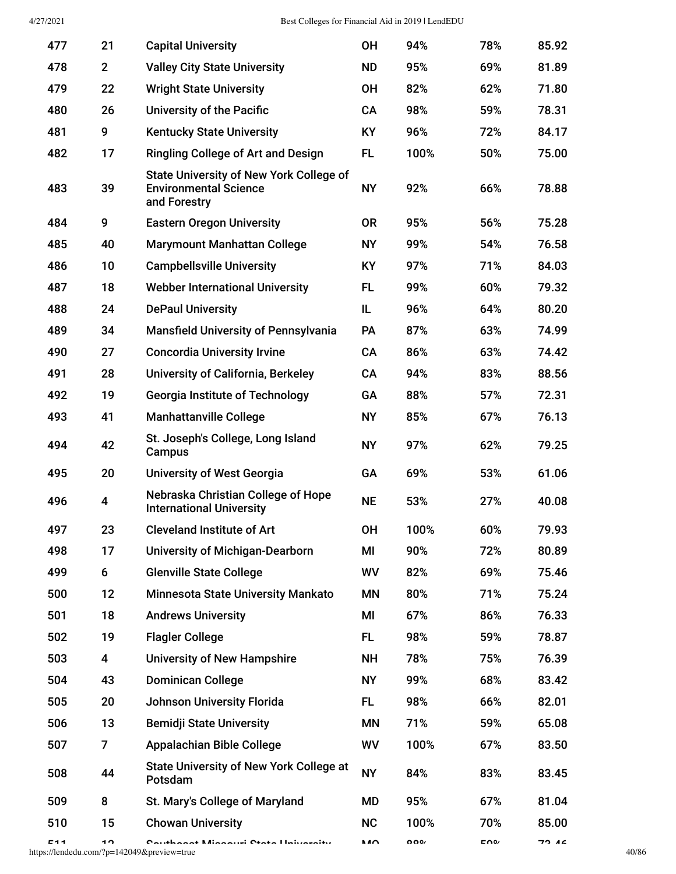| 477 | 21             | <b>Capital University</b>                                                                      | <b>OH</b> | 94%  | 78% | 85.92 |
|-----|----------------|------------------------------------------------------------------------------------------------|-----------|------|-----|-------|
| 478 | $\overline{2}$ | <b>Valley City State University</b>                                                            | <b>ND</b> | 95%  | 69% | 81.89 |
| 479 | 22             | <b>Wright State University</b>                                                                 | <b>OH</b> | 82%  | 62% | 71.80 |
| 480 | 26             | <b>University of the Pacific</b>                                                               | CA        | 98%  | 59% | 78.31 |
| 481 | 9              | <b>Kentucky State University</b>                                                               | <b>KY</b> | 96%  | 72% | 84.17 |
| 482 | 17             | <b>Ringling College of Art and Design</b>                                                      | <b>FL</b> | 100% | 50% | 75.00 |
| 483 | 39             | <b>State University of New York College of</b><br><b>Environmental Science</b><br>and Forestry | <b>NY</b> | 92%  | 66% | 78.88 |
| 484 | 9              | <b>Eastern Oregon University</b>                                                               | <b>OR</b> | 95%  | 56% | 75.28 |
| 485 | 40             | <b>Marymount Manhattan College</b>                                                             | <b>NY</b> | 99%  | 54% | 76.58 |
| 486 | 10             | <b>Campbellsville University</b>                                                               | <b>KY</b> | 97%  | 71% | 84.03 |
| 487 | 18             | <b>Webber International University</b>                                                         | <b>FL</b> | 99%  | 60% | 79.32 |
| 488 | 24             | <b>DePaul University</b>                                                                       | IL        | 96%  | 64% | 80.20 |
| 489 | 34             | <b>Mansfield University of Pennsylvania</b>                                                    | PA        | 87%  | 63% | 74.99 |
| 490 | 27             | <b>Concordia University Irvine</b>                                                             | CA        | 86%  | 63% | 74.42 |
| 491 | 28             | University of California, Berkeley                                                             | CA        | 94%  | 83% | 88.56 |
| 492 | 19             | <b>Georgia Institute of Technology</b>                                                         | <b>GA</b> | 88%  | 57% | 72.31 |
| 493 | 41             | <b>Manhattanville College</b>                                                                  | <b>NY</b> | 85%  | 67% | 76.13 |
| 494 | 42             | St. Joseph's College, Long Island<br>Campus                                                    | <b>NY</b> | 97%  | 62% | 79.25 |
| 495 | 20             | <b>University of West Georgia</b>                                                              | GA        | 69%  | 53% | 61.06 |
| 496 | 4              | Nebraska Christian College of Hope<br><b>International University</b>                          | <b>NE</b> | 53%  | 27% | 40.08 |
| 497 | 23             | <b>Cleveland Institute of Art</b>                                                              | <b>OH</b> | 100% | 60% | 79.93 |
| 498 | 17             | <b>University of Michigan-Dearborn</b>                                                         | MI        | 90%  | 72% | 80.89 |
| 499 | 6              | <b>Glenville State College</b>                                                                 | WV        | 82%  | 69% | 75.46 |
| 500 | 12             | <b>Minnesota State University Mankato</b>                                                      | MN        | 80%  | 71% | 75.24 |
| 501 | 18             | <b>Andrews University</b>                                                                      | MI        | 67%  | 86% | 76.33 |
| 502 | 19             | <b>Flagler College</b>                                                                         | <b>FL</b> | 98%  | 59% | 78.87 |
| 503 | 4              | <b>University of New Hampshire</b>                                                             | <b>NH</b> | 78%  | 75% | 76.39 |
| 504 | 43             | <b>Dominican College</b>                                                                       | <b>NY</b> | 99%  | 68% | 83.42 |
| 505 | 20             | <b>Johnson University Florida</b>                                                              | FL.       | 98%  | 66% | 82.01 |
| 506 | 13             | <b>Bemidji State University</b>                                                                | ΜN        | 71%  | 59% | 65.08 |
| 507 | 7              | <b>Appalachian Bible College</b>                                                               | WV        | 100% | 67% | 83.50 |
| 508 | 44             | <b>State University of New York College at</b><br>Potsdam                                      | <b>NY</b> | 84%  | 83% | 83.45 |
| 509 | 8              | St. Mary's College of Maryland                                                                 | MD        | 95%  | 67% | 81.04 |
| 510 | 15             | <b>Chowan University</b>                                                                       | <b>NC</b> | 100% | 70% | 85.00 |
|     |                |                                                                                                |           |      |     |       |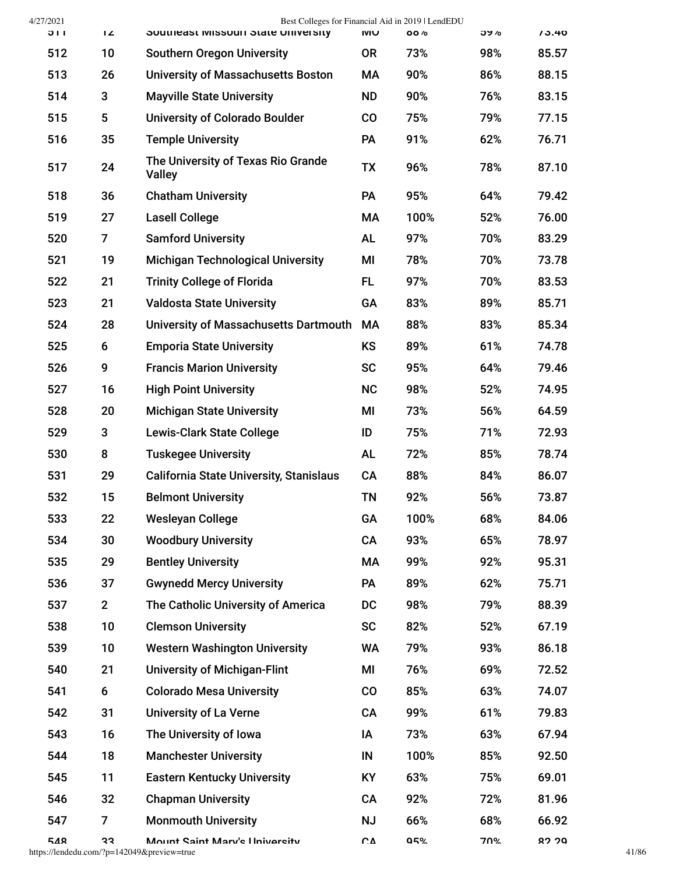| 4/27/2021 |                | Best Colleges for Financial Aid in 2019   LendEDU   |             |            |     |       |
|-----------|----------------|-----------------------------------------------------|-------------|------------|-----|-------|
| ווכ       | L              | Southeast MISSOUTI State University                 | <b>IVIU</b> | <b>88%</b> | つソん | 13.40 |
| 512       | 10             | <b>Southern Oregon University</b>                   | <b>OR</b>   | 73%        | 98% | 85.57 |
| 513       | 26             | <b>University of Massachusetts Boston</b>           | МA          | 90%        | 86% | 88.15 |
| 514       | 3              | <b>Mayville State University</b>                    | <b>ND</b>   | 90%        | 76% | 83.15 |
| 515       | 5              | <b>University of Colorado Boulder</b>               | CO          | 75%        | 79% | 77.15 |
| 516       | 35             | <b>Temple University</b>                            | PA          | 91%        | 62% | 76.71 |
| 517       | 24             | The University of Texas Rio Grande<br><b>Valley</b> | <b>TX</b>   | 96%        | 78% | 87.10 |
| 518       | 36             | <b>Chatham University</b>                           | PA          | 95%        | 64% | 79.42 |
| 519       | 27             | <b>Lasell College</b>                               | МA          | 100%       | 52% | 76.00 |
| 520       | $\overline{7}$ | <b>Samford University</b>                           | <b>AL</b>   | 97%        | 70% | 83.29 |
| 521       | 19             | <b>Michigan Technological University</b>            | MI          | 78%        | 70% | 73.78 |
| 522       | 21             | <b>Trinity College of Florida</b>                   | FL.         | 97%        | 70% | 83.53 |
| 523       | 21             | <b>Valdosta State University</b>                    | GA          | 83%        | 89% | 85.71 |
| 524       | 28             | University of Massachusetts Dartmouth               | MA          | 88%        | 83% | 85.34 |
| 525       | 6              | <b>Emporia State University</b>                     | <b>KS</b>   | 89%        | 61% | 74.78 |
| 526       | 9              | <b>Francis Marion University</b>                    | <b>SC</b>   | 95%        | 64% | 79.46 |
| 527       | 16             | <b>High Point University</b>                        | <b>NC</b>   | 98%        | 52% | 74.95 |
| 528       | 20             | <b>Michigan State University</b>                    | MI          | 73%        | 56% | 64.59 |
| 529       | 3              | <b>Lewis-Clark State College</b>                    | ID          | 75%        | 71% | 72.93 |
| 530       | 8              | <b>Tuskegee University</b>                          | <b>AL</b>   | 72%        | 85% | 78.74 |
| 531       | 29             | <b>California State University, Stanislaus</b>      | CA          | 88%        | 84% | 86.07 |
| 532       | 15             | <b>Belmont University</b>                           | <b>TN</b>   | 92%        | 56% | 73.87 |
| 533       | 22             | <b>Wesleyan College</b>                             | GA          | 100%       | 68% | 84.06 |
| 534       | 30             | <b>Woodbury University</b>                          | CA          | 93%        | 65% | 78.97 |
| 535       | 29             | <b>Bentley University</b>                           | МA          | 99%        | 92% | 95.31 |
| 536       | 37             | <b>Gwynedd Mercy University</b>                     | <b>PA</b>   | 89%        | 62% | 75.71 |
| 537       | $\mathbf{2}$   | The Catholic University of America                  | DC          | 98%        | 79% | 88.39 |
| 538       | 10             | <b>Clemson University</b>                           | <b>SC</b>   | 82%        | 52% | 67.19 |
| 539       | 10             | <b>Western Washington University</b>                | WA          | 79%        | 93% | 86.18 |
| 540       | 21             | <b>University of Michigan-Flint</b>                 | MI          | 76%        | 69% | 72.52 |
| 541       | 6              | <b>Colorado Mesa University</b>                     | $\rm{CO}$   | 85%        | 63% | 74.07 |
| 542       | 31             | <b>University of La Verne</b>                       | CA          | 99%        | 61% | 79.83 |
| 543       | 16             | The University of Iowa                              | ΙA          | 73%        | 63% | 67.94 |
| 544       | 18             | <b>Manchester University</b>                        | IN          | 100%       | 85% | 92.50 |
| 545       | 11             | <b>Eastern Kentucky University</b>                  | KY          | 63%        | 75% | 69.01 |
| 546       | 32             | <b>Chapman University</b>                           | CA          | 92%        | 72% | 81.96 |
| 547       | 7              | <b>Monmouth University</b>                          | <b>NJ</b>   | 66%        | 68% | 66.92 |
| 548       | 33             | Mount Saint Mary's Ilniversity                      | CΔ          | 95%        | 70% | 82.29 |

https://lendedu.com/?p=142049&preview=true 41/86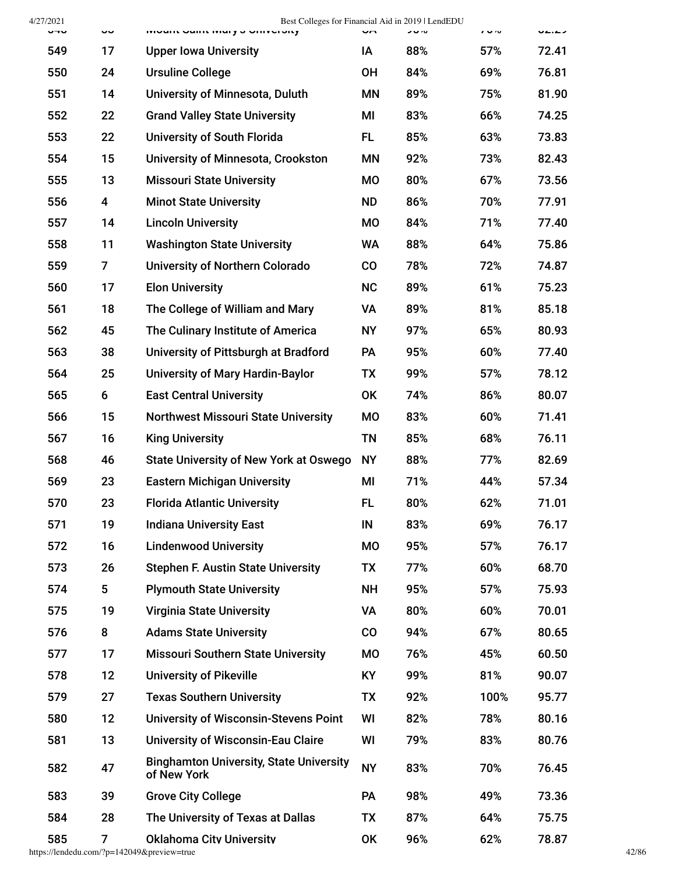4/27/2021 Best Colleges for Financial Aid in 2019 | LendEDU

| してい | ັບ             | <b>IVIOUITE OGITIE IVIGI YO OTHVEIOILY</b>                    | Un        | ショル | 1.90 | UL.LJ |
|-----|----------------|---------------------------------------------------------------|-----------|-----|------|-------|
| 549 | 17             | <b>Upper Iowa University</b>                                  | IA        | 88% | 57%  | 72.41 |
| 550 | 24             | <b>Ursuline College</b>                                       | <b>OH</b> | 84% | 69%  | 76.81 |
| 551 | 14             | University of Minnesota, Duluth                               | <b>MN</b> | 89% | 75%  | 81.90 |
| 552 | 22             | <b>Grand Valley State University</b>                          | MI        | 83% | 66%  | 74.25 |
| 553 | 22             | <b>University of South Florida</b>                            | FL.       | 85% | 63%  | 73.83 |
| 554 | 15             | <b>University of Minnesota, Crookston</b>                     | <b>MN</b> | 92% | 73%  | 82.43 |
| 555 | 13             | <b>Missouri State University</b>                              | <b>MO</b> | 80% | 67%  | 73.56 |
| 556 | 4              | <b>Minot State University</b>                                 | <b>ND</b> | 86% | 70%  | 77.91 |
| 557 | 14             | <b>Lincoln University</b>                                     | <b>MO</b> | 84% | 71%  | 77.40 |
| 558 | 11             | <b>Washington State University</b>                            | <b>WA</b> | 88% | 64%  | 75.86 |
| 559 | $\overline{7}$ | <b>University of Northern Colorado</b>                        | CO        | 78% | 72%  | 74.87 |
| 560 | 17             | <b>Elon University</b>                                        | <b>NC</b> | 89% | 61%  | 75.23 |
| 561 | 18             | The College of William and Mary                               | VA        | 89% | 81%  | 85.18 |
| 562 | 45             | The Culinary Institute of America                             | <b>NY</b> | 97% | 65%  | 80.93 |
| 563 | 38             | University of Pittsburgh at Bradford                          | <b>PA</b> | 95% | 60%  | 77.40 |
| 564 | 25             | <b>University of Mary Hardin-Baylor</b>                       | TX        | 99% | 57%  | 78.12 |
| 565 | 6              | <b>East Central University</b>                                | <b>OK</b> | 74% | 86%  | 80.07 |
| 566 | 15             | <b>Northwest Missouri State University</b>                    | <b>MO</b> | 83% | 60%  | 71.41 |
| 567 | 16             | <b>King University</b>                                        | <b>TN</b> | 85% | 68%  | 76.11 |
| 568 | 46             | <b>State University of New York at Oswego</b>                 | <b>NY</b> | 88% | 77%  | 82.69 |
| 569 | 23             | <b>Eastern Michigan University</b>                            | ΜI        | 71% | 44%  | 57.34 |
| 570 | 23             | <b>Florida Atlantic University</b>                            | FL        | 80% | 62%  | 71.01 |
| 571 | 19             | <b>Indiana University East</b>                                | IN        | 83% | 69%  | 76.17 |
| 572 | 16             | <b>Lindenwood University</b>                                  | <b>MO</b> | 95% | 57%  | 76.17 |
| 573 | 26             | <b>Stephen F. Austin State University</b>                     | TX        | 77% | 60%  | 68.70 |
| 574 | 5              | <b>Plymouth State University</b>                              | <b>NH</b> | 95% | 57%  | 75.93 |
| 575 | 19             | <b>Virginia State University</b>                              | VA        | 80% | 60%  | 70.01 |
| 576 | 8              | <b>Adams State University</b>                                 | CO        | 94% | 67%  | 80.65 |
| 577 | 17             | <b>Missouri Southern State University</b>                     | <b>MO</b> | 76% | 45%  | 60.50 |
| 578 | 12             | <b>University of Pikeville</b>                                | KY        | 99% | 81%  | 90.07 |
| 579 | 27             | <b>Texas Southern University</b>                              | <b>TX</b> | 92% | 100% | 95.77 |
| 580 | 12             | <b>University of Wisconsin-Stevens Point</b>                  | WI        | 82% | 78%  | 80.16 |
| 581 | 13             | <b>University of Wisconsin-Eau Claire</b>                     | WI        | 79% | 83%  | 80.76 |
| 582 | 47             | <b>Binghamton University, State University</b><br>of New York | <b>NY</b> | 83% | 70%  | 76.45 |
| 583 | 39             | <b>Grove City College</b>                                     | <b>PA</b> | 98% | 49%  | 73.36 |
| 584 | 28             | The University of Texas at Dallas                             | TX        | 87% | 64%  | 75.75 |
| 585 | 7              | <b>Oklahoma City University</b>                               | 0K        | 96% | 62%  | 78.87 |

https://lendedu.com/?p=142049&preview=true 42/86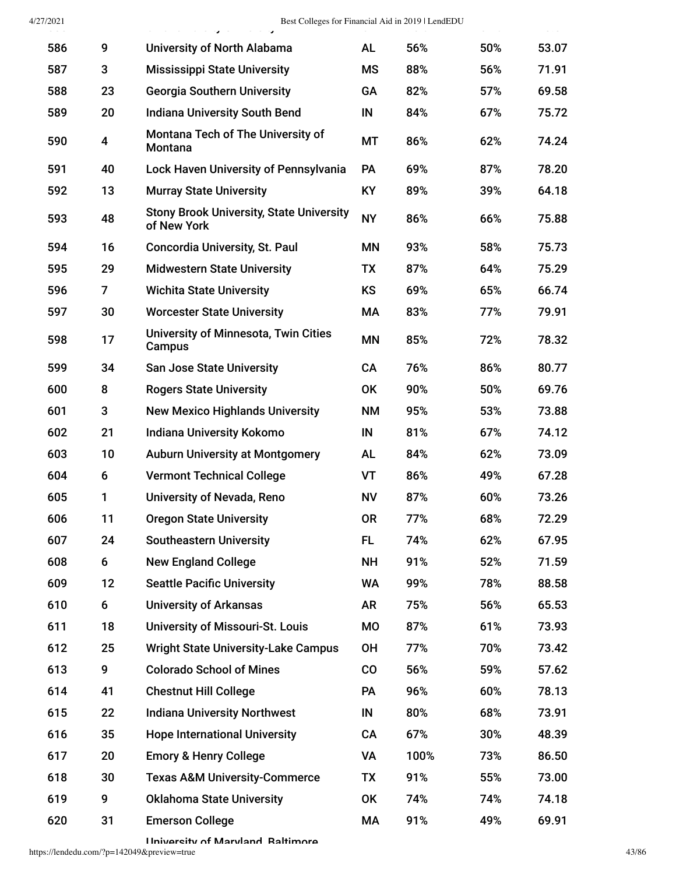| 586 | 9              | <b>University of North Alabama</b>                             | <b>AL</b> | 56%  | 50% | 53.07 |
|-----|----------------|----------------------------------------------------------------|-----------|------|-----|-------|
| 587 | 3              | <b>Mississippi State University</b>                            | <b>MS</b> | 88%  | 56% | 71.91 |
| 588 | 23             | <b>Georgia Southern University</b>                             | GA        | 82%  | 57% | 69.58 |
| 589 | 20             | <b>Indiana University South Bend</b>                           | IN        | 84%  | 67% | 75.72 |
| 590 | 4              | Montana Tech of The University of<br>Montana                   | MT        | 86%  | 62% | 74.24 |
| 591 | 40             | <b>Lock Haven University of Pennsylvania</b>                   | PA        | 69%  | 87% | 78.20 |
| 592 | 13             | <b>Murray State University</b>                                 | KY        | 89%  | 39% | 64.18 |
| 593 | 48             | <b>Stony Brook University, State University</b><br>of New York | <b>NY</b> | 86%  | 66% | 75.88 |
| 594 | 16             | <b>Concordia University, St. Paul</b>                          | <b>MN</b> | 93%  | 58% | 75.73 |
| 595 | 29             | <b>Midwestern State University</b>                             | TX        | 87%  | 64% | 75.29 |
| 596 | $\overline{7}$ | <b>Wichita State University</b>                                | KS        | 69%  | 65% | 66.74 |
| 597 | 30             | <b>Worcester State University</b>                              | МA        | 83%  | 77% | 79.91 |
| 598 | 17             | <b>University of Minnesota, Twin Cities</b><br>Campus          | <b>MN</b> | 85%  | 72% | 78.32 |
| 599 | 34             | <b>San Jose State University</b>                               | <b>CA</b> | 76%  | 86% | 80.77 |
| 600 | 8              | <b>Rogers State University</b>                                 | <b>OK</b> | 90%  | 50% | 69.76 |
| 601 | 3              | <b>New Mexico Highlands University</b>                         | <b>NM</b> | 95%  | 53% | 73.88 |
| 602 | 21             | Indiana University Kokomo                                      | IN        | 81%  | 67% | 74.12 |
| 603 | 10             | <b>Auburn University at Montgomery</b>                         | <b>AL</b> | 84%  | 62% | 73.09 |
| 604 | 6              | <b>Vermont Technical College</b>                               | VT        | 86%  | 49% | 67.28 |
| 605 | 1              | University of Nevada, Reno                                     | <b>NV</b> | 87%  | 60% | 73.26 |
| 606 | 11             | <b>Oregon State University</b>                                 | <b>OR</b> | 77%  | 68% | 72.29 |
| 607 | 24             | <b>Southeastern University</b>                                 | FL        | 74%  | 62% | 67.95 |
| 608 | 6              | <b>New England College</b>                                     | <b>NH</b> | 91%  | 52% | 71.59 |
| 609 | 12             | <b>Seattle Pacific University</b>                              | <b>WA</b> | 99%  | 78% | 88.58 |
| 610 | 6              | <b>University of Arkansas</b>                                  | AR        | 75%  | 56% | 65.53 |
| 611 | 18             | <b>University of Missouri-St. Louis</b>                        | <b>MO</b> | 87%  | 61% | 73.93 |
| 612 | 25             | <b>Wright State University-Lake Campus</b>                     | <b>OH</b> | 77%  | 70% | 73.42 |
| 613 | 9              | <b>Colorado School of Mines</b>                                | $\rm{CO}$ | 56%  | 59% | 57.62 |
| 614 | 41             | <b>Chestnut Hill College</b>                                   | <b>PA</b> | 96%  | 60% | 78.13 |
| 615 | 22             | <b>Indiana University Northwest</b>                            | $\sf IN$  | 80%  | 68% | 73.91 |
| 616 | 35             | <b>Hope International University</b>                           | CA        | 67%  | 30% | 48.39 |
| 617 | 20             | <b>Emory &amp; Henry College</b>                               | VA        | 100% | 73% | 86.50 |
| 618 | 30             | <b>Texas A&amp;M University-Commerce</b>                       | TX        | 91%  | 55% | 73.00 |
| 619 | 9              | <b>Oklahoma State University</b>                               | <b>OK</b> | 74%  | 74% | 74.18 |
| 620 | 31             | <b>Emerson College</b>                                         | МA        | 91%  | 49% | 69.91 |

University of Maryland Baltimore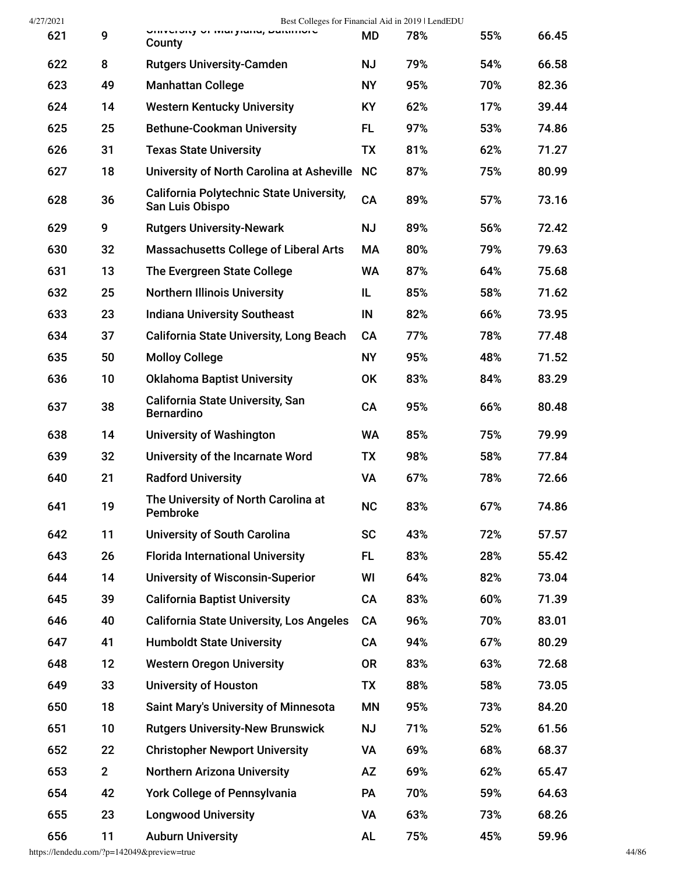| 4/27/2021 |              | Best Colleges for Financial Aid in 2019   LendEDU                  |           |     |     |       |
|-----------|--------------|--------------------------------------------------------------------|-----------|-----|-----|-------|
| 621       | 9            | University Of Ividi Jidilu, Daluniole<br>County                    | MD        | 78% | 55% | 66.45 |
| 622       | 8            | <b>Rutgers University-Camden</b>                                   | <b>NJ</b> | 79% | 54% | 66.58 |
| 623       | 49           | <b>Manhattan College</b>                                           | <b>NY</b> | 95% | 70% | 82.36 |
| 624       | 14           | <b>Western Kentucky University</b>                                 | <b>KY</b> | 62% | 17% | 39.44 |
| 625       | 25           | <b>Bethune-Cookman University</b>                                  | <b>FL</b> | 97% | 53% | 74.86 |
| 626       | 31           | <b>Texas State University</b>                                      | <b>TX</b> | 81% | 62% | 71.27 |
| 627       | 18           | University of North Carolina at Asheville                          | <b>NC</b> | 87% | 75% | 80.99 |
| 628       | 36           | <b>California Polytechnic State University,</b><br>San Luis Obispo | CA        | 89% | 57% | 73.16 |
| 629       | 9            | <b>Rutgers University-Newark</b>                                   | <b>NJ</b> | 89% | 56% | 72.42 |
| 630       | 32           | <b>Massachusetts College of Liberal Arts</b>                       | MA        | 80% | 79% | 79.63 |
| 631       | 13           | The Evergreen State College                                        | <b>WA</b> | 87% | 64% | 75.68 |
| 632       | 25           | <b>Northern Illinois University</b>                                | IL        | 85% | 58% | 71.62 |
| 633       | 23           | <b>Indiana University Southeast</b>                                | IN        | 82% | 66% | 73.95 |
| 634       | 37           | <b>California State University, Long Beach</b>                     | <b>CA</b> | 77% | 78% | 77.48 |
| 635       | 50           | <b>Molloy College</b>                                              | <b>NY</b> | 95% | 48% | 71.52 |
| 636       | 10           | <b>Oklahoma Baptist University</b>                                 | <b>OK</b> | 83% | 84% | 83.29 |
| 637       | 38           | <b>California State University, San</b><br><b>Bernardino</b>       | CA        | 95% | 66% | 80.48 |
| 638       | 14           | <b>University of Washington</b>                                    | <b>WA</b> | 85% | 75% | 79.99 |
| 639       | 32           | University of the Incarnate Word                                   | TX        | 98% | 58% | 77.84 |
| 640       | 21           | <b>Radford University</b>                                          | <b>VA</b> | 67% | 78% | 72.66 |
| 641       | 19           | The University of North Carolina at<br>Pembroke                    | <b>NC</b> | 83% | 67% | 74.86 |
| 642       | 11           | <b>University of South Carolina</b>                                | <b>SC</b> | 43% | 72% | 57.57 |
| 643       | 26           | <b>Florida International University</b>                            | FL.       | 83% | 28% | 55.42 |
| 644       | 14           | <b>University of Wisconsin-Superior</b>                            | WI        | 64% | 82% | 73.04 |
| 645       | 39           | <b>California Baptist University</b>                               | <b>CA</b> | 83% | 60% | 71.39 |
| 646       | 40           | <b>California State University, Los Angeles</b>                    | <b>CA</b> | 96% | 70% | 83.01 |
| 647       | 41           | <b>Humboldt State University</b>                                   | <b>CA</b> | 94% | 67% | 80.29 |
| 648       | 12           | <b>Western Oregon University</b>                                   | <b>OR</b> | 83% | 63% | 72.68 |
| 649       | 33           | <b>University of Houston</b>                                       | TX        | 88% | 58% | 73.05 |
| 650       | 18           | <b>Saint Mary's University of Minnesota</b>                        | <b>MN</b> | 95% | 73% | 84.20 |
| 651       | 10           | <b>Rutgers University-New Brunswick</b>                            | <b>NJ</b> | 71% | 52% | 61.56 |
| 652       | 22           | <b>Christopher Newport University</b>                              | VA        | 69% | 68% | 68.37 |
| 653       | $\mathbf{2}$ | <b>Northern Arizona University</b>                                 | AZ        | 69% | 62% | 65.47 |
| 654       | 42           | <b>York College of Pennsylvania</b>                                | <b>PA</b> | 70% | 59% | 64.63 |
| 655       | 23           | <b>Longwood University</b>                                         | <b>VA</b> | 63% | 73% | 68.26 |
| 656       | 11           | <b>Auburn University</b>                                           | <b>AL</b> | 75% | 45% | 59.96 |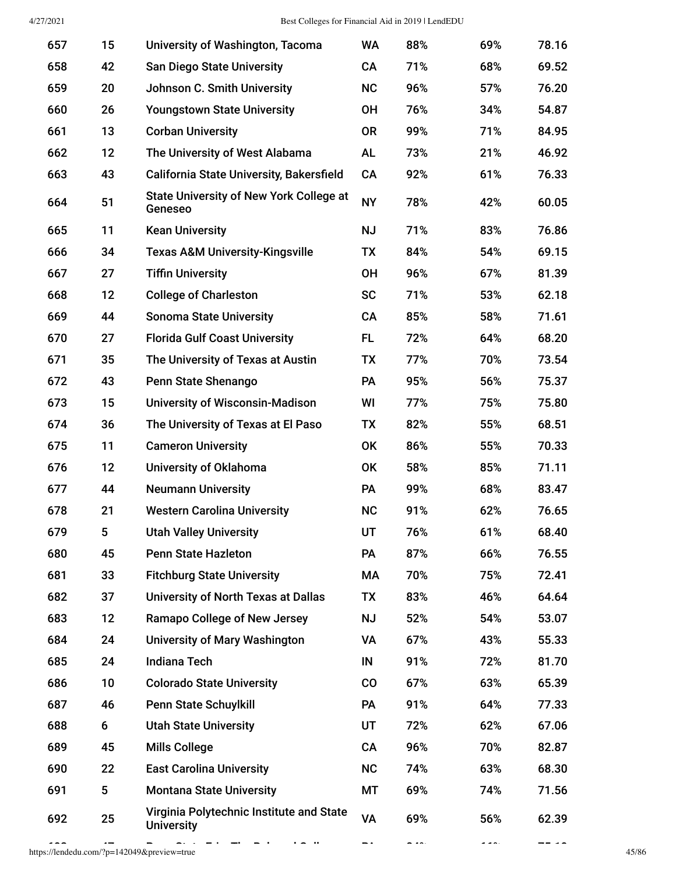| 657 | 15 | University of Washington, Tacoma                              | <b>WA</b> | 88% | 69% | 78.16 |
|-----|----|---------------------------------------------------------------|-----------|-----|-----|-------|
| 658 | 42 | <b>San Diego State University</b>                             | CA        | 71% | 68% | 69.52 |
| 659 | 20 | Johnson C. Smith University                                   | <b>NC</b> | 96% | 57% | 76.20 |
| 660 | 26 | <b>Youngstown State University</b>                            | <b>OH</b> | 76% | 34% | 54.87 |
| 661 | 13 | <b>Corban University</b>                                      | <b>OR</b> | 99% | 71% | 84.95 |
| 662 | 12 | The University of West Alabama                                | <b>AL</b> | 73% | 21% | 46.92 |
| 663 | 43 | <b>California State University, Bakersfield</b>               | CA        | 92% | 61% | 76.33 |
| 664 | 51 | <b>State University of New York College at</b><br>Geneseo     | <b>NY</b> | 78% | 42% | 60.05 |
| 665 | 11 | <b>Kean University</b>                                        | <b>NJ</b> | 71% | 83% | 76.86 |
| 666 | 34 | <b>Texas A&amp;M University-Kingsville</b>                    | TX        | 84% | 54% | 69.15 |
| 667 | 27 | <b>Tiffin University</b>                                      | <b>OH</b> | 96% | 67% | 81.39 |
| 668 | 12 | <b>College of Charleston</b>                                  | <b>SC</b> | 71% | 53% | 62.18 |
| 669 | 44 | <b>Sonoma State University</b>                                | CA        | 85% | 58% | 71.61 |
| 670 | 27 | <b>Florida Gulf Coast University</b>                          | FL.       | 72% | 64% | 68.20 |
| 671 | 35 | The University of Texas at Austin                             | TX        | 77% | 70% | 73.54 |
| 672 | 43 | Penn State Shenango                                           | <b>PA</b> | 95% | 56% | 75.37 |
| 673 | 15 | <b>University of Wisconsin-Madison</b>                        | WI        | 77% | 75% | 75.80 |
| 674 | 36 | The University of Texas at El Paso                            | TX        | 82% | 55% | 68.51 |
| 675 | 11 | <b>Cameron University</b>                                     | <b>OK</b> | 86% | 55% | 70.33 |
| 676 | 12 | <b>University of Oklahoma</b>                                 | 0K        | 58% | 85% | 71.11 |
| 677 | 44 | <b>Neumann University</b>                                     | <b>PA</b> | 99% | 68% | 83.47 |
| 678 | 21 | <b>Western Carolina University</b>                            | <b>NC</b> | 91% | 62% | 76.65 |
| 679 | 5  | <b>Utah Valley University</b>                                 | UT        | 76% | 61% | 68.40 |
| 680 | 45 | <b>Penn State Hazleton</b>                                    | <b>PA</b> | 87% | 66% | 76.55 |
| 681 | 33 | <b>Fitchburg State University</b>                             | МA        | 70% | 75% | 72.41 |
| 682 | 37 | <b>University of North Texas at Dallas</b>                    | <b>TX</b> | 83% | 46% | 64.64 |
| 683 | 12 | <b>Ramapo College of New Jersey</b>                           | <b>NJ</b> | 52% | 54% | 53.07 |
| 684 | 24 | <b>University of Mary Washington</b>                          | <b>VA</b> | 67% | 43% | 55.33 |
| 685 | 24 | <b>Indiana Tech</b>                                           | IN        | 91% | 72% | 81.70 |
| 686 | 10 | <b>Colorado State University</b>                              | CO        | 67% | 63% | 65.39 |
| 687 | 46 | <b>Penn State Schuylkill</b>                                  | <b>PA</b> | 91% | 64% | 77.33 |
| 688 | 6  | <b>Utah State University</b>                                  | UT        | 72% | 62% | 67.06 |
| 689 | 45 | <b>Mills College</b>                                          | CA        | 96% | 70% | 82.87 |
| 690 | 22 | <b>East Carolina University</b>                               | <b>NC</b> | 74% | 63% | 68.30 |
| 691 | 5  | <b>Montana State University</b>                               | MT        | 69% | 74% | 71.56 |
| 692 | 25 | Virginia Polytechnic Institute and State<br><b>University</b> | <b>VA</b> | 69% | 56% | 62.39 |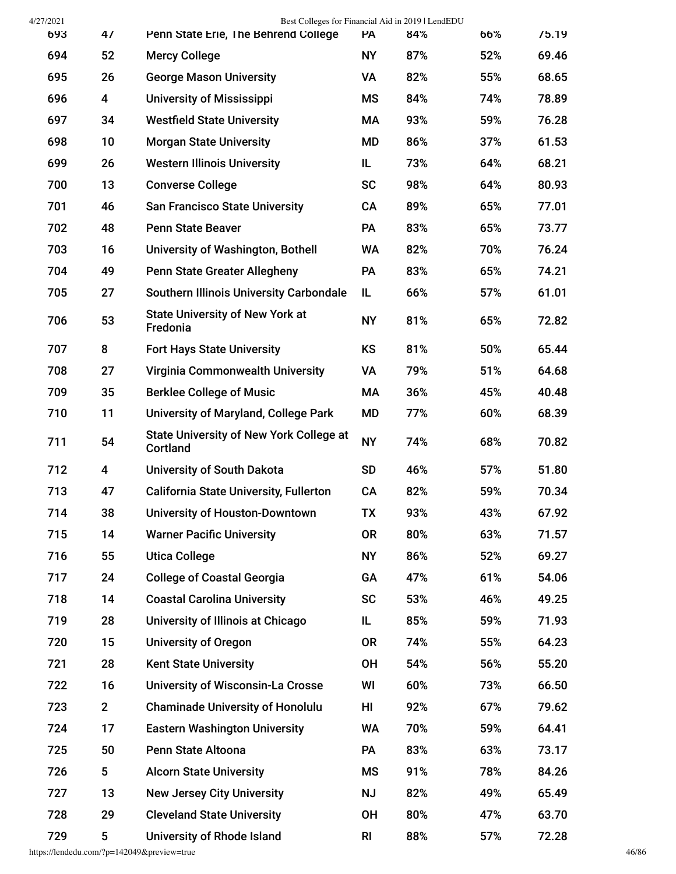| 4/27/2021 |             | Best Colleges for Financial Aid in 2019   LendEDU          |                |     |     |       |
|-----------|-------------|------------------------------------------------------------|----------------|-----|-----|-------|
| 693       | 47          | Penn State Erie, The Behrend College                       | PA             | 84% | 66% | 75.19 |
| 694       | 52          | <b>Mercy College</b>                                       | <b>NY</b>      | 87% | 52% | 69.46 |
| 695       | 26          | <b>George Mason University</b>                             | VA             | 82% | 55% | 68.65 |
| 696       | 4           | <b>University of Mississippi</b>                           | <b>MS</b>      | 84% | 74% | 78.89 |
| 697       | 34          | <b>Westfield State University</b>                          | МA             | 93% | 59% | 76.28 |
| 698       | 10          | <b>Morgan State University</b>                             | MD             | 86% | 37% | 61.53 |
| 699       | 26          | <b>Western Illinois University</b>                         | IL             | 73% | 64% | 68.21 |
| 700       | 13          | <b>Converse College</b>                                    | <b>SC</b>      | 98% | 64% | 80.93 |
| 701       | 46          | <b>San Francisco State University</b>                      | <b>CA</b>      | 89% | 65% | 77.01 |
| 702       | 48          | <b>Penn State Beaver</b>                                   | <b>PA</b>      | 83% | 65% | 73.77 |
| 703       | 16          | University of Washington, Bothell                          | WA             | 82% | 70% | 76.24 |
| 704       | 49          | <b>Penn State Greater Allegheny</b>                        | <b>PA</b>      | 83% | 65% | 74.21 |
| 705       | 27          | <b>Southern Illinois University Carbondale</b>             | IL             | 66% | 57% | 61.01 |
| 706       | 53          | <b>State University of New York at</b><br>Fredonia         | <b>NY</b>      | 81% | 65% | 72.82 |
| 707       | 8           | <b>Fort Hays State University</b>                          | <b>KS</b>      | 81% | 50% | 65.44 |
| 708       | 27          | <b>Virginia Commonwealth University</b>                    | <b>VA</b>      | 79% | 51% | 64.68 |
| 709       | 35          | <b>Berklee College of Music</b>                            | МA             | 36% | 45% | 40.48 |
| 710       | 11          | <b>University of Maryland, College Park</b>                | MD             | 77% | 60% | 68.39 |
| 711       | 54          | <b>State University of New York College at</b><br>Cortland | <b>NY</b>      | 74% | 68% | 70.82 |
| 712       | 4           | <b>University of South Dakota</b>                          | <b>SD</b>      | 46% | 57% | 51.80 |
| 713       | 47          | <b>California State University, Fullerton</b>              | CA             | 82% | 59% | 70.34 |
| 714       | 38          | <b>University of Houston-Downtown</b>                      | TX             | 93% | 43% | 67.92 |
| 715       | 14          | <b>Warner Pacific University</b>                           | <b>OR</b>      | 80% | 63% | 71.57 |
| 716       | 55          | <b>Utica College</b>                                       | <b>NY</b>      | 86% | 52% | 69.27 |
| 717       | 24          | <b>College of Coastal Georgia</b>                          | GA             | 47% | 61% | 54.06 |
| 718       | 14          | <b>Coastal Carolina University</b>                         | <b>SC</b>      | 53% | 46% | 49.25 |
| 719       | 28          | University of Illinois at Chicago                          | IL             | 85% | 59% | 71.93 |
| 720       | 15          | <b>University of Oregon</b>                                | <b>OR</b>      | 74% | 55% | 64.23 |
| 721       | 28          | <b>Kent State University</b>                               | <b>OH</b>      | 54% | 56% | 55.20 |
| 722       | 16          | <b>University of Wisconsin-La Crosse</b>                   | WI             | 60% | 73% | 66.50 |
| 723       | $2^{\circ}$ | <b>Chaminade University of Honolulu</b>                    | HI             | 92% | 67% | 79.62 |
| 724       | 17          | <b>Eastern Washington University</b>                       | <b>WA</b>      | 70% | 59% | 64.41 |
| 725       | 50          | Penn State Altoona                                         | <b>PA</b>      | 83% | 63% | 73.17 |
| 726       | 5           | <b>Alcorn State University</b>                             | MS             | 91% | 78% | 84.26 |
| 727       | 13          | <b>New Jersey City University</b>                          | <b>NJ</b>      | 82% | 49% | 65.49 |
| 728       | 29          | <b>Cleveland State University</b>                          | <b>OH</b>      | 80% | 47% | 63.70 |
| 729       | 5           | University of Rhode Island                                 | R <sub>l</sub> | 88% | 57% | 72.28 |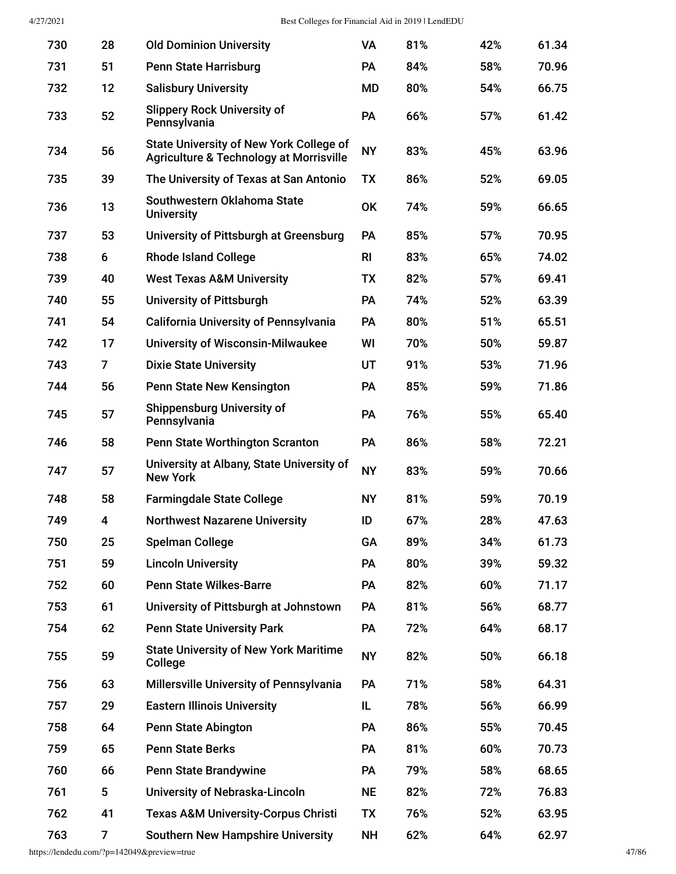| 730 | 28 | <b>Old Dominion University</b>                                                            | <b>VA</b>      | 81% | 42% | 61.34 |
|-----|----|-------------------------------------------------------------------------------------------|----------------|-----|-----|-------|
| 731 | 51 | <b>Penn State Harrisburg</b>                                                              | PA             | 84% | 58% | 70.96 |
| 732 | 12 | <b>Salisbury University</b>                                                               | <b>MD</b>      | 80% | 54% | 66.75 |
| 733 | 52 | <b>Slippery Rock University of</b><br>Pennsylvania                                        | PA             | 66% | 57% | 61.42 |
| 734 | 56 | <b>State University of New York College of</b><br>Agriculture & Technology at Morrisville | <b>NY</b>      | 83% | 45% | 63.96 |
| 735 | 39 | The University of Texas at San Antonio                                                    | <b>TX</b>      | 86% | 52% | 69.05 |
| 736 | 13 | Southwestern Oklahoma State<br><b>University</b>                                          | <b>OK</b>      | 74% | 59% | 66.65 |
| 737 | 53 | University of Pittsburgh at Greensburg                                                    | <b>PA</b>      | 85% | 57% | 70.95 |
| 738 | 6  | <b>Rhode Island College</b>                                                               | R <sub>l</sub> | 83% | 65% | 74.02 |
| 739 | 40 | <b>West Texas A&amp;M University</b>                                                      | <b>TX</b>      | 82% | 57% | 69.41 |
| 740 | 55 | <b>University of Pittsburgh</b>                                                           | <b>PA</b>      | 74% | 52% | 63.39 |
| 741 | 54 | <b>California University of Pennsylvania</b>                                              | PA             | 80% | 51% | 65.51 |
| 742 | 17 | <b>University of Wisconsin-Milwaukee</b>                                                  | WI             | 70% | 50% | 59.87 |
| 743 | 7  | <b>Dixie State University</b>                                                             | UT             | 91% | 53% | 71.96 |
| 744 | 56 | Penn State New Kensington                                                                 | PA             | 85% | 59% | 71.86 |
| 745 | 57 | <b>Shippensburg University of</b><br>Pennsylvania                                         | PA             | 76% | 55% | 65.40 |
| 746 | 58 | <b>Penn State Worthington Scranton</b>                                                    | <b>PA</b>      | 86% | 58% | 72.21 |
| 747 | 57 | University at Albany, State University of<br><b>New York</b>                              | <b>NY</b>      | 83% | 59% | 70.66 |
| 748 | 58 | <b>Farmingdale State College</b>                                                          | <b>NY</b>      | 81% | 59% | 70.19 |
| 749 | 4  | <b>Northwest Nazarene University</b>                                                      | ID             | 67% | 28% | 47.63 |
| 750 | 25 | <b>Spelman College</b>                                                                    | GA             | 89% | 34% | 61.73 |
| 751 | 59 | <b>Lincoln University</b>                                                                 | PA             | 80% | 39% | 59.32 |
| 752 | 60 | <b>Penn State Wilkes-Barre</b>                                                            | <b>PA</b>      | 82% | 60% | 71.17 |
| 753 | 61 | University of Pittsburgh at Johnstown                                                     | <b>PA</b>      | 81% | 56% | 68.77 |
| 754 | 62 | <b>Penn State University Park</b>                                                         | <b>PA</b>      | 72% | 64% | 68.17 |
| 755 | 59 | <b>State University of New York Maritime</b><br>College                                   | <b>NY</b>      | 82% | 50% | 66.18 |
| 756 | 63 | Millersville University of Pennsylvania                                                   | <b>PA</b>      | 71% | 58% | 64.31 |
| 757 | 29 | <b>Eastern Illinois University</b>                                                        | IL             | 78% | 56% | 66.99 |
| 758 | 64 | <b>Penn State Abington</b>                                                                | <b>PA</b>      | 86% | 55% | 70.45 |
| 759 | 65 | <b>Penn State Berks</b>                                                                   | PA             | 81% | 60% | 70.73 |
| 760 | 66 | <b>Penn State Brandywine</b>                                                              | <b>PA</b>      | 79% | 58% | 68.65 |
| 761 | 5  | University of Nebraska-Lincoln                                                            | <b>NE</b>      | 82% | 72% | 76.83 |
| 762 | 41 | <b>Texas A&amp;M University-Corpus Christi</b>                                            | TX             | 76% | 52% | 63.95 |
| 763 | 7  | <b>Southern New Hampshire University</b>                                                  | <b>NH</b>      | 62% | 64% | 62.97 |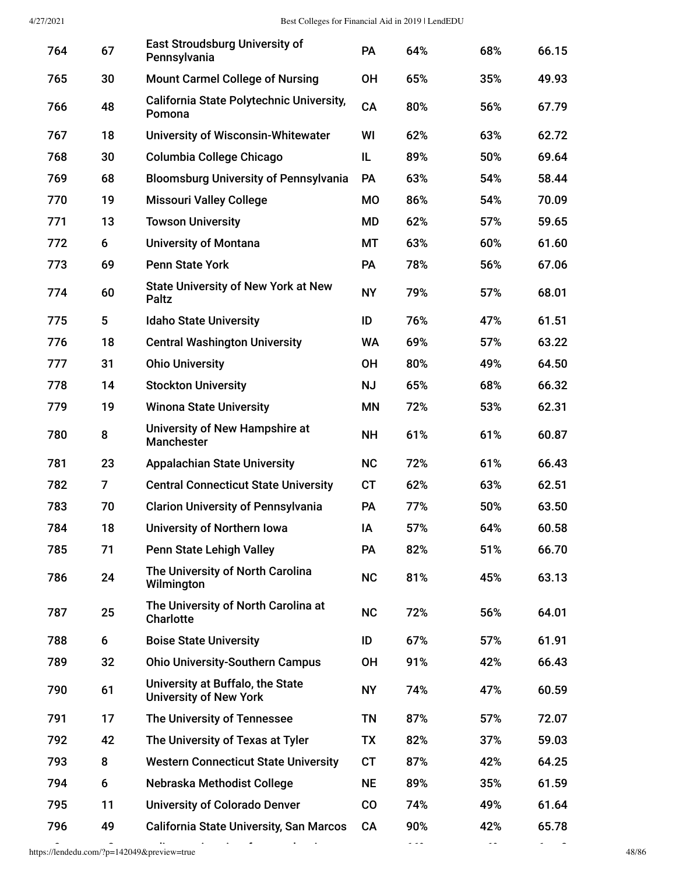| 764 | 67             | <b>East Stroudsburg University of</b><br>Pennsylvania             | PA        | 64% | 68% | 66.15 |
|-----|----------------|-------------------------------------------------------------------|-----------|-----|-----|-------|
| 765 | 30             | <b>Mount Carmel College of Nursing</b>                            | <b>OH</b> | 65% | 35% | 49.93 |
| 766 | 48             | California State Polytechnic University,<br>Pomona                | CA        | 80% | 56% | 67.79 |
| 767 | 18             | <b>University of Wisconsin-Whitewater</b>                         | WI        | 62% | 63% | 62.72 |
| 768 | 30             | Columbia College Chicago                                          | IL        | 89% | 50% | 69.64 |
| 769 | 68             | <b>Bloomsburg University of Pennsylvania</b>                      | PA        | 63% | 54% | 58.44 |
| 770 | 19             | <b>Missouri Valley College</b>                                    | <b>MO</b> | 86% | 54% | 70.09 |
| 771 | 13             | <b>Towson University</b>                                          | <b>MD</b> | 62% | 57% | 59.65 |
| 772 | 6              | <b>University of Montana</b>                                      | MT        | 63% | 60% | 61.60 |
| 773 | 69             | <b>Penn State York</b>                                            | PA        | 78% | 56% | 67.06 |
| 774 | 60             | <b>State University of New York at New</b><br>Paltz               | <b>NY</b> | 79% | 57% | 68.01 |
| 775 | 5              | <b>Idaho State University</b>                                     | ID        | 76% | 47% | 61.51 |
| 776 | 18             | <b>Central Washington University</b>                              | <b>WA</b> | 69% | 57% | 63.22 |
| 777 | 31             | <b>Ohio University</b>                                            | <b>OH</b> | 80% | 49% | 64.50 |
| 778 | 14             | <b>Stockton University</b>                                        | <b>NJ</b> | 65% | 68% | 66.32 |
| 779 | 19             | <b>Winona State University</b>                                    | <b>MN</b> | 72% | 53% | 62.31 |
| 780 | 8              | University of New Hampshire at<br><b>Manchester</b>               | <b>NH</b> | 61% | 61% | 60.87 |
| 781 | 23             | <b>Appalachian State University</b>                               | <b>NC</b> | 72% | 61% | 66.43 |
| 782 | $\overline{7}$ | <b>Central Connecticut State University</b>                       | <b>CT</b> | 62% | 63% | 62.51 |
| 783 | 70             | <b>Clarion University of Pennsylvania</b>                         | PA        | 77% | 50% | 63.50 |
| 784 | 18             | <b>University of Northern Iowa</b>                                | IA        | 57% | 64% | 60.58 |
| 785 | 71             | <b>Penn State Lehigh Valley</b>                                   | PA        | 82% | 51% | 66.70 |
| 786 | 24             | The University of North Carolina<br>Wilmington                    | <b>NC</b> | 81% | 45% | 63.13 |
| 787 | 25             | The University of North Carolina at<br><b>Charlotte</b>           | <b>NC</b> | 72% | 56% | 64.01 |
| 788 | 6              | <b>Boise State University</b>                                     | ID        | 67% | 57% | 61.91 |
| 789 | 32             | <b>Ohio University-Southern Campus</b>                            | <b>OH</b> | 91% | 42% | 66.43 |
| 790 | 61             | University at Buffalo, the State<br><b>University of New York</b> | <b>NY</b> | 74% | 47% | 60.59 |
| 791 | 17             | The University of Tennessee                                       | <b>TN</b> | 87% | 57% | 72.07 |
| 792 | 42             | The University of Texas at Tyler                                  | <b>TX</b> | 82% | 37% | 59.03 |
| 793 | 8              | <b>Western Connecticut State University</b>                       | <b>CT</b> | 87% | 42% | 64.25 |
| 794 | 6              | Nebraska Methodist College                                        | <b>NE</b> | 89% | 35% | 61.59 |
| 795 | 11             | <b>University of Colorado Denver</b>                              | co        | 74% | 49% | 61.64 |
| 796 | 49             | <b>California State University, San Marcos</b>                    | <b>CA</b> | 90% | 42% | 65.78 |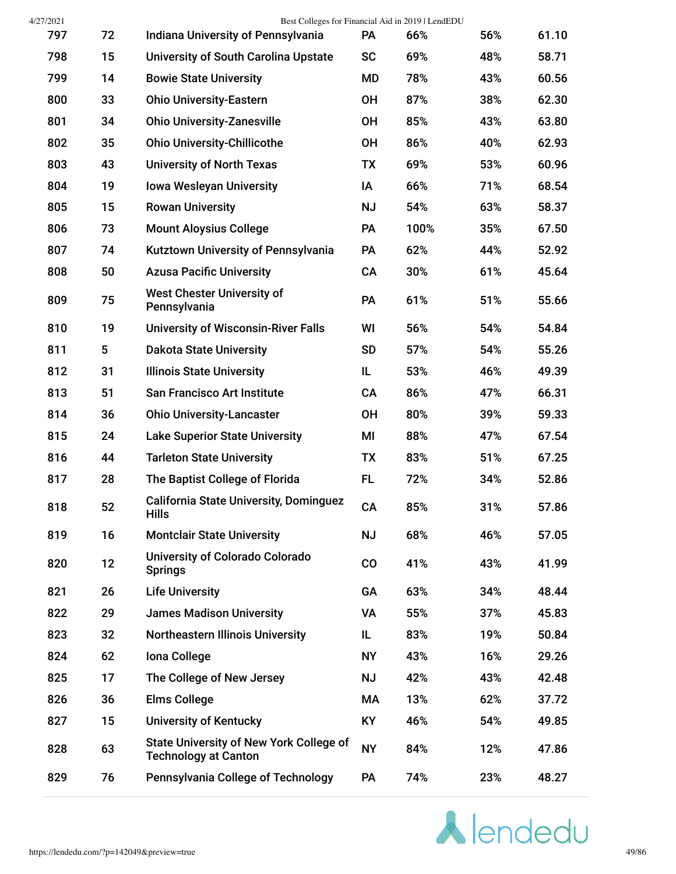| 4/27/2021 |    | Best Colleges for Financial Aid in 2019   LendEDU                             |           |      |     |       |
|-----------|----|-------------------------------------------------------------------------------|-----------|------|-----|-------|
| 797       | 72 | Indiana University of Pennsylvania                                            | PA        | 66%  | 56% | 61.10 |
| 798       | 15 | <b>University of South Carolina Upstate</b>                                   | <b>SC</b> | 69%  | 48% | 58.71 |
| 799       | 14 | <b>Bowie State University</b>                                                 | MD        | 78%  | 43% | 60.56 |
| 800       | 33 | <b>Ohio University-Eastern</b>                                                | <b>OH</b> | 87%  | 38% | 62.30 |
| 801       | 34 | <b>Ohio University-Zanesville</b>                                             | <b>OH</b> | 85%  | 43% | 63.80 |
| 802       | 35 | <b>Ohio University-Chillicothe</b>                                            | <b>OH</b> | 86%  | 40% | 62.93 |
| 803       | 43 | <b>University of North Texas</b>                                              | <b>TX</b> | 69%  | 53% | 60.96 |
| 804       | 19 | <b>Iowa Wesleyan University</b>                                               | IA        | 66%  | 71% | 68.54 |
| 805       | 15 | <b>Rowan University</b>                                                       | <b>NJ</b> | 54%  | 63% | 58.37 |
| 806       | 73 | <b>Mount Aloysius College</b>                                                 | PA        | 100% | 35% | 67.50 |
| 807       | 74 | Kutztown University of Pennsylvania                                           | PA        | 62%  | 44% | 52.92 |
| 808       | 50 | <b>Azusa Pacific University</b>                                               | CA        | 30%  | 61% | 45.64 |
| 809       | 75 | <b>West Chester University of</b><br>Pennsylvania                             | PA        | 61%  | 51% | 55.66 |
| 810       | 19 | <b>University of Wisconsin-River Falls</b>                                    | WI        | 56%  | 54% | 54.84 |
| 811       | 5  | <b>Dakota State University</b>                                                | <b>SD</b> | 57%  | 54% | 55.26 |
| 812       | 31 | <b>Illinois State University</b>                                              | IL        | 53%  | 46% | 49.39 |
| 813       | 51 | <b>San Francisco Art Institute</b>                                            | CA        | 86%  | 47% | 66.31 |
| 814       | 36 | <b>Ohio University-Lancaster</b>                                              | <b>OH</b> | 80%  | 39% | 59.33 |
| 815       | 24 | <b>Lake Superior State University</b>                                         | MI        | 88%  | 47% | 67.54 |
| 816       | 44 | <b>Tarleton State University</b>                                              | <b>TX</b> | 83%  | 51% | 67.25 |
| 817       | 28 | The Baptist College of Florida                                                | FL.       | 72%  | 34% | 52.86 |
| 818       | 52 | <b>California State University, Dominguez</b><br><b>Hills</b>                 | CA        | 85%  | 31% | 57.86 |
| 819       | 16 | <b>Montclair State University</b>                                             | <b>NJ</b> | 68%  | 46% | 57.05 |
| 820       | 12 | University of Colorado Colorado<br><b>Springs</b>                             | CO        | 41%  | 43% | 41.99 |
| 821       | 26 | <b>Life University</b>                                                        | GA        | 63%  | 34% | 48.44 |
| 822       | 29 | <b>James Madison University</b>                                               | VA        | 55%  | 37% | 45.83 |
| 823       | 32 | <b>Northeastern Illinois University</b>                                       | IL        | 83%  | 19% | 50.84 |
| 824       | 62 | Iona College                                                                  | <b>NY</b> | 43%  | 16% | 29.26 |
| 825       | 17 | The College of New Jersey                                                     | <b>NJ</b> | 42%  | 43% | 42.48 |
| 826       | 36 | <b>Elms College</b>                                                           | МA        | 13%  | 62% | 37.72 |
| 827       | 15 | <b>University of Kentucky</b>                                                 | KY        | 46%  | 54% | 49.85 |
| 828       | 63 | <b>State University of New York College of</b><br><b>Technology at Canton</b> | <b>NY</b> | 84%  | 12% | 47.86 |
| 829       | 76 | Pennsylvania College of Technology                                            | <b>PA</b> | 74%  | 23% | 48.27 |
|           |    |                                                                               |           |      |     |       |

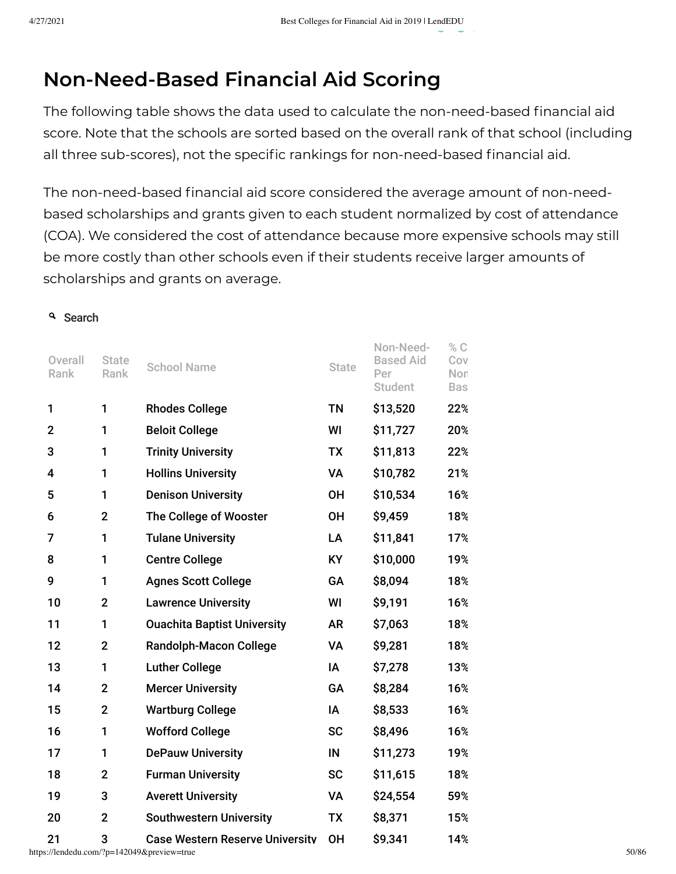## **Non-Need-Based Financial Aid Scoring**

The following table shows the data used to calculate the non-need-based financial aid score. Note that the schools are sorted based on the overall rank of that school (including all three sub-scores), not the specific rankings for non-need-based financial aid.

The non-need-based financial aid score considered the average amount of non-needbased scholarships and grants given to each student normalized by cost of attendance (COA). We considered the cost of attendance because more expensive schools may still be more costly than other schools even if their students receive larger amounts of scholarships and grants on average.

## <sup>Q</sup> Search

| Overall<br>Rank | <b>State</b><br>Rank | <b>School Name</b>                     | <b>State</b> | Non-Need-<br><b>Based Aid</b><br>Per<br>Student | % C<br>Cov<br>Non<br><b>Bas</b> |
|-----------------|----------------------|----------------------------------------|--------------|-------------------------------------------------|---------------------------------|
| 1               | 1                    | <b>Rhodes College</b>                  | <b>TN</b>    | \$13,520                                        | 22%                             |
| $\overline{2}$  | 1                    | <b>Beloit College</b>                  | WI           | \$11,727                                        | 20%                             |
| 3               | 1                    | <b>Trinity University</b>              | <b>TX</b>    | \$11,813                                        | 22%                             |
| 4               | 1                    | <b>Hollins University</b>              | VA           | \$10,782                                        | 21%                             |
| 5               | 1                    | <b>Denison University</b>              | <b>OH</b>    | \$10,534                                        | 16%                             |
| 6               | $\mathbf{2}$         | The College of Wooster                 | <b>OH</b>    | \$9,459                                         | 18%                             |
| 7               | 1                    | <b>Tulane University</b>               | LA           | \$11,841                                        | 17%                             |
| 8               | 1                    | <b>Centre College</b>                  | <b>KY</b>    | \$10,000                                        | 19%                             |
| 9               | 1                    | <b>Agnes Scott College</b>             | GA           | \$8,094                                         | 18%                             |
| 10              | $\mathbf 2$          | <b>Lawrence University</b>             | WI           | \$9,191                                         | 16%                             |
| 11              | 1                    | <b>Ouachita Baptist University</b>     | <b>AR</b>    | \$7,063                                         | 18%                             |
| 12              | $\overline{2}$       | <b>Randolph-Macon College</b>          | <b>VA</b>    | \$9,281                                         | 18%                             |
| 13              | 1                    | <b>Luther College</b>                  | IA           | \$7,278                                         | 13%                             |
| 14              | $\overline{2}$       | <b>Mercer University</b>               | GA           | \$8,284                                         | 16%                             |
| 15              | $\overline{2}$       | <b>Wartburg College</b>                | IA           | \$8,533                                         | 16%                             |
| 16              | 1                    | <b>Wofford College</b>                 | <b>SC</b>    | \$8,496                                         | 16%                             |
| 17              | 1                    | <b>DePauw University</b>               | IN           | \$11,273                                        | 19%                             |
| 18              | $\mathbf 2$          | <b>Furman University</b>               | <b>SC</b>    | \$11,615                                        | 18%                             |
| 19              | 3                    | <b>Averett University</b>              | VA           | \$24,554                                        | 59%                             |
| 20              | $\overline{2}$       | <b>Southwestern University</b>         | <b>TX</b>    | \$8,371                                         | 15%                             |
| 21              | 3                    | <b>Case Western Reserve University</b> | <b>OH</b>    | \$9.341                                         | 14%                             |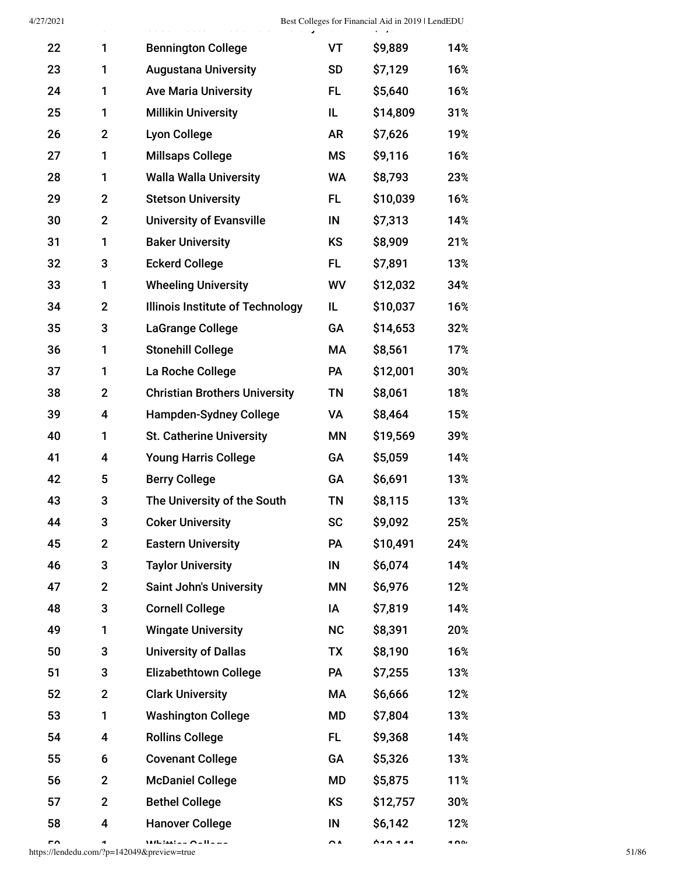| 4/27/2021 |                |                                         |           | Best Colleges for Financial Aid in 2019   LendEDU |     |
|-----------|----------------|-----------------------------------------|-----------|---------------------------------------------------|-----|
| 22        | 1              | <b>Bennington College</b>               | VT        | \$9,889                                           | 14% |
| 23        | 1              | <b>Augustana University</b>             | <b>SD</b> | \$7,129                                           | 16% |
| 24        | 1              | <b>Ave Maria University</b>             | FL.       | \$5,640                                           | 16% |
| 25        | 1              | <b>Millikin University</b>              | IL.       | \$14,809                                          | 31% |
| 26        | $\overline{2}$ | <b>Lyon College</b>                     | <b>AR</b> | \$7,626                                           | 19% |
| 27        | 1              | <b>Millsaps College</b>                 | <b>MS</b> | \$9,116                                           | 16% |
| 28        | 1              | <b>Walla Walla University</b>           | WA        | \$8,793                                           | 23% |
| 29        | $\mathbf{2}$   | <b>Stetson University</b>               | FL.       | \$10,039                                          | 16% |
| 30        | $\mathbf{2}$   | <b>University of Evansville</b>         | IN        | \$7,313                                           | 14% |
| 31        | 1              | <b>Baker University</b>                 | <b>KS</b> | \$8,909                                           | 21% |
| 32        | 3              | <b>Eckerd College</b>                   | FL.       | \$7,891                                           | 13% |
| 33        | 1              | <b>Wheeling University</b>              | <b>WV</b> | \$12,032                                          | 34% |
| 34        | $\overline{2}$ | <b>Illinois Institute of Technology</b> | IL.       | \$10,037                                          | 16% |
| 35        | 3              | LaGrange College                        | GA        | \$14,653                                          | 32% |
| 36        | 1              | <b>Stonehill College</b>                | МA        | \$8,561                                           | 17% |
| 37        | 1              | La Roche College                        | PA        | \$12,001                                          | 30% |
| 38        | $\mathbf{2}$   | <b>Christian Brothers University</b>    | <b>TN</b> | \$8,061                                           | 18% |
| 39        | 4              | <b>Hampden-Sydney College</b>           | VA        | \$8,464                                           | 15% |
| 40        | 1              | <b>St. Catherine University</b>         | ΜN        | \$19,569                                          | 39% |
| 41        | 4              | <b>Young Harris College</b>             | GA        | \$5,059                                           | 14% |
| 42        | 5              | <b>Berry College</b>                    | GA        | \$6,691                                           | 13% |
| 43        | 3              | The University of the South             | <b>TN</b> | \$8,115                                           | 13% |
| 44        | 3              | <b>Coker University</b>                 | <b>SC</b> | \$9,092                                           | 25% |
| 45        | $\mathbf{2}$   | <b>Eastern University</b>               | PA        | \$10,491                                          | 24% |
| 46        | 3              | <b>Taylor University</b>                | IN        | \$6,074                                           | 14% |
| 47        | $\mathbf{2}$   | <b>Saint John's University</b>          | <b>MN</b> | \$6,976                                           | 12% |
| 48        | 3              | <b>Cornell College</b>                  | IA        | \$7,819                                           | 14% |
| 49        | 1              | <b>Wingate University</b>               | <b>NC</b> | \$8,391                                           | 20% |
| 50        | 3              | <b>University of Dallas</b>             | TX        | \$8,190                                           | 16% |
| 51        | 3              | <b>Elizabethtown College</b>            | PA        | \$7,255                                           | 13% |
| 52        | $\mathbf{2}$   | <b>Clark University</b>                 | МA        | \$6,666                                           | 12% |
| 53        | 1              | <b>Washington College</b>               | MD        | \$7,804                                           | 13% |
| 54        | 4              | <b>Rollins College</b>                  | FL.       | \$9,368                                           | 14% |
| 55        | 6              | <b>Covenant College</b>                 | GA        | \$5,326                                           | 13% |
| 56        | $\mathbf{2}$   | <b>McDaniel College</b>                 | MD        | \$5,875                                           | 11% |
| 57        | $\mathbf{2}$   | <b>Bethel College</b>                   | <b>KS</b> | \$12,757                                          | 30% |
| 58        | 4              | <b>Hanover College</b>                  | IN        | \$6,142                                           | 12% |
|           |                |                                         |           |                                                   |     |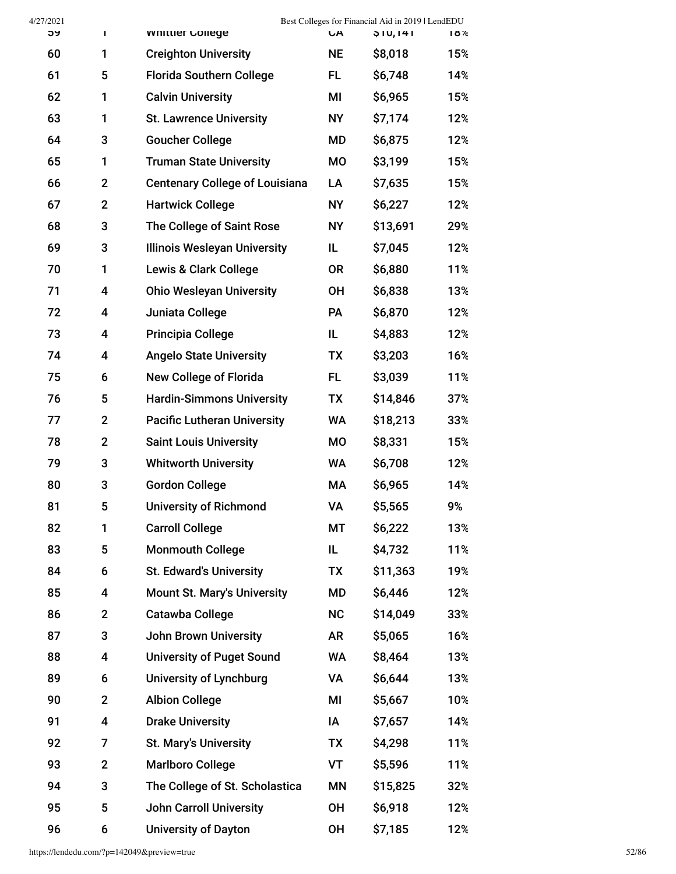| 4/27/2021 |                |                                       |           | Best Colleges for Financial Aid in 2019   LendEDU |     |
|-----------|----------------|---------------------------------------|-----------|---------------------------------------------------|-----|
| ჂႸ        | Τ              | <b>Whittler College</b>               | <b>CA</b> | \$10,141                                          | 18% |
| 60        | 1              | <b>Creighton University</b>           | <b>NE</b> | \$8,018                                           | 15% |
| 61        | 5              | <b>Florida Southern College</b>       | FL.       | \$6,748                                           | 14% |
| 62        | 1              | <b>Calvin University</b>              | MI        | \$6,965                                           | 15% |
| 63        | 1              | <b>St. Lawrence University</b>        | <b>NY</b> | \$7,174                                           | 12% |
| 64        | 3              | <b>Goucher College</b>                | MD        | \$6,875                                           | 12% |
| 65        | 1              | <b>Truman State University</b>        | MO        | \$3,199                                           | 15% |
| 66        | $\mathbf{2}$   | <b>Centenary College of Louisiana</b> | LA        | \$7,635                                           | 15% |
| 67        | $\mathbf{2}$   | <b>Hartwick College</b>               | <b>NY</b> | \$6,227                                           | 12% |
| 68        | 3              | The College of Saint Rose             | <b>NY</b> | \$13,691                                          | 29% |
| 69        | 3              | <b>Illinois Wesleyan University</b>   | IL        | \$7,045                                           | 12% |
| 70        | 1              | <b>Lewis &amp; Clark College</b>      | <b>OR</b> | \$6,880                                           | 11% |
| 71        | 4              | <b>Ohio Wesleyan University</b>       | <b>OH</b> | \$6,838                                           | 13% |
| 72        | 4              | Juniata College                       | <b>PA</b> | \$6,870                                           | 12% |
| 73        | 4              | <b>Principia College</b>              | IL.       | \$4,883                                           | 12% |
| 74        | 4              | <b>Angelo State University</b>        | TX        | \$3,203                                           | 16% |
| 75        | 6              | <b>New College of Florida</b>         | FL.       | \$3,039                                           | 11% |
| 76        | 5              | <b>Hardin-Simmons University</b>      | TX        | \$14,846                                          | 37% |
| 77        | $\mathbf{2}$   | <b>Pacific Lutheran University</b>    | WA        | \$18,213                                          | 33% |
| 78        | $\overline{2}$ | <b>Saint Louis University</b>         | MO        | \$8,331                                           | 15% |
| 79        | 3              | <b>Whitworth University</b>           | WA        | \$6,708                                           | 12% |
| 80        | 3              | <b>Gordon College</b>                 | МA        | \$6,965                                           | 14% |
| 81        | 5              | <b>University of Richmond</b>         | <b>VA</b> | \$5,565                                           | 9%  |
| 82        | 1              | <b>Carroll College</b>                | MT        | \$6,222                                           | 13% |
| 83        | 5              | <b>Monmouth College</b>               | IL        | \$4,732                                           | 11% |
| 84        | 6              | <b>St. Edward's University</b>        | TX        | \$11,363                                          | 19% |
| 85        | 4              | <b>Mount St. Mary's University</b>    | MD        | \$6,446                                           | 12% |
| 86        | $\overline{2}$ | Catawba College                       | NC        | \$14,049                                          | 33% |
| 87        | 3              | <b>John Brown University</b>          | <b>AR</b> | \$5,065                                           | 16% |
| 88        | 4              | <b>University of Puget Sound</b>      | <b>WA</b> | \$8,464                                           | 13% |
| 89        | 6              | <b>University of Lynchburg</b>        | VA        | \$6,644                                           | 13% |
| 90        | $\overline{2}$ | <b>Albion College</b>                 | MI        | \$5,667                                           | 10% |
| 91        | 4              | <b>Drake University</b>               | IA        | \$7,657                                           | 14% |
| 92        | 7              | <b>St. Mary's University</b>          | <b>TX</b> | \$4,298                                           | 11% |
| 93        | $\mathbf{2}$   | <b>Marlboro College</b>               | VT        | \$5,596                                           | 11% |
| 94        | 3              | The College of St. Scholastica        | MN        | \$15,825                                          | 32% |
| 95        | 5              | <b>John Carroll University</b>        | <b>OH</b> | \$6,918                                           | 12% |
| 96        | 6              | <b>University of Dayton</b>           | OH        | \$7,185                                           | 12% |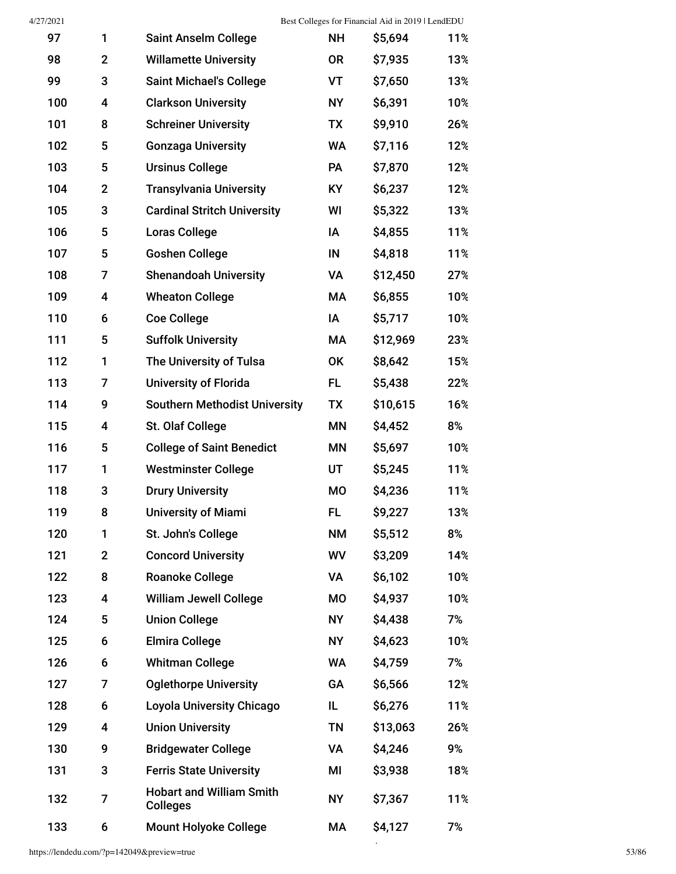$\hat{\mathcal{A}}$ 

| 97  | 1                       | <b>Saint Anselm College</b>                        | <b>NH</b> | \$5,694  | 11% |
|-----|-------------------------|----------------------------------------------------|-----------|----------|-----|
| 98  | $\mathbf 2$             | <b>Willamette University</b>                       | <b>OR</b> | \$7,935  | 13% |
| 99  | 3                       | <b>Saint Michael's College</b>                     | VT        | \$7,650  | 13% |
| 100 | 4                       | <b>Clarkson University</b>                         | <b>NY</b> | \$6,391  | 10% |
| 101 | 8                       | <b>Schreiner University</b>                        | <b>TX</b> | \$9,910  | 26% |
| 102 | 5                       | <b>Gonzaga University</b>                          | <b>WA</b> | \$7,116  | 12% |
| 103 | 5                       | <b>Ursinus College</b>                             | PA        | \$7,870  | 12% |
| 104 | $\mathbf{2}$            | <b>Transylvania University</b>                     | <b>KY</b> | \$6,237  | 12% |
| 105 | 3                       | <b>Cardinal Stritch University</b>                 | WI        | \$5,322  | 13% |
| 106 | 5                       | <b>Loras College</b>                               | IA        | \$4,855  | 11% |
| 107 | 5                       | <b>Goshen College</b>                              | IN        | \$4,818  | 11% |
| 108 | 7                       | <b>Shenandoah University</b>                       | VA        | \$12,450 | 27% |
| 109 | 4                       | <b>Wheaton College</b>                             | МA        | \$6,855  | 10% |
| 110 | 6                       | <b>Coe College</b>                                 | IA        | \$5,717  | 10% |
| 111 | 5                       | <b>Suffolk University</b>                          | МA        | \$12,969 | 23% |
| 112 | 1                       | The University of Tulsa                            | <b>OK</b> | \$8,642  | 15% |
| 113 | 7                       | <b>University of Florida</b>                       | FL.       | \$5,438  | 22% |
| 114 | 9                       | <b>Southern Methodist University</b>               | TX        | \$10,615 | 16% |
| 115 | 4                       | St. Olaf College                                   | <b>MN</b> | \$4,452  | 8%  |
| 116 | 5                       | <b>College of Saint Benedict</b>                   | <b>MN</b> | \$5,697  | 10% |
| 117 | 1                       | <b>Westminster College</b>                         | UT        | \$5,245  | 11% |
| 118 | 3                       | <b>Drury University</b>                            | <b>MO</b> | \$4,236  | 11% |
| 119 | 8                       | <b>University of Miami</b>                         | FL.       | \$9,227  | 13% |
| 120 | 1                       | St. John's College                                 | <b>NM</b> | \$5,512  | 8%  |
| 121 | $\overline{2}$          | <b>Concord University</b>                          | <b>WV</b> | \$3,209  | 14% |
| 122 | 8                       | <b>Roanoke College</b>                             | VA        | \$6,102  | 10% |
| 123 | 4                       | <b>William Jewell College</b>                      | MO        | \$4,937  | 10% |
| 124 | 5                       | <b>Union College</b>                               | <b>NY</b> | \$4,438  | 7%  |
| 125 | 6                       | <b>Elmira College</b>                              | <b>NY</b> | \$4,623  | 10% |
| 126 | 6                       | <b>Whitman College</b>                             | <b>WA</b> | \$4,759  | 7%  |
| 127 | 7                       | <b>Oglethorpe University</b>                       | GA        | \$6,566  | 12% |
| 128 | 6                       | <b>Loyola University Chicago</b>                   | IL        | \$6,276  | 11% |
| 129 | $\overline{\mathbf{4}}$ | <b>Union University</b>                            | TN        | \$13,063 | 26% |
| 130 | 9                       | <b>Bridgewater College</b>                         | VA        | \$4,246  | 9%  |
| 131 | 3                       | <b>Ferris State University</b>                     | MI        | \$3,938  | 18% |
| 132 | $\overline{7}$          | <b>Hobart and William Smith</b><br><b>Colleges</b> | <b>NY</b> | \$7,367  | 11% |
| 133 | 6                       | <b>Mount Holyoke College</b>                       | МA        | \$4,127  | 7%  |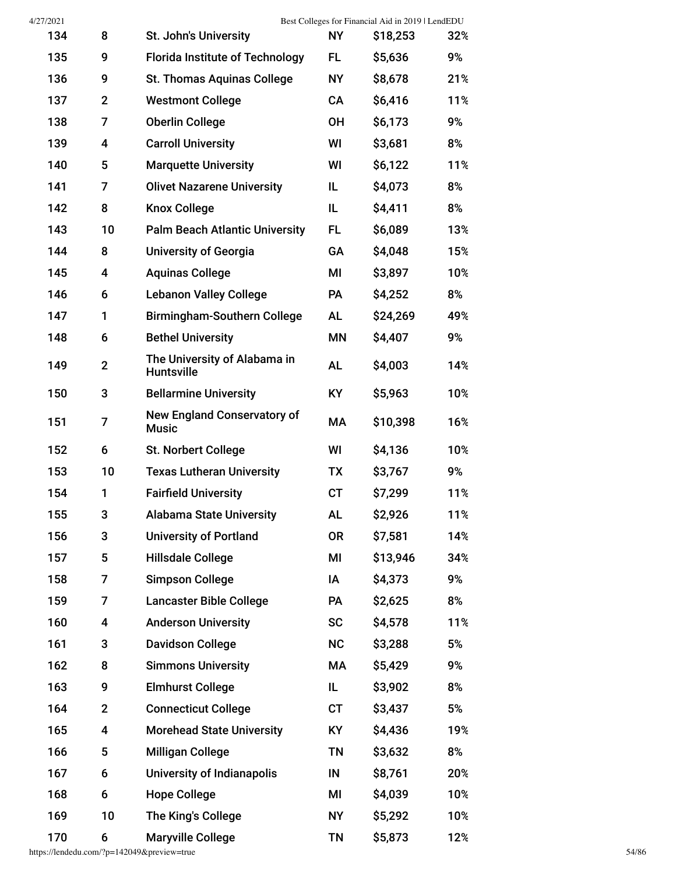| 4/27/2021 |                         |                                                    |           | Best Colleges for Financial Aid in 2019   LendEDU |     |
|-----------|-------------------------|----------------------------------------------------|-----------|---------------------------------------------------|-----|
| 134       | 8                       | St. John's University                              | <b>NY</b> | \$18,253                                          | 32% |
| 135       | 9                       | <b>Florida Institute of Technology</b>             | FL        | \$5,636                                           | 9%  |
| 136       | 9                       | <b>St. Thomas Aquinas College</b>                  | <b>NY</b> | \$8,678                                           | 21% |
| 137       | $\overline{2}$          | <b>Westmont College</b>                            | CA        | \$6,416                                           | 11% |
| 138       | 7                       | <b>Oberlin College</b>                             | <b>OH</b> | \$6,173                                           | 9%  |
| 139       | 4                       | <b>Carroll University</b>                          | WI        | \$3,681                                           | 8%  |
| 140       | 5                       | <b>Marquette University</b>                        | WI        | \$6,122                                           | 11% |
| 141       | 7                       | <b>Olivet Nazarene University</b>                  | IL        | \$4,073                                           | 8%  |
| 142       | 8                       | <b>Knox College</b>                                | IL.       | \$4,411                                           | 8%  |
| 143       | 10                      | <b>Palm Beach Atlantic University</b>              | FL.       | \$6,089                                           | 13% |
| 144       | 8                       | <b>University of Georgia</b>                       | GA        | \$4,048                                           | 15% |
| 145       | 4                       | <b>Aquinas College</b>                             | МI        | \$3,897                                           | 10% |
| 146       | 6                       | <b>Lebanon Valley College</b>                      | <b>PA</b> | \$4,252                                           | 8%  |
| 147       | 1                       | <b>Birmingham-Southern College</b>                 | AL        | \$24,269                                          | 49% |
| 148       | 6                       | <b>Bethel University</b>                           | ΜN        | \$4,407                                           | 9%  |
| 149       | $\overline{2}$          | The University of Alabama in<br><b>Huntsville</b>  | AL        | \$4,003                                           | 14% |
| 150       | 3                       | <b>Bellarmine University</b>                       | <b>KY</b> | \$5,963                                           | 10% |
| 151       | 7                       | <b>New England Conservatory of</b><br><b>Music</b> | МA        | \$10,398                                          | 16% |
| 152       | 6                       | <b>St. Norbert College</b>                         | WI        | \$4,136                                           | 10% |
| 153       | 10                      | <b>Texas Lutheran University</b>                   | ТX        | \$3,767                                           | 9%  |
| 154       | 1                       | <b>Fairfield University</b>                        | <b>CT</b> | \$7,299                                           | 11% |
| 155       | 3                       | <b>Alabama State University</b>                    | <b>AL</b> | \$2,926                                           | 11% |
| 156       | 3                       | <b>University of Portland</b>                      | 0R        | \$7,581                                           | 14% |
| 157       | 5                       | <b>Hillsdale College</b>                           | ΜI        | \$13,946                                          | 34% |
| 158       | 7                       | <b>Simpson College</b>                             | IA        | \$4,373                                           | 9%  |
| 159       | 7                       | <b>Lancaster Bible College</b>                     | PA        | \$2,625                                           | 8%  |
| 160       | $\overline{\mathbf{4}}$ | <b>Anderson University</b>                         | <b>SC</b> | \$4,578                                           | 11% |
| 161       | 3                       | <b>Davidson College</b>                            | <b>NC</b> | \$3,288                                           | 5%  |
| 162       | 8                       | <b>Simmons University</b>                          | МA        | \$5,429                                           | 9%  |
| 163       | 9                       | <b>Elmhurst College</b>                            | IL.       | \$3,902                                           | 8%  |
| 164       | $\mathbf{2}$            | <b>Connecticut College</b>                         | <b>CT</b> | \$3,437                                           | 5%  |
| 165       | 4                       | <b>Morehead State University</b>                   | <b>KY</b> | \$4,436                                           | 19% |
| 166       | 5                       | <b>Milligan College</b>                            | <b>TN</b> | \$3,632                                           | 8%  |
| 167       | 6                       | University of Indianapolis                         | IN        | \$8,761                                           | 20% |
| 168       | 6                       | <b>Hope College</b>                                | MI        | \$4,039                                           | 10% |
| 169       | 10                      | The King's College                                 | <b>NY</b> | \$5,292                                           | 10% |
| 170       | 6                       | <b>Maryville College</b>                           | <b>TN</b> | \$5,873                                           | 12% |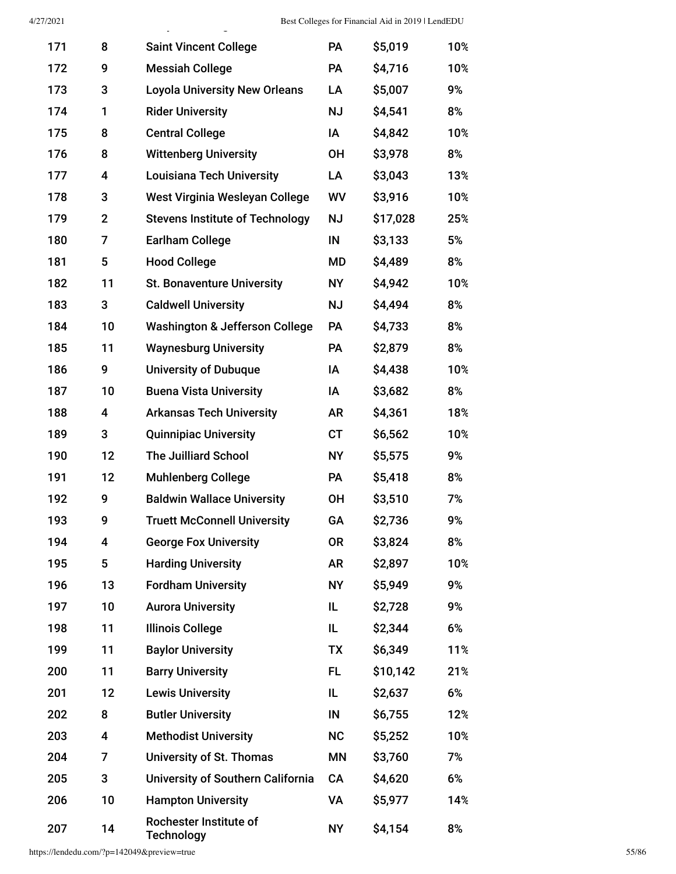| 171 | 8            | <b>Saint Vincent College</b>                | PA        | \$5,019  | 10% |
|-----|--------------|---------------------------------------------|-----------|----------|-----|
| 172 | 9            | <b>Messiah College</b>                      | PA        | \$4,716  | 10% |
| 173 | 3            | <b>Loyola University New Orleans</b>        | LA        | \$5,007  | 9%  |
| 174 | 1            | <b>Rider University</b>                     | ΝJ        | \$4,541  | 8%  |
| 175 | 8            | <b>Central College</b>                      | ΙA        | \$4,842  | 10% |
| 176 | 8            | <b>Wittenberg University</b>                | 0H        | \$3,978  | 8%  |
| 177 | 4            | <b>Louisiana Tech University</b>            | LA        | \$3,043  | 13% |
| 178 | 3            | West Virginia Wesleyan College              | WV        | \$3,916  | 10% |
| 179 | $\mathbf{2}$ | <b>Stevens Institute of Technology</b>      | <b>NJ</b> | \$17,028 | 25% |
| 180 | 7            | <b>Earlham College</b>                      | IN        | \$3,133  | 5%  |
| 181 | 5            | <b>Hood College</b>                         | MD        | \$4,489  | 8%  |
| 182 | 11           | <b>St. Bonaventure University</b>           | <b>NY</b> | \$4,942  | 10% |
| 183 | 3            | <b>Caldwell University</b>                  | <b>NJ</b> | \$4,494  | 8%  |
| 184 | 10           | <b>Washington &amp; Jefferson College</b>   | PA        | \$4,733  | 8%  |
| 185 | 11           | <b>Waynesburg University</b>                | PA        | \$2,879  | 8%  |
| 186 | 9            | <b>University of Dubuque</b>                | IA        | \$4,438  | 10% |
| 187 | 10           | <b>Buena Vista University</b>               | IA        | \$3,682  | 8%  |
| 188 | 4            | <b>Arkansas Tech University</b>             | AR        | \$4,361  | 18% |
| 189 | 3            | <b>Quinnipiac University</b>                | CT        | \$6,562  | 10% |
| 190 | 12           | <b>The Juilliard School</b>                 | <b>NY</b> | \$5,575  | 9%  |
| 191 | 12           | <b>Muhlenberg College</b>                   | PA        | \$5,418  | 8%  |
| 192 | 9            | <b>Baldwin Wallace University</b>           | <b>OH</b> | \$3,510  | 7%  |
| 193 | 9            | <b>Truett McConnell University</b>          | GA        | \$2,736  | 9%  |
| 194 | 4            | <b>George Fox University</b>                | 0R        | \$3,824  | 8%  |
| 195 | 5            | <b>Harding University</b>                   | <b>AR</b> | \$2,897  | 10% |
| 196 | 13           | <b>Fordham University</b>                   | <b>NY</b> | \$5,949  | 9%  |
| 197 | 10           | <b>Aurora University</b>                    | IL        | \$2,728  | 9%  |
| 198 | 11           | <b>Illinois College</b>                     | IL.       | \$2,344  | 6%  |
| 199 | 11           | <b>Baylor University</b>                    | <b>TX</b> | \$6,349  | 11% |
| 200 | 11           | <b>Barry University</b>                     | FL        | \$10,142 | 21% |
| 201 | 12           | <b>Lewis University</b>                     | IL        | \$2,637  | 6%  |
| 202 | 8            | <b>Butler University</b>                    | IN        | \$6,755  | 12% |
| 203 | 4            | <b>Methodist University</b>                 | <b>NC</b> | \$5,252  | 10% |
| 204 | 7            | <b>University of St. Thomas</b>             | ΜN        | \$3,760  | 7%  |
| 205 | 3            | University of Southern California           | CA        | \$4,620  | 6%  |
| 206 | 10           | <b>Hampton University</b>                   | VA        | \$5,977  | 14% |
| 207 | 14           | Rochester Institute of<br><b>Technology</b> | <b>NY</b> | \$4,154  | 8%  |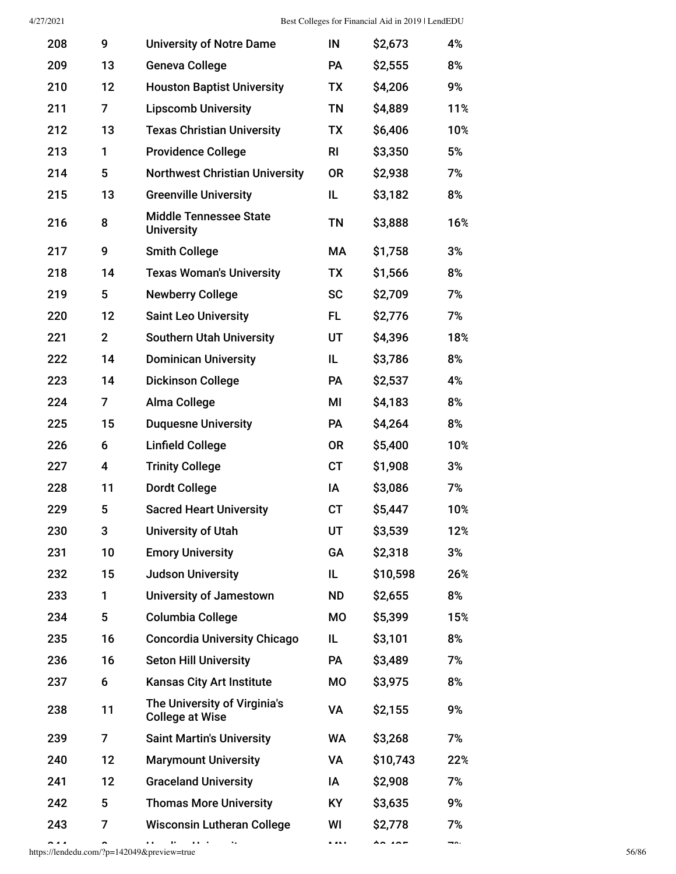| 208 | 9              | <b>University of Notre Dame</b>                        | IN        | \$2,673  | 4%  |
|-----|----------------|--------------------------------------------------------|-----------|----------|-----|
| 209 | 13             | <b>Geneva College</b>                                  | PA        | \$2,555  | 8%  |
| 210 | 12             | <b>Houston Baptist University</b>                      | TX        | \$4,206  | 9%  |
| 211 | 7              | <b>Lipscomb University</b>                             | <b>TN</b> | \$4,889  | 11% |
| 212 | 13             | <b>Texas Christian University</b>                      | TX        | \$6,406  | 10% |
| 213 | 1              | <b>Providence College</b>                              | <b>RI</b> | \$3,350  | 5%  |
| 214 | 5              | <b>Northwest Christian University</b>                  | <b>OR</b> | \$2,938  | 7%  |
| 215 | 13             | <b>Greenville University</b>                           | IL.       | \$3,182  | 8%  |
| 216 | 8              | <b>Middle Tennessee State</b><br><b>University</b>     | <b>TN</b> | \$3,888  | 16% |
| 217 | 9              | <b>Smith College</b>                                   | МA        | \$1,758  | 3%  |
| 218 | 14             | <b>Texas Woman's University</b>                        | TX        | \$1,566  | 8%  |
| 219 | 5              | <b>Newberry College</b>                                | <b>SC</b> | \$2,709  | 7%  |
| 220 | 12             | <b>Saint Leo University</b>                            | FL.       | \$2,776  | 7%  |
| 221 | $\overline{2}$ | <b>Southern Utah University</b>                        | UT        | \$4,396  | 18% |
| 222 | 14             | <b>Dominican University</b>                            | IL        | \$3,786  | 8%  |
| 223 | 14             | <b>Dickinson College</b>                               | PA        | \$2,537  | 4%  |
| 224 | 7              | Alma College                                           | MI        | \$4,183  | 8%  |
| 225 | 15             | <b>Duquesne University</b>                             | <b>PA</b> | \$4,264  | 8%  |
| 226 | 6              | <b>Linfield College</b>                                | <b>OR</b> | \$5,400  | 10% |
| 227 | 4              | <b>Trinity College</b>                                 | <b>CT</b> | \$1,908  | 3%  |
| 228 | 11             | <b>Dordt College</b>                                   | IA        | \$3,086  | 7%  |
| 229 | 5              | <b>Sacred Heart University</b>                         | CT        | \$5,447  | 10% |
| 230 | 3              | <b>University of Utah</b>                              | UT        | \$3,539  | 12% |
| 231 | 10             | <b>Emory University</b>                                | GA        | \$2,318  | 3%  |
| 232 | 15             | <b>Judson University</b>                               | IL        | \$10,598 | 26% |
| 233 | 1              | <b>University of Jamestown</b>                         | <b>ND</b> | \$2,655  | 8%  |
| 234 | 5              | <b>Columbia College</b>                                | МO        | \$5,399  | 15% |
| 235 | 16             | <b>Concordia University Chicago</b>                    | IL        | \$3,101  | 8%  |
| 236 | 16             | <b>Seton Hill University</b>                           | PA        | \$3,489  | 7%  |
| 237 | 6              | <b>Kansas City Art Institute</b>                       | МO        | \$3,975  | 8%  |
| 238 | 11             | The University of Virginia's<br><b>College at Wise</b> | VA        | \$2,155  | 9%  |
| 239 | $\overline{7}$ | <b>Saint Martin's University</b>                       | WA        | \$3,268  | 7%  |
| 240 | 12             | <b>Marymount University</b>                            | VA        | \$10,743 | 22% |
| 241 | 12             | <b>Graceland University</b>                            | ΙA        | \$2,908  | 7%  |
| 242 | 5              | <b>Thomas More University</b>                          | KY        | \$3,635  | 9%  |
| 243 | 7              | <b>Wisconsin Lutheran College</b>                      | WI        | \$2,778  | 7%  |
|     |                |                                                        |           |          |     |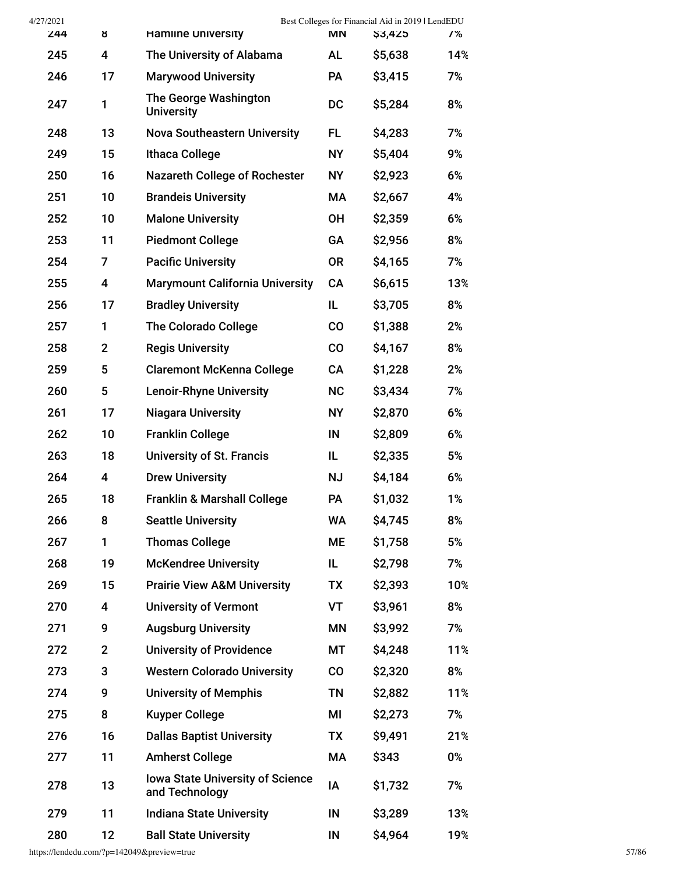| 4/27/2021 |                |                                                           |               | Best Colleges for Financial Aid in 2019   LendEDU |     |
|-----------|----------------|-----------------------------------------------------------|---------------|---------------------------------------------------|-----|
| 244       | ୪              | <b>Hamline University</b>                                 | МN            | \$3,425                                           | 7%  |
| 245       | 4              | The University of Alabama                                 | <b>AL</b>     | \$5,638                                           | 14% |
| 246       | 17             | <b>Marywood University</b>                                | PA            | \$3,415                                           | 7%  |
| 247       | 1              | The George Washington<br><b>University</b>                | <b>DC</b>     | \$5,284                                           | 8%  |
| 248       | 13             | <b>Nova Southeastern University</b>                       | FL            | \$4,283                                           | 7%  |
| 249       | 15             | <b>Ithaca College</b>                                     | <b>NY</b>     | \$5,404                                           | 9%  |
| 250       | 16             | <b>Nazareth College of Rochester</b>                      | <b>NY</b>     | \$2,923                                           | 6%  |
| 251       | 10             | <b>Brandeis University</b>                                | МA            | \$2,667                                           | 4%  |
| 252       | 10             | <b>Malone University</b>                                  | <b>OH</b>     | \$2,359                                           | 6%  |
| 253       | 11             | <b>Piedmont College</b>                                   | GA            | \$2,956                                           | 8%  |
| 254       | $\overline{7}$ | <b>Pacific University</b>                                 | <b>OR</b>     | \$4,165                                           | 7%  |
| 255       | 4              | <b>Marymount California University</b>                    | CA            | \$6,615                                           | 13% |
| 256       | 17             | <b>Bradley University</b>                                 | IL            | \$3,705                                           | 8%  |
| 257       | 1              | <b>The Colorado College</b>                               | CO            | \$1,388                                           | 2%  |
| 258       | $\mathbf{2}$   | <b>Regis University</b>                                   | $\mathsf{CO}$ | \$4,167                                           | 8%  |
| 259       | 5              | <b>Claremont McKenna College</b>                          | CA            | \$1,228                                           | 2%  |
| 260       | 5              | <b>Lenoir-Rhyne University</b>                            | <b>NC</b>     | \$3,434                                           | 7%  |
| 261       | 17             | <b>Niagara University</b>                                 | <b>NY</b>     | \$2,870                                           | 6%  |
| 262       | 10             | <b>Franklin College</b>                                   | IN            | \$2,809                                           | 6%  |
| 263       | 18             | <b>University of St. Francis</b>                          | IL.           | \$2,335                                           | 5%  |
| 264       | 4              | <b>Drew University</b>                                    | <b>NJ</b>     | \$4,184                                           | 6%  |
| 265       | 18             | <b>Franklin &amp; Marshall College</b>                    | PA            | \$1,032                                           | 1%  |
| 266       | 8              | <b>Seattle University</b>                                 | WA            | \$4,745                                           | 8%  |
| 267       | 1              | <b>Thomas College</b>                                     | <b>ME</b>     | \$1,758                                           | 5%  |
| 268       | 19             | <b>McKendree University</b>                               | IL            | \$2,798                                           | 7%  |
| 269       | 15             | <b>Prairie View A&amp;M University</b>                    | TX            | \$2,393                                           | 10% |
| 270       | 4              | <b>University of Vermont</b>                              | VT            | \$3,961                                           | 8%  |
| 271       | 9              | <b>Augsburg University</b>                                | ΜN            | \$3,992                                           | 7%  |
| 272       | $\mathbf{2}$   | <b>University of Providence</b>                           | МT            | \$4,248                                           | 11% |
| 273       | 3              | <b>Western Colorado University</b>                        | CO            | \$2,320                                           | 8%  |
| 274       | 9              | <b>University of Memphis</b>                              | ΤN            | \$2,882                                           | 11% |
| 275       | 8              | <b>Kuyper College</b>                                     | MI            | \$2,273                                           | 7%  |
| 276       | 16             | <b>Dallas Baptist University</b>                          | TX            | \$9,491                                           | 21% |
| 277       | 11             | <b>Amherst College</b>                                    | МA            | \$343                                             | 0%  |
| 278       | 13             | <b>Iowa State University of Science</b><br>and Technology | IA            | \$1,732                                           | 7%  |
| 279       | 11             | <b>Indiana State University</b>                           | IN            | \$3,289                                           | 13% |
| 280       | 12             | <b>Ball State University</b>                              | IN            | \$4,964                                           | 19% |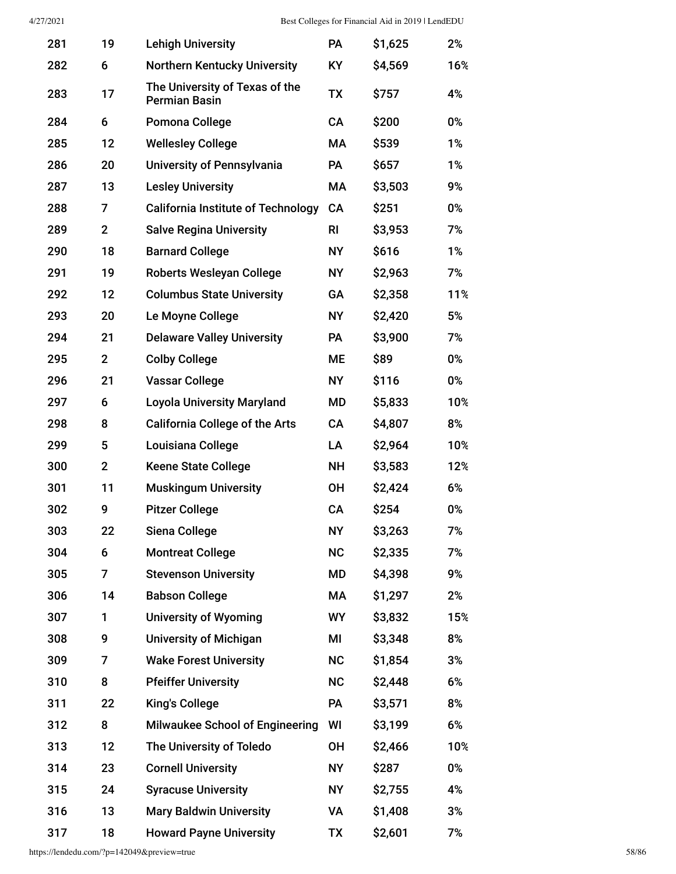| 281 | 19             | <b>Lehigh University</b>                               | <b>PA</b> | \$1,625 | 2%    |
|-----|----------------|--------------------------------------------------------|-----------|---------|-------|
| 282 | 6              | <b>Northern Kentucky University</b>                    | <b>KY</b> | \$4,569 | 16%   |
| 283 | 17             | The University of Texas of the<br><b>Permian Basin</b> | <b>TX</b> | \$757   | 4%    |
| 284 | 6              | Pomona College                                         | CA        | \$200   | 0%    |
| 285 | 12             | <b>Wellesley College</b>                               | МA        | \$539   | 1%    |
| 286 | 20             | <b>University of Pennsylvania</b>                      | PA        | \$657   | 1%    |
| 287 | 13             | <b>Lesley University</b>                               | МA        | \$3,503 | 9%    |
| 288 | 7              | <b>California Institute of Technology</b>              | CA        | \$251   | 0%    |
| 289 | $\overline{2}$ | <b>Salve Regina University</b>                         | <b>RI</b> | \$3,953 | 7%    |
| 290 | 18             | <b>Barnard College</b>                                 | <b>NY</b> | \$616   | 1%    |
| 291 | 19             | <b>Roberts Wesleyan College</b>                        | <b>NY</b> | \$2,963 | 7%    |
| 292 | 12             | <b>Columbus State University</b>                       | <b>GA</b> | \$2,358 | 11%   |
| 293 | 20             | Le Moyne College                                       | <b>NY</b> | \$2,420 | 5%    |
| 294 | 21             | <b>Delaware Valley University</b>                      | PA        | \$3,900 | 7%    |
| 295 | 2 <sup>2</sup> | <b>Colby College</b>                                   | ME        | \$89    | 0%    |
| 296 | 21             | <b>Vassar College</b>                                  | <b>NY</b> | \$116   | 0%    |
| 297 | 6              | <b>Loyola University Maryland</b>                      | MD        | \$5,833 | 10%   |
| 298 | 8              | <b>California College of the Arts</b>                  | CA        | \$4,807 | 8%    |
| 299 | 5              | Louisiana College                                      | LA        | \$2,964 | 10%   |
| 300 | $\overline{2}$ | <b>Keene State College</b>                             | NΗ        | \$3,583 | 12%   |
| 301 | 11             | <b>Muskingum University</b>                            | <b>OH</b> | \$2,424 | 6%    |
| 302 | 9              | <b>Pitzer College</b>                                  | CA        | \$254   | 0%    |
| 303 | 22             | Siena College                                          | <b>NY</b> | \$3,263 | 7%    |
| 304 | 6              | <b>Montreat College</b>                                | <b>NC</b> | \$2,335 | 7%    |
| 305 | 7              | <b>Stevenson University</b>                            | MD        | \$4,398 | 9%    |
| 306 | 14             | <b>Babson College</b>                                  | МA        | \$1,297 | 2%    |
| 307 | 1              | <b>University of Wyoming</b>                           | <b>WY</b> | \$3,832 | 15%   |
| 308 | 9              | <b>University of Michigan</b>                          | MI        | \$3,348 | 8%    |
| 309 | 7              | <b>Wake Forest University</b>                          | <b>NC</b> | \$1,854 | 3%    |
| 310 | 8              | <b>Pfeiffer University</b>                             | <b>NC</b> | \$2,448 | 6%    |
| 311 | 22             | <b>King's College</b>                                  | PA        | \$3,571 | 8%    |
| 312 | 8              | <b>Milwaukee School of Engineering</b>                 | WI        | \$3,199 | 6%    |
| 313 | 12             | The University of Toledo                               | ΟH        | \$2,466 | 10%   |
| 314 | 23             | <b>Cornell University</b>                              | <b>NY</b> | \$287   | $0\%$ |
| 315 | 24             | <b>Syracuse University</b>                             | <b>NY</b> | \$2,755 | 4%    |
| 316 | 13             | <b>Mary Baldwin University</b>                         | VA        | \$1,408 | 3%    |
| 317 | 18             | <b>Howard Payne University</b>                         | TX        | \$2,601 | 7%    |

https://lendedu.com/?p=142049&preview=true 58/86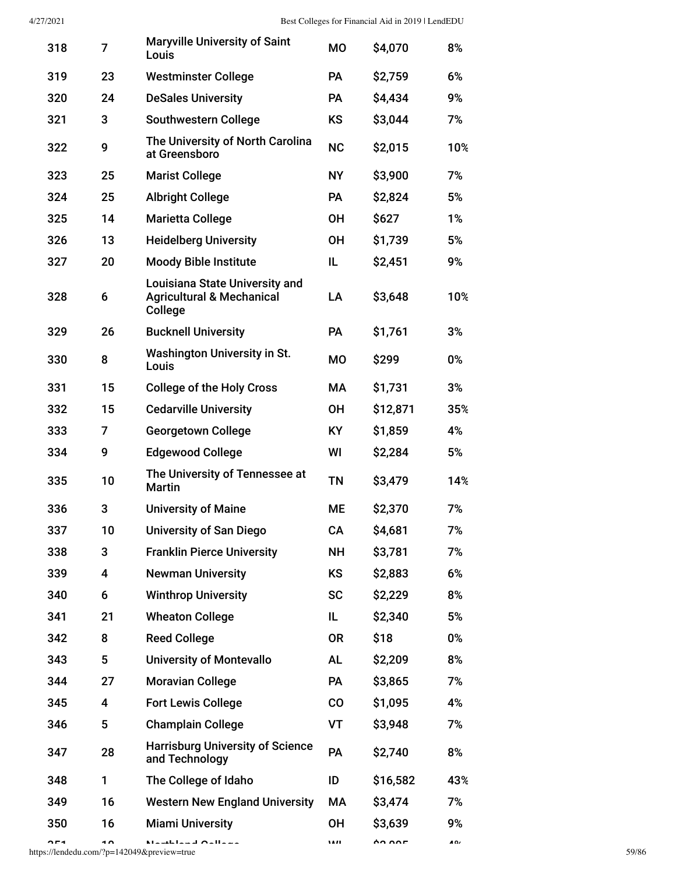| 318 | 7  | <b>Maryville University of Saint</b><br>Louis                                            | <b>MO</b> | \$4,070  | 8%  |
|-----|----|------------------------------------------------------------------------------------------|-----------|----------|-----|
| 319 | 23 | <b>Westminster College</b>                                                               | PA        | \$2,759  | 6%  |
| 320 | 24 | <b>DeSales University</b>                                                                | <b>PA</b> | \$4,434  | 9%  |
| 321 | 3  | <b>Southwestern College</b>                                                              | <b>KS</b> | \$3,044  | 7%  |
| 322 | 9  | The University of North Carolina<br>at Greensboro                                        | <b>NC</b> | \$2,015  | 10% |
| 323 | 25 | <b>Marist College</b>                                                                    | <b>NY</b> | \$3,900  | 7%  |
| 324 | 25 | <b>Albright College</b>                                                                  | <b>PA</b> | \$2,824  | 5%  |
| 325 | 14 | <b>Marietta College</b>                                                                  | <b>OH</b> | \$627    | 1%  |
| 326 | 13 | <b>Heidelberg University</b>                                                             | <b>OH</b> | \$1,739  | 5%  |
| 327 | 20 | <b>Moody Bible Institute</b>                                                             | IL.       | \$2,451  | 9%  |
| 328 | 6  | <b>Louisiana State University and</b><br><b>Agricultural &amp; Mechanical</b><br>College | LA        | \$3,648  | 10% |
| 329 | 26 | <b>Bucknell University</b>                                                               | PA        | \$1,761  | 3%  |
| 330 | 8  | <b>Washington University in St.</b><br>Louis                                             | <b>MO</b> | \$299    | 0%  |
| 331 | 15 | <b>College of the Holy Cross</b>                                                         | МA        | \$1,731  | 3%  |
| 332 | 15 | <b>Cedarville University</b>                                                             | 0H        | \$12,871 | 35% |
| 333 | 7  | <b>Georgetown College</b>                                                                | KY        | \$1,859  | 4%  |
| 334 | 9  | <b>Edgewood College</b>                                                                  | WI        | \$2,284  | 5%  |
| 335 | 10 | The University of Tennessee at<br>Martin                                                 | ΤN        | \$3,479  | 14% |
| 336 | 3  | <b>University of Maine</b>                                                               | МE        | \$2,370  | 7%  |
| 337 | 10 | University of San Diego                                                                  | CА        | \$4,681  | 7%  |
| 338 | 3  | <b>Franklin Pierce University</b>                                                        | <b>NH</b> | \$3,781  | 7%  |
| 339 | 4  | <b>Newman University</b>                                                                 | <b>KS</b> | \$2,883  | 6%  |
| 340 | 6  | <b>Winthrop University</b>                                                               | <b>SC</b> | \$2,229  | 8%  |
| 341 | 21 | <b>Wheaton College</b>                                                                   | IL.       | \$2,340  | 5%  |
| 342 | 8  | <b>Reed College</b>                                                                      | <b>OR</b> | \$18     | 0%  |
| 343 | 5  | <b>University of Montevallo</b>                                                          | <b>AL</b> | \$2,209  | 8%  |
| 344 | 27 | <b>Moravian College</b>                                                                  | PA        | \$3,865  | 7%  |
| 345 | 4  | <b>Fort Lewis College</b>                                                                | CO        | \$1,095  | 4%  |
| 346 | 5  | <b>Champlain College</b>                                                                 | VT        | \$3,948  | 7%  |
| 347 | 28 | <b>Harrisburg University of Science</b><br>and Technology                                | PA        | \$2,740  | 8%  |
| 348 | 1  | The College of Idaho                                                                     | ID        | \$16,582 | 43% |
| 349 | 16 | <b>Western New England University</b>                                                    | МA        | \$3,474  | 7%  |
| 350 | 16 | <b>Miami University</b>                                                                  | <b>OH</b> | \$3,639  | 9%  |
|     |    |                                                                                          |           |          |     |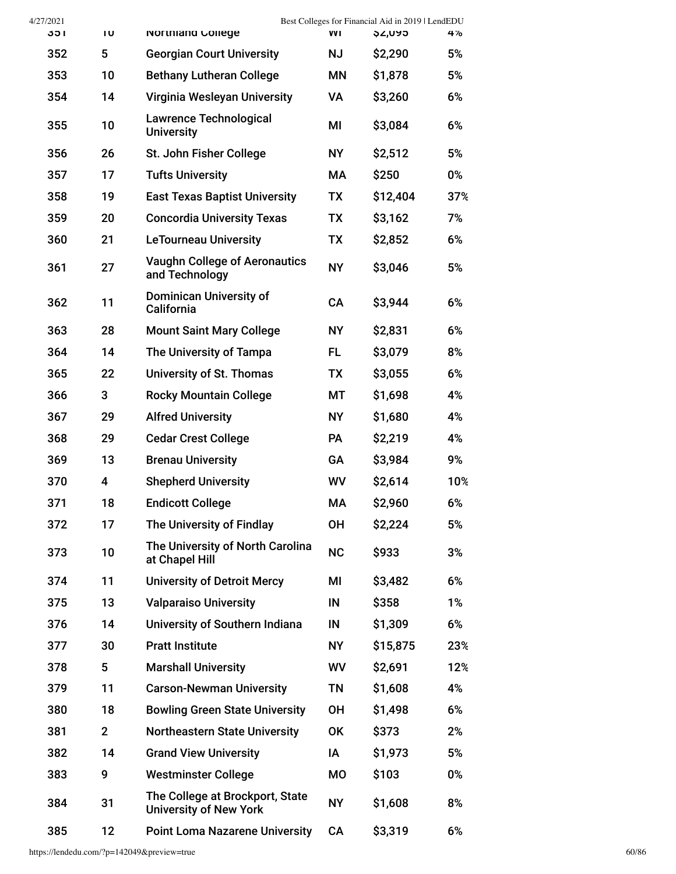| 4/27/2021  |                         |                                                                  |           | Best Colleges for Financial Aid in 2019   LendEDU |          |
|------------|-------------------------|------------------------------------------------------------------|-----------|---------------------------------------------------|----------|
| 351        | Ίυ<br>5                 | Northland College                                                | WI        | <b>\$2,095</b>                                    | 4%<br>5% |
| 352        |                         | <b>Georgian Court University</b>                                 | <b>NJ</b> | \$2,290                                           |          |
| 353<br>354 | 10<br>14                | <b>Bethany Lutheran College</b>                                  | ΜN<br>VA  | \$1,878                                           | 5%<br>6% |
|            |                         | Virginia Wesleyan University                                     |           | \$3,260                                           |          |
| 355        | 10                      | <b>Lawrence Technological</b><br><b>University</b>               | MI        | \$3,084                                           | 6%       |
| 356        | 26                      | St. John Fisher College                                          | <b>NY</b> | \$2,512                                           | 5%       |
| 357        | 17                      | <b>Tufts University</b>                                          | <b>MA</b> | \$250                                             | 0%       |
| 358        | 19                      | <b>East Texas Baptist University</b>                             | TX        | \$12,404                                          | 37%      |
| 359        | 20                      | <b>Concordia University Texas</b>                                | <b>TX</b> | \$3,162                                           | 7%       |
| 360        | 21                      | <b>LeTourneau University</b>                                     | <b>TX</b> | \$2,852                                           | 6%       |
| 361        | 27                      | <b>Vaughn College of Aeronautics</b><br>and Technology           | <b>NY</b> | \$3,046                                           | 5%       |
| 362        | 11                      | <b>Dominican University of</b><br>California                     | CA        | \$3,944                                           | 6%       |
| 363        | 28                      | <b>Mount Saint Mary College</b>                                  | <b>NY</b> | \$2,831                                           | 6%       |
| 364        | 14                      | The University of Tampa                                          | FL.       | \$3,079                                           | 8%       |
| 365        | 22                      | University of St. Thomas                                         | TX        | \$3,055                                           | 6%       |
| 366        | 3                       | <b>Rocky Mountain College</b>                                    | МT        | \$1,698                                           | 4%       |
| 367        | 29                      | <b>Alfred University</b>                                         | <b>NY</b> | \$1,680                                           | 4%       |
| 368        | 29                      | <b>Cedar Crest College</b>                                       | <b>PA</b> | \$2,219                                           | 4%       |
| 369        | 13                      | <b>Brenau University</b>                                         | GA        | \$3,984                                           | 9%       |
| 370        | $\overline{\mathbf{4}}$ | <b>Shepherd University</b>                                       | WV        | \$2,614                                           | 10%      |
| 371        | 18                      | <b>Endicott College</b>                                          | MA        | \$2,960                                           | 6%       |
| 372        | 17                      | The University of Findlay                                        | <b>OH</b> | \$2,224                                           | 5%       |
| 373        | 10                      | The University of North Carolina<br>at Chapel Hill               | <b>NC</b> | \$933                                             | 3%       |
| 374        | 11                      | <b>University of Detroit Mercy</b>                               | MI        | \$3,482                                           | 6%       |
| 375        | 13                      | <b>Valparaiso University</b>                                     | IN        | \$358                                             | 1%       |
| 376        | 14                      | University of Southern Indiana                                   | IN        | \$1,309                                           | 6%       |
| 377        | 30                      | <b>Pratt Institute</b>                                           | <b>NY</b> | \$15,875                                          | 23%      |
| 378        | 5                       | <b>Marshall University</b>                                       | WV        | \$2,691                                           | 12%      |
| 379        | 11                      | <b>Carson-Newman University</b>                                  | <b>TN</b> | \$1,608                                           | 4%       |
| 380        | 18                      | <b>Bowling Green State University</b>                            | <b>OH</b> | \$1,498                                           | 6%       |
| 381        | $\overline{2}$          | <b>Northeastern State University</b>                             | <b>OK</b> | \$373                                             | 2%       |
| 382        | 14                      | <b>Grand View University</b>                                     | IA        | \$1,973                                           | 5%       |
| 383        | 9                       | <b>Westminster College</b>                                       | <b>MO</b> | \$103                                             | 0%       |
| 384        | 31                      | The College at Brockport, State<br><b>University of New York</b> | <b>NY</b> | \$1,608                                           | 8%       |
| 385        | 12                      | <b>Point Loma Nazarene University</b>                            | CA        | \$3,319                                           | 6%       |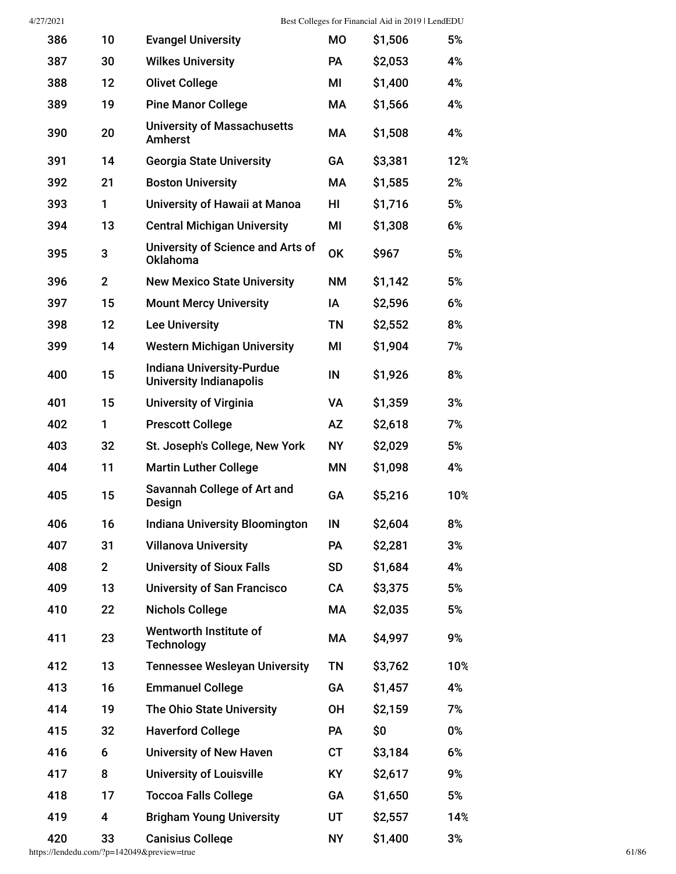| 386 | 10             | <b>Evangel University</b>                                          | <b>MO</b> | \$1,506 | 5%  |
|-----|----------------|--------------------------------------------------------------------|-----------|---------|-----|
| 387 | 30             | <b>Wilkes University</b>                                           | <b>PA</b> | \$2,053 | 4%  |
| 388 | 12             | <b>Olivet College</b>                                              | MI        | \$1,400 | 4%  |
| 389 | 19             | <b>Pine Manor College</b>                                          | МA        | \$1,566 | 4%  |
| 390 | 20             | <b>University of Massachusetts</b><br>Amherst                      | МA        | \$1,508 | 4%  |
| 391 | 14             | <b>Georgia State University</b>                                    | GA        | \$3,381 | 12% |
| 392 | 21             | <b>Boston University</b>                                           | <b>MA</b> | \$1,585 | 2%  |
| 393 | 1              | University of Hawaii at Manoa                                      | HI        | \$1,716 | 5%  |
| 394 | 13             | <b>Central Michigan University</b>                                 | ΜI        | \$1,308 | 6%  |
| 395 | 3              | University of Science and Arts of<br>Oklahoma                      | <b>OK</b> | \$967   | 5%  |
| 396 | $\overline{2}$ | <b>New Mexico State University</b>                                 | <b>NM</b> | \$1,142 | 5%  |
| 397 | 15             | <b>Mount Mercy University</b>                                      | IA        | \$2,596 | 6%  |
| 398 | 12             | <b>Lee University</b>                                              | <b>TN</b> | \$2,552 | 8%  |
| 399 | 14             | <b>Western Michigan University</b>                                 | MI        | \$1,904 | 7%  |
| 400 | 15             | <b>Indiana University-Purdue</b><br><b>University Indianapolis</b> | IN        | \$1,926 | 8%  |
| 401 | 15             | <b>University of Virginia</b>                                      | VA        | \$1,359 | 3%  |
| 402 | 1              | <b>Prescott College</b>                                            | AZ        | \$2,618 | 7%  |
| 403 | 32             | St. Joseph's College, New York                                     | <b>NY</b> | \$2,029 | 5%  |
| 404 | 11             | <b>Martin Luther College</b>                                       | <b>MN</b> | \$1,098 | 4%  |
| 405 | 15             | Savannah College of Art and<br>Design                              | GA        | \$5,216 | 10% |
| 406 | 16             | <b>Indiana University Bloomington</b>                              | IN        | \$2,604 | 8%  |
| 407 | 31             | <b>Villanova University</b>                                        | PA        | \$2,281 | 3%  |
| 408 | $\mathbf 2$    | <b>University of Sioux Falls</b>                                   | <b>SD</b> | \$1,684 | 4%  |
| 409 | 13             | <b>University of San Francisco</b>                                 | CA        | \$3,375 | 5%  |
| 410 | 22             | <b>Nichols College</b>                                             | МA        | \$2,035 | 5%  |
| 411 | 23             | Wentworth Institute of<br><b>Technology</b>                        | МA        | \$4,997 | 9%  |
| 412 | 13             | <b>Tennessee Wesleyan University</b>                               | TN        | \$3,762 | 10% |
| 413 | 16             | <b>Emmanuel College</b>                                            | GA        | \$1,457 | 4%  |
| 414 | 19             | The Ohio State University                                          | <b>OH</b> | \$2,159 | 7%  |
| 415 | 32             | <b>Haverford College</b>                                           | <b>PA</b> | \$0     | 0%  |
| 416 | 6              | <b>University of New Haven</b>                                     | <b>CT</b> | \$3,184 | 6%  |
| 417 | 8              | <b>University of Louisville</b>                                    | <b>KY</b> | \$2,617 | 9%  |
| 418 | 17             | <b>Toccoa Falls College</b>                                        | GA        | \$1,650 | 5%  |
| 419 | 4              | <b>Brigham Young University</b>                                    | UT        | \$2,557 | 14% |
| 420 | 33             | <b>Canisius College</b>                                            | <b>NY</b> | \$1,400 | 3%  |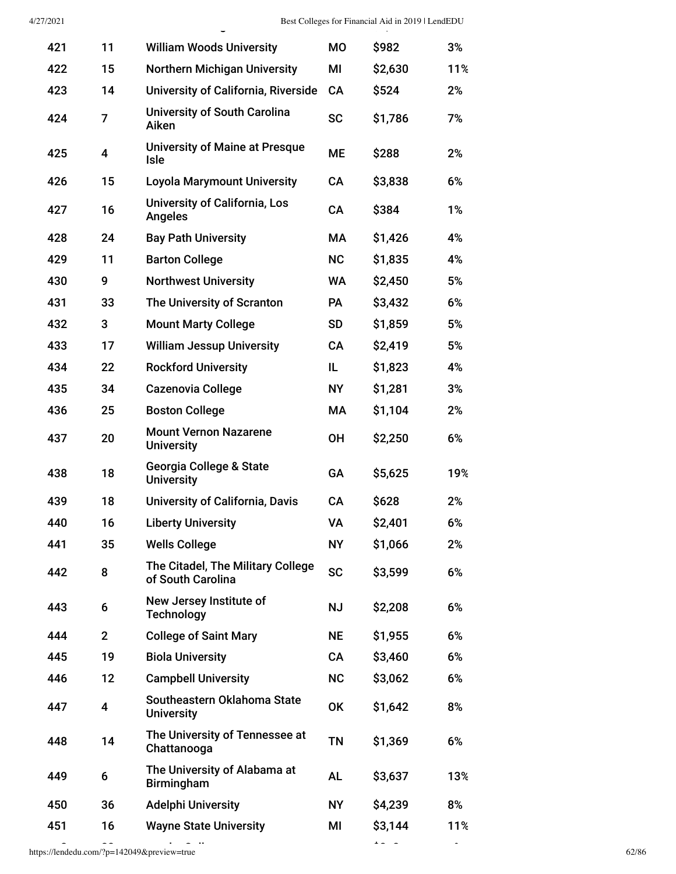| 4/27/2021 |                |                                                        |           | Best Colleges for Financial Aid in 2019   LendEDU |     |
|-----------|----------------|--------------------------------------------------------|-----------|---------------------------------------------------|-----|
| 421       | 11             | <b>William Woods University</b>                        | <b>MO</b> | \$982                                             | 3%  |
| 422       | 15             | <b>Northern Michigan University</b>                    | MI        | \$2,630                                           | 11% |
| 423       | 14             | <b>University of California, Riverside</b>             | <b>CA</b> | \$524                                             | 2%  |
| 424       | 7              | <b>University of South Carolina</b><br>Aiken           | <b>SC</b> | \$1,786                                           | 7%  |
| 425       | 4              | <b>University of Maine at Presque</b><br>Isle          | <b>ME</b> | \$288                                             | 2%  |
| 426       | 15             | <b>Loyola Marymount University</b>                     | CA        | \$3,838                                           | 6%  |
| 427       | 16             | University of California, Los<br><b>Angeles</b>        | CA        | \$384                                             | 1%  |
| 428       | 24             | <b>Bay Path University</b>                             | МA        | \$1,426                                           | 4%  |
| 429       | 11             | <b>Barton College</b>                                  | <b>NC</b> | \$1,835                                           | 4%  |
| 430       | 9              | <b>Northwest University</b>                            | <b>WA</b> | \$2,450                                           | 5%  |
| 431       | 33             | The University of Scranton                             | <b>PA</b> | \$3,432                                           | 6%  |
| 432       | 3              | <b>Mount Marty College</b>                             | <b>SD</b> | \$1,859                                           | 5%  |
| 433       | 17             | <b>William Jessup University</b>                       | <b>CA</b> | \$2,419                                           | 5%  |
| 434       | 22             | <b>Rockford University</b>                             | IL        | \$1,823                                           | 4%  |
| 435       | 34             | <b>Cazenovia College</b>                               | <b>NY</b> | \$1,281                                           | 3%  |
| 436       | 25             | <b>Boston College</b>                                  | МA        | \$1,104                                           | 2%  |
| 437       | 20             | <b>Mount Vernon Nazarene</b><br><b>University</b>      | <b>OH</b> | \$2,250                                           | 6%  |
| 438       | 18             | Georgia College & State<br><b>University</b>           | GA        | \$5,625                                           | 19% |
| 439       | 18             | <b>University of California, Davis</b>                 | <b>CA</b> | \$628                                             | 2%  |
| 440       | 16             | <b>Liberty University</b>                              | VA        | \$2,401                                           | 6%  |
| 441       | 35             | <b>Wells College</b>                                   | <b>NY</b> | \$1,066                                           | 2%  |
| 442       | 8              | The Citadel, The Military College<br>of South Carolina | <b>SC</b> | \$3,599                                           | 6%  |
| 443       | 6              | New Jersey Institute of<br><b>Technology</b>           | <b>NJ</b> | \$2,208                                           | 6%  |
| 444       | $\overline{2}$ | <b>College of Saint Mary</b>                           | <b>NE</b> | \$1,955                                           | 6%  |
| 445       | 19             | <b>Biola University</b>                                | CA        | \$3,460                                           | 6%  |
| 446       | 12             | <b>Campbell University</b>                             | <b>NC</b> | \$3,062                                           | 6%  |
| 447       | 4              | Southeastern Oklahoma State<br><b>University</b>       | <b>OK</b> | \$1,642                                           | 8%  |
| 448       | 14             | The University of Tennessee at<br>Chattanooga          | <b>TN</b> | \$1,369                                           | 6%  |
| 449       | 6              | The University of Alabama at<br><b>Birmingham</b>      | AL        | \$3,637                                           | 13% |
| 450       | 36             | <b>Adelphi University</b>                              | <b>NY</b> | \$4,239                                           | 8%  |
| 451       | 16             | <b>Wayne State University</b>                          | MI        | \$3,144                                           | 11% |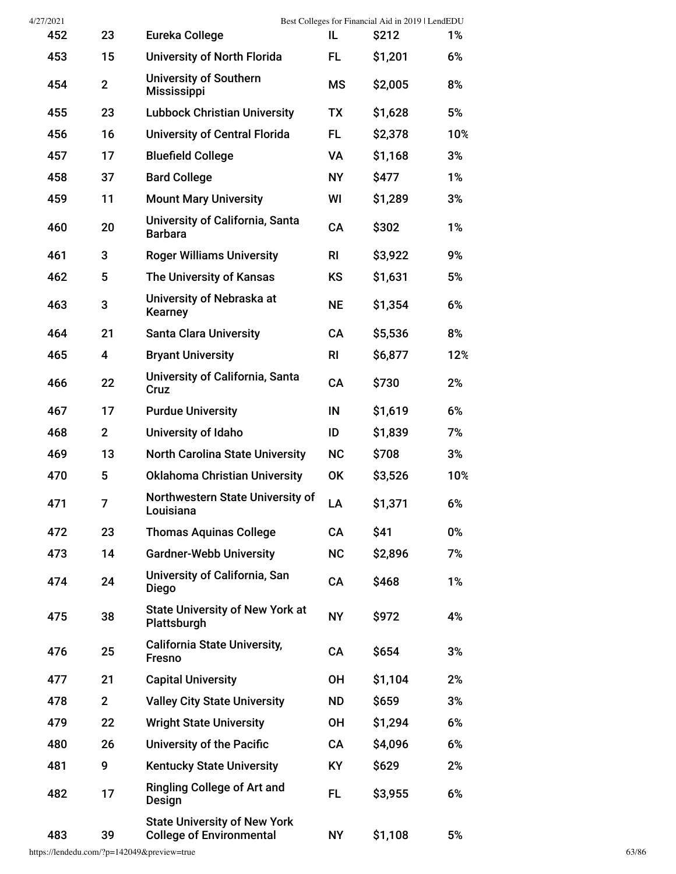| 4/27/2021 |                         |                                                                        |                | Best Colleges for Financial Aid in 2019   LendEDU |     |
|-----------|-------------------------|------------------------------------------------------------------------|----------------|---------------------------------------------------|-----|
| 452       | 23                      | Eureka College                                                         | IL.            | <b>S212</b>                                       | 1%  |
| 453       | 15                      | University of North Florida                                            | FL             | \$1,201                                           | 6%  |
| 454       | $\overline{2}$          | <b>University of Southern</b><br><b>Mississippi</b>                    | <b>MS</b>      | \$2,005                                           | 8%  |
| 455       | 23                      | <b>Lubbock Christian University</b>                                    | <b>TX</b>      | \$1,628                                           | 5%  |
| 456       | 16                      | <b>University of Central Florida</b>                                   | FL.            | \$2,378                                           | 10% |
| 457       | 17                      | <b>Bluefield College</b>                                               | VA             | \$1,168                                           | 3%  |
| 458       | 37                      | <b>Bard College</b>                                                    | <b>NY</b>      | \$477                                             | 1%  |
| 459       | 11                      | <b>Mount Mary University</b>                                           | WI             | \$1,289                                           | 3%  |
| 460       | 20                      | University of California, Santa<br><b>Barbara</b>                      | CA             | \$302                                             | 1%  |
| 461       | 3                       | <b>Roger Williams University</b>                                       | R <sub>l</sub> | \$3,922                                           | 9%  |
| 462       | 5                       | The University of Kansas                                               | <b>KS</b>      | \$1,631                                           | 5%  |
| 463       | 3                       | University of Nebraska at<br><b>Kearney</b>                            | <b>NE</b>      | \$1,354                                           | 6%  |
| 464       | 21                      | <b>Santa Clara University</b>                                          | <b>CA</b>      | \$5,536                                           | 8%  |
| 465       | $\overline{\mathbf{4}}$ | <b>Bryant University</b>                                               | <b>RI</b>      | \$6,877                                           | 12% |
| 466       | 22                      | University of California, Santa<br>Cruz                                | CA             | \$730                                             | 2%  |
| 467       | 17                      | <b>Purdue University</b>                                               | IN             | \$1,619                                           | 6%  |
| 468       | $\mathbf{2}$            | University of Idaho                                                    | ID             | \$1,839                                           | 7%  |
| 469       | 13                      | <b>North Carolina State University</b>                                 | <b>NC</b>      | \$708                                             | 3%  |
| 470       | 5                       | <b>Oklahoma Christian University</b>                                   | <b>OK</b>      | \$3,526                                           | 10% |
| 471       | 7                       | Northwestern State University of<br>Louisiana                          | LA             | \$1,371                                           | 6%  |
| 472       | 23                      | <b>Thomas Aquinas College</b>                                          | CA             | \$41                                              | 0%  |
| 473       | 14                      | <b>Gardner-Webb University</b>                                         | <b>NC</b>      | \$2,896                                           | 7%  |
| 474       | 24                      | University of California, San<br>Diego                                 | CA             | \$468                                             | 1%  |
| 475       | 38                      | <b>State University of New York at</b><br>Plattsburgh                  | <b>NY</b>      | \$972                                             | 4%  |
| 476       | 25                      | <b>California State University,</b><br><b>Fresno</b>                   | CA             | \$654                                             | 3%  |
| 477       | 21                      | <b>Capital University</b>                                              | <b>OH</b>      | \$1,104                                           | 2%  |
| 478       | $\overline{2}$          | <b>Valley City State University</b>                                    | <b>ND</b>      | \$659                                             | 3%  |
| 479       | 22                      | <b>Wright State University</b>                                         | <b>OH</b>      | \$1,294                                           | 6%  |
| 480       | 26                      | University of the Pacific                                              | CA             | \$4,096                                           | 6%  |
| 481       | 9                       | <b>Kentucky State University</b>                                       | <b>KY</b>      | \$629                                             | 2%  |
| 482       | 17                      | <b>Ringling College of Art and</b><br>Design                           | <b>FL</b>      | \$3,955                                           | 6%  |
| 483       | 39                      | <b>State University of New York</b><br><b>College of Environmental</b> | <b>NY</b>      | \$1,108                                           | 5%  |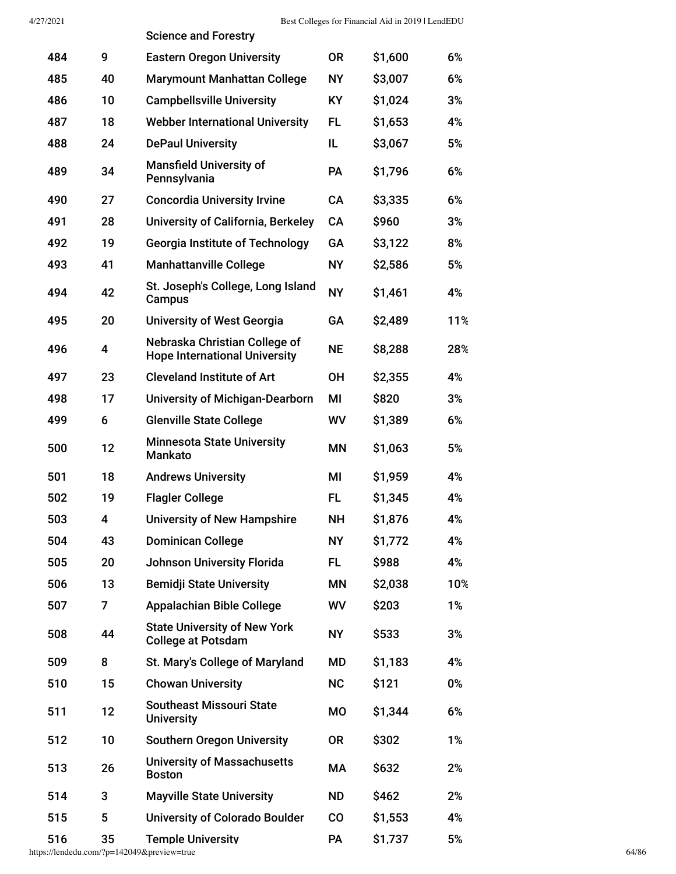|     |    | <b>Science and Forestry</b>                                           |           |         |     |
|-----|----|-----------------------------------------------------------------------|-----------|---------|-----|
| 484 | 9  | <b>Eastern Oregon University</b>                                      | <b>OR</b> | \$1,600 | 6%  |
| 485 | 40 | <b>Marymount Manhattan College</b>                                    | <b>NY</b> | \$3,007 | 6%  |
| 486 | 10 | <b>Campbellsville University</b>                                      | <b>KY</b> | \$1,024 | 3%  |
| 487 | 18 | <b>Webber International University</b>                                | FL        | \$1,653 | 4%  |
| 488 | 24 | <b>DePaul University</b>                                              | IL        | \$3,067 | 5%  |
| 489 | 34 | <b>Mansfield University of</b><br>Pennsylvania                        | <b>PA</b> | \$1,796 | 6%  |
| 490 | 27 | <b>Concordia University Irvine</b>                                    | CA        | \$3,335 | 6%  |
| 491 | 28 | University of California, Berkeley                                    | <b>CA</b> | \$960   | 3%  |
| 492 | 19 | <b>Georgia Institute of Technology</b>                                | GA        | \$3,122 | 8%  |
| 493 | 41 | <b>Manhattanville College</b>                                         | <b>NY</b> | \$2,586 | 5%  |
| 494 | 42 | St. Joseph's College, Long Island<br>Campus                           | <b>NY</b> | \$1,461 | 4%  |
| 495 | 20 | <b>University of West Georgia</b>                                     | GA        | \$2,489 | 11% |
| 496 | 4  | Nebraska Christian College of<br><b>Hope International University</b> | <b>NE</b> | \$8,288 | 28% |
| 497 | 23 | <b>Cleveland Institute of Art</b>                                     | <b>OH</b> | \$2,355 | 4%  |
| 498 | 17 | <b>University of Michigan-Dearborn</b>                                | ΜI        | \$820   | 3%  |
| 499 | 6  | <b>Glenville State College</b>                                        | WV        | \$1,389 | 6%  |
| 500 | 12 | <b>Minnesota State University</b><br><b>Mankato</b>                   | <b>MN</b> | \$1,063 | 5%  |
| 501 | 18 | <b>Andrews University</b>                                             | ΜI        | \$1,959 | 4%  |
| 502 | 19 | <b>Flagler College</b>                                                | FL        | \$1,345 | 4%  |
| 503 | 4  | <b>University of New Hampshire</b>                                    | <b>NH</b> | \$1,876 | 4%  |
| 504 | 43 | <b>Dominican College</b>                                              | <b>NY</b> | \$1,772 | 4%  |
| 505 | 20 | <b>Johnson University Florida</b>                                     | FL.       | \$988   | 4%  |
| 506 | 13 | <b>Bemidji State University</b>                                       | ΜN        | \$2,038 | 10% |
| 507 | 7  | <b>Appalachian Bible College</b>                                      | WV        | \$203   | 1%  |
| 508 | 44 | <b>State University of New York</b><br><b>College at Potsdam</b>      | <b>NY</b> | \$533   | 3%  |
| 509 | 8  | St. Mary's College of Maryland                                        | MD        | \$1,183 | 4%  |
| 510 | 15 | <b>Chowan University</b>                                              | <b>NC</b> | \$121   | 0%  |
| 511 | 12 | <b>Southeast Missouri State</b><br><b>University</b>                  | <b>MO</b> | \$1,344 | 6%  |
| 512 | 10 | <b>Southern Oregon University</b>                                     | <b>OR</b> | \$302   | 1%  |
| 513 | 26 | <b>University of Massachusetts</b><br><b>Boston</b>                   | МA        | \$632   | 2%  |
| 514 | 3  | <b>Mayville State University</b>                                      | <b>ND</b> | \$462   | 2%  |
| 515 | 5  | <b>University of Colorado Boulder</b>                                 | co        | \$1,553 | 4%  |
| 516 | 35 | <b>Temple University</b>                                              | PA        | \$1,737 | 5%  |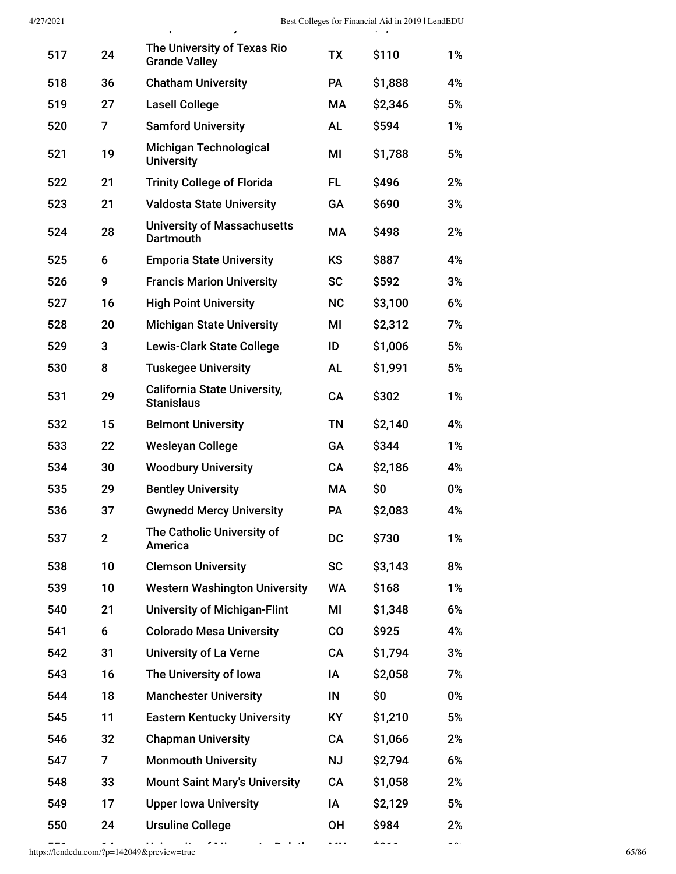| 4/27/2021 | $ -$           | a waaqoo waxaa waxay                                     |           | Best Colleges for Financial Aid in 2019   LendEDU |       |
|-----------|----------------|----------------------------------------------------------|-----------|---------------------------------------------------|-------|
| 517       | 24             | The University of Texas Rio<br><b>Grande Valley</b>      | <b>TX</b> | \$110                                             | 1%    |
| 518       | 36             | <b>Chatham University</b>                                | <b>PA</b> | \$1,888                                           | 4%    |
| 519       | 27             | <b>Lasell College</b>                                    | МA        | \$2,346                                           | 5%    |
| 520       | 7              | <b>Samford University</b>                                | <b>AL</b> | \$594                                             | 1%    |
| 521       | 19             | Michigan Technological<br><b>University</b>              | MI        | \$1,788                                           | 5%    |
| 522       | 21             | <b>Trinity College of Florida</b>                        | FL.       | \$496                                             | 2%    |
| 523       | 21             | <b>Valdosta State University</b>                         | GA        | \$690                                             | 3%    |
| 524       | 28             | <b>University of Massachusetts</b><br>Dartmouth          | MA        | \$498                                             | 2%    |
| 525       | 6              | <b>Emporia State University</b>                          | <b>KS</b> | \$887                                             | 4%    |
| 526       | 9              | <b>Francis Marion University</b>                         | <b>SC</b> | \$592                                             | 3%    |
| 527       | 16             | <b>High Point University</b>                             | <b>NC</b> | \$3,100                                           | 6%    |
| 528       | 20             | <b>Michigan State University</b>                         | MI        | \$2,312                                           | 7%    |
| 529       | 3              | <b>Lewis-Clark State College</b>                         | ID        | \$1,006                                           | 5%    |
| 530       | 8              | <b>Tuskegee University</b>                               | <b>AL</b> | \$1,991                                           | 5%    |
| 531       | 29             | <b>California State University,</b><br><b>Stanislaus</b> | CA        | \$302                                             | 1%    |
| 532       | 15             | <b>Belmont University</b>                                | <b>TN</b> | \$2,140                                           | 4%    |
| 533       | 22             | <b>Wesleyan College</b>                                  | GA        | \$344                                             | 1%    |
| 534       | 30             | <b>Woodbury University</b>                               | CA        | \$2,186                                           | 4%    |
| 535       | 29             | <b>Bentley University</b>                                | МA        | \$0                                               | 0%    |
| 536       | 37             | <b>Gwynedd Mercy University</b>                          | PA        | \$2,083                                           | 4%    |
| 537       | $\overline{2}$ | The Catholic University of<br>America                    | <b>DC</b> | \$730                                             | $1\%$ |
| 538       | 10             | <b>Clemson University</b>                                | <b>SC</b> | \$3,143                                           | 8%    |
| 539       | 10             | <b>Western Washington University</b>                     | WA        | \$168                                             | 1%    |
| 540       | 21             | <b>University of Michigan-Flint</b>                      | ΜI        | \$1,348                                           | 6%    |
| 541       | 6              | <b>Colorado Mesa University</b>                          | CO        | \$925                                             | 4%    |
| 542       | 31             | <b>University of La Verne</b>                            | CA        | \$1,794                                           | 3%    |
| 543       | 16             | The University of Iowa                                   | ΙA        | \$2,058                                           | 7%    |
| 544       | 18             | <b>Manchester University</b>                             | IN        | \$0                                               | 0%    |
| 545       | 11             | <b>Eastern Kentucky University</b>                       | <b>KY</b> | \$1,210                                           | 5%    |
| 546       | 32             | <b>Chapman University</b>                                | CA        | \$1,066                                           | 2%    |
| 547       | 7              | <b>Monmouth University</b>                               | <b>NJ</b> | \$2,794                                           | 6%    |
| 548       | 33             | <b>Mount Saint Mary's University</b>                     | CA        | \$1,058                                           | 2%    |
| 549       | 17             | <b>Upper Iowa University</b>                             | ΙA        | \$2,129                                           | 5%    |
| 550       | 24             | <b>Ursuline College</b>                                  | <b>OH</b> | \$984                                             | 2%    |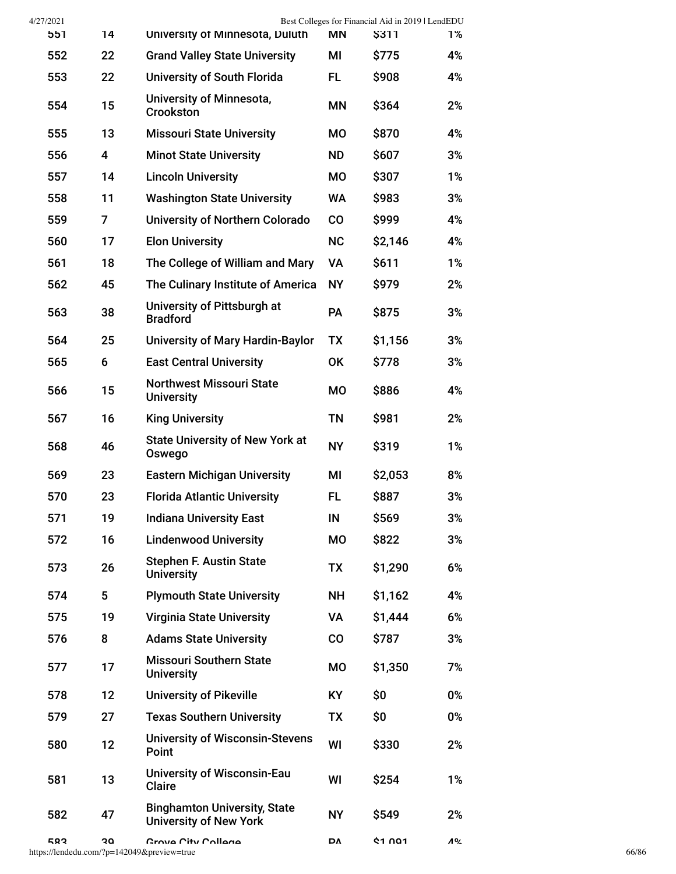| 4/27/2021 |    |                                                                      |           | Best Colleges for Financial Aid in 2019   LendEDU |           |
|-----------|----|----------------------------------------------------------------------|-----------|---------------------------------------------------|-----------|
| 551       | 14 | University of Minnesota, Duluth                                      | <b>MN</b> | <b>\$311</b>                                      | 1%        |
| 552       | 22 | <b>Grand Valley State University</b>                                 | MI        | \$775                                             | 4%        |
| 553       | 22 | University of South Florida                                          | FL.       | \$908                                             | 4%        |
| 554       | 15 | University of Minnesota,<br><b>Crookston</b>                         | <b>MN</b> | \$364                                             | 2%        |
| 555       | 13 | <b>Missouri State University</b>                                     | MO        | \$870                                             | 4%        |
| 556       | 4  | <b>Minot State University</b>                                        | <b>ND</b> | \$607                                             | 3%        |
| 557       | 14 | <b>Lincoln University</b>                                            | MO        | \$307                                             | 1%        |
| 558       | 11 | <b>Washington State University</b>                                   | <b>WA</b> | \$983                                             | 3%        |
| 559       | 7  | University of Northern Colorado                                      | $\rm CO$  | \$999                                             | 4%        |
| 560       | 17 | <b>Elon University</b>                                               | NC        | \$2,146                                           | 4%        |
| 561       | 18 | The College of William and Mary                                      | VA        | \$611                                             | 1%        |
| 562       | 45 | The Culinary Institute of America                                    | <b>NY</b> | \$979                                             | 2%        |
| 563       | 38 | University of Pittsburgh at<br><b>Bradford</b>                       | <b>PA</b> | \$875                                             | 3%        |
| 564       | 25 | <b>University of Mary Hardin-Baylor</b>                              | TX        | \$1,156                                           | 3%        |
| 565       | 6  | <b>East Central University</b>                                       | OK        | \$778                                             | 3%        |
| 566       | 15 | <b>Northwest Missouri State</b><br><b>University</b>                 | MO        | \$886                                             | 4%        |
| 567       | 16 | <b>King University</b>                                               | <b>TN</b> | \$981                                             | 2%        |
| 568       | 46 | <b>State University of New York at</b><br>Oswego                     | <b>NY</b> | \$319                                             | 1%        |
| 569       | 23 | <b>Eastern Michigan University</b>                                   | MI        | \$2,053                                           | 8%        |
| 570       | 23 | <b>Florida Atlantic University</b>                                   | <b>FL</b> | \$887                                             | 3%        |
| 571       | 19 | <b>Indiana University East</b>                                       | $\sf IN$  | \$569                                             | 3%        |
| 572       | 16 | <b>Lindenwood University</b>                                         | MO        | \$822                                             | 3%        |
| 573       | 26 | <b>Stephen F. Austin State</b><br><b>University</b>                  | TX        | \$1,290                                           | 6%        |
| 574       | 5  | <b>Plymouth State University</b>                                     | <b>NH</b> | \$1,162                                           | 4%        |
| 575       | 19 | <b>Virginia State University</b>                                     | VA        | \$1,444                                           | 6%        |
| 576       | 8  | <b>Adams State University</b>                                        | $\rm CO$  | \$787                                             | 3%        |
| 577       | 17 | <b>Missouri Southern State</b><br><b>University</b>                  | MO        | \$1,350                                           | 7%        |
| 578       | 12 | <b>University of Pikeville</b>                                       | <b>KY</b> | \$0                                               | $0\%$     |
| 579       | 27 | <b>Texas Southern University</b>                                     | TX        | \$0                                               | $0\%$     |
| 580       | 12 | <b>University of Wisconsin-Stevens</b><br>Point                      | WI        | \$330                                             | 2%        |
| 581       | 13 | <b>University of Wisconsin-Eau</b><br><b>Claire</b>                  | WI        | \$254                                             | 1%        |
| 582       | 47 | <b>Binghamton University, State</b><br><b>University of New York</b> | <b>NY</b> | \$549                                             | 2%        |
| 583       | ە2 | Grove City College                                                   | DΔ        | <b>41 001</b>                                     | <b>A%</b> |
|           |    | https://lendedu.com/?p=142049&preview=true                           |           |                                                   |           |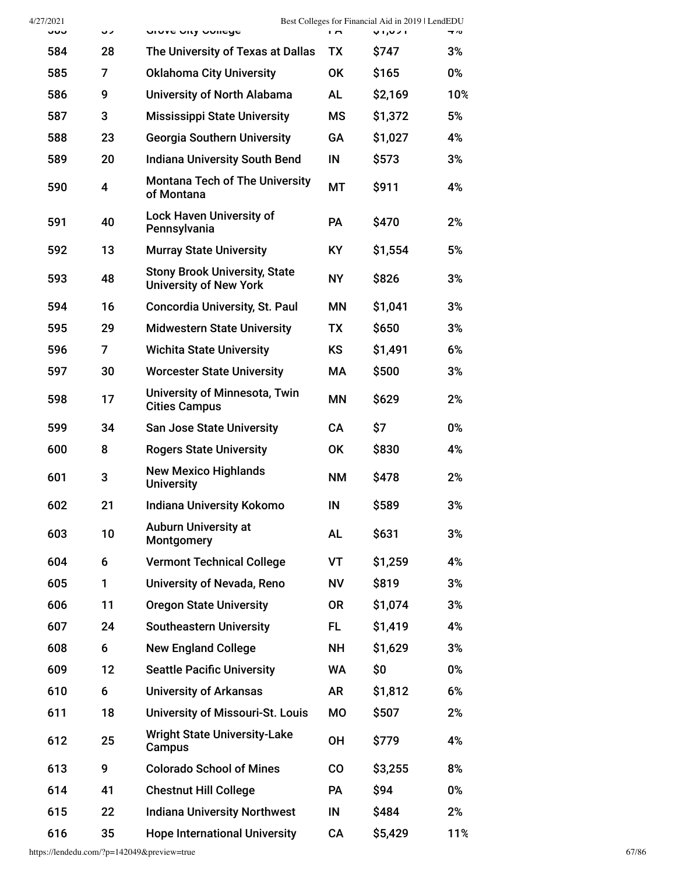| 4/27/2021<br>სხა | っっ                      | OIUVE UILY UUIIEYE                                                    | гm.       | Best Colleges for Financial Aid in 2019   LendEDU<br>ו לט, ו ט | 4 70 |
|------------------|-------------------------|-----------------------------------------------------------------------|-----------|----------------------------------------------------------------|------|
| 584              | 28                      | The University of Texas at Dallas                                     | <b>TX</b> | \$747                                                          | 3%   |
| 585              | 7                       | <b>Oklahoma City University</b>                                       | <b>OK</b> | \$165                                                          | 0%   |
| 586              | 9                       | University of North Alabama                                           | <b>AL</b> | \$2,169                                                        | 10%  |
| 587              | 3                       | <b>Mississippi State University</b>                                   | <b>MS</b> | \$1,372                                                        | 5%   |
| 588              | 23                      | <b>Georgia Southern University</b>                                    | GA        | \$1,027                                                        | 4%   |
| 589              | 20                      | <b>Indiana University South Bend</b>                                  | IN        | \$573                                                          | 3%   |
| 590              | $\overline{\mathbf{4}}$ | <b>Montana Tech of The University</b><br>of Montana                   | МT        | \$911                                                          | 4%   |
| 591              | 40                      | <b>Lock Haven University of</b><br>Pennsylvania                       | <b>PA</b> | \$470                                                          | 2%   |
| 592              | 13                      | <b>Murray State University</b>                                        | <b>KY</b> | \$1,554                                                        | 5%   |
| 593              | 48                      | <b>Stony Brook University, State</b><br><b>University of New York</b> | <b>NY</b> | \$826                                                          | 3%   |
| 594              | 16                      | <b>Concordia University, St. Paul</b>                                 | ΜN        | \$1,041                                                        | 3%   |
| 595              | 29                      | <b>Midwestern State University</b>                                    | <b>TX</b> | \$650                                                          | 3%   |
| 596              | 7                       | <b>Wichita State University</b>                                       | <b>KS</b> | \$1,491                                                        | 6%   |
| 597              | 30                      | <b>Worcester State University</b>                                     | МA        | \$500                                                          | 3%   |
| 598              | 17                      | University of Minnesota, Twin<br><b>Cities Campus</b>                 | ΜN        | \$629                                                          | 2%   |
| 599              | 34                      | <b>San Jose State University</b>                                      | <b>CA</b> | \$7                                                            | 0%   |
| 600              | 8                       | <b>Rogers State University</b>                                        | <b>OK</b> | \$830                                                          | 4%   |
| 601              | 3                       | <b>New Mexico Highlands</b><br><b>University</b>                      | <b>NM</b> | \$478                                                          | 2%   |
| 602              | 21                      | <b>Indiana University Kokomo</b>                                      | IN        | \$589                                                          | 3%   |
| 603              | 10                      | <b>Auburn University at</b><br>Montgomery                             | <b>AL</b> | \$631                                                          | 3%   |
| 604              | 6                       | <b>Vermont Technical College</b>                                      | VT        | \$1,259                                                        | 4%   |
| 605              | 1                       | University of Nevada, Reno                                            | <b>NV</b> | \$819                                                          | 3%   |
| 606              | 11                      | <b>Oregon State University</b>                                        | <b>OR</b> | \$1,074                                                        | 3%   |
| 607              | 24                      | <b>Southeastern University</b>                                        | FL        | \$1,419                                                        | 4%   |
| 608              | 6                       | <b>New England College</b>                                            | <b>NH</b> | \$1,629                                                        | 3%   |
| 609              | 12                      | <b>Seattle Pacific University</b>                                     | <b>WA</b> | \$0                                                            | 0%   |
| 610              | 6                       | <b>University of Arkansas</b>                                         | AR        | \$1,812                                                        | 6%   |
| 611              | 18                      | University of Missouri-St. Louis                                      | <b>MO</b> | \$507                                                          | 2%   |
| 612              | 25                      | <b>Wright State University-Lake</b><br>Campus                         | <b>OH</b> | \$779                                                          | 4%   |
| 613              | 9                       | <b>Colorado School of Mines</b>                                       | co        | \$3,255                                                        | 8%   |
| 614              | 41                      | <b>Chestnut Hill College</b>                                          | PA        | \$94                                                           | 0%   |
| 615              | 22                      | <b>Indiana University Northwest</b>                                   | IN        | \$484                                                          | 2%   |
| 616              | 35                      | <b>Hope International University</b>                                  | CA        | \$5,429                                                        | 11%  |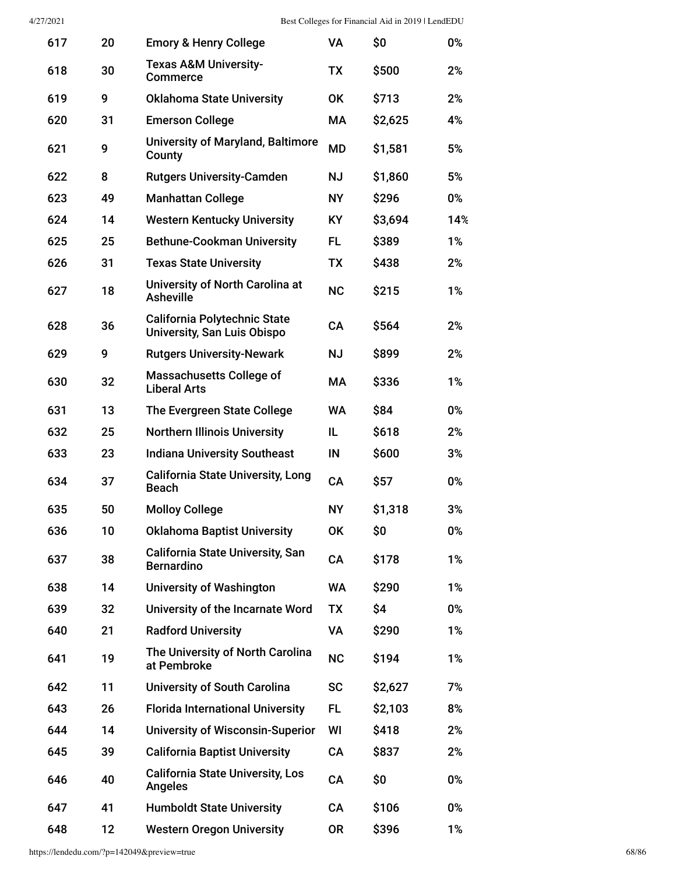| 617 | 20 | <b>Emory &amp; Henry College</b>                                          | VA        | \$0     | 0%  |
|-----|----|---------------------------------------------------------------------------|-----------|---------|-----|
| 618 | 30 | <b>Texas A&amp;M University-</b><br><b>Commerce</b>                       | <b>TX</b> | \$500   | 2%  |
| 619 | 9  | <b>Oklahoma State University</b>                                          | <b>OK</b> | \$713   | 2%  |
| 620 | 31 | <b>Emerson College</b>                                                    | МA        | \$2,625 | 4%  |
| 621 | 9  | <b>University of Maryland, Baltimore</b><br>County                        | <b>MD</b> | \$1,581 | 5%  |
| 622 | 8  | <b>Rutgers University-Camden</b>                                          | <b>NJ</b> | \$1,860 | 5%  |
| 623 | 49 | <b>Manhattan College</b>                                                  | <b>NY</b> | \$296   | 0%  |
| 624 | 14 | <b>Western Kentucky University</b>                                        | KY.       | \$3,694 | 14% |
| 625 | 25 | <b>Bethune-Cookman University</b>                                         | FL        | \$389   | 1%  |
| 626 | 31 | <b>Texas State University</b>                                             | <b>TX</b> | \$438   | 2%  |
| 627 | 18 | University of North Carolina at<br><b>Asheville</b>                       | <b>NC</b> | \$215   | 1%  |
| 628 | 36 | <b>California Polytechnic State</b><br><b>University, San Luis Obispo</b> | <b>CA</b> | \$564   | 2%  |
| 629 | 9  | <b>Rutgers University-Newark</b>                                          | <b>NJ</b> | \$899   | 2%  |
| 630 | 32 | <b>Massachusetts College of</b><br><b>Liberal Arts</b>                    | МA        | \$336   | 1%  |
| 631 | 13 | The Evergreen State College                                               | WA        | \$84    | 0%  |
| 632 | 25 | <b>Northern Illinois University</b>                                       | IL        | \$618   | 2%  |
| 633 | 23 | <b>Indiana University Southeast</b>                                       | IN        | \$600   | 3%  |
| 634 | 37 | <b>California State University, Long</b><br><b>Beach</b>                  | CA        | \$57    | 0%  |
| 635 | 50 | <b>Molloy College</b>                                                     | <b>NY</b> | \$1,318 | 3%  |
| 636 | 10 | <b>Oklahoma Baptist University</b>                                        | <b>OK</b> | \$0     | 0%  |
| 637 | 38 | <b>California State University, San</b><br><b>Bernardino</b>              | CA        | \$178   | 1%  |
| 638 | 14 | <b>University of Washington</b>                                           | <b>WA</b> | \$290   | 1%  |
| 639 | 32 | University of the Incarnate Word                                          | <b>TX</b> | \$4     | 0%  |
| 640 | 21 | <b>Radford University</b>                                                 | VA        | \$290   | 1%  |
| 641 | 19 | The University of North Carolina<br>at Pembroke                           | <b>NC</b> | \$194   | 1%  |
| 642 | 11 | <b>University of South Carolina</b>                                       | <b>SC</b> | \$2,627 | 7%  |
| 643 | 26 | <b>Florida International University</b>                                   | FL        | \$2,103 | 8%  |
| 644 | 14 | <b>University of Wisconsin-Superior</b>                                   | WI        | \$418   | 2%  |
| 645 | 39 | <b>California Baptist University</b>                                      | CA        | \$837   | 2%  |
| 646 | 40 | <b>California State University, Los</b><br><b>Angeles</b>                 | CA        | \$0     | 0%  |
| 647 | 41 | <b>Humboldt State University</b>                                          | CA        | \$106   | 0%  |
| 648 | 12 | <b>Western Oregon University</b>                                          | 0R        | \$396   | 1%  |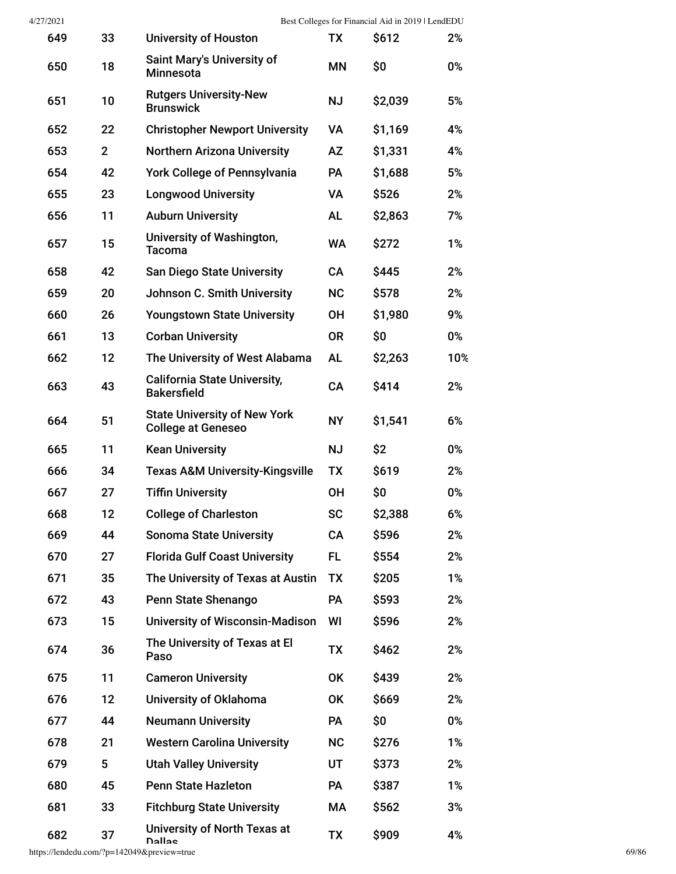| 4/27/2021 |                |                                                                  |           | Best Colleges for Financial Aid in 2019   LendEDU |       |
|-----------|----------------|------------------------------------------------------------------|-----------|---------------------------------------------------|-------|
| 649       | 33             | <b>University of Houston</b>                                     | ТX        | \$612                                             | 2%    |
| 650       | 18             | <b>Saint Mary's University of</b><br><b>Minnesota</b>            | MΝ        | \$0                                               | 0%    |
| 651       | 10             | <b>Rutgers University-New</b><br><b>Brunswick</b>                | <b>NJ</b> | \$2,039                                           | 5%    |
| 652       | 22             | <b>Christopher Newport University</b>                            | VA        | \$1,169                                           | 4%    |
| 653       | 2 <sup>1</sup> | <b>Northern Arizona University</b>                               | AZ        | \$1,331                                           | 4%    |
| 654       | 42             | <b>York College of Pennsylvania</b>                              | <b>PA</b> | \$1,688                                           | 5%    |
| 655       | 23             | <b>Longwood University</b>                                       | VA        | \$526                                             | 2%    |
| 656       | 11             | <b>Auburn University</b>                                         | <b>AL</b> | \$2,863                                           | 7%    |
| 657       | 15             | University of Washington,<br><b>Tacoma</b>                       | <b>WA</b> | \$272                                             | 1%    |
| 658       | 42             | <b>San Diego State University</b>                                | <b>CA</b> | \$445                                             | 2%    |
| 659       | 20             | <b>Johnson C. Smith University</b>                               | <b>NC</b> | \$578                                             | 2%    |
| 660       | 26             | <b>Youngstown State University</b>                               | <b>OH</b> | \$1,980                                           | 9%    |
| 661       | 13             | <b>Corban University</b>                                         | <b>OR</b> | \$0                                               | 0%    |
| 662       | 12             | The University of West Alabama                                   | <b>AL</b> | \$2,263                                           | 10%   |
| 663       | 43             | <b>California State University,</b><br><b>Bakersfield</b>        | CA        | \$414                                             | 2%    |
| 664       | 51             | <b>State University of New York</b><br><b>College at Geneseo</b> | <b>NY</b> | \$1,541                                           | 6%    |
| 665       | 11             | <b>Kean University</b>                                           | <b>NJ</b> | \$2                                               | 0%    |
| 666       | 34             | <b>Texas A&amp;M University-Kingsville</b>                       | ТX        | \$619                                             | 2%    |
| 667       | 27             | <b>Tiffin University</b>                                         | <b>OH</b> | \$0                                               | 0%    |
| 668       | 12             | <b>College of Charleston</b>                                     | <b>SC</b> | \$2,388                                           | 6%    |
| 669       | 44             | <b>Sonoma State University</b>                                   | CA        | \$596                                             | 2%    |
| 670       | 27             | <b>Florida Gulf Coast University</b>                             | FL        | \$554                                             | 2%    |
| 671       | 35             | The University of Texas at Austin                                | <b>TX</b> | \$205                                             | 1%    |
| 672       | 43             | Penn State Shenango                                              | PA        | \$593                                             | 2%    |
| 673       | 15             | <b>University of Wisconsin-Madison</b>                           | WI        | \$596                                             | 2%    |
| 674       | 36             | The University of Texas at El<br>Paso                            | TX        | \$462                                             | 2%    |
| 675       | 11             | <b>Cameron University</b>                                        | OK        | \$439                                             | 2%    |
| 676       | 12             | University of Oklahoma                                           | OK        | \$669                                             | 2%    |
| 677       | 44             | <b>Neumann University</b>                                        | PA        | \$0                                               | 0%    |
| 678       | 21             | <b>Western Carolina University</b>                               | <b>NC</b> | \$276                                             | $1\%$ |
| 679       | 5              | <b>Utah Valley University</b>                                    | UT        | \$373                                             | 2%    |
| 680       | 45             | <b>Penn State Hazleton</b>                                       | PA        | \$387                                             | 1%    |
| 681       | 33             | <b>Fitchburg State University</b>                                | МA        | \$562                                             | 3%    |
| 682       | 37             | University of North Texas at<br>Dallas                           | TX        | \$909                                             | 4%    |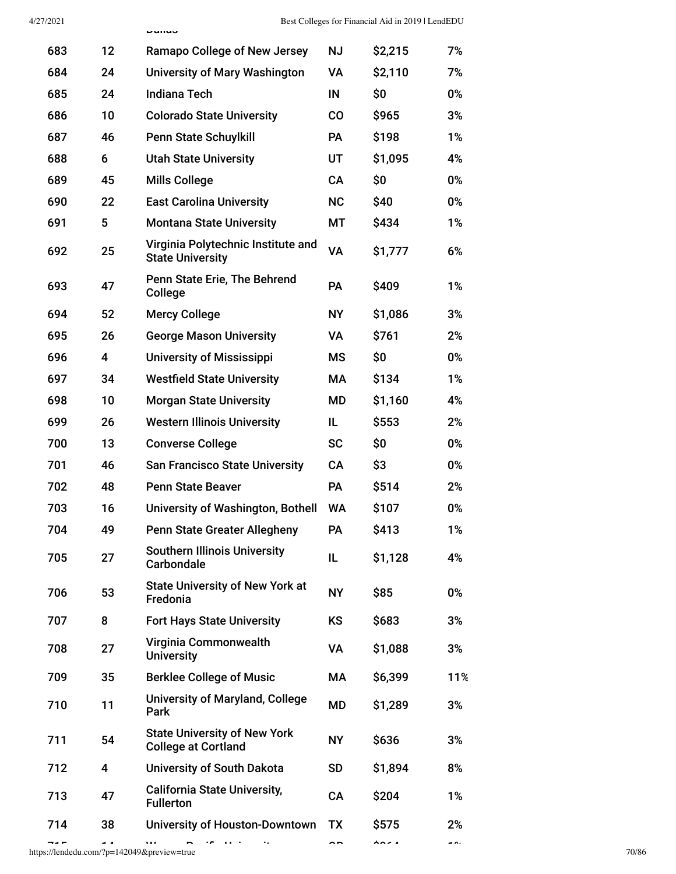|     |                         | nanas                                                             |           |         |     |
|-----|-------------------------|-------------------------------------------------------------------|-----------|---------|-----|
| 683 | 12                      | <b>Ramapo College of New Jersey</b>                               | <b>NJ</b> | \$2,215 | 7%  |
| 684 | 24                      | <b>University of Mary Washington</b>                              | VA        | \$2,110 | 7%  |
| 685 | 24                      | <b>Indiana Tech</b>                                               | IN        | \$0     | 0%  |
| 686 | 10                      | <b>Colorado State University</b>                                  | co        | \$965   | 3%  |
| 687 | 46                      | <b>Penn State Schuylkill</b>                                      | <b>PA</b> | \$198   | 1%  |
| 688 | 6                       | <b>Utah State University</b>                                      | UT        | \$1,095 | 4%  |
| 689 | 45                      | <b>Mills College</b>                                              | <b>CA</b> | \$0     | 0%  |
| 690 | 22                      | <b>East Carolina University</b>                                   | <b>NC</b> | \$40    | 0%  |
| 691 | 5                       | <b>Montana State University</b>                                   | МT        | \$434   | 1%  |
| 692 | 25                      | Virginia Polytechnic Institute and<br><b>State University</b>     | VA        | \$1,777 | 6%  |
| 693 | 47                      | Penn State Erie, The Behrend<br>College                           | <b>PA</b> | \$409   | 1%  |
| 694 | 52                      | <b>Mercy College</b>                                              | <b>NY</b> | \$1,086 | 3%  |
| 695 | 26                      | <b>George Mason University</b>                                    | <b>VA</b> | \$761   | 2%  |
| 696 | $\overline{\mathbf{4}}$ | <b>University of Mississippi</b>                                  | <b>MS</b> | \$0     | 0%  |
| 697 | 34                      | <b>Westfield State University</b>                                 | МA        | \$134   | 1%  |
| 698 | 10                      | <b>Morgan State University</b>                                    | <b>MD</b> | \$1,160 | 4%  |
| 699 | 26                      | <b>Western Illinois University</b>                                | IL        | \$553   | 2%  |
| 700 | 13                      | <b>Converse College</b>                                           | <b>SC</b> | \$0     | 0%  |
| 701 | 46                      | <b>San Francisco State University</b>                             | CA        | \$3     | 0%  |
| 702 | 48                      | <b>Penn State Beaver</b>                                          | <b>PA</b> | \$514   | 2%  |
| 703 | 16                      | University of Washington, Bothell                                 | <b>WA</b> | \$107   | 0%  |
| 704 | 49                      | <b>Penn State Greater Allegheny</b>                               | PA        | \$413   | 1%  |
| 705 | 27                      | <b>Southern Illinois University</b><br><b>Carbondale</b>          | IL        | \$1,128 | 4%  |
| 706 | 53                      | <b>State University of New York at</b><br>Fredonia                | <b>NY</b> | \$85    | 0%  |
| 707 | 8                       | <b>Fort Hays State University</b>                                 | <b>KS</b> | \$683   | 3%  |
| 708 | 27                      | Virginia Commonwealth<br><b>University</b>                        | <b>VA</b> | \$1,088 | 3%  |
| 709 | 35                      | <b>Berklee College of Music</b>                                   | МA        | \$6,399 | 11% |
| 710 | 11                      | <b>University of Maryland, College</b><br>Park                    | MD        | \$1,289 | 3%  |
| 711 | 54                      | <b>State University of New York</b><br><b>College at Cortland</b> | <b>NY</b> | \$636   | 3%  |
| 712 | $\overline{\mathbf{4}}$ | <b>University of South Dakota</b>                                 | <b>SD</b> | \$1,894 | 8%  |
| 713 | 47                      | <b>California State University,</b><br><b>Fullerton</b>           | <b>CA</b> | \$204   | 1%  |
| 714 | 38                      | <b>University of Houston-Downtown</b>                             | TX        | \$575   | 2%  |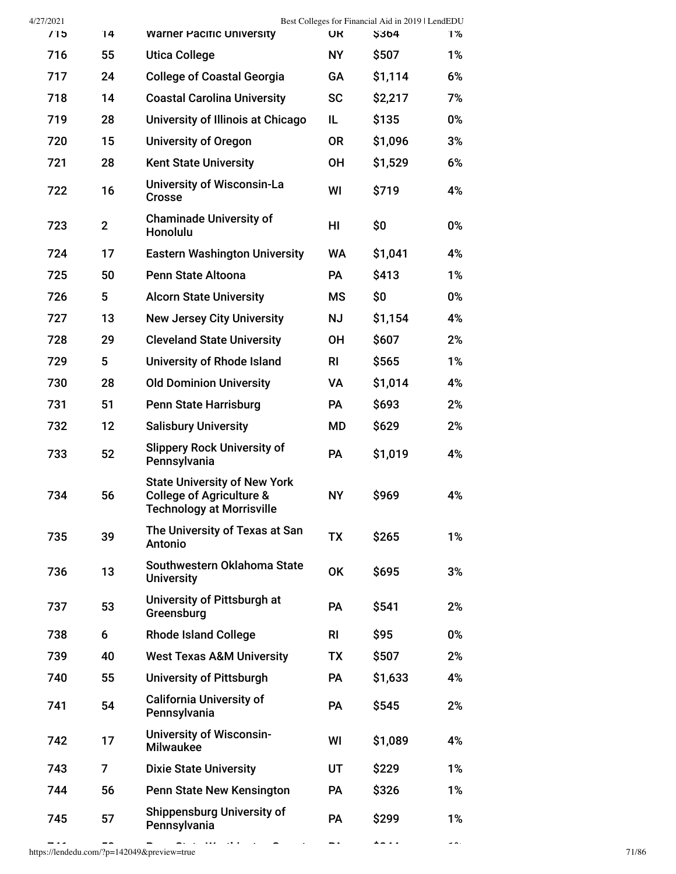| 4/27/2021<br>/15 | 14             | <b>Warner Pacific University</b>                                                                               | <b>UR</b> | Best Colleges for Financial Aid in 2019   LendEDU<br><b>S364</b> | 1%    |
|------------------|----------------|----------------------------------------------------------------------------------------------------------------|-----------|------------------------------------------------------------------|-------|
| 716              | 55             | <b>Utica College</b>                                                                                           | <b>NY</b> | \$507                                                            | 1%    |
| 717              | 24             | <b>College of Coastal Georgia</b>                                                                              | GA        | \$1,114                                                          | 6%    |
| 718              | 14             | <b>Coastal Carolina University</b>                                                                             | <b>SC</b> | \$2,217                                                          | 7%    |
| 719              | 28             | University of Illinois at Chicago                                                                              | IL.       | \$135                                                            | 0%    |
| 720              | 15             | <b>University of Oregon</b>                                                                                    | <b>OR</b> | \$1,096                                                          | 3%    |
| 721              | 28             | <b>Kent State University</b>                                                                                   | <b>OH</b> | \$1,529                                                          | 6%    |
| 722              | 16             | <b>University of Wisconsin-La</b><br><b>Crosse</b>                                                             | WI        | \$719                                                            | 4%    |
| 723              | $\overline{2}$ | <b>Chaminade University of</b><br>Honolulu                                                                     | HI        | \$0                                                              | 0%    |
| 724              | 17             | <b>Eastern Washington University</b>                                                                           | <b>WA</b> | \$1,041                                                          | 4%    |
| 725              | 50             | Penn State Altoona                                                                                             | <b>PA</b> | \$413                                                            | 1%    |
| 726              | 5              | <b>Alcorn State University</b>                                                                                 | <b>MS</b> | \$0                                                              | 0%    |
| 727              | 13             | <b>New Jersey City University</b>                                                                              | <b>NJ</b> | \$1,154                                                          | 4%    |
| 728              | 29             | <b>Cleveland State University</b>                                                                              | <b>OH</b> | \$607                                                            | 2%    |
| 729              | 5              | <b>University of Rhode Island</b>                                                                              | <b>RI</b> | \$565                                                            | 1%    |
| 730              | 28             | <b>Old Dominion University</b>                                                                                 | VA        | \$1,014                                                          | 4%    |
| 731              | 51             | <b>Penn State Harrisburg</b>                                                                                   | <b>PA</b> | \$693                                                            | 2%    |
| 732              | 12             | <b>Salisbury University</b>                                                                                    | <b>MD</b> | \$629                                                            | 2%    |
| 733              | 52             | <b>Slippery Rock University of</b><br>Pennsylvania                                                             | PA        | \$1,019                                                          | 4%    |
| 734              | 56             | <b>State University of New York</b><br><b>College of Agriculture &amp;</b><br><b>Technology at Morrisville</b> | <b>NY</b> | \$969                                                            | 4%    |
| 735              | 39             | The University of Texas at San<br>Antonio                                                                      | <b>TX</b> | \$265                                                            | $1\%$ |
| 736              | 13             | Southwestern Oklahoma State<br><b>University</b>                                                               | <b>OK</b> | \$695                                                            | 3%    |
| 737              | 53             | University of Pittsburgh at<br>Greensburg                                                                      | PA        | \$541                                                            | 2%    |
| 738              | 6              | <b>Rhode Island College</b>                                                                                    | <b>RI</b> | \$95                                                             | 0%    |
| 739              | 40             | <b>West Texas A&amp;M University</b>                                                                           | TX        | \$507                                                            | 2%    |
| 740              | 55             | <b>University of Pittsburgh</b>                                                                                | <b>PA</b> | \$1,633                                                          | 4%    |
| 741              | 54             | <b>California University of</b><br>Pennsylvania                                                                | PA        | \$545                                                            | 2%    |
| 742              | 17             | <b>University of Wisconsin-</b><br><b>Milwaukee</b>                                                            | WI        | \$1,089                                                          | 4%    |
| 743              | 7              | <b>Dixie State University</b>                                                                                  | UT        | \$229                                                            | 1%    |
| 744              | 56             | Penn State New Kensington                                                                                      | PA        | \$326                                                            | 1%    |
| 745              | 57             | <b>Shippensburg University of</b><br>Pennsylvania                                                              | PA        | \$299                                                            | 1%    |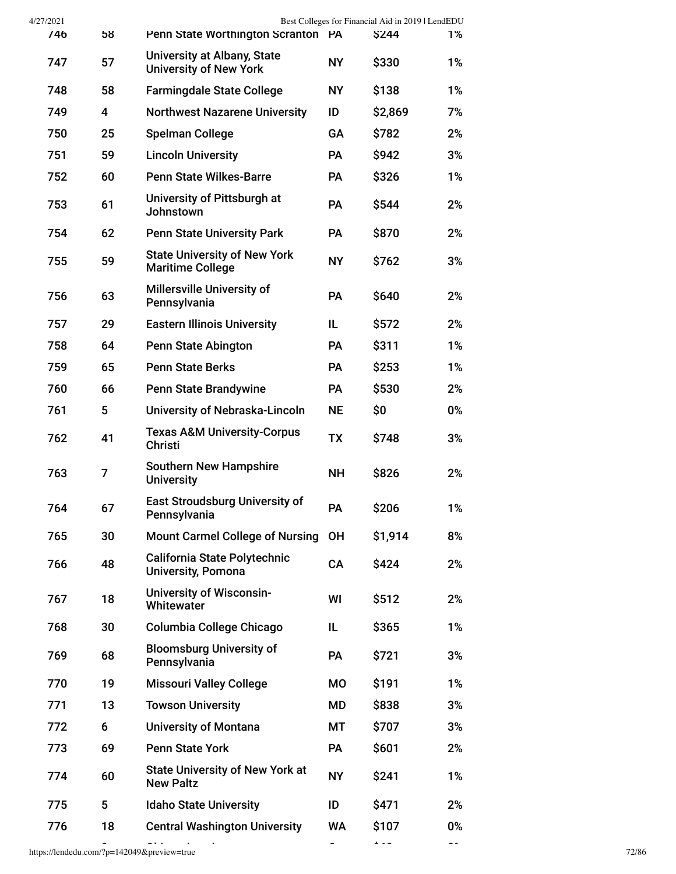| 4/27/2021 |                         |                                                                     |           |                                    |                                                   |
|-----------|-------------------------|---------------------------------------------------------------------|-----------|------------------------------------|---------------------------------------------------|
| 746       | 58                      |                                                                     |           | <b>\$244</b>                       | 1%                                                |
| 747       | 57                      | <b>University at Albany, State</b><br><b>University of New York</b> | <b>NY</b> | \$330                              | 1%                                                |
| 748       | 58                      | <b>Farmingdale State College</b>                                    | <b>NY</b> | \$138                              | 1%                                                |
| 749       | $\overline{\mathbf{4}}$ | <b>Northwest Nazarene University</b>                                | ID        | \$2,869                            | 7%                                                |
| 750       | 25                      | <b>Spelman College</b>                                              | <b>GA</b> | \$782                              | 2%                                                |
| 751       | 59                      | <b>Lincoln University</b>                                           | <b>PA</b> | \$942                              | 3%                                                |
| 752       | 60                      | <b>Penn State Wilkes-Barre</b>                                      | <b>PA</b> | \$326                              | 1%                                                |
| 753       | 61                      | University of Pittsburgh at<br><b>Johnstown</b>                     | <b>PA</b> | \$544                              | 2%                                                |
| 754       | 62                      | <b>Penn State University Park</b>                                   | <b>PA</b> | \$870                              | 2%                                                |
| 755       | 59                      | <b>State University of New York</b><br><b>Maritime College</b>      | <b>NY</b> | \$762                              | 3%                                                |
| 756       | 63                      | Millersville University of<br>Pennsylvania                          | PA        | \$640                              | 2%                                                |
| 757       | 29                      | <b>Eastern Illinois University</b>                                  | IL.       | \$572                              | 2%                                                |
| 758       | 64                      | <b>Penn State Abington</b>                                          | <b>PA</b> | \$311                              | 1%                                                |
| 759       | 65                      | <b>Penn State Berks</b>                                             | PA        | \$253                              | 1%                                                |
| 760       | 66                      | <b>Penn State Brandywine</b>                                        | <b>PA</b> | \$530                              | 2%                                                |
| 761       | 5                       | University of Nebraska-Lincoln                                      | <b>NE</b> | \$0                                | 0%                                                |
| 762       | 41                      | <b>Texas A&amp;M University-Corpus</b><br><b>Christi</b>            | <b>TX</b> | \$748                              | 3%                                                |
| 763       | 7                       | <b>Southern New Hampshire</b><br><b>University</b>                  | <b>NH</b> | \$826                              | 2%                                                |
| 764       | 67                      | <b>East Stroudsburg University of</b><br>Pennsylvania               | PA        | \$206                              | 1%                                                |
| 765       | 30                      | <b>Mount Carmel College of Nursing</b>                              | <b>OH</b> | \$1,914                            | 8%                                                |
| 766       | 48                      | California State Polytechnic<br><b>University, Pomona</b>           | CA        | \$424                              | 2%                                                |
| 767       | 18                      | <b>University of Wisconsin-</b><br>Whitewater                       | WI        | \$512                              | 2%                                                |
| 768       | 30                      | Columbia College Chicago                                            | IL        | \$365                              | 1%                                                |
| 769       | 68                      | <b>Bloomsburg University of</b><br>Pennsylvania                     | PA        | \$721                              | 3%                                                |
| 770       | 19                      | <b>Missouri Valley College</b>                                      | <b>MO</b> | \$191                              | 1%                                                |
| 771       | 13                      | <b>Towson University</b>                                            | MD        | \$838                              | 3%                                                |
| 772       | 6                       | <b>University of Montana</b>                                        | МT        | \$707                              | 3%                                                |
| 773       | 69                      | <b>Penn State York</b>                                              | PA        | \$601                              | 2%                                                |
| 774       | 60                      | <b>State University of New York at</b><br><b>New Paltz</b>          | <b>NY</b> | \$241                              | 1%                                                |
| 775       | 5                       | <b>Idaho State University</b>                                       | ID        | \$471                              | 2%                                                |
| 776       | 18                      | <b>Central Washington University</b>                                | WA        | \$107                              | 0%                                                |
|           |                         |                                                                     |           | Penn State Worthington Scranton PA | Best Colleges for Financial Aid in 2019   LendEDU |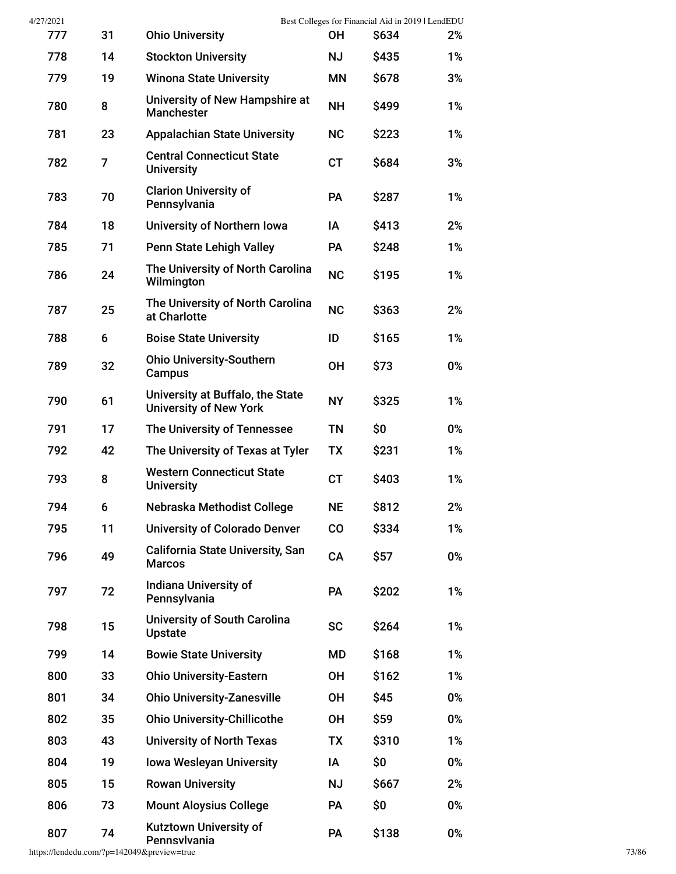| 4/27/2021 |    |                                                                   |           | Best Colleges for Financial Aid in 2019   LendEDU |    |
|-----------|----|-------------------------------------------------------------------|-----------|---------------------------------------------------|----|
| 777       | 31 | <b>Ohio University</b>                                            | <b>OH</b> | S634                                              | 2% |
| 778       | 14 | <b>Stockton University</b>                                        | <b>NJ</b> | \$435                                             | 1% |
| 779       | 19 | <b>Winona State University</b>                                    | <b>MN</b> | \$678                                             | 3% |
| 780       | 8  | University of New Hampshire at<br><b>Manchester</b>               | <b>NH</b> | \$499                                             | 1% |
| 781       | 23 | <b>Appalachian State University</b>                               | <b>NC</b> | \$223                                             | 1% |
| 782       | 7  | <b>Central Connecticut State</b><br><b>University</b>             | <b>CT</b> | \$684                                             | 3% |
| 783       | 70 | <b>Clarion University of</b><br>Pennsylvania                      | <b>PA</b> | \$287                                             | 1% |
| 784       | 18 | University of Northern Iowa                                       | ΙA        | \$413                                             | 2% |
| 785       | 71 | <b>Penn State Lehigh Valley</b>                                   | <b>PA</b> | \$248                                             | 1% |
| 786       | 24 | The University of North Carolina<br>Wilmington                    | <b>NC</b> | \$195                                             | 1% |
| 787       | 25 | The University of North Carolina<br>at Charlotte                  | <b>NC</b> | \$363                                             | 2% |
| 788       | 6  | <b>Boise State University</b>                                     | ID        | \$165                                             | 1% |
| 789       | 32 | <b>Ohio University-Southern</b><br>Campus                         | <b>OH</b> | \$73                                              | 0% |
| 790       | 61 | University at Buffalo, the State<br><b>University of New York</b> | <b>NY</b> | \$325                                             | 1% |
| 791       | 17 | The University of Tennessee                                       | <b>TN</b> | \$0                                               | 0% |
| 792       | 42 | The University of Texas at Tyler                                  | <b>TX</b> | \$231                                             | 1% |
| 793       | 8  | <b>Western Connecticut State</b><br><b>University</b>             | <b>CT</b> | \$403                                             | 1% |
| 794       | 6  | Nebraska Methodist College                                        | <b>NE</b> | \$812                                             | 2% |
| 795       | 11 | <b>University of Colorado Denver</b>                              | CO        | \$334                                             | 1% |
| 796       | 49 | <b>California State University, San</b><br><b>Marcos</b>          | CA        | \$57                                              | 0% |
| 797       | 72 | <b>Indiana University of</b><br>Pennsylvania                      | PA        | \$202                                             | 1% |
| 798       | 15 | <b>University of South Carolina</b><br><b>Upstate</b>             | <b>SC</b> | \$264                                             | 1% |
| 799       | 14 | <b>Bowie State University</b>                                     | MD        | \$168                                             | 1% |
| 800       | 33 | <b>Ohio University-Eastern</b>                                    | <b>OH</b> | \$162                                             | 1% |
| 801       | 34 | <b>Ohio University-Zanesville</b>                                 | <b>OH</b> | \$45                                              | 0% |
| 802       | 35 | <b>Ohio University-Chillicothe</b>                                | <b>OH</b> | \$59                                              | 0% |
| 803       | 43 | <b>University of North Texas</b>                                  | <b>TX</b> | \$310                                             | 1% |
| 804       | 19 | <b>Iowa Wesleyan University</b>                                   | ΙA        | \$0                                               | 0% |
| 805       | 15 | <b>Rowan University</b>                                           | <b>NJ</b> | \$667                                             | 2% |
| 806       | 73 | <b>Mount Aloysius College</b>                                     | PA        | \$0                                               | 0% |
| 807       | 74 | Kutztown University of<br>Pennsvlvania                            | PA        | \$138                                             | 0% |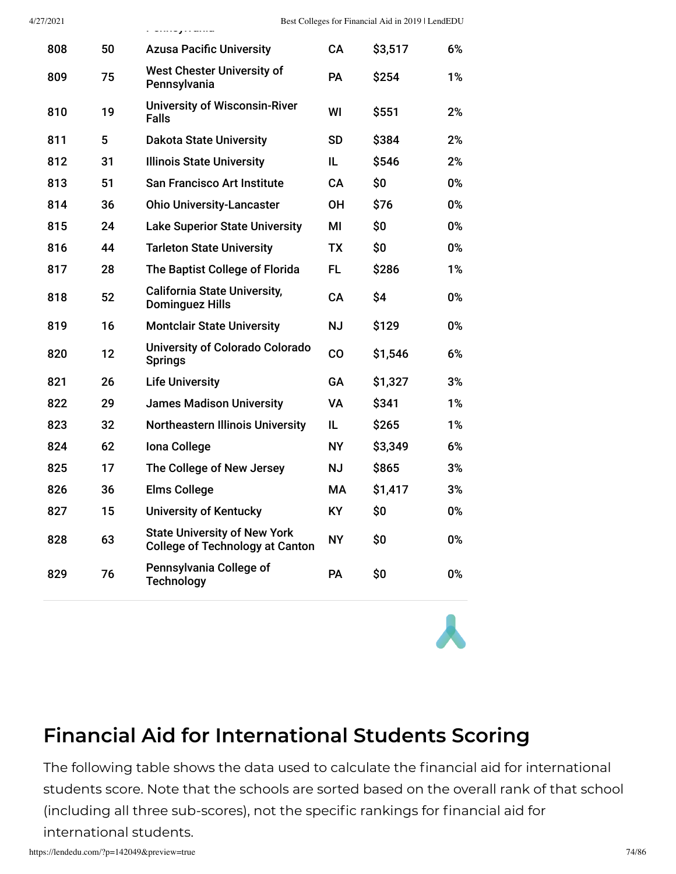| 808 | 50 | <b>Azusa Pacific University</b>                                               | CA        | \$3,517 | 6% |
|-----|----|-------------------------------------------------------------------------------|-----------|---------|----|
| 809 | 75 | <b>West Chester University of</b><br>Pennsylvania                             | PA        | \$254   | 1% |
| 810 | 19 | <b>University of Wisconsin-River</b><br><b>Falls</b>                          | WI        | \$551   | 2% |
| 811 | 5  | <b>Dakota State University</b>                                                | <b>SD</b> | \$384   | 2% |
| 812 | 31 | <b>Illinois State University</b>                                              | IL.       | \$546   | 2% |
| 813 | 51 | <b>San Francisco Art Institute</b>                                            | CA        | \$0     | 0% |
| 814 | 36 | <b>Ohio University-Lancaster</b>                                              | OН        | \$76    | 0% |
| 815 | 24 | <b>Lake Superior State University</b>                                         | MI        | \$0     | 0% |
| 816 | 44 | <b>Tarleton State University</b>                                              | TX        | \$0     | 0% |
| 817 | 28 | The Baptist College of Florida                                                | FL.       | \$286   | 1% |
| 818 | 52 | <b>California State University,</b><br><b>Dominguez Hills</b>                 | <b>CA</b> | \$4     | 0% |
| 819 | 16 | <b>Montclair State University</b>                                             | <b>NJ</b> | \$129   | 0% |
| 820 | 12 | University of Colorado Colorado<br><b>Springs</b>                             | CO        | \$1,546 | 6% |
| 821 | 26 | <b>Life University</b>                                                        | <b>GA</b> | \$1,327 | 3% |
| 822 | 29 | <b>James Madison University</b>                                               | VA        | \$341   | 1% |
| 823 | 32 | <b>Northeastern Illinois University</b>                                       | IL.       | \$265   | 1% |
| 824 | 62 | Iona College                                                                  | <b>NY</b> | \$3,349 | 6% |
| 825 | 17 | The College of New Jersey                                                     | <b>NJ</b> | \$865   | 3% |
| 826 | 36 | <b>Elms College</b>                                                           | MA        | \$1,417 | 3% |
| 827 | 15 | <b>University of Kentucky</b>                                                 | KY.       | \$0     | 0% |
| 828 | 63 | <b>State University of New York</b><br><b>College of Technology at Canton</b> | <b>NY</b> | \$0     | 0% |
| 829 | 76 | Pennsylvania College of<br><b>Technology</b>                                  | PA        | \$0     | 0% |

#### **Financial Aid for International Students Scoring**

The following table shows the data used to calculate the financial aid for international students score. Note that the schools are sorted based on the overall rank of that school (including all three sub-scores), not the specific rankings for financial aid for international students.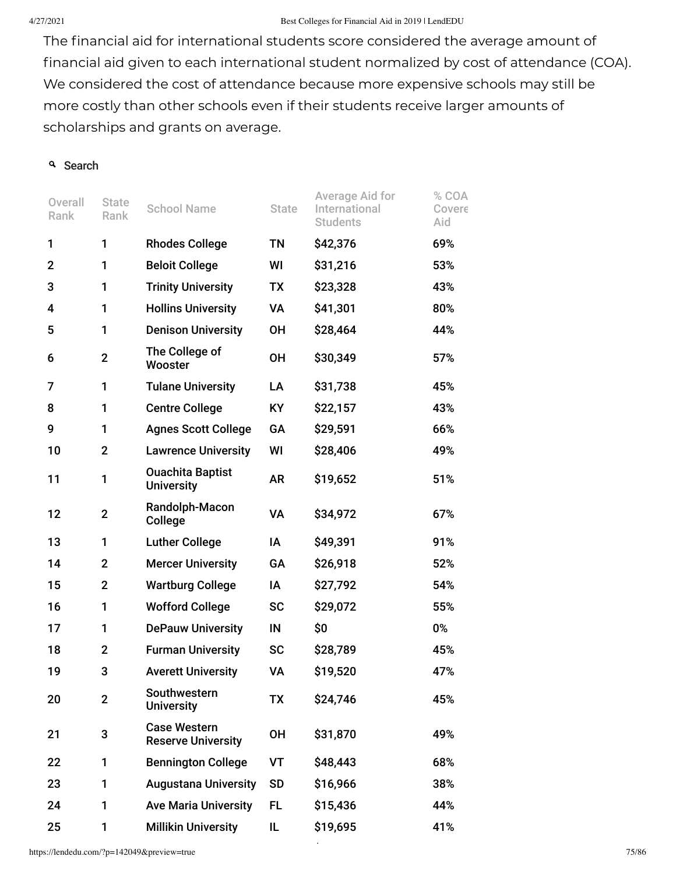#### 4/27/2021 Best Colleges for Financial Aid in 2019 | LendEDU

The financial aid for international students score considered the average amount of financial aid given to each international student normalized by cost of attendance (COA). We considered the cost of attendance because more expensive schools may still be more costly than other schools even if their students receive larger amounts of scholarships and grants on average.

#### <sup>Q</sup> Search

| Overall<br>Rank | <b>State</b><br>Rank | <b>School Name</b>                               | <b>State</b> | Average Aid for<br>International<br><b>Students</b> | % COA<br>Covere<br>Aid |
|-----------------|----------------------|--------------------------------------------------|--------------|-----------------------------------------------------|------------------------|
| 1               | 1                    | <b>Rhodes College</b>                            | TN           | \$42,376                                            | 69%                    |
| 2               | 1                    | <b>Beloit College</b>                            | WI           | \$31,216                                            | 53%                    |
| 3               | 1                    | <b>Trinity University</b>                        | TX           | \$23,328                                            | 43%                    |
| 4               | 1                    | <b>Hollins University</b>                        | VA           | \$41,301                                            | 80%                    |
| 5               | 1                    | <b>Denison University</b>                        | ΟH           | \$28,464                                            | 44%                    |
| 6               | $\overline{2}$       | The College of<br>Wooster                        | <b>OH</b>    | \$30,349                                            | 57%                    |
| 7               | 1                    | <b>Tulane University</b>                         | LA           | \$31,738                                            | 45%                    |
| 8               | 1                    | <b>Centre College</b>                            | KY           | \$22,157                                            | 43%                    |
| 9               | 1                    | <b>Agnes Scott College</b>                       | GA           | \$29,591                                            | 66%                    |
| 10              | $\mathbf 2$          | <b>Lawrence University</b>                       | WI           | \$28,406                                            | 49%                    |
| 11              | 1                    | <b>Ouachita Baptist</b><br><b>University</b>     | <b>AR</b>    | \$19,652                                            | 51%                    |
| 12              | $\mathbf 2$          | Randolph-Macon<br>College                        | VA           | \$34,972                                            | 67%                    |
| 13              | 1                    | <b>Luther College</b>                            | ΙA           | \$49,391                                            | 91%                    |
| 14              | $\mathbf{2}$         | <b>Mercer University</b>                         | GA           | \$26,918                                            | 52%                    |
| 15              | $\overline{2}$       | <b>Wartburg College</b>                          | IA           | \$27,792                                            | 54%                    |
| 16              | 1                    | <b>Wofford College</b>                           | <b>SC</b>    | \$29,072                                            | 55%                    |
| 17              | 1                    | <b>DePauw University</b>                         | IN           | \$0                                                 | 0%                     |
| 18              | $\mathbf 2$          | <b>Furman University</b>                         | <b>SC</b>    | \$28,789                                            | 45%                    |
| 19              | 3                    | <b>Averett University</b>                        | VA           | \$19,520                                            | 47%                    |
| 20              | $\overline{2}$       | Southwestern<br><b>University</b>                | <b>TX</b>    | \$24,746                                            | 45%                    |
| 21              | 3                    | <b>Case Western</b><br><b>Reserve University</b> | <b>OH</b>    | \$31,870                                            | 49%                    |
| 22              | 1                    | <b>Bennington College</b>                        | VT           | \$48,443                                            | 68%                    |
| 23              | 1                    | <b>Augustana University</b>                      | <b>SD</b>    | \$16,966                                            | 38%                    |
| 24              | 1                    | <b>Ave Maria University</b>                      | FL.          | \$15,436                                            | 44%                    |
| 25              | 1                    | <b>Millikin University</b>                       | IL.          | \$19,695                                            | 41%                    |

\$

https://lendedu.com/?p=142049&preview=true 75/86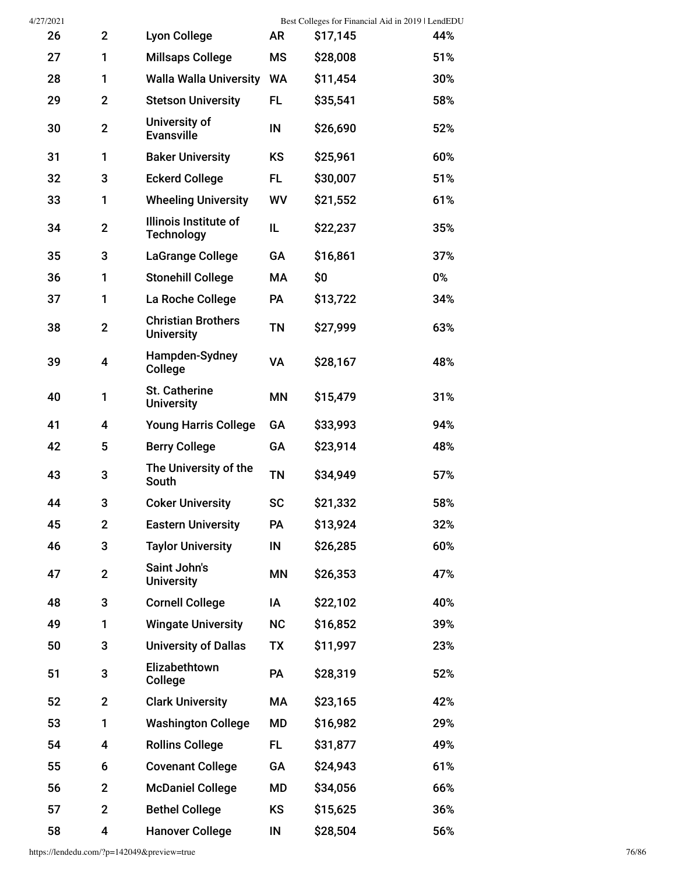| 4/27/2021 |                |                                                |           |          | Best Colleges for Financial Aid in 2019   LendEDU |
|-----------|----------------|------------------------------------------------|-----------|----------|---------------------------------------------------|
| 26        | $\mathbf{2}$   | <b>Lyon College</b>                            | <b>AR</b> | \$17,145 | 44%                                               |
| 27        | 1              | <b>Millsaps College</b>                        | <b>MS</b> | \$28,008 | 51%                                               |
| 28        | 1              | <b>Walla Walla University</b>                  | <b>WA</b> | \$11,454 | 30%                                               |
| 29        | $\mathbf{2}$   | <b>Stetson University</b>                      | FL.       | \$35,541 | 58%                                               |
| 30        | $\overline{2}$ | University of<br><b>Evansville</b>             | IN        | \$26,690 | 52%                                               |
| 31        | 1              | <b>Baker University</b>                        | <b>KS</b> | \$25,961 | 60%                                               |
| 32        | 3              | <b>Eckerd College</b>                          | FL.       | \$30,007 | 51%                                               |
| 33        | 1              | <b>Wheeling University</b>                     | WV        | \$21,552 | 61%                                               |
| 34        | $\overline{2}$ | Illinois Institute of<br><b>Technology</b>     | IL        | \$22,237 | 35%                                               |
| 35        | 3              | <b>LaGrange College</b>                        | GA        | \$16,861 | 37%                                               |
| 36        | 1              | <b>Stonehill College</b>                       | МA        | \$0      | 0%                                                |
| 37        | 1              | La Roche College                               | PA        | \$13,722 | 34%                                               |
| 38        | $\mathbf{2}$   | <b>Christian Brothers</b><br><b>University</b> | ΤN        | \$27,999 | 63%                                               |
| 39        | 4              | Hampden-Sydney<br>College                      | VA        | \$28,167 | 48%                                               |
| 40        | 1              | St. Catherine<br><b>University</b>             | ΜN        | \$15,479 | 31%                                               |
| 41        | 4              | <b>Young Harris College</b>                    | GA        | \$33,993 | 94%                                               |
| 42        | 5              | <b>Berry College</b>                           | GA        | \$23,914 | 48%                                               |
| 43        | 3              | The University of the<br>South                 | <b>TN</b> | \$34,949 | 57%                                               |
| 44        | 3              | <b>Coker University</b>                        | <b>SC</b> | \$21,332 | 58%                                               |
| 45        | $\overline{2}$ | <b>Eastern University</b>                      | PA        | \$13,924 | 32%                                               |
| 46        | 3              | <b>Taylor University</b>                       | IN        | \$26,285 | 60%                                               |
| 47        | $\mathbf{2}$   | Saint John's<br><b>University</b>              | ΜN        | \$26,353 | 47%                                               |
| 48        | 3              | <b>Cornell College</b>                         | ΙA        | \$22,102 | 40%                                               |
| 49        | 1              | <b>Wingate University</b>                      | <b>NC</b> | \$16,852 | 39%                                               |
| 50        | 3              | <b>University of Dallas</b>                    | <b>TX</b> | \$11,997 | 23%                                               |
| 51        | 3              | Elizabethtown<br>College                       | PA        | \$28,319 | 52%                                               |
| 52        | $\mathbf{2}$   | <b>Clark University</b>                        | МA        | \$23,165 | 42%                                               |
| 53        | 1              | <b>Washington College</b>                      | MD        | \$16,982 | 29%                                               |
| 54        | 4              | <b>Rollins College</b>                         | FL.       | \$31,877 | 49%                                               |
| 55        | 6              | <b>Covenant College</b>                        | GA        | \$24,943 | 61%                                               |
| 56        | $\mathbf 2$    | <b>McDaniel College</b>                        | MD        | \$34,056 | 66%                                               |
| 57        | $\overline{2}$ | <b>Bethel College</b>                          | KS        | \$15,625 | 36%                                               |
| 58        | 4              | <b>Hanover College</b>                         | IN        | \$28,504 | 56%                                               |

https://lendedu.com/?p=142049&preview=true 76/86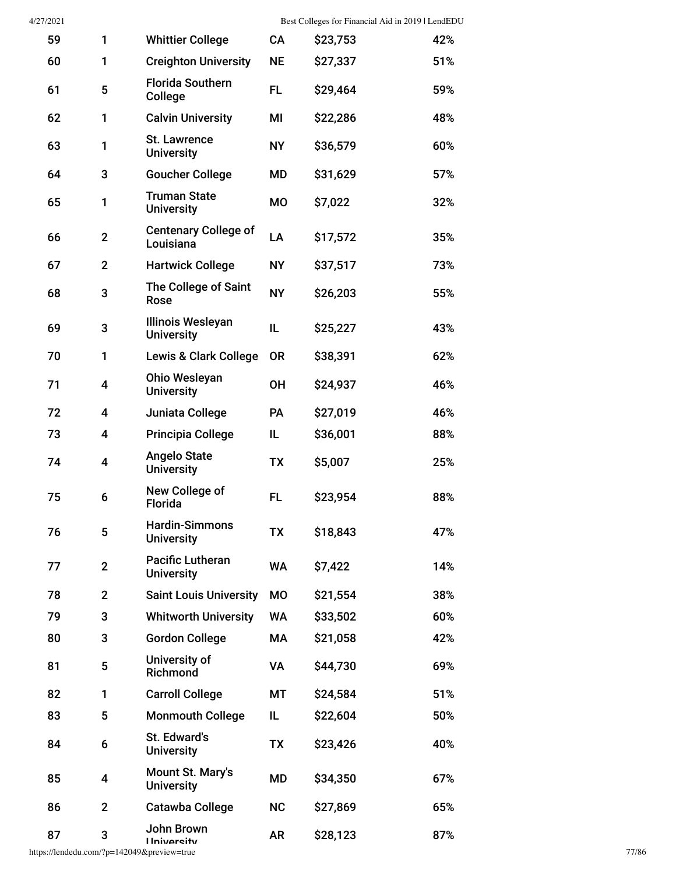| 59 | 1              | <b>Whittier College</b>                       | CA        | \$23,753 | 42% |
|----|----------------|-----------------------------------------------|-----------|----------|-----|
| 60 | 1              | <b>Creighton University</b>                   | <b>NE</b> | \$27,337 | 51% |
| 61 | 5              | <b>Florida Southern</b><br>College            | FL.       | \$29,464 | 59% |
| 62 | 1              | <b>Calvin University</b>                      | MI        | \$22,286 | 48% |
| 63 | 1              | <b>St. Lawrence</b><br><b>University</b>      | <b>NY</b> | \$36,579 | 60% |
| 64 | 3              | <b>Goucher College</b>                        | MD        | \$31,629 | 57% |
| 65 | 1              | <b>Truman State</b><br><b>University</b>      | МO        | \$7,022  | 32% |
| 66 | $\overline{2}$ | <b>Centenary College of</b><br>Louisiana      | LA        | \$17,572 | 35% |
| 67 | $\overline{2}$ | <b>Hartwick College</b>                       | <b>NY</b> | \$37,517 | 73% |
| 68 | 3              | <b>The College of Saint</b><br>Rose           | <b>NY</b> | \$26,203 | 55% |
| 69 | 3              | <b>Illinois Wesleyan</b><br><b>University</b> | IL        | \$25,227 | 43% |
| 70 | 1              | <b>Lewis &amp; Clark College</b>              | <b>OR</b> | \$38,391 | 62% |
| 71 | 4              | Ohio Wesleyan<br><b>University</b>            | <b>OH</b> | \$24,937 | 46% |
| 72 | 4              | Juniata College                               | PA        | \$27,019 | 46% |
| 73 | 4              | <b>Principia College</b>                      | IL        | \$36,001 | 88% |
| 74 | 4              | <b>Angelo State</b><br><b>University</b>      | TX        | \$5,007  | 25% |
| 75 | 6              | New College of<br><b>Florida</b>              | FL.       | \$23,954 | 88% |
| 76 | 5              | <b>Hardin-Simmons</b><br><b>University</b>    | TX        | \$18,843 | 47% |
| 77 | $\mathbf{2}$   | <b>Pacific Lutheran</b><br><b>University</b>  | <b>WA</b> | \$7,422  | 14% |
| 78 | $\mathbf{2}$   | <b>Saint Louis University</b>                 | MO        | \$21,554 | 38% |
| 79 | 3              | <b>Whitworth University</b>                   | <b>WA</b> | \$33,502 | 60% |
| 80 | 3              | <b>Gordon College</b>                         | МA        | \$21,058 | 42% |
| 81 | 5              | University of<br>Richmond                     | <b>VA</b> | \$44,730 | 69% |
| 82 | 1              | <b>Carroll College</b>                        | МT        | \$24,584 | 51% |
| 83 | 5              | <b>Monmouth College</b>                       | IL        | \$22,604 | 50% |
| 84 | 6              | St. Edward's<br><b>University</b>             | <b>TX</b> | \$23,426 | 40% |
| 85 | 4              | Mount St. Mary's<br><b>University</b>         | MD        | \$34,350 | 67% |
| 86 | $\overline{2}$ | <b>Catawba College</b>                        | <b>NC</b> | \$27,869 | 65% |
| 87 | 3              | John Brown<br><b>Ilniversity</b>              | <b>AR</b> | \$28,123 | 87% |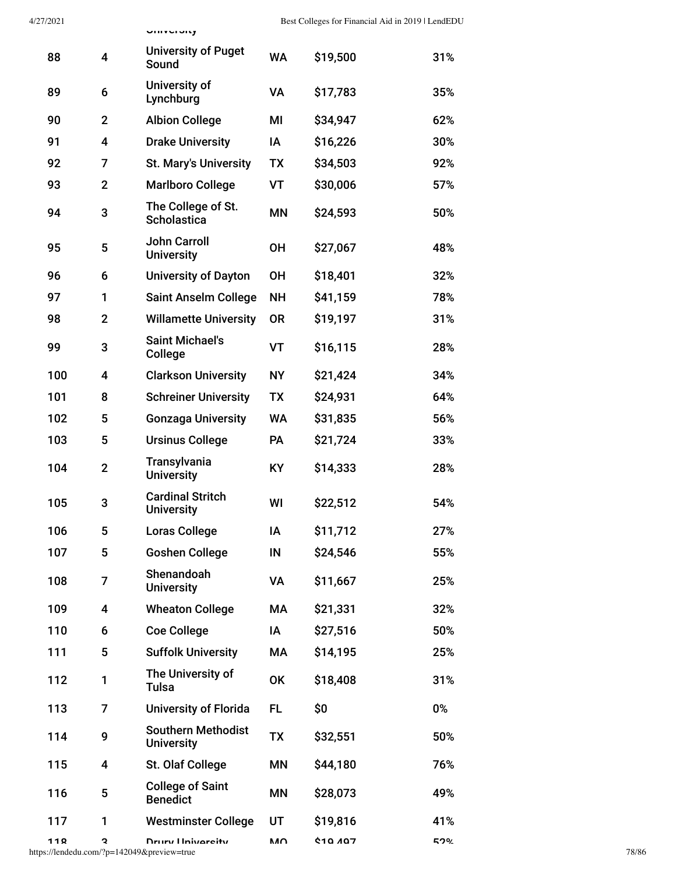|     |                         | <b>UNIVERSITY</b>                                              |           |                |       |       |
|-----|-------------------------|----------------------------------------------------------------|-----------|----------------|-------|-------|
| 88  | 4                       | <b>University of Puget</b><br>Sound                            | <b>WA</b> | \$19,500       | 31%   |       |
| 89  | 6                       | University of<br>Lynchburg                                     | VA        | \$17,783       | 35%   |       |
| 90  | $\overline{2}$          | <b>Albion College</b>                                          | MI        | \$34,947       | 62%   |       |
| 91  | 4                       | <b>Drake University</b>                                        | IA        | \$16,226       | 30%   |       |
| 92  | 7                       | <b>St. Mary's University</b>                                   | <b>TX</b> | \$34,503       | 92%   |       |
| 93  | $\mathbf{2}$            | <b>Marlboro College</b>                                        | <b>VT</b> | \$30,006       | 57%   |       |
| 94  | 3                       | The College of St.<br>Scholastica                              | <b>MN</b> | \$24,593       | 50%   |       |
| 95  | $\overline{\mathbf{5}}$ | <b>John Carroll</b><br><b>University</b>                       | OH        | \$27,067       | 48%   |       |
| 96  | 6                       | <b>University of Dayton</b>                                    | <b>OH</b> | \$18,401       | 32%   |       |
| 97  | 1                       | <b>Saint Anselm College</b>                                    | <b>NH</b> | \$41,159       | 78%   |       |
| 98  | $\mathbf{2}$            | <b>Willamette University</b>                                   | <b>OR</b> | \$19,197       | 31%   |       |
| 99  | 3                       | <b>Saint Michael's</b><br>College                              | <b>VT</b> | \$16,115       | 28%   |       |
| 100 | 4                       | <b>Clarkson University</b>                                     | <b>NY</b> | \$21,424       | 34%   |       |
| 101 | 8                       | <b>Schreiner University</b>                                    | <b>TX</b> | \$24,931       | 64%   |       |
| 102 | 5                       | <b>Gonzaga University</b>                                      | <b>WA</b> | \$31,835       | 56%   |       |
| 103 | 5                       | <b>Ursinus College</b>                                         | PA        | \$21,724       | 33%   |       |
| 104 | $\mathbf{2}$            | <b>Transylvania</b><br><b>University</b>                       | KY        | \$14,333       | 28%   |       |
| 105 | 3                       | <b>Cardinal Stritch</b><br><b>University</b>                   | WI        | \$22,512       | 54%   |       |
| 106 | 5                       | <b>Loras College</b>                                           | IA        | \$11,712       | 27%   |       |
| 107 | 5                       | <b>Goshen College</b>                                          | IN        | \$24,546       | 55%   |       |
| 108 | 7                       | Shenandoah<br><b>University</b>                                | VA        | \$11,667       | 25%   |       |
| 109 | 4                       | <b>Wheaton College</b>                                         | МA        | \$21,331       | 32%   |       |
| 110 | 6                       | <b>Coe College</b>                                             | ΙA        | \$27,516       | 50%   |       |
| 111 | 5                       | <b>Suffolk University</b>                                      | MA        | \$14,195       | 25%   |       |
| 112 | 1                       | The University of<br>Tulsa                                     | OK        | \$18,408       | 31%   |       |
| 113 | $\overline{7}$          | <b>University of Florida</b>                                   | FL.       | \$0            | $0\%$ |       |
| 114 | 9                       | <b>Southern Methodist</b><br><b>University</b>                 | <b>TX</b> | \$32,551       | 50%   |       |
| 115 | 4                       | St. Olaf College                                               | ΜN        | \$44,180       | 76%   |       |
| 116 | 5                       | <b>College of Saint</b><br><b>Benedict</b>                     | ΜN        | \$28,073       | 49%   |       |
| 117 | 1                       | <b>Westminster College</b>                                     | UT        | \$19,816       | 41%   |       |
| 110 | J.                      | Drury Hnivareity<br>https://lendedu.com/?p=142049&preview=true | ΜΛ        | <b>¢10 407</b> | 52%   | 78/86 |
|     |                         |                                                                |           |                |       |       |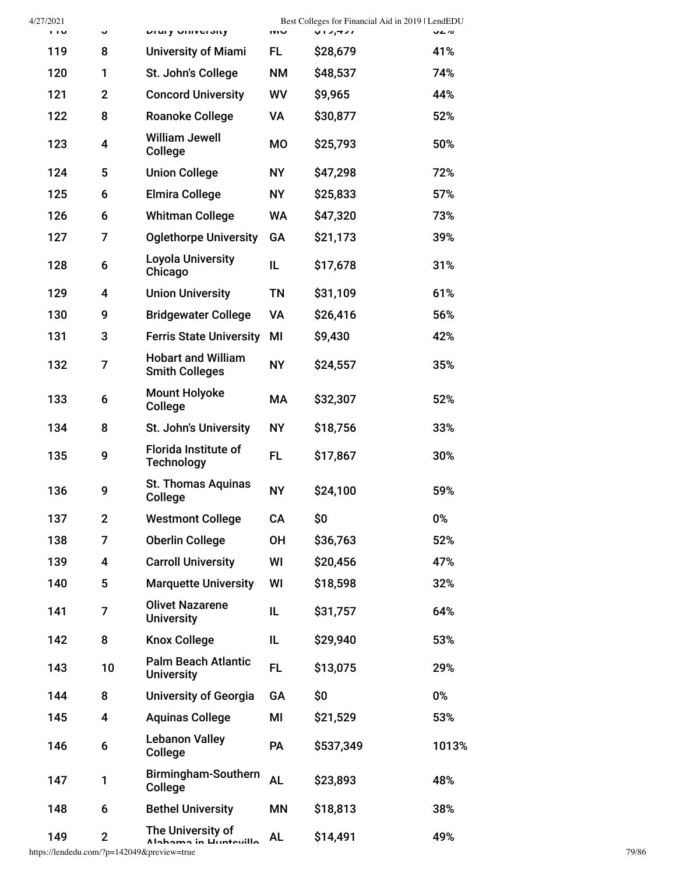| 4/27/2021<br>110 | Û                       | DIUITY UNIVERSITY                                  | <b>UVI</b> | Best Colleges for Financial Aid in 2019   LendEDU<br>712,421 | 0⁄ ∠∪ |
|------------------|-------------------------|----------------------------------------------------|------------|--------------------------------------------------------------|-------|
| 119              | 8                       | <b>University of Miami</b>                         | FL.        | \$28,679                                                     | 41%   |
| 120              | 1                       | St. John's College                                 | <b>NM</b>  | \$48,537                                                     | 74%   |
| 121              | $\mathbf 2$             | <b>Concord University</b>                          | WV         | \$9,965                                                      | 44%   |
| 122              | 8                       | <b>Roanoke College</b>                             | <b>VA</b>  | \$30,877                                                     | 52%   |
| 123              | 4                       | <b>William Jewell</b><br>College                   | <b>MO</b>  | \$25,793                                                     | 50%   |
| 124              | 5                       | <b>Union College</b>                               | NY.        | \$47,298                                                     | 72%   |
| 125              | 6                       | <b>Elmira College</b>                              | <b>NY</b>  | \$25,833                                                     | 57%   |
| 126              | 6                       | <b>Whitman College</b>                             | <b>WA</b>  | \$47,320                                                     | 73%   |
| 127              | 7                       | <b>Oglethorpe University</b>                       | GA         | \$21,173                                                     | 39%   |
| 128              | 6                       | <b>Loyola University</b><br>Chicago                | IL         | \$17,678                                                     | 31%   |
| 129              | 4                       | <b>Union University</b>                            | <b>TN</b>  | \$31,109                                                     | 61%   |
| 130              | 9                       | <b>Bridgewater College</b>                         | <b>VA</b>  | \$26,416                                                     | 56%   |
| 131              | 3                       | <b>Ferris State University</b>                     | MI         | \$9,430                                                      | 42%   |
| 132              | 7                       | <b>Hobart and William</b><br><b>Smith Colleges</b> | <b>NY</b>  | \$24,557                                                     | 35%   |
| 133              | 6                       | <b>Mount Holyoke</b><br>College                    | МA         | \$32,307                                                     | 52%   |
| 134              | 8                       | St. John's University                              | <b>NY</b>  | \$18,756                                                     | 33%   |
| 135              | 9                       | <b>Florida Institute of</b><br><b>Technology</b>   | <b>FL</b>  | \$17,867                                                     | 30%   |
| 136              | 9                       | <b>St. Thomas Aquinas</b><br>College               | <b>NY</b>  | \$24,100                                                     | 59%   |
| 137              | $\mathbf{2}$            | <b>Westmont College</b>                            | CA         | \$0                                                          | 0%    |
| 138              | $\overline{7}$          | <b>Oberlin College</b>                             | <b>OH</b>  | \$36,763                                                     | 52%   |
| 139              | $\overline{\mathbf{4}}$ | <b>Carroll University</b>                          | WI         | \$20,456                                                     | 47%   |
| 140              | 5                       | <b>Marquette University</b>                        | WI         | \$18,598                                                     | 32%   |
| 141              | 7                       | <b>Olivet Nazarene</b><br><b>University</b>        | IL         | \$31,757                                                     | 64%   |
| 142              | 8                       | <b>Knox College</b>                                | IL         | \$29,940                                                     | 53%   |
| 143              | 10                      | <b>Palm Beach Atlantic</b><br><b>University</b>    | FL.        | \$13,075                                                     | 29%   |
| 144              | 8                       | <b>University of Georgia</b>                       | GA         | \$0                                                          | 0%    |
| 145              | $\overline{\mathbf{4}}$ | <b>Aquinas College</b>                             | MI         | \$21,529                                                     | 53%   |
| 146              | 6                       | <b>Lebanon Valley</b><br>College                   | <b>PA</b>  | \$537,349                                                    | 1013% |
| 147              | 1                       | Birmingham-Southern<br>College                     | <b>AL</b>  | \$23,893                                                     | 48%   |
| 148              | 6                       | <b>Bethel University</b>                           | <b>MN</b>  | \$18,813                                                     | 38%   |
| 149              | $\mathbf 2$             | The University of<br>Alohomo in Lluntovillo        | <b>AL</b>  | \$14,491                                                     | 49%   |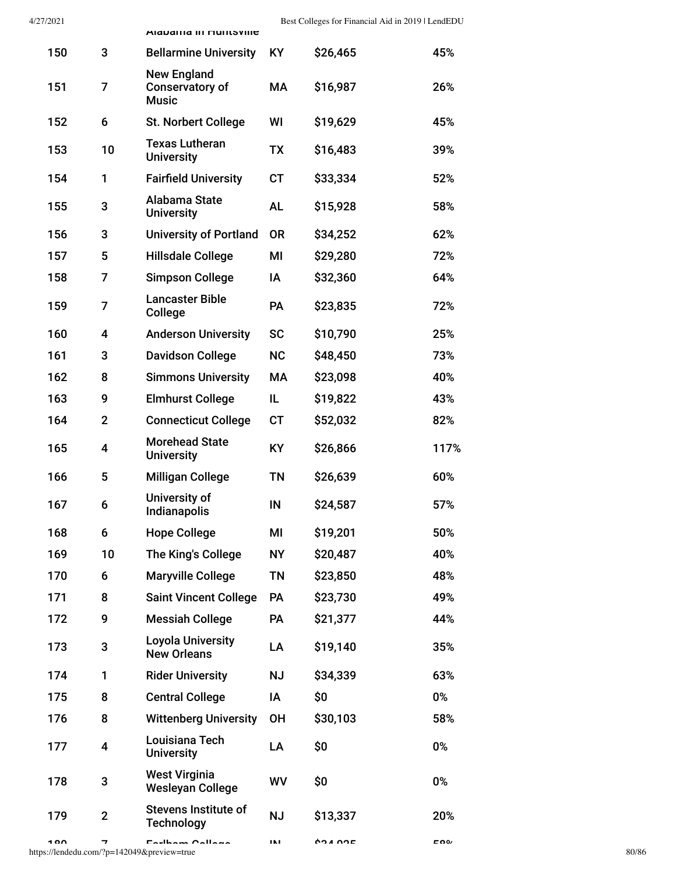|     |                | <b>Alaballia III nullisville</b>                             |           |          |      |
|-----|----------------|--------------------------------------------------------------|-----------|----------|------|
| 150 | 3              | <b>Bellarmine University</b>                                 | <b>KY</b> | \$26,465 | 45%  |
| 151 | 7              | <b>New England</b><br><b>Conservatory of</b><br><b>Music</b> | МA        | \$16,987 | 26%  |
| 152 | 6              | <b>St. Norbert College</b>                                   | WI        | \$19,629 | 45%  |
| 153 | 10             | <b>Texas Lutheran</b><br><b>University</b>                   | <b>TX</b> | \$16,483 | 39%  |
| 154 | 1              | <b>Fairfield University</b>                                  | <b>CT</b> | \$33,334 | 52%  |
| 155 | 3              | Alabama State<br><b>University</b>                           | <b>AL</b> | \$15,928 | 58%  |
| 156 | 3              | <b>University of Portland</b>                                | <b>OR</b> | \$34,252 | 62%  |
| 157 | 5              | <b>Hillsdale College</b>                                     | ΜI        | \$29,280 | 72%  |
| 158 | 7              | <b>Simpson College</b>                                       | ΙA        | \$32,360 | 64%  |
| 159 | 7              | <b>Lancaster Bible</b><br>College                            | <b>PA</b> | \$23,835 | 72%  |
| 160 | 4              | <b>Anderson University</b>                                   | <b>SC</b> | \$10,790 | 25%  |
| 161 | 3              | <b>Davidson College</b>                                      | <b>NC</b> | \$48,450 | 73%  |
| 162 | 8              | <b>Simmons University</b>                                    | МA        | \$23,098 | 40%  |
| 163 | 9              | <b>Elmhurst College</b>                                      | IL.       | \$19,822 | 43%  |
| 164 | $\overline{2}$ | <b>Connecticut College</b>                                   | <b>CT</b> | \$52,032 | 82%  |
| 165 | 4              | <b>Morehead State</b><br><b>University</b>                   | <b>KY</b> | \$26,866 | 117% |
| 166 | 5              | <b>Milligan College</b>                                      | TN        | \$26,639 | 60%  |
| 167 | 6              | University of<br>Indianapolis                                | IN        | \$24,587 | 57%  |
| 168 | 6              | <b>Hope College</b>                                          | MI        | \$19,201 | 50%  |
| 169 | 10             | The King's College                                           | <b>NY</b> | \$20,487 | 40%  |
| 170 | 6              | <b>Maryville College</b>                                     | <b>TN</b> | \$23,850 | 48%  |
| 171 | 8              | <b>Saint Vincent College</b>                                 | PA        | \$23,730 | 49%  |
| 172 | 9              | <b>Messiah College</b>                                       | PA        | \$21,377 | 44%  |
| 173 | 3              | <b>Loyola University</b><br><b>New Orleans</b>               | LA        | \$19,140 | 35%  |
| 174 | 1              | <b>Rider University</b>                                      | <b>NJ</b> | \$34,339 | 63%  |
| 175 | 8              | <b>Central College</b>                                       | ΙA        | \$0      | 0%   |
| 176 | 8              | <b>Wittenberg University</b>                                 | <b>OH</b> | \$30,103 | 58%  |
| 177 | 4              | Louisiana Tech<br><b>University</b>                          | LA        | \$0      | 0%   |
| 178 | 3              | <b>West Virginia</b><br><b>Wesleyan College</b>              | WV        | \$0      | 0%   |
| 179 | $\overline{2}$ | <b>Stevens Institute of</b><br><b>Technology</b>             | <b>NJ</b> | \$13,337 | 20%  |
|     |                |                                                              |           |          |      |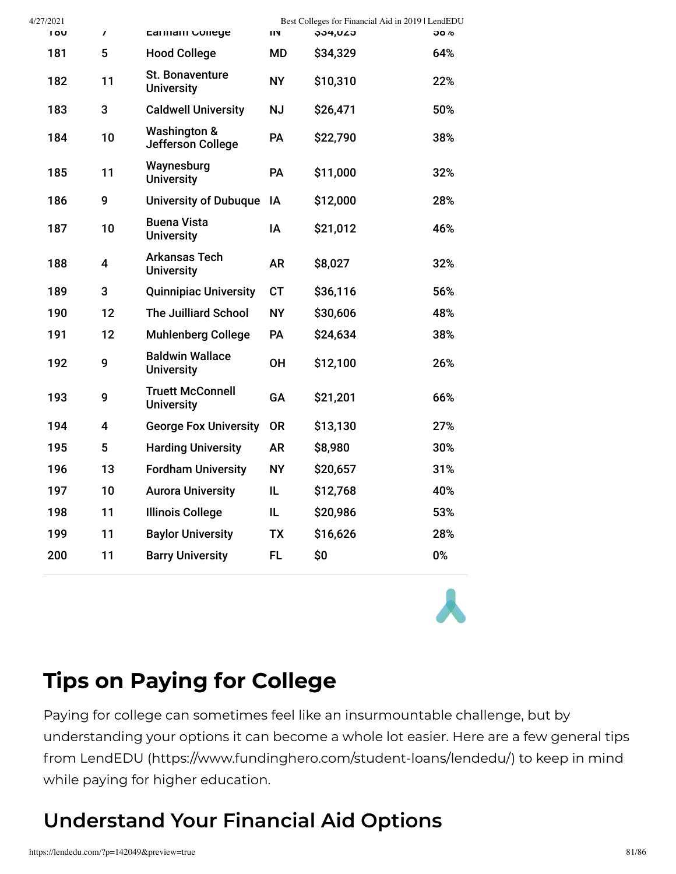| 4/27/2021   |                         |                                              |           | Best Colleges for Financial Aid in 2019   LendEDU |             |
|-------------|-------------------------|----------------------------------------------|-----------|---------------------------------------------------|-------------|
| 1 <b>8U</b> | $\prime$                | Earinam College                              | IN        | <b>\$34,UZ5</b>                                   | <b>Jö</b> % |
| 181         | 5                       | <b>Hood College</b>                          | MD        | \$34,329                                          | 64%         |
| 182         | 11                      | St. Bonaventure<br><b>University</b>         | <b>NY</b> | \$10,310                                          | 22%         |
| 183         | 3                       | <b>Caldwell University</b>                   | <b>NJ</b> | \$26,471                                          | 50%         |
| 184         | 10                      | <b>Washington &amp;</b><br>Jefferson College | PA        | \$22,790                                          | 38%         |
| 185         | 11                      | Waynesburg<br><b>University</b>              | PA        | \$11,000                                          | 32%         |
| 186         | 9                       | <b>University of Dubuque</b>                 | ΙA        | \$12,000                                          | 28%         |
| 187         | 10                      | <b>Buena Vista</b><br><b>University</b>      | IA        | \$21,012                                          | 46%         |
| 188         | 4                       | <b>Arkansas Tech</b><br><b>University</b>    | <b>AR</b> | \$8,027                                           | 32%         |
| 189         | 3                       | <b>Quinnipiac University</b>                 | <b>CT</b> | \$36,116                                          | 56%         |
| 190         | 12                      | <b>The Juilliard School</b>                  | <b>NY</b> | \$30,606                                          | 48%         |
| 191         | 12                      | <b>Muhlenberg College</b>                    | PA        | \$24,634                                          | 38%         |
| 192         | 9                       | <b>Baldwin Wallace</b><br><b>University</b>  | <b>OH</b> | \$12,100                                          | 26%         |
| 193         | 9                       | <b>Truett McConnell</b><br><b>University</b> | GA        | \$21,201                                          | 66%         |
| 194         | $\overline{\mathbf{4}}$ | <b>George Fox University</b>                 | <b>OR</b> | \$13,130                                          | 27%         |
| 195         | 5                       | <b>Harding University</b>                    | <b>AR</b> | \$8,980                                           | 30%         |
| 196         | 13                      | <b>Fordham University</b>                    | <b>NY</b> | \$20,657                                          | 31%         |
| 197         | 10                      | <b>Aurora University</b>                     | IL        | \$12,768                                          | 40%         |
| 198         | 11                      | <b>Illinois College</b>                      | IL.       | \$20,986                                          | 53%         |
| 199         | 11                      | <b>Baylor University</b>                     | <b>TX</b> | \$16,626                                          | 28%         |
| 200         | 11                      | <b>Barry University</b>                      | <b>FL</b> | \$0                                               | 0%          |
|             |                         |                                              |           |                                                   |             |

### **Tips on Paying for College**

Paying for college can sometimes feel like an insurmountable challenge, but by understanding your options it can become a whole lot easier. Here are a few general tips from LendEDU [\(https://www.fundinghero.com/student-loans/lendedu/\)](https://www.fundinghero.com/student-loans/lendedu/) to keep in mind while paying for higher education.

### **Understand Your Financial Aid Options**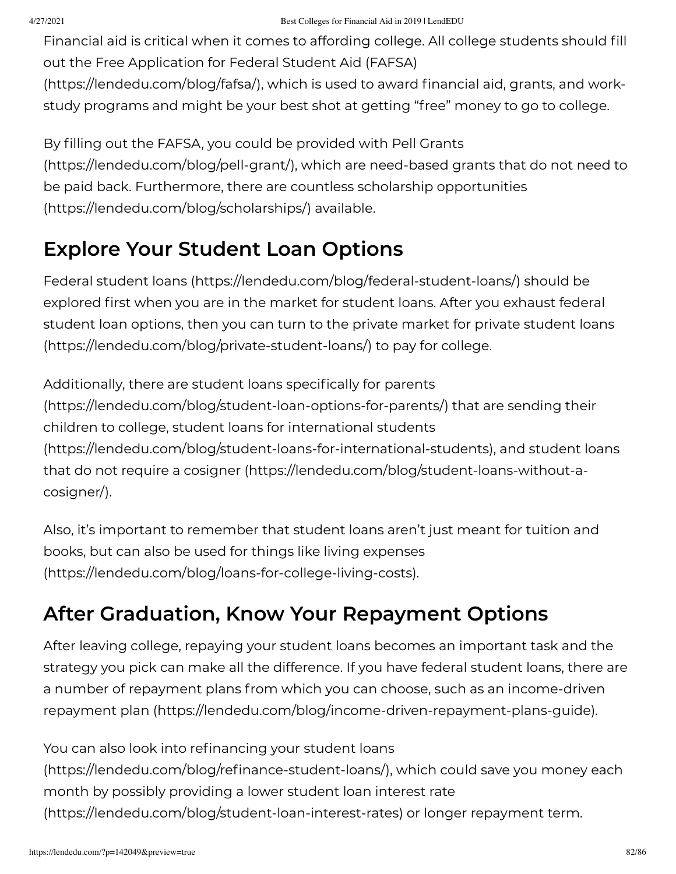Financial aid is critical when it comes to affording college. All college students should fill out the Free Application for Federal Student Aid (FAFSA)

[\(https://lendedu.com/blog/fafsa/\),](https://lendedu.com/blog/fafsa/) which is used to award financial aid, grants, and workstudy programs and might be your best shot at getting "free" money to go to college.

By filling out the FAFSA, you could be provided with Pell Grants [\(https://lendedu.com/blog/pell-grant/\),](https://lendedu.com/blog/pell-grant/) which are need-based grants that do not need to be paid back. Furthermore, there are countless scholarship opportunities [\(https://lendedu.com/blog/scholarships/\)](https://lendedu.com/blog/scholarships/) available.

### **Explore Your Student Loan Options**

Federal student loans [\(https://lendedu.com/blog/federal-student-loans/\)](https://lendedu.com/blog/federal-student-loans/) should be explored first when you are in the market for student loans. After you exhaust federal student loan options, then you can turn to the private market for private student loans [\(https://lendedu.com/blog/private-student-loans/\)](https://lendedu.com/blog/private-student-loans/) to pay for college.

Additionally, there are student loans specifically for parents [\(https://lendedu.com/blog/student-loan-options-for-parents/\)](https://lendedu.com/blog/student-loan-options-for-parents/) that are sending their children to college, student loans for international students [\(https://lendedu.com/blog/student-loans-for-international-students](https://lendedu.com/blog/student-loans-for-international-students)[\),](https://lendedu.com/blog/student-loans-without-a-cosigner/) and student loans that do not require a cosigner (https://lendedu.com/blog/student-loans-without-acosigner/).

Also, it's important to remember that student loans aren't just meant for tuition and books, but can also be used for things like living expenses [\(https://lendedu.com/blog/loans-for-college-living-costs\).](https://lendedu.com/blog/loans-for-college-living-costs)

### **After Graduation, Know Your Repayment Options**

After leaving college, repaying your student loans becomes an important task and the strategy you pick can make all the difference. If you have federal student loans, there are a number of repayment plans from which you can choose, such as an income-driven repayment plan [\(https://lendedu.com/blog/income-driven-repayment-plans-guide\).](https://lendedu.com/blog/income-driven-repayment-plans-guide)

You can also look into refinancing your student loans (https://lendedu.com/blog/refinance-student-loans/), which could save you money each month by possibly providing a lower student loan interest rate [\(https://lendedu.com/blog/student-loan-interest-rates\)](https://lendedu.com/blog/student-loan-interest-rates) or longer repayment term.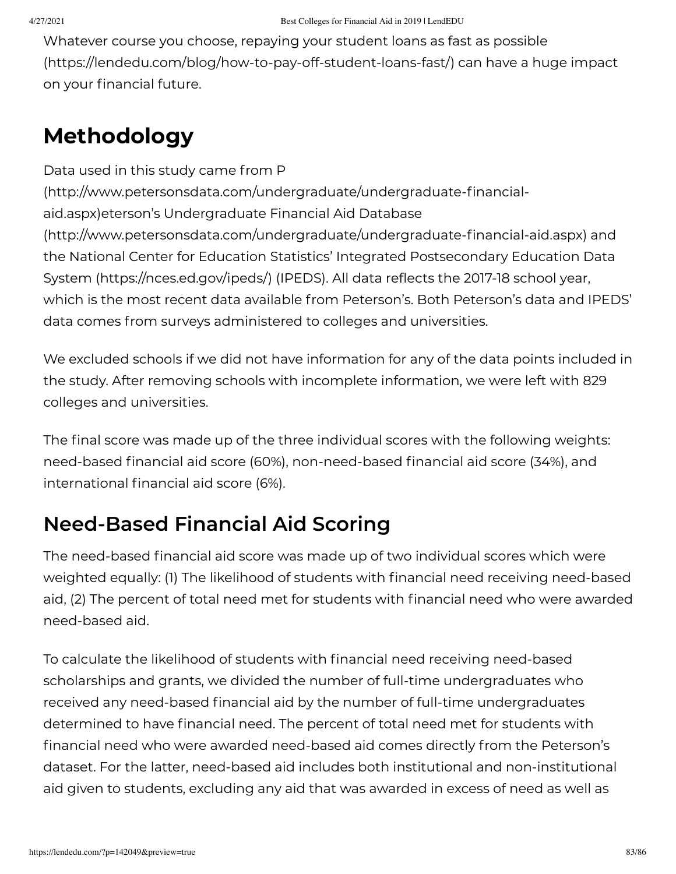Whatever course you choose, repaying your student loans as fast as possible [\(https://lendedu.com/blog/how-to-pay-off-student-loans-fast/\)](https://lendedu.com/blog/how-to-pay-off-student-loans-fast/) can have a huge impact on your financial future.

## **Methodology**

Data used in this study came from P  $(\text{http://www.petersonsdata.com/undergraduate/undergraduate-financial$ aid.aspx)eterson's Undergraduate Financial Aid Database (http://www.petersonsdata.com/undergraduate/undergraduate-financial-aid.aspx) and the National Center for Education Statistics' Integrated Postsecondary Education Data System [\(https://nces.ed.gov/ipeds/\)](https://nces.ed.gov/ipeds/) (IPEDS). All data reflects the 2017-18 school year, which is the most recent data available from Peterson's. Both Peterson's data and IPEDS' data comes from surveys administered to colleges and universities.

We excluded schools if we did not have information for any of the data points included in the study. After removing schools with incomplete information, we were left with 829 colleges and universities.

The final score was made up of the three individual scores with the following weights: need-based financial aid score (60%), non-need-based financial aid score (34%), and international financial aid score (6%).

### **Need-Based Financial Aid Scoring**

The need-based financial aid score was made up of two individual scores which were weighted equally: (1) The likelihood of students with financial need receiving need-based aid, (2) The percent of total need met for students with financial need who were awarded need-based aid.

To calculate the likelihood of students with financial need receiving need-based scholarships and grants, we divided the number of full-time undergraduates who received any need-based financial aid by the number of full-time undergraduates determined to have financial need. The percent of total need met for students with financial need who were awarded need-based aid comes directly from the Peterson's dataset. For the latter, need-based aid includes both institutional and non-institutional aid given to students, excluding any aid that was awarded in excess of need as well as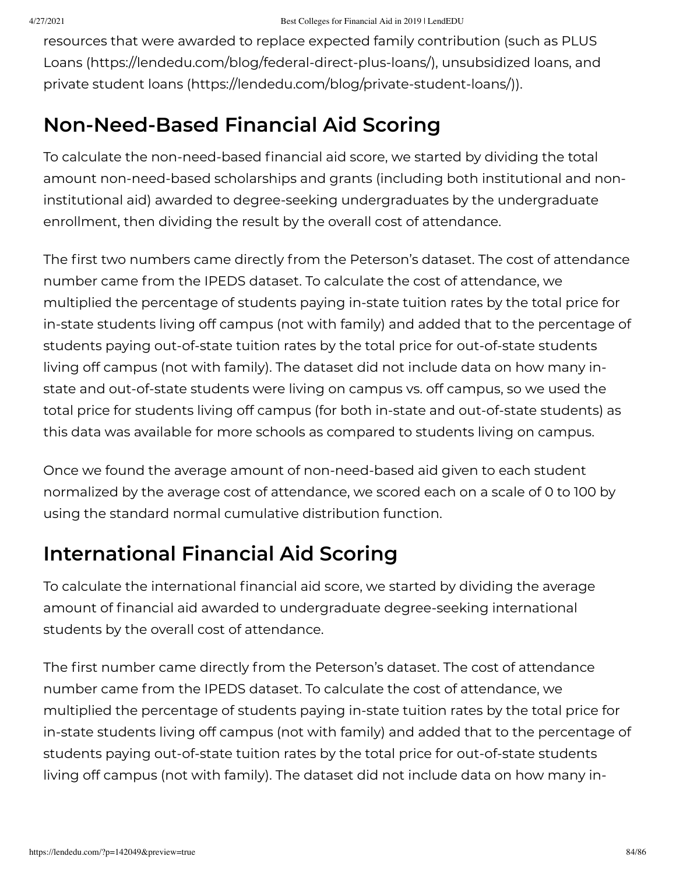resources that were awarded to replace expected family contribution (such as PLUS Loans [\(https://lendedu.com/blog/federal-direct-plus-loans/\),](https://lendedu.com/blog/federal-direct-plus-loans/) unsubsidized loans, and private student loans [\(https://lendedu.com/blog/private-student-loans/\)](https://lendedu.com/blog/private-student-loans/)).

### **Non-Need-Based Financial Aid Scoring**

To calculate the non-need-based financial aid score, we started by dividing the total amount non-need-based scholarships and grants (including both institutional and noninstitutional aid) awarded to degree-seeking undergraduates by the undergraduate enrollment, then dividing the result by the overall cost of attendance.

The first two numbers came directly from the Peterson's dataset. The cost of attendance number came from the IPEDS dataset. To calculate the cost of attendance, we multiplied the percentage of students paying in-state tuition rates by the total price for in-state students living off campus (not with family) and added that to the percentage of students paying out-of-state tuition rates by the total price for out-of-state students living off campus (not with family). The dataset did not include data on how many instate and out-of-state students were living on campus vs. off campus, so we used the total price for students living off campus (for both in-state and out-of-state students) as this data was available for more schools as compared to students living on campus.

Once we found the average amount of non-need-based aid given to each student normalized by the average cost of attendance, we scored each on a scale of 0 to 100 by using the standard normal cumulative distribution function.

### **International Financial Aid Scoring**

To calculate the international financial aid score, we started by dividing the average amount of financial aid awarded to undergraduate degree-seeking international students by the overall cost of attendance.

The first number came directly from the Peterson's dataset. The cost of attendance number came from the IPEDS dataset. To calculate the cost of attendance, we multiplied the percentage of students paying in-state tuition rates by the total price for in-state students living off campus (not with family) and added that to the percentage of students paying out-of-state tuition rates by the total price for out-of-state students living off campus (not with family). The dataset did not include data on how many in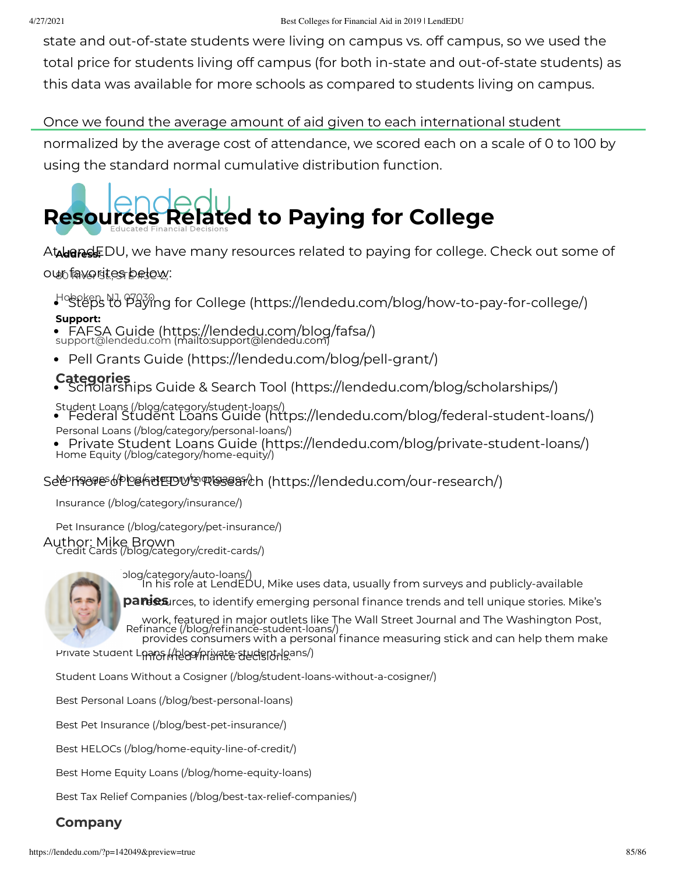state and out-of-state students were living on campus vs. off campus, so we used the total price for students living off campus (for both in-state and out-of-state students) as this data was available for more schools as compared to students living on campus.

#### Once we found the average amount of aid given to each international student

normalized by the average cost of attendance, we scored each on a scale of 0 to 100 by using the standard normal cumulative distribution function.

# **Resources Related to Paying for College**

A**talenesl**EDU, we have many resources related to paying for college. Check out some of our favorites below:

Hoboken, NJ, 07030 Steps to Paying for College [\(https://lendedu.com/blog/how-to-pay-for-college/\)](https://lendedu.com/blog/how-to-pay-for-college/)

#### **Support:**

support@lendedu.com [\(mailto:support@lendedu.com\)](mailto:support@lendedu.com) FAFSA Guide [\(https://lendedu.com/blog/fafsa/\)](https://lendedu.com/blog/fafsa/)

Pell Grants Guide [\(https://lendedu.com/blog/pell-grant/\)](https://lendedu.com/blog/pell-grant/)

#### **Categories**

Scholarships Guide & Search Tool [\(https://lendedu.com/blog/scholarships/\)](https://lendedu.com/blog/scholarships/)

- Student Loans [\(/blog/category/student-loans/\)](https://lendedu.com/blog/category/student-loans/) Federal Student Loans Guide [\(https://lendedu.com/blog/federal-student-loans/\)](https://lendedu.com/blog/federal-student-loans/) Personal Loans [\(/blog/category/personal-loans/\)](https://lendedu.com/blog/category/personal-loans/)
- Home Equity [\(/blog/category/home-equity/\)](https://lendedu.com/blog/category/home-equity/) Private Student Loans Guide [\(https://lendedu.com/blog/private-student-loans/\)](https://lendedu.com/blog/private-student-loans/)

#### Selerf¶ages (/ploe/hetegory/mortesearch [\(https://lendedu.com/our-research/\)](https://lendedu.com/our-research/)

Insurance [\(/blog/category/insurance/\)](https://lendedu.com/blog/category/insurance/)

Pet Insurance [\(/blog/category/pet-insurance/\)](https://lendedu.com/blog/category/pet-insurance/)

Author: Mike Brown<br>Credit Cards [\(/blog/category/credit-cards/\)](https://lendedu.com/blog/category/credit-cards/)



Auto Loans [\(/blog/category/auto-loans/\)](https://lendedu.com/blog/category/auto-loans/) In his role at LendEDU, Mike uses data, usually from surveys and publicly-available **Bestimance of the Panies** panish companies, to identify emerging personal finance trends and tell unique stories. Mike's Refinance (/blog/refinance-student-loans/ work, featured in major outlets like The Wall Street Journal and The Washington Post, provides consumers with a personal finance measuring stick and can help them make

Private Student Laans (Helag/Arivate-student-loans/)

Student Loans Without a Cosigner [\(/blog/student-loans-without-a-cosigner/\)](https://lendedu.com/blog/student-loans-without-a-cosigner/)

Best Personal Loans [\(/blog/best-personal-loans\)](https://lendedu.com/blog/best-personal-loans)

Best Pet Insurance [\(/blog/best-pet-insurance/\)](https://lendedu.com/blog/best-pet-insurance/)

Best HELOCs [\(/blog/home-equity-line-of-credit/\)](https://lendedu.com/blog/home-equity-line-of-credit/)

Best Home Equity Loans [\(/blog/home-equity-loans\)](https://lendedu.com/blog/home-equity-loans)

Best Tax Relief Companies [\(/blog/best-tax-relief-companies/\)](https://lendedu.com/blog/best-tax-relief-companies/)

#### **Company**